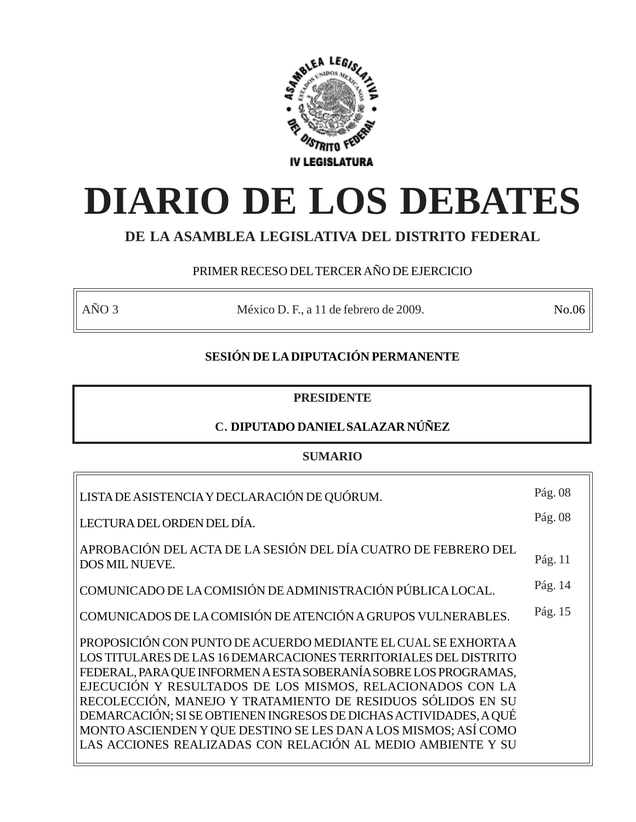

# **DIARIO DE LOS DEBATES**

# **DE LA ASAMBLEA LEGISLATIVA DEL DISTRITO FEDERAL**

# PRIMER RECESO DEL TERCER AÑO DE EJERCICIO

AÑO 3 México D. F., a 11 de febrero de 2009. No.06

# **SESIÓN DE LA DIPUTACIÓN PERMANENTE**

# **PRESIDENTE**

# **C. DIPUTADO DANIEL SALAZAR NÚÑEZ**

# **SUMARIO**

| Pág. 08<br>Pág. 08<br>Pág. 11<br>Pág. 14<br>Pág. 15 |                                                                                                                                                                                                                                                                                                                                                                                                                                                                                                                                           |  |
|-----------------------------------------------------|-------------------------------------------------------------------------------------------------------------------------------------------------------------------------------------------------------------------------------------------------------------------------------------------------------------------------------------------------------------------------------------------------------------------------------------------------------------------------------------------------------------------------------------------|--|
|                                                     | LISTA DE ASISTENCIA Y DECLARACIÓN DE QUÓRUM.                                                                                                                                                                                                                                                                                                                                                                                                                                                                                              |  |
|                                                     | LECTURA DEL ORDEN DEL DÍA.                                                                                                                                                                                                                                                                                                                                                                                                                                                                                                                |  |
|                                                     | APROBACIÓN DEL ACTA DE LA SESIÓN DEL DÍA CUATRO DE FEBRERO DEL<br>DOS MIL NUEVE.                                                                                                                                                                                                                                                                                                                                                                                                                                                          |  |
|                                                     | COMUNICADO DE LA COMISIÓN DE ADMINISTRACIÓN PÚBLICA LOCAL.                                                                                                                                                                                                                                                                                                                                                                                                                                                                                |  |
|                                                     | COMUNICADOS DE LA COMISIÓN DE ATENCIÓN A GRUPOS VULNERABLES.                                                                                                                                                                                                                                                                                                                                                                                                                                                                              |  |
|                                                     | PROPOSICIÓN CON PUNTO DE ACUERDO MEDIANTE EL CUAL SE EXHORTA A<br>LOS TITULARES DE LAS 16 DEMARCACIONES TERRITORIALES DEL DISTRITO<br>FEDERAL, PARA QUE INFORMEN A ESTA SOBERANÍA SOBRE LOS PROGRAMAS,<br>EJECUCIÓN Y RESULTADOS DE LOS MISMOS, RELACIONADOS CON LA<br>RECOLECCIÓN, MANEJO Y TRATAMIENTO DE RESIDUOS SÓLIDOS EN SU<br>DEMARCACIÓN; SI SE OBTIENEN INGRESOS DE DICHAS ACTIVIDADES, A QUÉ<br>MONTO ASCIENDEN Y QUE DESTINO SE LES DAN A LOS MISMOS; ASÍ COMO<br>LAS ACCIONES REALIZADAS CON RELACIÓN AL MEDIO AMBIENTE Y SU |  |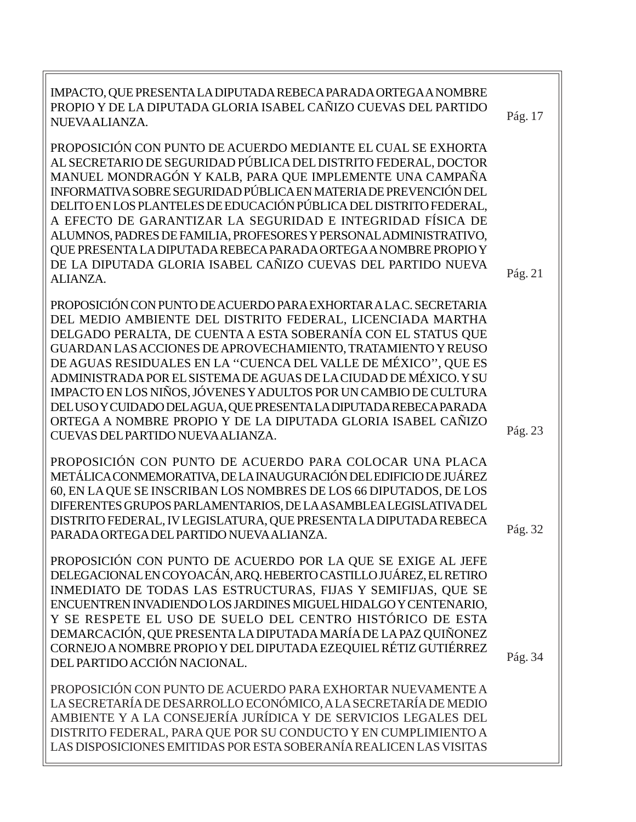IMPACTO, QUE PRESENTA LA DIPUTADA REBECA PARADA ORTEGA A NOMBRE PROPIO Y DE LA DIPUTADA GLORIA ISABEL CAÑIZO CUEVAS DEL PARTIDO NUEVA ALIANZA. Pág. 17

PROPOSICIÓN CON PUNTO DE ACUERDO MEDIANTE EL CUAL SE EXHORTA AL SECRETARIO DE SEGURIDAD PÚBLICA DEL DISTRITO FEDERAL, DOCTOR MANUEL MONDRAGÓN Y KALB, PARA QUE IMPLEMENTE UNA CAMPAÑA INFORMATIVA SOBRE SEGURIDAD PÚBLICA EN MATERIA DE PREVENCIÓN DEL DELITO EN LOS PLANTELES DE EDUCACIÓN PÚBLICA DEL DISTRITO FEDERAL, A EFECTO DE GARANTIZAR LA SEGURIDAD E INTEGRIDAD FÍSICA DE ALUMNOS, PADRES DE FAMILIA, PROFESORES Y PERSONAL ADMINISTRATIVO, QUE PRESENTA LA DIPUTADA REBECA PARADA ORTEGA A NOMBRE PROPIO Y DE LA DIPUTADA GLORIA ISABEL CAÑIZO CUEVAS DEL PARTIDO NUEVA ALIANZA.

PROPOSICIÓN CON PUNTO DE ACUERDO PARA EXHORTAR A LA C. SECRETARIA DEL MEDIO AMBIENTE DEL DISTRITO FEDERAL, LICENCIADA MARTHA DELGADO PERALTA, DE CUENTA A ESTA SOBERANÍA CON EL STATUS QUE GUARDAN LAS ACCIONES DE APROVECHAMIENTO, TRATAMIENTO Y REUSO DE AGUAS RESIDUALES EN LA ''CUENCA DEL VALLE DE MÉXICO'', QUE ES ADMINISTRADA POR EL SISTEMA DE AGUAS DE LA CIUDAD DE MÉXICO. Y SU IMPACTO EN LOS NIÑOS, JÓVENES Y ADULTOS POR UN CAMBIO DE CULTURA DEL USO Y CUIDADO DEL AGUA, QUE PRESENTA LA DIPUTADA REBECA PARADA ORTEGA A NOMBRE PROPIO Y DE LA DIPUTADA GLORIA ISABEL CAÑIZO CUEVAS DEL PARTIDO NUEVA ALIANZA.

PROPOSICIÓN CON PUNTO DE ACUERDO PARA COLOCAR UNA PLACA METÁLICA CONMEMORATIVA, DE LA INAUGURACIÓN DEL EDIFICIO DE JUÁREZ 60, EN LA QUE SE INSCRIBAN LOS NOMBRES DE LOS 66 DIPUTADOS, DE LOS DIFERENTES GRUPOS PARLAMENTARIOS, DE LA ASAMBLEA LEGISLATIVA DEL DISTRITO FEDERAL, IV LEGISLATURA, QUE PRESENTA LA DIPUTADA REBECA PARADA ORTEGA DEL PARTIDO NUEVA ALIANZA.

PROPOSICIÓN CON PUNTO DE ACUERDO POR LA QUE SE EXIGE AL JEFE DELEGACIONAL EN COYOACÁN, ARQ. HEBERTO CASTILLO JUÁREZ, EL RETIRO INMEDIATO DE TODAS LAS ESTRUCTURAS, FIJAS Y SEMIFIJAS, QUE SE ENCUENTREN INVADIENDO LOS JARDINES MIGUEL HIDALGO Y CENTENARIO, Y SE RESPETE EL USO DE SUELO DEL CENTRO HISTÓRICO DE ESTA DEMARCACIÓN, QUE PRESENTA LA DIPUTADA MARÍA DE LA PAZ QUIÑONEZ CORNEJO A NOMBRE PROPIO Y DEL DIPUTADA EZEQUIEL RÉTIZ GUTIÉRREZ DEL PARTIDO ACCIÓN NACIONAL.

PROPOSICIÓN CON PUNTO DE ACUERDO PARA EXHORTAR NUEVAMENTE A LA SECRETARÍA DE DESARROLLO ECONÓMICO, A LA SECRETARÍA DE MEDIO AMBIENTE Y A LA CONSEJERÍA JURÍDICA Y DE SERVICIOS LEGALES DEL DISTRITO FEDERAL, PARA QUE POR SU CONDUCTO Y EN CUMPLIMIENTO A LAS DISPOSICIONES EMITIDAS POR ESTA SOBERANÍA REALICEN LAS VISITAS

Pág. 23

Pág. 21

Pág. 32

Pág. 34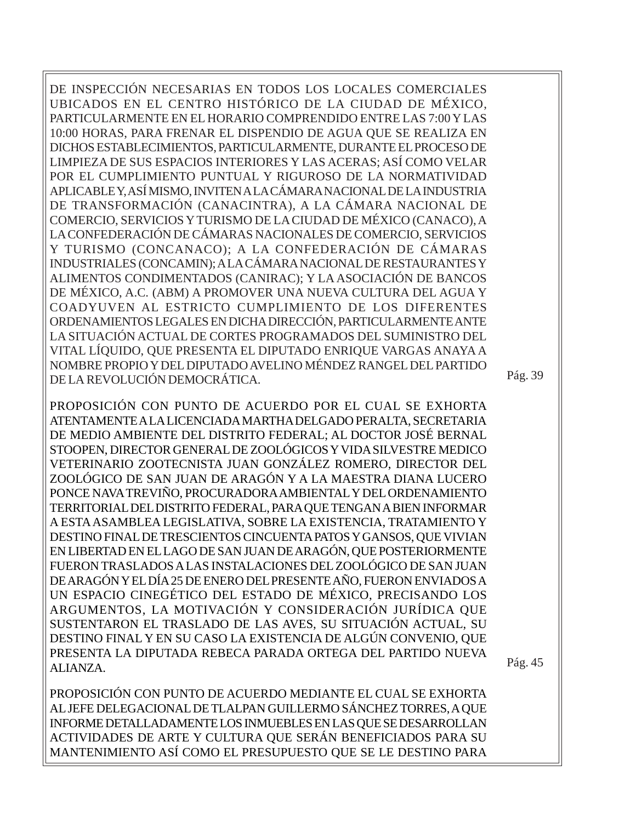DE INSPECCIÓN NECESARIAS EN TODOS LOS LOCALES COMERCIALES UBICADOS EN EL CENTRO HISTÓRICO DE LA CIUDAD DE MÉXICO, PARTICULARMENTE EN EL HORARIO COMPRENDIDO ENTRE LAS 7:00 Y LAS 10:00 HORAS, PARA FRENAR EL DISPENDIO DE AGUA QUE SE REALIZA EN DICHOS ESTABLECIMIENTOS, PARTICULARMENTE, DURANTE EL PROCESO DE LIMPIEZA DE SUS ESPACIOS INTERIORES Y LAS ACERAS; ASÍ COMO VELAR POR EL CUMPLIMIENTO PUNTUAL Y RIGUROSO DE LA NORMATIVIDAD APLICABLE Y, ASÍ MISMO, INVITEN A LA CÁMARA NACIONAL DE LA INDUSTRIA DE TRANSFORMACIÓN (CANACINTRA), A LA CÁMARA NACIONAL DE COMERCIO, SERVICIOS Y TURISMO DE LA CIUDAD DE MÉXICO (CANACO), A LA CONFEDERACIÓN DE CÁMARAS NACIONALES DE COMERCIO, SERVICIOS Y TURISMO (CONCANACO); A LA CONFEDERACIÓN DE CÁMARAS INDUSTRIALES (CONCAMIN); A LA CÁMARA NACIONAL DE RESTAURANTES Y ALIMENTOS CONDIMENTADOS (CANIRAC); Y LA ASOCIACIÓN DE BANCOS DE MÉXICO, A.C. (ABM) A PROMOVER UNA NUEVA CULTURA DEL AGUA Y COADYUVEN AL ESTRICTO CUMPLIMIENTO DE LOS DIFERENTES ORDENAMIENTOS LEGALES EN DICHA DIRECCIÓN, PARTICULARMENTE ANTE LA SITUACIÓN ACTUAL DE CORTES PROGRAMADOS DEL SUMINISTRO DEL VITAL LÍQUIDO, QUE PRESENTA EL DIPUTADO ENRIQUE VARGAS ANAYA A NOMBRE PROPIO Y DEL DIPUTADO AVELINO MÉNDEZ RANGEL DEL PARTIDO DE LA REVOLUCIÓN DEMOCRÁTICA.

PROPOSICIÓN CON PUNTO DE ACUERDO POR EL CUAL SE EXHORTA ATENTAMENTE A LA LICENCIADA MARTHA DELGADO PERALTA, SECRETARIA DE MEDIO AMBIENTE DEL DISTRITO FEDERAL; AL DOCTOR JOSÉ BERNAL STOOPEN, DIRECTOR GENERAL DE ZOOLÓGICOS Y VIDA SILVESTRE MEDICO VETERINARIO ZOOTECNISTA JUAN GONZÁLEZ ROMERO, DIRECTOR DEL ZOOLÓGICO DE SAN JUAN DE ARAGÓN Y A LA MAESTRA DIANA LUCERO PONCE NAVA TREVIÑO, PROCURADORA AMBIENTAL Y DEL ORDENAMIENTO TERRITORIAL DEL DISTRITO FEDERAL, PARA QUE TENGAN A BIEN INFORMAR A ESTA ASAMBLEA LEGISLATIVA, SOBRE LA EXISTENCIA, TRATAMIENTO Y DESTINO FINAL DE TRESCIENTOS CINCUENTA PATOS Y GANSOS, QUE VIVIAN EN LIBERTAD EN EL LAGO DE SAN JUAN DE ARAGÓN, QUE POSTERIORMENTE FUERON TRASLADOS A LAS INSTALACIONES DEL ZOOLÓGICO DE SAN JUAN DE ARAGÓN Y EL DÍA 25 DE ENERO DEL PRESENTE AÑO, FUERON ENVIADOS A UN ESPACIO CINEGÉTICO DEL ESTADO DE MÉXICO, PRECISANDO LOS ARGUMENTOS, LA MOTIVACIÓN Y CONSIDERACIÓN JURÍDICA QUE SUSTENTARON EL TRASLADO DE LAS AVES, SU SITUACIÓN ACTUAL, SU DESTINO FINAL Y EN SU CASO LA EXISTENCIA DE ALGÚN CONVENIO, QUE PRESENTA LA DIPUTADA REBECA PARADA ORTEGA DEL PARTIDO NUEVA ALIANZA.

PROPOSICIÓN CON PUNTO DE ACUERDO MEDIANTE EL CUAL SE EXHORTA AL JEFE DELEGACIONAL DE TLALPAN GUILLERMO SÁNCHEZ TORRES, A QUE INFORME DETALLADAMENTE LOS INMUEBLES EN LAS QUE SE DESARROLLAN ACTIVIDADES DE ARTE Y CULTURA QUE SERÁN BENEFICIADOS PARA SU MANTENIMIENTO ASÍ COMO EL PRESUPUESTO QUE SE LE DESTINO PARA

Pág. 39

Pág. 45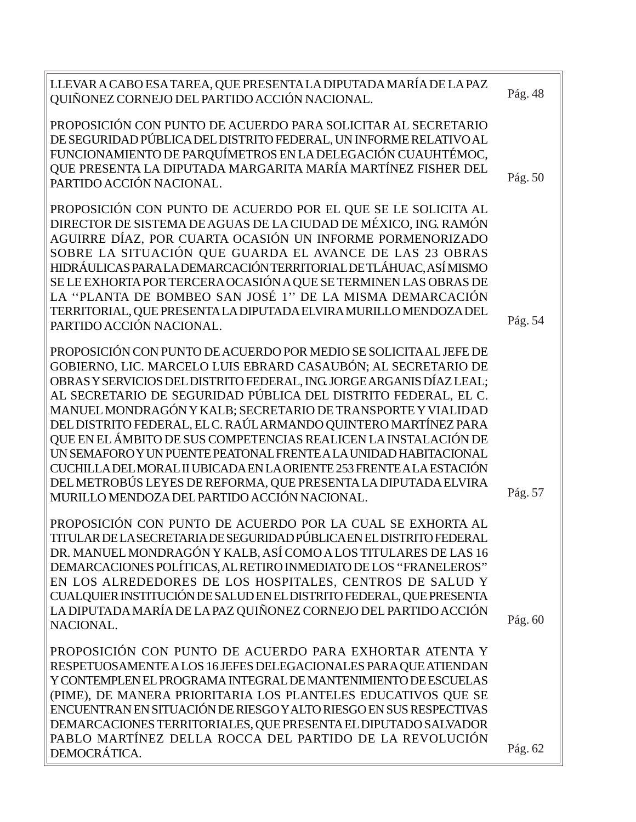| LLEVAR A CABO ESA TAREA, QUE PRESENTA LA DIPUTADA MARÍA DE LA PAZ<br>QUIÑONEZ CORNEJO DEL PARTIDO ACCIÓN NACIONAL.                                                                                                                                                                                                                                                                                                                                                                                                                                                                                                                                                                                                                                | Pág. 48 |
|---------------------------------------------------------------------------------------------------------------------------------------------------------------------------------------------------------------------------------------------------------------------------------------------------------------------------------------------------------------------------------------------------------------------------------------------------------------------------------------------------------------------------------------------------------------------------------------------------------------------------------------------------------------------------------------------------------------------------------------------------|---------|
| PROPOSICIÓN CON PUNTO DE ACUERDO PARA SOLICITAR AL SECRETARIO<br>DE SEGURIDAD PÚBLICA DEL DISTRITO FEDERAL, UN INFORME RELATIVO AL<br>FUNCIONAMIENTO DE PARQUÍMETROS EN LA DELEGACIÓN CUAUHTÉMOC,<br>QUE PRESENTA LA DIPUTADA MARGARITA MARÍA MARTÍNEZ FISHER DEL<br>PARTIDO ACCIÓN NACIONAL.                                                                                                                                                                                                                                                                                                                                                                                                                                                     | Pág. 50 |
| PROPOSICIÓN CON PUNTO DE ACUERDO POR EL QUE SE LE SOLICITA AL<br>DIRECTOR DE SISTEMA DE AGUAS DE LA CIUDAD DE MÉXICO, ING. RAMÓN<br>AGUIRRE DÍAZ, POR CUARTA OCASIÓN UN INFORME PORMENORIZADO<br>SOBRE LA SITUACIÓN QUE GUARDA EL AVANCE DE LAS 23 OBRAS<br>HIDRÁULICAS PARA LA DEMARCACIÓN TERRITORIAL DE TLÁHUAC, ASÍ MISMO<br>SE LE EXHORTA POR TERCERA OCASIÓN A QUE SE TERMINEN LAS OBRAS DE<br>LA "PLANTA DE BOMBEO SAN JOSÉ 1" DE LA MISMA DEMARCACIÓN<br>TERRITORIAL, QUE PRESENTA LA DIPUTADA ELVIRA MURILLO MENDOZA DEL<br>PARTIDO ACCIÓN NACIONAL.                                                                                                                                                                                     | Pág. 54 |
| PROPOSICIÓN CON PUNTO DE ACUERDO POR MEDIO SE SOLICITA AL JEFE DE<br>GOBIERNO, LIC. MARCELO LUIS EBRARD CASAUBÓN; AL SECRETARIO DE<br>OBRAS Y SERVICIOS DEL DISTRITO FEDERAL, ING. JORGE ARGANIS DÍAZ LEAL;<br>AL SECRETARIO DE SEGURIDAD PÚBLICA DEL DISTRITO FEDERAL, EL C.<br>MANUEL MONDRAGÓN Y KALB; SECRETARIO DE TRANSPORTE Y VIALIDAD<br>DEL DISTRITO FEDERAL, EL C. RAÚL ARMANDO QUINTERO MARTÍNEZ PARA<br>QUE EN EL ÁMBITO DE SUS COMPETENCIAS REALICEN LA INSTALACIÓN DE<br>UN SEMAFORO Y UN PUENTE PEATONAL FRENTE A LA UNIDAD HABITACIONAL<br>CUCHILLA DEL MORAL II UBICADA EN LA ORIENTE 253 FRENTE A LA ESTACIÓN<br>DEL METROBÚS LEYES DE REFORMA, QUE PRESENTA LA DIPUTADA ELVIRA<br>MURILLO MENDOZA DEL PARTIDO ACCIÓN NACIONAL. | Pág. 57 |
| PROPOSICIÓN CON PUNTO DE ACUERDO POR LA CUAL SE EXHORTA AL<br>TITULAR DE LA SECRETARIA DE SEGURIDAD PÚBLICA EN EL DISTRITO FEDERAL<br>DR. MANUEL MONDRAGÓN Y KALB, ASÍ COMO A LOS TITULARES DE LAS 16<br>DEMARCACIONES POLÍTICAS, AL RETIRO INMEDIATO DE LOS "FRANELEROS"<br>EN LOS ALREDEDORES DE LOS HOSPITALES, CENTROS DE SALUD Y<br>CUALQUIER INSTITUCIÓN DE SALUD EN EL DISTRITO FEDERAL, QUE PRESENTA<br>LA DIPUTADA MARÍA DE LA PAZ QUIÑONEZ CORNEJO DEL PARTIDO ACCIÓN<br>NACIONAL.                                                                                                                                                                                                                                                      | Pág. 60 |
| PROPOSICIÓN CON PUNTO DE ACUERDO PARA EXHORTAR ATENTA Y<br>RESPETUOSAMENTE A LOS 16 JEFES DELEGACIONALES PARA QUE ATIENDAN<br>Y CONTEMPLEN EL PROGRAMA INTEGRAL DE MANTENIMIENTO DE ESCUELAS<br>(PIME), DE MANERA PRIORITARIA LOS PLANTELES EDUCATIVOS QUE SE<br>ENCUENTRAN EN SITUACIÓN DE RIESGO Y ALTO RIESGO EN SUS RESPECTIVAS<br>DEMARCACIONES TERRITORIALES, QUE PRESENTA EL DIPUTADO SALVADOR<br>PABLO MARTÍNEZ DELLA ROCCA DEL PARTIDO DE LA REVOLUCIÓN<br>DEMOCRÁTICA.                                                                                                                                                                                                                                                                  | Pág. 62 |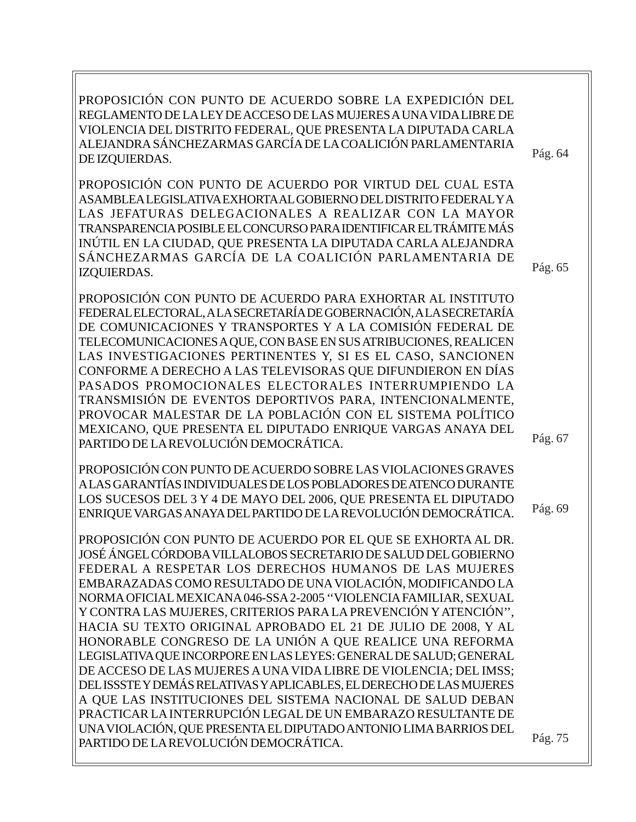| PROPOSICIÓN CON PUNTO DE ACUERDO SOBRE LA EXPEDICIÓN DEL<br>REGLAMENTO DE LA LEY DE ACCESO DE LAS MUJERES A UNA VIDA LIBRE DE<br>VIOLENCIA DEL DISTRITO FEDERAL, QUE PRESENTA LA DIPUTADA CARLA<br>ALEJANDRA SÁNCHEZARMAS GARCÍA DE LA COALICIÓN PARLAMENTARIA<br>DE IZQUIERDAS.                                                                                                                                                                                                                                                                                                                                                                                                                                                                                                                                                                                                                                                                   | Pág. 64 |
|----------------------------------------------------------------------------------------------------------------------------------------------------------------------------------------------------------------------------------------------------------------------------------------------------------------------------------------------------------------------------------------------------------------------------------------------------------------------------------------------------------------------------------------------------------------------------------------------------------------------------------------------------------------------------------------------------------------------------------------------------------------------------------------------------------------------------------------------------------------------------------------------------------------------------------------------------|---------|
| PROPOSICIÓN CON PUNTO DE ACUERDO POR VIRTUD DEL CUAL ESTA<br>ASAMBLEA LEGISLATIVA EXHORTA AL GOBIERNO DEL DISTRITO FEDERAL Y A<br>LAS JEFATURAS DELEGACIONALES A REALIZAR CON LA MAYOR<br>TRANSPARENCIA POSIBLE EL CONCURSO PARA IDENTIFICAR EL TRÁMITE MÁS<br>INÚTIL EN LA CIUDAD, QUE PRESENTA LA DIPUTADA CARLA ALEJANDRA<br>SÁNCHEZARMAS GARCÍA DE LA COALICIÓN PARLAMENTARIA DE<br>IZQUIERDAS.                                                                                                                                                                                                                                                                                                                                                                                                                                                                                                                                                | Pág. 65 |
| PROPOSICIÓN CON PUNTO DE ACUERDO PARA EXHORTAR AL INSTITUTO<br>FEDERAL ELECTORAL, A LA SECRETARÍA DE GOBERNACIÓN, A LA SECRETARÍA<br>DE COMUNICACIONES Y TRANSPORTES Y A LA COMISIÓN FEDERAL DE<br>TELECOMUNICACIONES A QUE, CON BASE EN SUS ATRIBUCIONES, REALICEN<br>LAS INVESTIGACIONES PERTINENTES Y, SI ES EL CASO, SANCIONEN<br>CONFORME A DERECHO A LAS TELEVISORAS QUE DIFUNDIERON EN DÍAS<br>PASADOS PROMOCIONALES ELECTORALES INTERRUMPIENDO LA<br>TRANSMISIÓN DE EVENTOS DEPORTIVOS PARA, INTENCIONALMENTE,<br>PROVOCAR MALESTAR DE LA POBLACIÓN CON EL SISTEMA POLÍTICO<br>MEXICANO, QUE PRESENTA EL DIPUTADO ENRIQUE VARGAS ANAYA DEL<br>PARTIDO DE LA REVOLUCIÓN DEMOCRÁTICA.                                                                                                                                                                                                                                                        | Pág. 67 |
| PROPOSICIÓN CON PUNTO DE ACUERDO SOBRE LAS VIOLACIONES GRAVES<br>A LAS GARANTÍAS INDIVIDUALES DE LOS POBLADORES DE ATENCO DURANTE<br>LOS SUCESOS DEL 3 Y 4 DE MAYO DEL 2006, QUE PRESENTA EL DIPUTADO<br>ENRIQUE VARGAS ANAYA DEL PARTIDO DE LA REVOLUCIÓN DEMOCRÁTICA.                                                                                                                                                                                                                                                                                                                                                                                                                                                                                                                                                                                                                                                                            | Pág. 69 |
| PROPOSICIÓN CON PUNTO DE ACUERDO POR EL QUE SE EXHORTA AL DR.<br>JOSÉ ÁNGEL CÓRDOBA VILLALOBOS SECRETARIO DE SALUD DEL GOBIERNO<br>FEDERAL A RESPETAR LOS DERECHOS HUMANOS DE LAS MUJERES<br>EMBARAZADAS COMO RESULTADO DE UNA VIOLACIÓN, MODIFICANDO LA<br>NORMA OFICIAL MEXICANA 046-SSA 2-2005 "VIOLENCIA FAMILIAR, SEXUAL<br>Y CONTRA LAS MUJERES, CRITERIOS PARA LA PREVENCIÓN Y ATENCIÓN",<br>HACIA SU TEXTO ORIGINAL APROBADO EL 21 DE JULIO DE 2008, Y AL<br>HONORABLE CONGRESO DE LA UNIÓN A QUE REALICE UNA REFORMA<br>LEGISLATIVA QUE INCORPORE EN LAS LEYES: GENERAL DE SALUD; GENERAL<br>DE ACCESO DE LAS MUJERES A UNA VIDA LIBRE DE VIOLENCIA; DEL IMSS;<br>DEL ISSSTE Y DEMÁS RELATIVAS Y APLICABLES, EL DERECHO DE LAS MUJERES<br>A QUE LAS INSTITUCIONES DEL SISTEMA NACIONAL DE SALUD DEBAN<br>PRACTICAR LA INTERRUPCIÓN LEGAL DE UN EMBARAZO RESULTANTE DE<br>UNA VIOLACIÓN, QUE PRESENTA EL DIPUTADO ANTONIO LIMA BARRIOS DEL | Pág. 75 |
| PARTIDO DE LA REVOLUCIÓN DEMOCRÁTICA.                                                                                                                                                                                                                                                                                                                                                                                                                                                                                                                                                                                                                                                                                                                                                                                                                                                                                                              |         |

 $\sqrt{2}$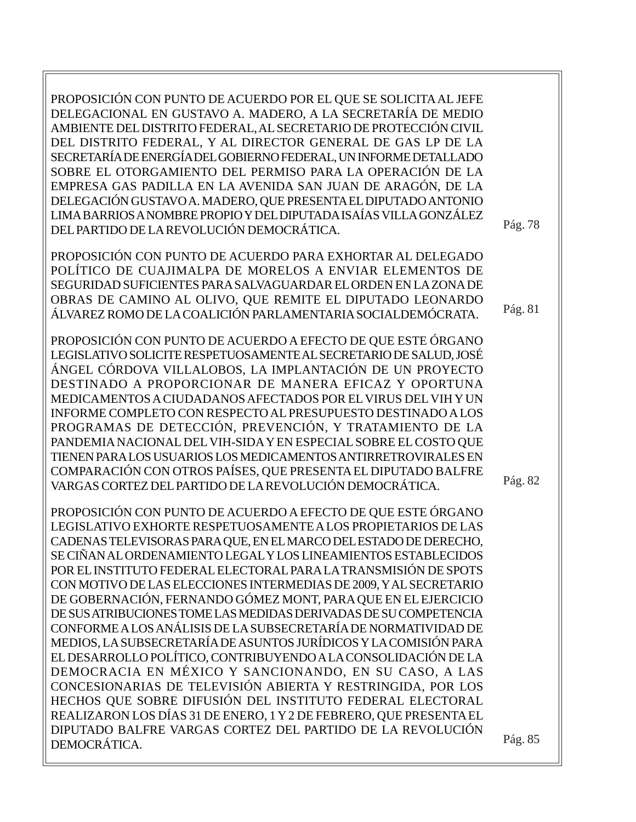PROPOSICIÓN CON PUNTO DE ACUERDO POR EL QUE SE SOLICITA AL JEFE DELEGACIONAL EN GUSTAVO A. MADERO, A LA SECRETARÍA DE MEDIO AMBIENTE DEL DISTRITO FEDERAL, AL SECRETARIO DE PROTECCIÓN CIVIL DEL DISTRITO FEDERAL, Y AL DIRECTOR GENERAL DE GAS LP DE LA SECRETARÍA DE ENERGÍA DEL GOBIERNO FEDERAL, UN INFORME DETALLADO SOBRE EL OTORGAMIENTO DEL PERMISO PARA LA OPERACIÓN DE LA EMPRESA GAS PADILLA EN LA AVENIDA SAN JUAN DE ARAGÓN, DE LA DELEGACIÓN GUSTAVO A. MADERO, QUE PRESENTA EL DIPUTADO ANTONIO LIMA BARRIOS A NOMBRE PROPIO Y DEL DIPUTADA ISAÍAS VILLA GONZÁLEZ DEL PARTIDO DE LA REVOLUCIÓN DEMOCRÁTICA.

PROPOSICIÓN CON PUNTO DE ACUERDO PARA EXHORTAR AL DELEGADO POLÍTICO DE CUAJIMALPA DE MORELOS A ENVIAR ELEMENTOS DE SEGURIDAD SUFICIENTES PARA SALVAGUARDAR EL ORDEN EN LA ZONA DE OBRAS DE CAMINO AL OLIVO, QUE REMITE EL DIPUTADO LEONARDO ÁLVAREZ ROMO DE LA COALICIÓN PARLAMENTARIA SOCIALDEMÓCRATA.

PROPOSICIÓN CON PUNTO DE ACUERDO A EFECTO DE QUE ESTE ÓRGANO LEGISLATIVO SOLICITE RESPETUOSAMENTE AL SECRETARIO DE SALUD, JOSÉ ÁNGEL CÓRDOVA VILLALOBOS, LA IMPLANTACIÓN DE UN PROYECTO DESTINADO A PROPORCIONAR DE MANERA EFICAZ Y OPORTUNA MEDICAMENTOS A CIUDADANOS AFECTADOS POR EL VIRUS DEL VIH Y UN INFORME COMPLETO CON RESPECTO AL PRESUPUESTO DESTINADO A LOS PROGRAMAS DE DETECCIÓN, PREVENCIÓN, Y TRATAMIENTO DE LA PANDEMIA NACIONAL DEL VIH-SIDA Y EN ESPECIAL SOBRE EL COSTO QUE TIENEN PARA LOS USUARIOS LOS MEDICAMENTOS ANTIRRETROVIRALES EN COMPARACIÓN CON OTROS PAÍSES, QUE PRESENTA EL DIPUTADO BALFRE VARGAS CORTEZ DEL PARTIDO DE LA REVOLUCIÓN DEMOCRÁTICA.

PROPOSICIÓN CON PUNTO DE ACUERDO A EFECTO DE QUE ESTE ÓRGANO LEGISLATIVO EXHORTE RESPETUOSAMENTE A LOS PROPIETARIOS DE LAS CADENAS TELEVISORAS PARA QUE, EN EL MARCO DEL ESTADO DE DERECHO, SE CIÑAN AL ORDENAMIENTO LEGAL Y LOS LINEAMIENTOS ESTABLECIDOS POR EL INSTITUTO FEDERAL ELECTORAL PARA LA TRANSMISIÓN DE SPOTS CON MOTIVO DE LAS ELECCIONES INTERMEDIAS DE 2009, Y AL SECRETARIO DE GOBERNACIÓN, FERNANDO GÓMEZ MONT, PARA QUE EN EL EJERCICIO DE SUS ATRIBUCIONES TOME LAS MEDIDAS DERIVADAS DE SU COMPETENCIA CONFORME A LOS ANÁLISIS DE LA SUBSECRETARÍA DE NORMATIVIDAD DE MEDIOS, LA SUBSECRETARÍA DE ASUNTOS JURÍDICOS Y LA COMISIÓN PARA EL DESARROLLO POLÍTICO, CONTRIBUYENDO A LA CONSOLIDACIÓN DE LA DEMOCRACIA EN MÉXICO Y SANCIONANDO, EN SU CASO, A LAS CONCESIONARIAS DE TELEVISIÓN ABIERTA Y RESTRINGIDA, POR LOS HECHOS QUE SOBRE DIFUSIÓN DEL INSTITUTO FEDERAL ELECTORAL REALIZARON LOS DÍAS 31 DE ENERO, 1 Y 2 DE FEBRERO, QUE PRESENTA EL DIPUTADO BALFRE VARGAS CORTEZ DEL PARTIDO DE LA REVOLUCIÓN DEMOCRÁTICA.

Pág. 85

Pág. 78

Pág. 81

Pág. 82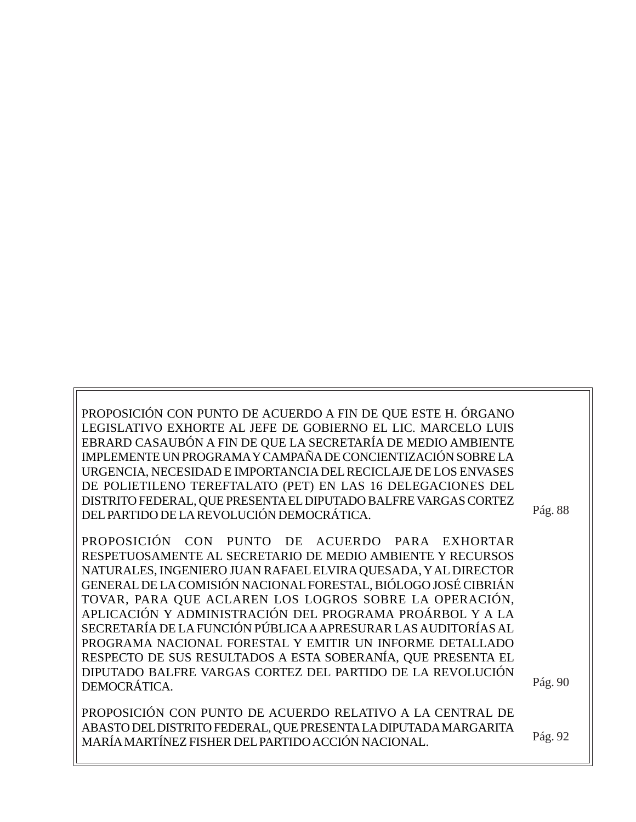PROPOSICIÓN CON PUNTO DE ACUERDO A FIN DE QUE ESTE H. ÓRGANO LEGISLATIVO EXHORTE AL JEFE DE GOBIERNO EL LIC. MARCELO LUIS EBRARD CASAUBÓN A FIN DE QUE LA SECRETARÍA DE MEDIO AMBIENTE IMPLEMENTE UN PROGRAMA Y CAMPAÑA DE CONCIENTIZACIÓN SOBRE LA URGENCIA, NECESIDAD E IMPORTANCIA DEL RECICLAJE DE LOS ENVASES DE POLIETILENO TEREFTALATO (PET) EN LAS 16 DELEGACIONES DEL DISTRITO FEDERAL, QUE PRESENTA EL DIPUTADO BALFRE VARGAS CORTEZ DEL PARTIDO DE LA REVOLUCIÓN DEMOCRÁTICA. Pág. 88

PROPOSICIÓN CON PUNTO DE ACUERDO PARA EXHORTAR RESPETUOSAMENTE AL SECRETARIO DE MEDIO AMBIENTE Y RECURSOS NATURALES, INGENIERO JUAN RAFAEL ELVIRA QUESADA, Y AL DIRECTOR GENERAL DE LA COMISIÓN NACIONAL FORESTAL, BIÓLOGO JOSÉ CIBRIÁN TOVAR, PARA QUE ACLAREN LOS LOGROS SOBRE LA OPERACIÓN, APLICACIÓN Y ADMINISTRACIÓN DEL PROGRAMA PROÁRBOL Y A LA SECRETARÍA DE LA FUNCIÓN PÚBLICA A APRESURAR LAS AUDITORÍAS AL PROGRAMA NACIONAL FORESTAL Y EMITIR UN INFORME DETALLADO RESPECTO DE SUS RESULTADOS A ESTA SOBERANÍA, QUE PRESENTA EL DIPUTADO BALFRE VARGAS CORTEZ DEL PARTIDO DE LA REVOLUCIÓN DEMOCRÁTICA.

PROPOSICIÓN CON PUNTO DE ACUERDO RELATIVO A LA CENTRAL DE ABASTO DEL DISTRITO FEDERAL, QUE PRESENTA LA DIPUTADA MARGARITA MARÍA MARTÍNEZ FISHER DEL PARTIDO ACCIÓN NACIONAL.

Pág. 90

Pág. 92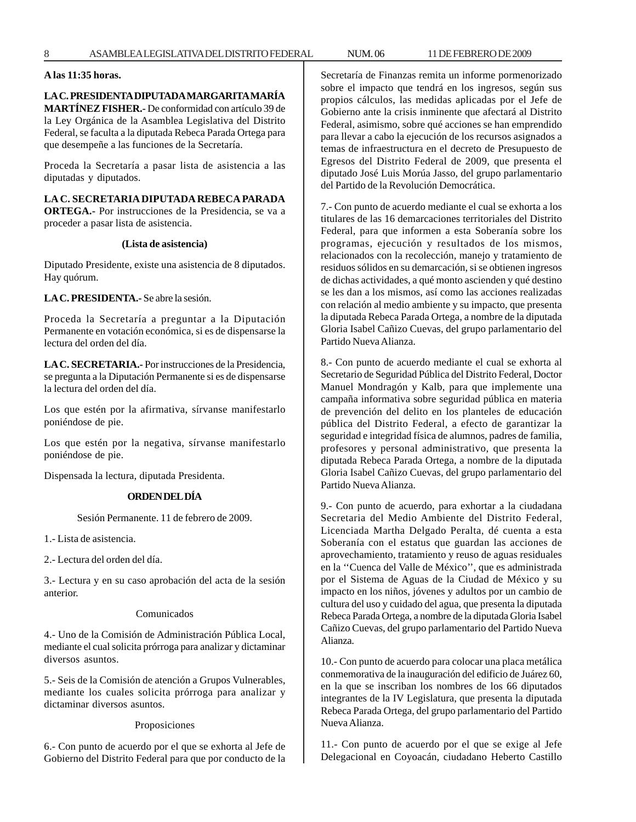## **A las 11:35 horas.**

#### **LA C. PRESIDENTA DIPUTADA MARGARITA MARÍA**

**MARTÍNEZ FISHER.-** De conformidad con artículo 39 de la Ley Orgánica de la Asamblea Legislativa del Distrito Federal, se faculta a la diputada Rebeca Parada Ortega para que desempeñe a las funciones de la Secretaría.

Proceda la Secretaría a pasar lista de asistencia a las diputadas y diputados.

**LA C. SECRETARIA DIPUTADA REBECA PARADA ORTEGA.-** Por instrucciones de la Presidencia, se va a proceder a pasar lista de asistencia.

#### **(Lista de asistencia)**

Diputado Presidente, existe una asistencia de 8 diputados. Hay quórum.

**LA C. PRESIDENTA.-** Se abre la sesión.

Proceda la Secretaría a preguntar a la Diputación Permanente en votación económica, si es de dispensarse la lectura del orden del día.

**LA C. SECRETARIA.-** Por instrucciones de la Presidencia, se pregunta a la Diputación Permanente si es de dispensarse la lectura del orden del día.

Los que estén por la afirmativa, sírvanse manifestarlo poniéndose de pie.

Los que estén por la negativa, sírvanse manifestarlo poniéndose de pie.

Dispensada la lectura, diputada Presidenta.

# **ORDEN DEL DÍA**

Sesión Permanente. 11 de febrero de 2009.

1.- Lista de asistencia.

2.- Lectura del orden del día.

3.- Lectura y en su caso aprobación del acta de la sesión anterior.

#### Comunicados

4.- Uno de la Comisión de Administración Pública Local, mediante el cual solicita prórroga para analizar y dictaminar diversos asuntos.

5.- Seis de la Comisión de atención a Grupos Vulnerables, mediante los cuales solicita prórroga para analizar y dictaminar diversos asuntos.

#### Proposiciones

6.- Con punto de acuerdo por el que se exhorta al Jefe de Gobierno del Distrito Federal para que por conducto de la Secretaría de Finanzas remita un informe pormenorizado sobre el impacto que tendrá en los ingresos, según sus propios cálculos, las medidas aplicadas por el Jefe de Gobierno ante la crisis inminente que afectará al Distrito Federal, asimismo, sobre qué acciones se han emprendido para llevar a cabo la ejecución de los recursos asignados a temas de infraestructura en el decreto de Presupuesto de Egresos del Distrito Federal de 2009, que presenta el diputado José Luis Morúa Jasso, del grupo parlamentario del Partido de la Revolución Democrática.

7.- Con punto de acuerdo mediante el cual se exhorta a los titulares de las 16 demarcaciones territoriales del Distrito Federal, para que informen a esta Soberanía sobre los programas, ejecución y resultados de los mismos, relacionados con la recolección, manejo y tratamiento de residuos sólidos en su demarcación, si se obtienen ingresos de dichas actividades, a qué monto ascienden y qué destino se les dan a los mismos, así como las acciones realizadas con relación al medio ambiente y su impacto, que presenta la diputada Rebeca Parada Ortega, a nombre de la diputada Gloria Isabel Cañizo Cuevas, del grupo parlamentario del Partido Nueva Alianza.

8.- Con punto de acuerdo mediante el cual se exhorta al Secretario de Seguridad Pública del Distrito Federal, Doctor Manuel Mondragón y Kalb, para que implemente una campaña informativa sobre seguridad pública en materia de prevención del delito en los planteles de educación pública del Distrito Federal, a efecto de garantizar la seguridad e integridad física de alumnos, padres de familia, profesores y personal administrativo, que presenta la diputada Rebeca Parada Ortega, a nombre de la diputada Gloria Isabel Cañizo Cuevas, del grupo parlamentario del Partido Nueva Alianza.

9.- Con punto de acuerdo, para exhortar a la ciudadana Secretaria del Medio Ambiente del Distrito Federal, Licenciada Martha Delgado Peralta, dé cuenta a esta Soberanía con el estatus que guardan las acciones de aprovechamiento, tratamiento y reuso de aguas residuales en la ''Cuenca del Valle de México'', que es administrada por el Sistema de Aguas de la Ciudad de México y su impacto en los niños, jóvenes y adultos por un cambio de cultura del uso y cuidado del agua, que presenta la diputada Rebeca Parada Ortega, a nombre de la diputada Gloria Isabel Cañizo Cuevas, del grupo parlamentario del Partido Nueva Alianza.

10.- Con punto de acuerdo para colocar una placa metálica conmemorativa de la inauguración del edificio de Juárez 60, en la que se inscriban los nombres de los 66 diputados integrantes de la IV Legislatura, que presenta la diputada Rebeca Parada Ortega, del grupo parlamentario del Partido Nueva Alianza.

11.- Con punto de acuerdo por el que se exige al Jefe Delegacional en Coyoacán, ciudadano Heberto Castillo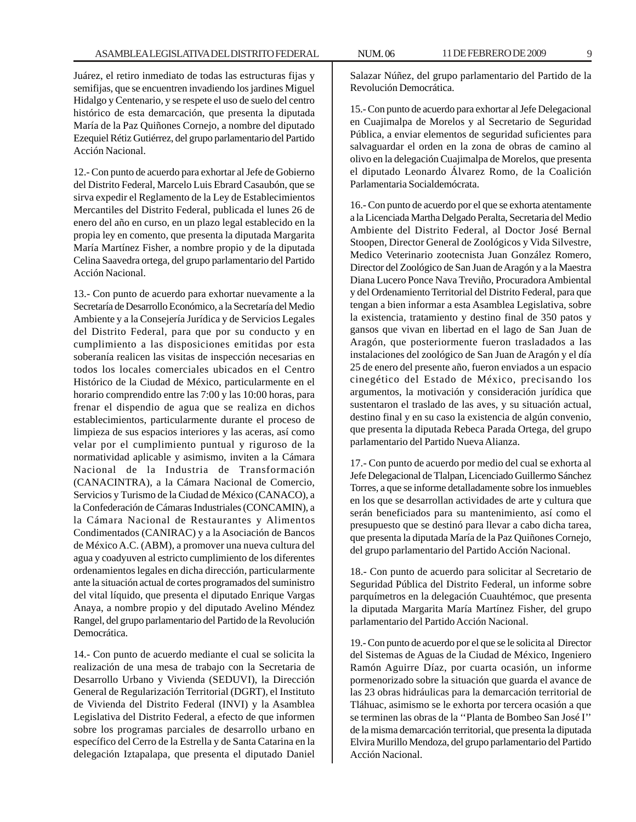Juárez, el retiro inmediato de todas las estructuras fijas y semifijas, que se encuentren invadiendo los jardines Miguel Hidalgo y Centenario, y se respete el uso de suelo del centro histórico de esta demarcación, que presenta la diputada María de la Paz Quiñones Cornejo, a nombre del diputado Ezequiel Rétiz Gutiérrez, del grupo parlamentario del Partido Acción Nacional.

12.- Con punto de acuerdo para exhortar al Jefe de Gobierno del Distrito Federal, Marcelo Luis Ebrard Casaubón, que se sirva expedir el Reglamento de la Ley de Establecimientos Mercantiles del Distrito Federal, publicada el lunes 26 de enero del año en curso, en un plazo legal establecido en la propia ley en comento, que presenta la diputada Margarita María Martínez Fisher, a nombre propio y de la diputada Celina Saavedra ortega, del grupo parlamentario del Partido Acción Nacional.

13.- Con punto de acuerdo para exhortar nuevamente a la Secretaría de Desarrollo Económico, a la Secretaría del Medio Ambiente y a la Consejería Jurídica y de Servicios Legales del Distrito Federal, para que por su conducto y en cumplimiento a las disposiciones emitidas por esta soberanía realicen las visitas de inspección necesarias en todos los locales comerciales ubicados en el Centro Histórico de la Ciudad de México, particularmente en el horario comprendido entre las 7:00 y las 10:00 horas, para frenar el dispendio de agua que se realiza en dichos establecimientos, particularmente durante el proceso de limpieza de sus espacios interiores y las aceras, así como velar por el cumplimiento puntual y riguroso de la normatividad aplicable y asimismo, inviten a la Cámara Nacional de la Industria de Transformación (CANACINTRA), a la Cámara Nacional de Comercio, Servicios y Turismo de la Ciudad de México (CANACO), a la Confederación de Cámaras Industriales (CONCAMIN), a la Cámara Nacional de Restaurantes y Alimentos Condimentados (CANIRAC) y a la Asociación de Bancos de México A.C. (ABM), a promover una nueva cultura del agua y coadyuven al estricto cumplimiento de los diferentes ordenamientos legales en dicha dirección, particularmente ante la situación actual de cortes programados del suministro del vital líquido, que presenta el diputado Enrique Vargas Anaya, a nombre propio y del diputado Avelino Méndez Rangel, del grupo parlamentario del Partido de la Revolución Democrática.

14.- Con punto de acuerdo mediante el cual se solicita la realización de una mesa de trabajo con la Secretaria de Desarrollo Urbano y Vivienda (SEDUVI), la Dirección General de Regularización Territorial (DGRT), el Instituto de Vivienda del Distrito Federal (INVI) y la Asamblea Legislativa del Distrito Federal, a efecto de que informen sobre los programas parciales de desarrollo urbano en específico del Cerro de la Estrella y de Santa Catarina en la delegación Iztapalapa, que presenta el diputado Daniel

Salazar Núñez, del grupo parlamentario del Partido de la Revolución Democrática.

15.- Con punto de acuerdo para exhortar al Jefe Delegacional en Cuajimalpa de Morelos y al Secretario de Seguridad Pública, a enviar elementos de seguridad suficientes para salvaguardar el orden en la zona de obras de camino al olivo en la delegación Cuajimalpa de Morelos, que presenta el diputado Leonardo Álvarez Romo, de la Coalición Parlamentaria Socialdemócrata.

16.- Con punto de acuerdo por el que se exhorta atentamente a la Licenciada Martha Delgado Peralta, Secretaria del Medio Ambiente del Distrito Federal, al Doctor José Bernal Stoopen, Director General de Zoológicos y Vida Silvestre, Medico Veterinario zootecnista Juan González Romero, Director del Zoológico de San Juan de Aragón y a la Maestra Diana Lucero Ponce Nava Treviño, Procuradora Ambiental y del Ordenamiento Territorial del Distrito Federal, para que tengan a bien informar a esta Asamblea Legislativa, sobre la existencia, tratamiento y destino final de 350 patos y gansos que vivan en libertad en el lago de San Juan de Aragón, que posteriormente fueron trasladados a las instalaciones del zoológico de San Juan de Aragón y el día 25 de enero del presente año, fueron enviados a un espacio cinegético del Estado de México, precisando los argumentos, la motivación y consideración jurídica que sustentaron el traslado de las aves, y su situación actual, destino final y en su caso la existencia de algún convenio, que presenta la diputada Rebeca Parada Ortega, del grupo parlamentario del Partido Nueva Alianza.

17.- Con punto de acuerdo por medio del cual se exhorta al Jefe Delegacional de Tlalpan, Licenciado Guillermo Sánchez Torres, a que se informe detalladamente sobre los inmuebles en los que se desarrollan actividades de arte y cultura que serán beneficiados para su mantenimiento, así como el presupuesto que se destinó para llevar a cabo dicha tarea, que presenta la diputada María de la Paz Quiñones Cornejo, del grupo parlamentario del Partido Acción Nacional.

18.- Con punto de acuerdo para solicitar al Secretario de Seguridad Pública del Distrito Federal, un informe sobre parquímetros en la delegación Cuauhtémoc, que presenta la diputada Margarita María Martínez Fisher, del grupo parlamentario del Partido Acción Nacional.

19.- Con punto de acuerdo por el que se le solicita al Director del Sistemas de Aguas de la Ciudad de México, Ingeniero Ramón Aguirre Díaz, por cuarta ocasión, un informe pormenorizado sobre la situación que guarda el avance de las 23 obras hidráulicas para la demarcación territorial de Tláhuac, asimismo se le exhorta por tercera ocasión a que se terminen las obras de la ''Planta de Bombeo San José I'' de la misma demarcación territorial, que presenta la diputada Elvira Murillo Mendoza, del grupo parlamentario del Partido Acción Nacional.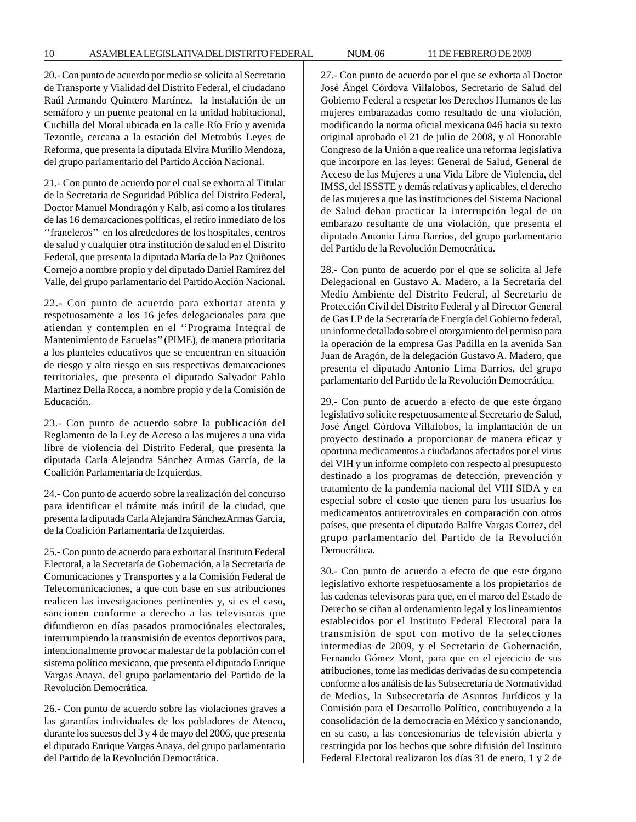20.- Con punto de acuerdo por medio se solicita al Secretario de Transporte y Vialidad del Distrito Federal, el ciudadano Raúl Armando Quintero Martínez, la instalación de un semáforo y un puente peatonal en la unidad habitacional, Cuchilla del Moral ubicada en la calle Río Frío y avenida Tezontle, cercana a la estación del Metrobús Leyes de Reforma, que presenta la diputada Elvira Murillo Mendoza, del grupo parlamentario del Partido Acción Nacional.

21.- Con punto de acuerdo por el cual se exhorta al Titular de la Secretaria de Seguridad Pública del Distrito Federal, Doctor Manuel Mondragón y Kalb, así como a los titulares de las 16 demarcaciones políticas, el retiro inmediato de los ''franeleros'' en los alrededores de los hospitales, centros de salud y cualquier otra institución de salud en el Distrito Federal, que presenta la diputada María de la Paz Quiñones Cornejo a nombre propio y del diputado Daniel Ramírez del Valle, del grupo parlamentario del Partido Acción Nacional.

22.- Con punto de acuerdo para exhortar atenta y respetuosamente a los 16 jefes delegacionales para que atiendan y contemplen en el ''Programa Integral de Mantenimiento de Escuelas'' (PIME), de manera prioritaria a los planteles educativos que se encuentran en situación de riesgo y alto riesgo en sus respectivas demarcaciones territoriales, que presenta el diputado Salvador Pablo Martínez Della Rocca, a nombre propio y de la Comisión de Educación.

23.- Con punto de acuerdo sobre la publicación del Reglamento de la Ley de Acceso a las mujeres a una vida libre de violencia del Distrito Federal, que presenta la diputada Carla Alejandra Sánchez Armas García, de la Coalición Parlamentaria de Izquierdas.

24.- Con punto de acuerdo sobre la realización del concurso para identificar el trámite más inútil de la ciudad, que presenta la diputada Carla Alejandra SánchezArmas García, de la Coalición Parlamentaria de Izquierdas.

25.- Con punto de acuerdo para exhortar al Instituto Federal Electoral, a la Secretaría de Gobernación, a la Secretaría de Comunicaciones y Transportes y a la Comisión Federal de Telecomunicaciones, a que con base en sus atribuciones realicen las investigaciones pertinentes y, si es el caso, sancionen conforme a derecho a las televisoras que difundieron en días pasados promociónales electorales, interrumpiendo la transmisión de eventos deportivos para, intencionalmente provocar malestar de la población con el sistema político mexicano, que presenta el diputado Enrique Vargas Anaya, del grupo parlamentario del Partido de la Revolución Democrática.

26.- Con punto de acuerdo sobre las violaciones graves a las garantías individuales de los pobladores de Atenco, durante los sucesos del 3 y 4 de mayo del 2006, que presenta el diputado Enrique Vargas Anaya, del grupo parlamentario del Partido de la Revolución Democrática.

27.- Con punto de acuerdo por el que se exhorta al Doctor José Ángel Córdova Villalobos, Secretario de Salud del Gobierno Federal a respetar los Derechos Humanos de las mujeres embarazadas como resultado de una violación, modificando la norma oficial mexicana 046 hacia su texto original aprobado el 21 de julio de 2008, y al Honorable Congreso de la Unión a que realice una reforma legislativa que incorpore en las leyes: General de Salud, General de Acceso de las Mujeres a una Vida Libre de Violencia, del IMSS, del ISSSTE y demás relativas y aplicables, el derecho de las mujeres a que las instituciones del Sistema Nacional de Salud deban practicar la interrupción legal de un embarazo resultante de una violación, que presenta el diputado Antonio Lima Barrios, del grupo parlamentario del Partido de la Revolución Democrática.

28.- Con punto de acuerdo por el que se solicita al Jefe Delegacional en Gustavo A. Madero, a la Secretaria del Medio Ambiente del Distrito Federal, al Secretario de Protección Civil del Distrito Federal y al Director General de Gas LP de la Secretaría de Energía del Gobierno federal, un informe detallado sobre el otorgamiento del permiso para la operación de la empresa Gas Padilla en la avenida San Juan de Aragón, de la delegación Gustavo A. Madero, que presenta el diputado Antonio Lima Barrios, del grupo parlamentario del Partido de la Revolución Democrática.

29.- Con punto de acuerdo a efecto de que este órgano legislativo solicite respetuosamente al Secretario de Salud, José Ángel Córdova Villalobos, la implantación de un proyecto destinado a proporcionar de manera eficaz y oportuna medicamentos a ciudadanos afectados por el virus del VIH y un informe completo con respecto al presupuesto destinado a los programas de detección, prevención y tratamiento de la pandemia nacional del VIH SIDA y en especial sobre el costo que tienen para los usuarios los medicamentos antiretrovirales en comparación con otros países, que presenta el diputado Balfre Vargas Cortez, del grupo parlamentario del Partido de la Revolución Democrática.

30.- Con punto de acuerdo a efecto de que este órgano legislativo exhorte respetuosamente a los propietarios de las cadenas televisoras para que, en el marco del Estado de Derecho se ciñan al ordenamiento legal y los lineamientos establecidos por el Instituto Federal Electoral para la transmisión de spot con motivo de la selecciones intermedias de 2009, y el Secretario de Gobernación, Fernando Gómez Mont, para que en el ejercicio de sus atribuciones, tome las medidas derivadas de su competencia conforme a los análisis de las Subsecretaría de Normatividad de Medios, la Subsecretaría de Asuntos Jurídicos y la Comisión para el Desarrollo Político, contribuyendo a la consolidación de la democracia en México y sancionando, en su caso, a las concesionarias de televisión abierta y restringida por los hechos que sobre difusión del Instituto Federal Electoral realizaron los días 31 de enero, 1 y 2 de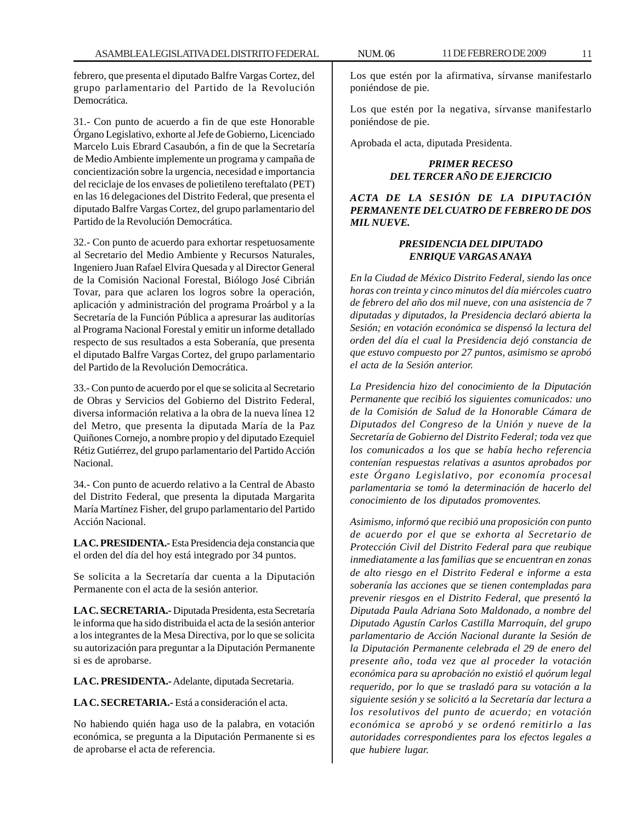febrero, que presenta el diputado Balfre Vargas Cortez, del grupo parlamentario del Partido de la Revolución Democrática.

31.- Con punto de acuerdo a fin de que este Honorable Órgano Legislativo, exhorte al Jefe de Gobierno, Licenciado Marcelo Luis Ebrard Casaubón, a fin de que la Secretaría de Medio Ambiente implemente un programa y campaña de concientización sobre la urgencia, necesidad e importancia del reciclaje de los envases de polietileno tereftalato (PET) en las 16 delegaciones del Distrito Federal, que presenta el diputado Balfre Vargas Cortez, del grupo parlamentario del Partido de la Revolución Democrática.

32.- Con punto de acuerdo para exhortar respetuosamente al Secretario del Medio Ambiente y Recursos Naturales, Ingeniero Juan Rafael Elvira Quesada y al Director General de la Comisión Nacional Forestal, Biólogo José Cibrián Tovar, para que aclaren los logros sobre la operación, aplicación y administración del programa Proárbol y a la Secretaría de la Función Pública a apresurar las auditorías al Programa Nacional Forestal y emitir un informe detallado respecto de sus resultados a esta Soberanía, que presenta el diputado Balfre Vargas Cortez, del grupo parlamentario del Partido de la Revolución Democrática.

33.- Con punto de acuerdo por el que se solicita al Secretario de Obras y Servicios del Gobierno del Distrito Federal, diversa información relativa a la obra de la nueva línea 12 del Metro, que presenta la diputada María de la Paz Quiñones Cornejo, a nombre propio y del diputado Ezequiel Rétiz Gutiérrez, del grupo parlamentario del Partido Acción Nacional.

34.- Con punto de acuerdo relativo a la Central de Abasto del Distrito Federal, que presenta la diputada Margarita María Martínez Fisher, del grupo parlamentario del Partido Acción Nacional.

**LA C. PRESIDENTA.-** Esta Presidencia deja constancia que el orden del día del hoy está integrado por 34 puntos.

Se solicita a la Secretaría dar cuenta a la Diputación Permanente con el acta de la sesión anterior.

**LA C. SECRETARIA.-** Diputada Presidenta, esta Secretaría le informa que ha sido distribuida el acta de la sesión anterior a los integrantes de la Mesa Directiva, por lo que se solicita su autorización para preguntar a la Diputación Permanente si es de aprobarse.

**LA C. PRESIDENTA.-** Adelante, diputada Secretaria.

**LA C. SECRETARIA.-** Está a consideración el acta.

No habiendo quién haga uso de la palabra, en votación económica, se pregunta a la Diputación Permanente si es de aprobarse el acta de referencia.

Los que estén por la negativa, sírvanse manifestarlo poniéndose de pie.

Aprobada el acta, diputada Presidenta.

# *PRIMER RECESO DEL TERCER AÑO DE EJERCICIO*

# *ACTA DE LA SESIÓN DE LA DIPUTACIÓN PERMANENTE DEL CUATRO DE FEBRERO DE DOS MIL NUEVE.*

# *PRESIDENCIA DEL DIPUTADO ENRIQUE VARGAS ANAYA*

*En la Ciudad de México Distrito Federal, siendo las once horas con treinta y cinco minutos del día miércoles cuatro de febrero del año dos mil nueve, con una asistencia de 7 diputadas y diputados, la Presidencia declaró abierta la Sesión; en votación económica se dispensó la lectura del orden del día el cual la Presidencia dejó constancia de que estuvo compuesto por 27 puntos, asimismo se aprobó el acta de la Sesión anterior.*

*La Presidencia hizo del conocimiento de la Diputación Permanente que recibió los siguientes comunicados: uno de la Comisión de Salud de la Honorable Cámara de Diputados del Congreso de la Unión y nueve de la Secretaría de Gobierno del Distrito Federal; toda vez que los comunicados a los que se había hecho referencia contenían respuestas relativas a asuntos aprobados por este Órgano Legislativo, por economía procesal parlamentaria se tomó la determinación de hacerlo del conocimiento de los diputados promoventes.*

*Asimismo, informó que recibió una proposición con punto de acuerdo por el que se exhorta al Secretario de Protección Civil del Distrito Federal para que reubique inmediatamente a las familias que se encuentran en zonas de alto riesgo en el Distrito Federal e informe a esta soberanía las acciones que se tienen contempladas para prevenir riesgos en el Distrito Federal, que presentó la Diputada Paula Adriana Soto Maldonado, a nombre del Diputado Agustín Carlos Castilla Marroquín, del grupo parlamentario de Acción Nacional durante la Sesión de la Diputación Permanente celebrada el 29 de enero del presente año, toda vez que al proceder la votación económica para su aprobación no existió el quórum legal requerido, por lo que se trasladó para su votación a la siguiente sesión y se solicitó a la Secretaría dar lectura a los resolutivos del punto de acuerdo; en votación económica se aprobó y se ordenó remitirlo a las autoridades correspondientes para los efectos legales a que hubiere lugar.*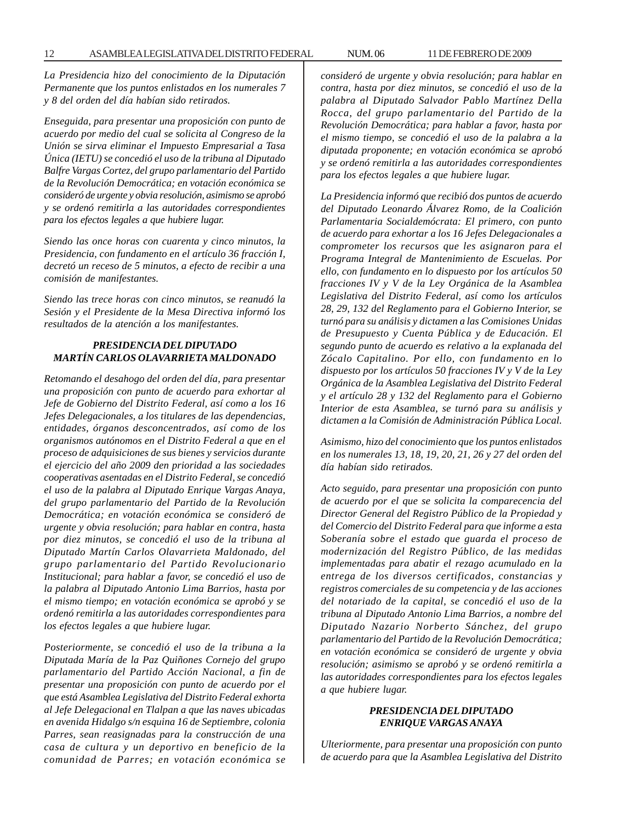*La Presidencia hizo del conocimiento de la Diputación Permanente que los puntos enlistados en los numerales 7 y 8 del orden del día habían sido retirados.*

*Enseguida, para presentar una proposición con punto de acuerdo por medio del cual se solicita al Congreso de la Unión se sirva eliminar el Impuesto Empresarial a Tasa Única (IETU) se concedió el uso de la tribuna al Diputado Balfre Vargas Cortez, del grupo parlamentario del Partido de la Revolución Democrática; en votación económica se consideró de urgente y obvia resolución, asimismo se aprobó y se ordenó remitirla a las autoridades correspondientes para los efectos legales a que hubiere lugar.*

*Siendo las once horas con cuarenta y cinco minutos, la Presidencia, con fundamento en el artículo 36 fracción I, decretó un receso de 5 minutos, a efecto de recibir a una comisión de manifestantes.*

*Siendo las trece horas con cinco minutos, se reanudó la Sesión y el Presidente de la Mesa Directiva informó los resultados de la atención a los manifestantes.*

#### *PRESIDENCIA DEL DIPUTADO MARTÍN CARLOS OLAVARRIETA MALDONADO*

*Retomando el desahogo del orden del día, para presentar una proposición con punto de acuerdo para exhortar al Jefe de Gobierno del Distrito Federal, así como a los 16 Jefes Delegacionales, a los titulares de las dependencias, entidades, órganos desconcentrados, así como de los organismos autónomos en el Distrito Federal a que en el proceso de adquisiciones de sus bienes y servicios durante el ejercicio del año 2009 den prioridad a las sociedades cooperativas asentadas en el Distrito Federal, se concedió el uso de la palabra al Diputado Enrique Vargas Anaya, del grupo parlamentario del Partido de la Revolución Democrática; en votación económica se consideró de urgente y obvia resolución; para hablar en contra, hasta por diez minutos, se concedió el uso de la tribuna al Diputado Martín Carlos Olavarrieta Maldonado, del grupo parlamentario del Partido Revolucionario Institucional; para hablar a favor, se concedió el uso de la palabra al Diputado Antonio Lima Barrios, hasta por el mismo tiempo; en votación económica se aprobó y se ordenó remitirla a las autoridades correspondientes para los efectos legales a que hubiere lugar.*

*Posteriormente, se concedió el uso de la tribuna a la Diputada María de la Paz Quiñones Cornejo del grupo parlamentario del Partido Acción Nacional, a fin de presentar una proposición con punto de acuerdo por el que está Asamblea Legislativa del Distrito Federal exhorta al Jefe Delegacional en Tlalpan a que las naves ubicadas en avenida Hidalgo s/n esquina 16 de Septiembre, colonia Parres, sean reasignadas para la construcción de una casa de cultura y un deportivo en beneficio de la comunidad de Parres; en votación económica se*

*consideró de urgente y obvia resolución; para hablar en contra, hasta por diez minutos, se concedió el uso de la palabra al Diputado Salvador Pablo Martínez Della Rocca, del grupo parlamentario del Partido de la Revolución Democrática; para hablar a favor, hasta por el mismo tiempo, se concedió el uso de la palabra a la diputada proponente; en votación económica se aprobó y se ordenó remitirla a las autoridades correspondientes para los efectos legales a que hubiere lugar.*

*La Presidencia informó que recibió dos puntos de acuerdo del Diputado Leonardo Álvarez Romo, de la Coalición Parlamentaria Socialdemócrata: El primero, con punto de acuerdo para exhortar a los 16 Jefes Delegacionales a comprometer los recursos que les asignaron para el Programa Integral de Mantenimiento de Escuelas. Por ello, con fundamento en lo dispuesto por los artículos 50 fracciones IV y V de la Ley Orgánica de la Asamblea Legislativa del Distrito Federal, así como los artículos 28, 29, 132 del Reglamento para el Gobierno Interior, se turnó para su análisis y dictamen a las Comisiones Unidas de Presupuesto y Cuenta Pública y de Educación. El segundo punto de acuerdo es relativo a la explanada del Zócalo Capitalino. Por ello, con fundamento en lo dispuesto por los artículos 50 fracciones IV y V de la Ley Orgánica de la Asamblea Legislativa del Distrito Federal y el artículo 28 y 132 del Reglamento para el Gobierno Interior de esta Asamblea, se turnó para su análisis y dictamen a la Comisión de Administración Pública Local.*

*Asimismo, hizo del conocimiento que los puntos enlistados en los numerales 13, 18, 19, 20, 21, 26 y 27 del orden del día habían sido retirados.*

*Acto seguido, para presentar una proposición con punto de acuerdo por el que se solicita la comparecencia del Director General del Registro Público de la Propiedad y del Comercio del Distrito Federal para que informe a esta Soberanía sobre el estado que guarda el proceso de modernización del Registro Público, de las medidas implementadas para abatir el rezago acumulado en la entrega de los diversos certificados, constancias y registros comerciales de su competencia y de las acciones del notariado de la capital, se concedió el uso de la tribuna al Diputado Antonio Lima Barrios, a nombre del Diputado Nazario Norberto Sánchez, del grupo parlamentario del Partido de la Revolución Democrática; en votación económica se consideró de urgente y obvia resolución; asimismo se aprobó y se ordenó remitirla a las autoridades correspondientes para los efectos legales a que hubiere lugar.*

## *PRESIDENCIA DEL DIPUTADO ENRIQUE VARGAS ANAYA*

*Ulteriormente, para presentar una proposición con punto de acuerdo para que la Asamblea Legislativa del Distrito*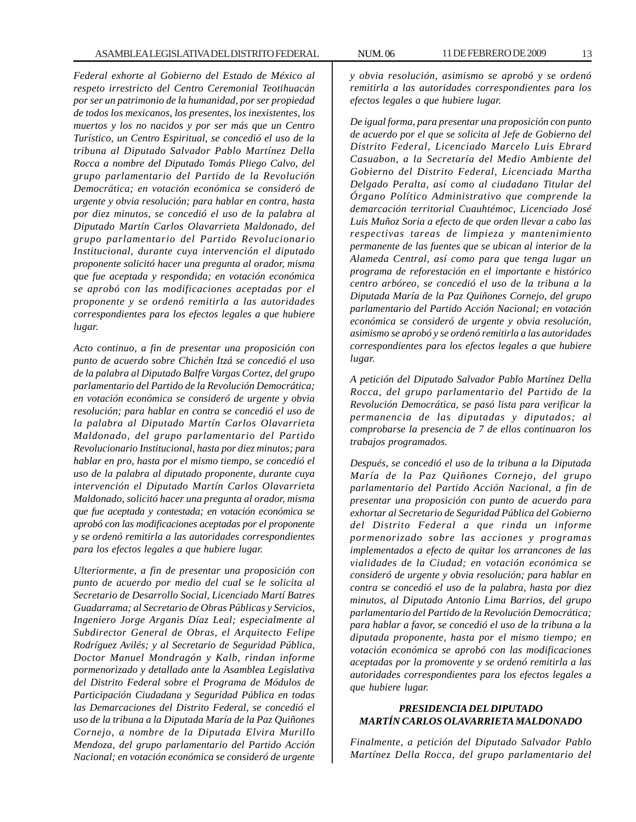*Federal exhorte al Gobierno del Estado de México al respeto irrestricto del Centro Ceremonial Teotihuacán por ser un patrimonio de la humanidad, por ser propiedad de todos los mexicanos, los presentes, los inexistentes, los muertos y los no nacidos y por ser más que un Centro Turístico, un Centro Espiritual, se concedió el uso de la tribuna al Diputado Salvador Pablo Martínez Della Rocca a nombre del Diputado Tomás Pliego Calvo, del grupo parlamentario del Partido de la Revolución Democrática; en votación económica se consideró de urgente y obvia resolución; para hablar en contra, hasta por diez minutos, se concedió el uso de la palabra al Diputado Martín Carlos Olavarrieta Maldonado, del grupo parlamentario del Partido Revolucionario Institucional, durante cuya intervención el diputado proponente solicitó hacer una pregunta al orador, misma que fue aceptada y respondida; en votación económica se aprobó con las modificaciones aceptadas por el proponente y se ordenó remitirla a las autoridades correspondientes para los efectos legales a que hubiere lugar.*

*Acto continuo, a fin de presentar una proposición con punto de acuerdo sobre Chichén Itzá se concedió el uso de la palabra al Diputado Balfre Vargas Cortez, del grupo parlamentario del Partido de la Revolución Democrática; en votación económica se consideró de urgente y obvia resolución; para hablar en contra se concedió el uso de la palabra al Diputado Martín Carlos Olavarrieta Maldonado, del grupo parlamentario del Partido Revolucionario Institucional, hasta por diez minutos; para hablar en pro, hasta por el mismo tiempo, se concedió el uso de la palabra al diputado proponente, durante cuya intervención el Diputado Martín Carlos Olavarrieta Maldonado, solicitó hacer una pregunta al orador, misma que fue aceptada y contestada; en votación económica se aprobó con las modificaciones aceptadas por el proponente y se ordenó remitirla a las autoridades correspondientes para los efectos legales a que hubiere lugar.*

*Ulteriormente, a fin de presentar una proposición con punto de acuerdo por medio del cual se le solicita al Secretario de Desarrollo Social, Licenciado Martí Batres Guadarrama; al Secretario de Obras Públicas y Servicios, Ingeniero Jorge Arganis Díaz Leal; especialmente al Subdirector General de Obras, el Arquitecto Felipe Rodríguez Avilés; y al Secretario de Seguridad Pública, Doctor Manuel Mondragón y Kalb, rindan informe pormenorizado y detallado ante la Asamblea Legislativa del Distrito Federal sobre el Programa de Módulos de Participación Ciudadana y Seguridad Pública en todas las Demarcaciones del Distrito Federal, se concedió el uso de la tribuna a la Diputada María de la Paz Quiñones Cornejo, a nombre de la Diputada Elvira Murillo Mendoza, del grupo parlamentario del Partido Acción Nacional; en votación económica se consideró de urgente*

*y obvia resolución, asimismo se aprobó y se ordenó remitirla a las autoridades correspondientes para los efectos legales a que hubiere lugar.*

*De igual forma, para presentar una proposición con punto de acuerdo por el que se solicita al Jefe de Gobierno del Distrito Federal, Licenciado Marcelo Luis Ebrard Casuabon, a la Secretaría del Medio Ambiente del Gobierno del Distrito Federal, Licenciada Martha Delgado Peralta, así como al ciudadano Titular del Órgano Político Administrativo que comprende la demarcación territorial Cuauhtémoc, Licenciado José Luis Muñoz Soria a efecto de que orden llevar a cabo las respectivas tareas de limpieza y mantenimiento permanente de las fuentes que se ubican al interior de la Alameda Central, así como para que tenga lugar un programa de reforestación en el importante e histórico centro arbóreo, se concedió el uso de la tribuna a la Diputada María de la Paz Quiñones Cornejo, del grupo parlamentario del Partido Acción Nacional; en votación económica se consideró de urgente y obvia resolución, asimismo se aprobó y se ordenó remitirla a las autoridades correspondientes para los efectos legales a que hubiere lugar.*

*A petición del Diputado Salvador Pablo Martínez Della Rocca, del grupo parlamentario del Partido de la Revolución Democrática, se pasó lista para verificar la permanencia de las diputadas y diputados; al comprobarse la presencia de 7 de ellos continuaron los trabajos programados.*

*Después, se concedió el uso de la tribuna a la Diputada María de la Paz Quiñones Cornejo, del grupo parlamentario del Partido Acción Nacional, a fin de presentar una proposición con punto de acuerdo para exhortar al Secretario de Seguridad Pública del Gobierno del Distrito Federal a que rinda un informe pormenorizado sobre las acciones y programas implementados a efecto de quitar los arrancones de las vialidades de la Ciudad; en votación económica se consideró de urgente y obvia resolución; para hablar en contra se concedió el uso de la palabra, hasta por diez minutos, al Diputado Antonio Lima Barrios, del grupo parlamentario del Partido de la Revolución Democrática; para hablar a favor, se concedió el uso de la tribuna a la diputada proponente, hasta por el mismo tiempo; en votación económica se aprobó con las modificaciones aceptadas por la promovente y se ordenó remitirla a las autoridades correspondientes para los efectos legales a que hubiere lugar.*

## *PRESIDENCIA DEL DIPUTADO MARTÍN CARLOS OLAVARRIETA MALDONADO*

*Finalmente, a petición del Diputado Salvador Pablo Martínez Della Rocca, del grupo parlamentario del*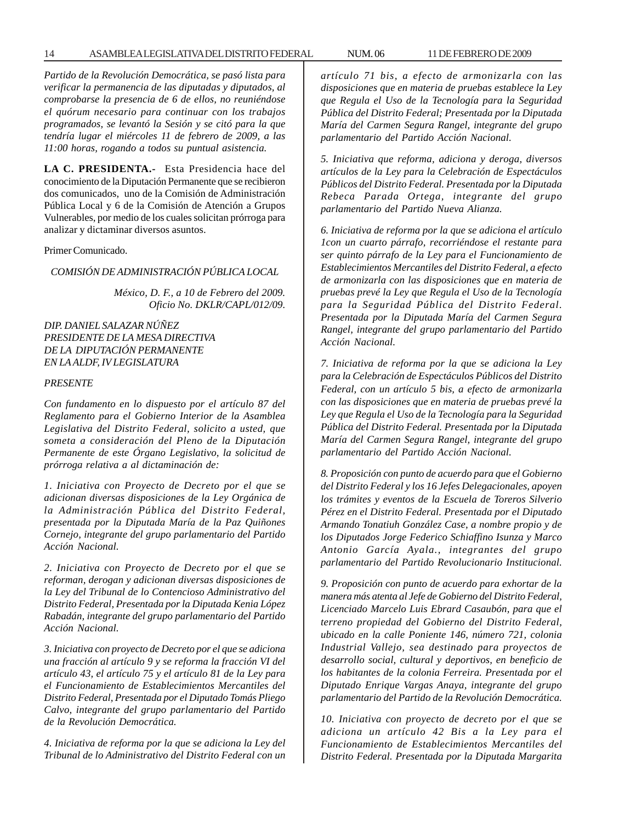#### 14 ASAMBLEA LEGISLATIVA DEL DISTRITO FEDERAL NUM. 06 11 DE FEBRERO DE 2009

*Partido de la Revolución Democrática, se pasó lista para verificar la permanencia de las diputadas y diputados, al comprobarse la presencia de 6 de ellos, no reuniéndose el quórum necesario para continuar con los trabajos programados, se levantó la Sesión y se citó para la que tendría lugar el miércoles 11 de febrero de 2009, a las 11:00 horas, rogando a todos su puntual asistencia.*

**LA C. PRESIDENTA.-** Esta Presidencia hace del conocimiento de la Diputación Permanente que se recibieron dos comunicados, uno de la Comisión de Administración Pública Local y 6 de la Comisión de Atención a Grupos Vulnerables, por medio de los cuales solicitan prórroga para analizar y dictaminar diversos asuntos.

Primer Comunicado.

*COMISIÓN DE ADMINISTRACIÓN PÚBLICA LOCAL*

*México, D. F., a 10 de Febrero del 2009. Oficio No. DKLR/CAPL/012/09.*

## *DIP. DANIEL SALAZAR NÚÑEZ PRESIDENTE DE LA MESA DIRECTIVA DE LA DIPUTACIÓN PERMANENTE EN LA ALDF, IV LEGISLATURA*

#### *PRESENTE*

*Con fundamento en lo dispuesto por el artículo 87 del Reglamento para el Gobierno Interior de la Asamblea Legislativa del Distrito Federal, solicito a usted, que someta a consideración del Pleno de la Diputación Permanente de este Órgano Legislativo, la solicitud de prórroga relativa a al dictaminación de:*

*1. Iniciativa con Proyecto de Decreto por el que se adicionan diversas disposiciones de la Ley Orgánica de la Administración Pública del Distrito Federal, presentada por la Diputada María de la Paz Quiñones Cornejo, integrante del grupo parlamentario del Partido Acción Nacional.*

*2. Iniciativa con Proyecto de Decreto por el que se reforman, derogan y adicionan diversas disposiciones de la Ley del Tribunal de lo Contencioso Administrativo del Distrito Federal, Presentada por la Diputada Kenia López Rabadán, integrante del grupo parlamentario del Partido Acción Nacional.*

*3. Iniciativa con proyecto de Decreto por el que se adiciona una fracción al artículo 9 y se reforma la fracción VI del artículo 43, el artículo 75 y el artículo 81 de la Ley para el Funcionamiento de Establecimientos Mercantiles del Distrito Federal, Presentada por el Diputado Tomás Pliego Calvo, integrante del grupo parlamentario del Partido de la Revolución Democrática.*

*4. Iniciativa de reforma por la que se adiciona la Ley del Tribunal de lo Administrativo del Distrito Federal con un* *artículo 71 bis, a efecto de armonizarla con las disposiciones que en materia de pruebas establece la Ley que Regula el Uso de la Tecnología para la Seguridad Pública del Distrito Federal; Presentada por la Diputada María del Carmen Segura Rangel, integrante del grupo parlamentario del Partido Acción Nacional.*

*5. Iniciativa que reforma, adiciona y deroga, diversos artículos de la Ley para la Celebración de Espectáculos Públicos del Distrito Federal. Presentada por la Diputada Rebeca Parada Ortega, integrante del grupo parlamentario del Partido Nueva Alianza.*

*6. Iniciativa de reforma por la que se adiciona el artículo 1con un cuarto párrafo, recorriéndose el restante para ser quinto párrafo de la Ley para el Funcionamiento de Establecimientos Mercantiles del Distrito Federal, a efecto de armonizarla con las disposiciones que en materia de pruebas prevé la Ley que Regula el Uso de la Tecnología para la Seguridad Pública del Distrito Federal. Presentada por la Diputada María del Carmen Segura Rangel, integrante del grupo parlamentario del Partido Acción Nacional.*

*7. Iniciativa de reforma por la que se adiciona la Ley para la Celebración de Espectáculos Públicos del Distrito Federal, con un artículo 5 bis, a efecto de armonizarla con las disposiciones que en materia de pruebas prevé la Ley que Regula el Uso de la Tecnología para la Seguridad Pública del Distrito Federal. Presentada por la Diputada María del Carmen Segura Rangel, integrante del grupo parlamentario del Partido Acción Nacional.*

*8. Proposición con punto de acuerdo para que el Gobierno del Distrito Federal y los 16 Jefes Delegacionales, apoyen los trámites y eventos de la Escuela de Toreros Silverio Pérez en el Distrito Federal. Presentada por el Diputado Armando Tonatiuh González Case, a nombre propio y de los Diputados Jorge Federico Schiaffino Isunza y Marco Antonio García Ayala., integrantes del grupo parlamentario del Partido Revolucionario Institucional.*

*9. Proposición con punto de acuerdo para exhortar de la manera más atenta al Jefe de Gobierno del Distrito Federal, Licenciado Marcelo Luis Ebrard Casaubón, para que el terreno propiedad del Gobierno del Distrito Federal, ubicado en la calle Poniente 146, número 721, colonia Industrial Vallejo, sea destinado para proyectos de desarrollo social, cultural y deportivos, en beneficio de los habitantes de la colonia Ferreira. Presentada por el Diputado Enrique Vargas Anaya, integrante del grupo parlamentario del Partido de la Revolución Democrática.*

*10. Iniciativa con proyecto de decreto por el que se adiciona un artículo 42 Bis a la Ley para el Funcionamiento de Establecimientos Mercantiles del Distrito Federal. Presentada por la Diputada Margarita*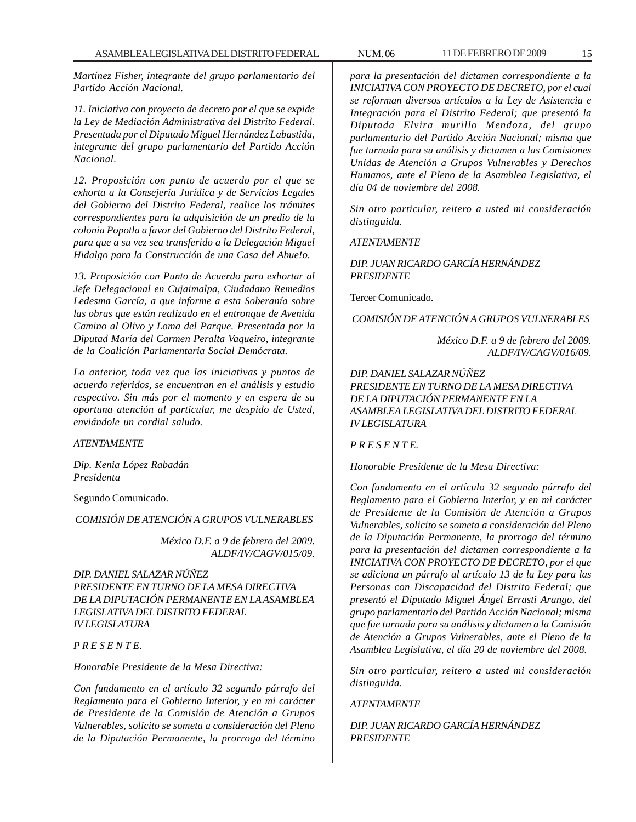*Martínez Fisher, integrante del grupo parlamentario del Partido Acción Nacional.*

*11. Iniciativa con proyecto de decreto por el que se expide la Ley de Mediación Administrativa del Distrito Federal. Presentada por el Diputado Miguel Hernández Labastida, integrante del grupo parlamentario del Partido Acción Nacional.*

*12. Proposición con punto de acuerdo por el que se exhorta a la Consejería Jurídica y de Servicios Legales del Gobierno del Distrito Federal, realice los trámites correspondientes para la adquisición de un predio de la colonia Popotla a favor del Gobierno del Distrito Federal, para que a su vez sea transferido a la Delegación Miguel Hidalgo para la Construcción de una Casa del Abue!o.*

*13. Proposición con Punto de Acuerdo para exhortar al Jefe Delegacional en Cujaimalpa, Ciudadano Remedios Ledesma García, a que informe a esta Soberanía sobre las obras que están realizado en el entronque de Avenida Camino al Olivo y Loma del Parque. Presentada por la Diputad María del Carmen Peralta Vaqueiro, integrante de la Coalición Parlamentaria Social Demócrata.*

*Lo anterior, toda vez que las iniciativas y puntos de acuerdo referidos, se encuentran en el análisis y estudio respectivo. Sin más por el momento y en espera de su oportuna atención al particular, me despido de Usted, enviándole un cordial saludo.*

#### *ATENTAMENTE*

*Dip. Kenia López Rabadán Presidenta*

Segundo Comunicado.

*COMISIÓN DE ATENCIÓN A GRUPOS VULNERABLES*

*México D.F. a 9 de febrero del 2009. ALDF/IV/CAGV/015/09.*

*DIP. DANIEL SALAZAR NÚÑEZ PRESIDENTE EN TURNO DE LA MESA DIRECTIVA DE LA DIPUTACIÓN PERMANENTE EN LA ASAMBLEA LEGISLATIVA DEL DISTRITO FEDERAL IV LEGISLATURA*

*P R E S E N T E.*

*Honorable Presidente de la Mesa Directiva:*

*Con fundamento en el artículo 32 segundo párrafo del Reglamento para el Gobierno Interior, y en mi carácter de Presidente de la Comisión de Atención a Grupos Vulnerables, solicito se someta a consideración del Pleno de la Diputación Permanente, la prorroga del término*

*para la presentación del dictamen correspondiente a la INICIATIVA CON PROYECTO DE DECRETO, por el cual se reforman diversos artículos a la Ley de Asistencia e Integración para el Distrito Federal; que presentó la Diputada Elvira murillo Mendoza, del grupo parlamentario del Partido Acción Nacional; misma que fue turnada para su análisis y dictamen a las Comisiones Unidas de Atención a Grupos Vulnerables y Derechos Humanos, ante el Pleno de la Asamblea Legislativa, el día 04 de noviembre del 2008.*

*Sin otro particular, reitero a usted mi consideración distinguida.*

*ATENTAMENTE*

*DIP. JUAN RICARDO GARCÍA HERNÁNDEZ PRESIDENTE*

Tercer Comunicado.

*COMISIÓN DE ATENCIÓN A GRUPOS VULNERABLES*

*México D.F. a 9 de febrero del 2009. ALDF/IV/CAGV/016/09.*

*DIP. DANIEL SALAZAR NÚÑEZ PRESIDENTE EN TURNO DE LA MESA DIRECTIVA DE LA DIPUTACIÓN PERMANENTE EN LA ASAMBLEA LEGISLATIVA DEL DISTRITO FEDERAL IV LEGISLATURA*

## *P R E S E N T E.*

*Honorable Presidente de la Mesa Directiva:*

*Con fundamento en el artículo 32 segundo párrafo del Reglamento para el Gobierno Interior, y en mi carácter de Presidente de la Comisión de Atención a Grupos Vulnerables, solicito se someta a consideración del Pleno de la Diputación Permanente, la prorroga del término para la presentación del dictamen correspondiente a la INICIATIVA CON PROYECTO DE DECRETO, por el que se adiciona un párrafo al artículo 13 de la Ley para las Personas con Discapacidad del Distrito Federal; que presentó el Diputado Miguel Ángel Errasti Arango, del grupo parlamentario del Partido Acción Nacional; misma que fue turnada para su análisis y dictamen a la Comisión de Atención a Grupos Vulnerables, ante el Pleno de la Asamblea Legislativa, el día 20 de noviembre del 2008.*

*Sin otro particular, reitero a usted mi consideración distinguida.*

*ATENTAMENTE*

*DIP. JUAN RICARDO GARCÍA HERNÁNDEZ PRESIDENTE*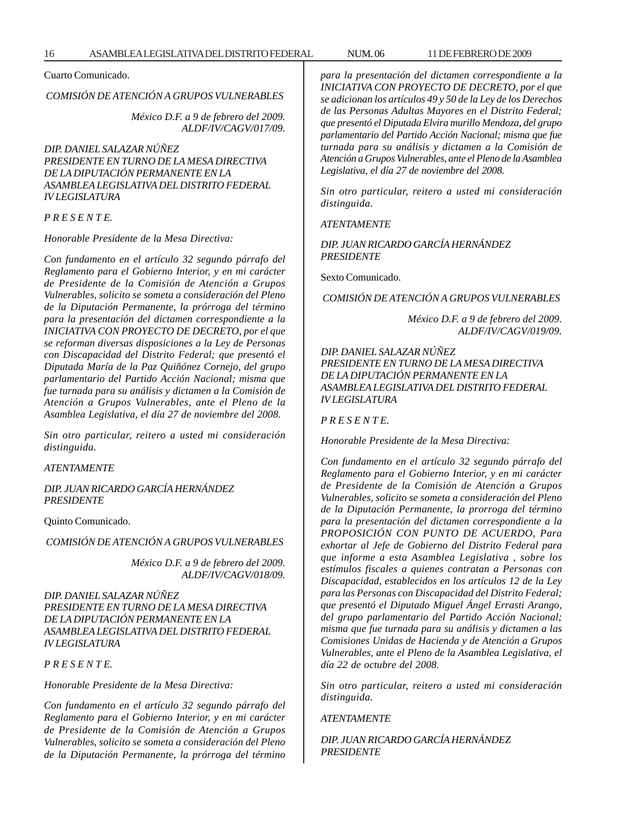Cuarto Comunicado.

#### *COMISIÓN DE ATENCIÓN A GRUPOS VULNERABLES*

*México D.F. a 9 de febrero del 2009. ALDF/IV/CAGV/017/09.*

*DIP. DANIEL SALAZAR NÚÑEZ PRESIDENTE EN TURNO DE LA MESA DIRECTIVA DE LA DIPUTACIÓN PERMANENTE EN LA ASAMBLEA LEGISLATIVA DEL DISTRITO FEDERAL IV LEGISLATURA*

*P R E S E N T E.*

*Honorable Presidente de la Mesa Directiva:*

*Con fundamento en el artículo 32 segundo párrafo del Reglamento para el Gobierno Interior, y en mi carácter de Presidente de la Comisión de Atención a Grupos Vulnerables, solicito se someta a consideración del Pleno de la Diputación Permanente, la prórroga del término para la presentación del dictamen correspondiente a la INICIATIVA CON PROYECTO DE DECRETO, por el que se reforman diversas disposiciones a la Ley de Personas con Discapacidad del Distrito Federal; que presentó el Diputada María de la Paz Quiñónez Cornejo, del grupo parlamentario del Partido Acción Nacional; misma que fue turnada para su análisis y dictamen a la Comisión de Atención a Grupos Vulnerables, ante el Pleno de la Asamblea Legislativa, el día 27 de noviembre del 2008.*

*Sin otro particular, reitero a usted mi consideración distinguida.*

*ATENTAMENTE*

#### *DIP. JUAN RICARDO GARCÍA HERNÁNDEZ PRESIDENTE*

Quinto Comunicado.

*COMISIÓN DE ATENCIÓN A GRUPOS VULNERABLES*

*México D.F. a 9 de febrero del 2009. ALDF/IV/CAGV/018/09.*

*DIP. DANIEL SALAZAR NÚÑEZ PRESIDENTE EN TURNO DE LA MESA DIRECTIVA DE LA DIPUTACIÓN PERMANENTE EN LA ASAMBLEA LEGISLATIVA DEL DISTRITO FEDERAL IV LEGISLATURA*

*P R E S E N T E.*

*Honorable Presidente de la Mesa Directiva:*

*Con fundamento en el artículo 32 segundo párrafo del Reglamento para el Gobierno Interior, y en mi carácter de Presidente de la Comisión de Atención a Grupos Vulnerables, solicito se someta a consideración del Pleno de la Diputación Permanente, la prórroga del término* *para la presentación del dictamen correspondiente a la INICIATIVA CON PROYECTO DE DECRETO, por el que se adicionan los artículos 49 y 50 de la Ley de los Derechos de las Personas Adultas Mayores en el Distrito Federal; que presentó el Diputada Elvira murillo Mendoza, del grupo parlamentario del Partido Acción Nacional; misma que fue turnada para su análisis y dictamen a la Comisión de Atención a Grupos Vulnerables, ante el Pleno de la Asamblea Legislativa, el día 27 de noviembre del 2008.*

*Sin otro particular, reitero a usted mi consideración distinguida.*

*ATENTAMENTE*

*DIP. JUAN RICARDO GARCÍA HERNÁNDEZ PRESIDENTE*

Sexto Comunicado.

*COMISIÓN DE ATENCIÓN A GRUPOS VULNERABLES*

*México D.F. a 9 de febrero del 2009. ALDF/IV/CAGV/019/09.*

*DIP. DANIEL SALAZAR NÚÑEZ PRESIDENTE EN TURNO DE LA MESA DIRECTIVA DE LA DIPUTACIÓN PERMANENTE EN LA ASAMBLEA LEGISLATIVA DEL DISTRITO FEDERAL IV LEGISLATURA*

*P R E S E N T E.*

*Honorable Presidente de la Mesa Directiva:*

*Con fundamento en el artículo 32 segundo párrafo del Reglamento para el Gobierno Interior, y en mi carácter de Presidente de la Comisión de Atención a Grupos Vulnerables, solicito se someta a consideración del Pleno de la Diputación Permanente, la prorroga del término para la presentación del dictamen correspondiente a la PROPOSICIÓN CON PUNTO DE ACUERDO, Para exhortar al Jefe de Gobierno del Distrito Federal para que informe a esta Asamblea Legislativa , sobre los estímulos fiscales a quienes contratan a Personas con Discapacidad, establecidos en los artículos 12 de la Ley para las Personas con Discapacidad del Distrito Federal; que presentó el Diputado Miguel Ángel Errasti Arango, del grupo parlamentario del Partido Acción Nacional; misma que fue turnada para su análisis y dictamen a las Comisiones Unidas de Hacienda y de Atención a Grupos Vulnerables, ante el Pleno de la Asamblea Legislativa, el día 22 de octubre del 2008.*

*Sin otro particular, reitero a usted mi consideración distinguida.*

*ATENTAMENTE*

*DIP. JUAN RICARDO GARCÍA HERNÁNDEZ PRESIDENTE*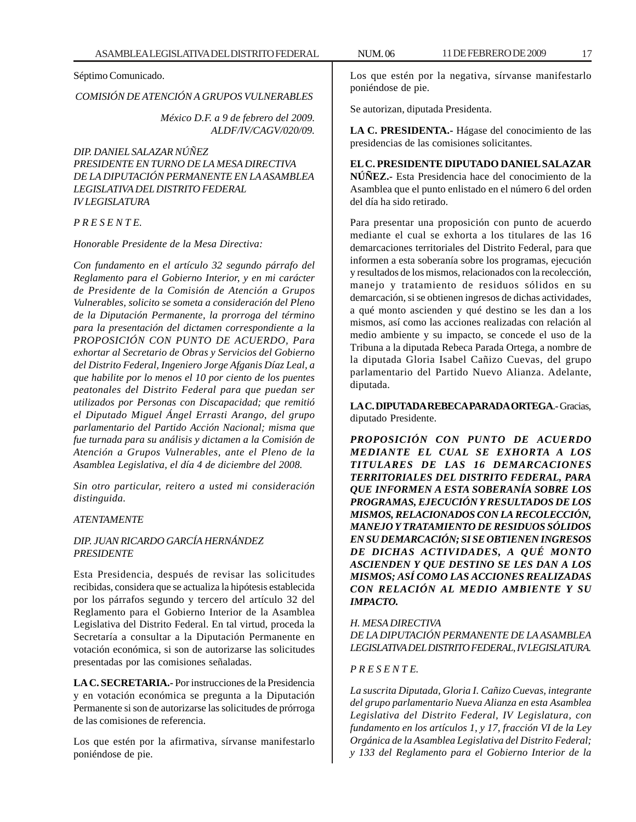Séptimo Comunicado.

*COMISIÓN DE ATENCIÓN A GRUPOS VULNERABLES*

*México D.F. a 9 de febrero del 2009. ALDF/IV/CAGV/020/09.*

*DIP. DANIEL SALAZAR NÚÑEZ PRESIDENTE EN TURNO DE LA MESA DIRECTIVA DE LA DIPUTACIÓN PERMANENTE EN LA ASAMBLEA LEGISLATIVA DEL DISTRITO FEDERAL IV LEGISLATURA*

## *P R E S E N T E.*

*Honorable Presidente de la Mesa Directiva:*

*Con fundamento en el artículo 32 segundo párrafo del Reglamento para el Gobierno Interior, y en mi carácter de Presidente de la Comisión de Atención a Grupos Vulnerables, solicito se someta a consideración del Pleno de la Diputación Permanente, la prorroga del término para la presentación del dictamen correspondiente a la PROPOSICIÓN CON PUNTO DE ACUERDO, Para exhortar al Secretario de Obras y Servicios del Gobierno del Distrito Federal, Ingeniero Jorge Afganis Díaz Leal, a que habilite por lo menos el 10 por ciento de los puentes peatonales del Distrito Federal para que puedan ser utilizados por Personas con Discapacidad; que remitió el Diputado Miguel Ángel Errasti Arango, del grupo parlamentario del Partido Acción Nacional; misma que fue turnada para su análisis y dictamen a la Comisión de Atención a Grupos Vulnerables, ante el Pleno de la Asamblea Legislativa, el día 4 de diciembre del 2008.*

*Sin otro particular, reitero a usted mi consideración distinguida.*

#### *ATENTAMENTE*

#### *DIP. JUAN RICARDO GARCÍA HERNÁNDEZ PRESIDENTE*

Esta Presidencia, después de revisar las solicitudes recibidas, considera que se actualiza la hipótesis establecida por los párrafos segundo y tercero del artículo 32 del Reglamento para el Gobierno Interior de la Asamblea Legislativa del Distrito Federal. En tal virtud, proceda la Secretaría a consultar a la Diputación Permanente en votación económica, si son de autorizarse las solicitudes presentadas por las comisiones señaladas.

**LA C. SECRETARIA.-** Por instrucciones de la Presidencia y en votación económica se pregunta a la Diputación Permanente si son de autorizarse las solicitudes de prórroga de las comisiones de referencia.

Los que estén por la afirmativa, sírvanse manifestarlo poniéndose de pie.

Los que estén por la negativa, sírvanse manifestarlo poniéndose de pie.

Se autorizan, diputada Presidenta.

**LA C. PRESIDENTA.-** Hágase del conocimiento de las presidencias de las comisiones solicitantes.

**EL C. PRESIDENTE DIPUTADO DANIEL SALAZAR NÚÑEZ.-** Esta Presidencia hace del conocimiento de la Asamblea que el punto enlistado en el número 6 del orden del día ha sido retirado.

Para presentar una proposición con punto de acuerdo mediante el cual se exhorta a los titulares de las 16 demarcaciones territoriales del Distrito Federal, para que informen a esta soberanía sobre los programas, ejecución y resultados de los mismos, relacionados con la recolección, manejo y tratamiento de residuos sólidos en su demarcación, si se obtienen ingresos de dichas actividades, a qué monto ascienden y qué destino se les dan a los mismos, así como las acciones realizadas con relación al medio ambiente y su impacto, se concede el uso de la Tribuna a la diputada Rebeca Parada Ortega, a nombre de la diputada Gloria Isabel Cañizo Cuevas, del grupo parlamentario del Partido Nuevo Alianza. Adelante, diputada.

**LA C. DIPUTADA REBECA PARADA ORTEGA**.- Gracias, diputado Presidente.

*PROPOSICIÓN CON PUNTO DE ACUERDO MEDIANTE EL CUAL SE EXHORTA A LOS TITULARES DE LAS 16 DEMARCACIONES TERRITORIALES DEL DISTRITO FEDERAL, PARA QUE INFORMEN A ESTA SOBERANÍA SOBRE LOS PROGRAMAS, EJECUCIÓN Y RESULTADOS DE LOS MISMOS, RELACIONADOS CON LA RECOLECCIÓN, MANEJO Y TRATAMIENTO DE RESIDUOS SÓLIDOS EN SU DEMARCACIÓN; SI SE OBTIENEN INGRESOS DE DICHAS ACTIVIDADES, A QUÉ MONTO ASCIENDEN Y QUE DESTINO SE LES DAN A LOS MISMOS; ASÍ COMO LAS ACCIONES REALIZADAS CON RELACIÓN AL MEDIO AMBIENTE Y SU IMPACTO.*

#### *H. MESA DIRECTIVA*

*DE LA DIPUTACIÓN PERMANENTE DE LA ASAMBLEA LEGISLATIVA DEL DISTRITO FEDERAL, IV LEGISLATURA.*

## *P R E S E N T E.*

*La suscrita Diputada, Gloria I. Cañizo Cuevas, integrante del grupo parlamentario Nueva Alianza en esta Asamblea Legislativa del Distrito Federal, IV Legislatura, con fundamento en los artículos 1, y 17, fracción VI de la Ley Orgánica de la Asamblea Legislativa del Distrito Federal; y 133 del Reglamento para el Gobierno Interior de la*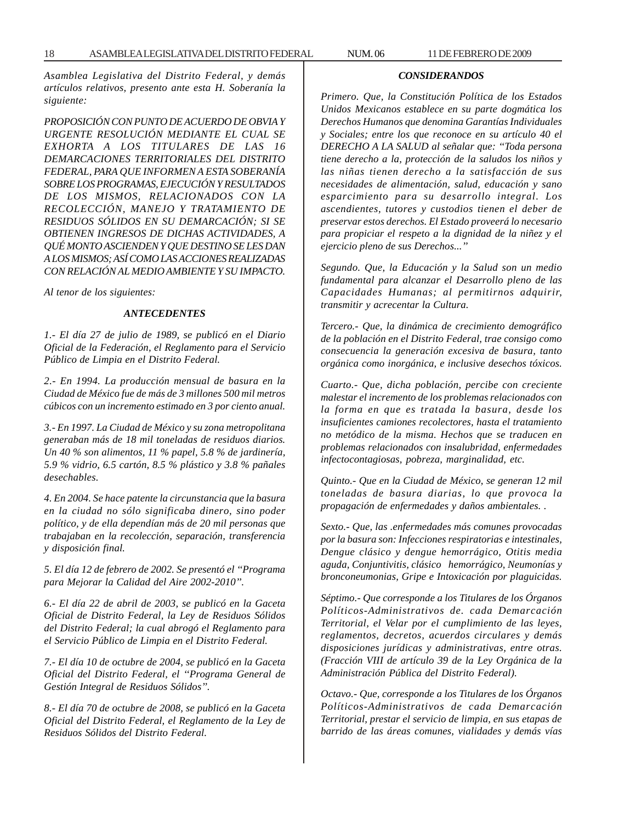*Asamblea Legislativa del Distrito Federal, y demás artículos relativos, presento ante esta H. Soberanía la siguiente:*

*PROPOSICIÓN CON PUNTO DE ACUERDO DE OBVIA Y URGENTE RESOLUCIÓN MEDIANTE EL CUAL SE EXHORTA A LOS TITULARES DE LAS 16 DEMARCACIONES TERRITORIALES DEL DISTRITO FEDERAL, PARA QUE INFORMEN A ESTA SOBERANÍA SOBRE LOS PROGRAMAS, EJECUCIÓN Y RESULTADOS DE LOS MISMOS, RELACIONADOS CON LA RECOLECCIÓN, MANEJO Y TRATAMIENTO DE RESIDUOS SÓLIDOS EN SU DEMARCACIÓN; SI SE OBTIENEN INGRESOS DE DICHAS ACTIVIDADES, A QUÉ MONTO ASCIENDEN Y QUE DESTINO SE LES DAN A LOS MISMOS; ASÍ COMO LAS ACCIONES REALIZADAS CON RELACIÓN AL MEDIO AMBIENTE Y SU IMPACTO.*

*Al tenor de los siguientes:*

#### *ANTECEDENTES*

*1.- El día 27 de julio de 1989, se publicó en el Diario Oficial de la Federación, el Reglamento para el Servicio Público de Limpia en el Distrito Federal.*

*2.- En 1994. La producción mensual de basura en la Ciudad de México fue de más de 3 millones 500 mil metros cúbicos con un incremento estimado en 3 por ciento anual.*

*3.- En 1997. La Ciudad de México y su zona metropolitana generaban más de 18 mil toneladas de residuos diarios. Un 40 % son alimentos, 11 % papel, 5.8 % de jardinería, 5.9 % vidrio, 6.5 cartón, 8.5 % plástico y 3.8 % pañales desechables.*

*4. En 2004. Se hace patente la circunstancia que la basura en la ciudad no sólo significaba dinero, sino poder político, y de ella dependían más de 20 mil personas que trabajaban en la recolección, separación, transferencia y disposición final.*

*5. El día 12 de febrero de 2002. Se presentó el ''Programa para Mejorar la Calidad del Aire 2002-2010''.*

*6.- El día 22 de abril de 2003, se publicó en la Gaceta Oficial de Distrito Federal, la Ley de Residuos Sólidos del Distrito Federal; la cual abrogó el Reglamento para el Servicio Público de Limpia en el Distrito Federal.*

*7.- El día 10 de octubre de 2004, se publicó en la Gaceta Oficial del Distrito Federal, el ''Programa General de Gestión Integral de Residuos Sólidos''.*

*8.- El día 70 de octubre de 2008, se publicó en la Gaceta Oficial del Distrito Federal, el Reglamento de la Ley de Residuos Sólidos del Distrito Federal.*

#### *CONSIDERANDOS*

*Primero. Que, la Constitución Política de los Estados Unidos Mexicanos establece en su parte dogmática los Derechos Humanos que denomina Garantías Individuales y Sociales; entre los que reconoce en su artículo 40 el DERECHO A LA SALUD al señalar que: ''Toda persona tiene derecho a la, protección de la saludos los niños y las niñas tienen derecho a la satisfacción de sus necesidades de alimentación, salud, educación y sano esparcimiento para su desarrollo integral. Los ascendientes, tutores y custodios tienen el deber de preservar estos derechos. El Estado proveerá lo necesario para propiciar el respeto a la dignidad de la niñez y el ejercicio pleno de sus Derechos...''*

*Segundo. Que, la Educación y la Salud son un medio fundamental para alcanzar el Desarrollo pleno de las Capacidades Humanas; al permitirnos adquirir, transmitir y acrecentar la Cultura.*

*Tercero.- Que, la dinámica de crecimiento demográfico de la población en el Distrito Federal, trae consigo como consecuencia la generación excesiva de basura, tanto orgánica como inorgánica, e inclusive desechos tóxicos.*

*Cuarto.- Que, dicha población, percibe con creciente malestar el incremento de los problemas relacionados con la forma en que es tratada la basura, desde los insuficientes camiones recolectores, hasta el tratamiento no metódico de la misma. Hechos que se traducen en problemas relacionados con insalubridad, enfermedades infectocontagiosas, pobreza, marginalidad, etc.*

*Quinto.- Que en la Ciudad de México, se generan 12 mil toneladas de basura diarias, lo que provoca la propagación de enfermedades y daños ambientales. .*

*Sexto.- Que, las .enfermedades más comunes provocadas por la basura son: Infecciones respiratorias e intestinales, Dengue clásico y dengue hemorrágico, Otitis media aguda, Conjuntivitis, clásico hemorrágico, Neumonías y bronconeumonias, Gripe e Intoxicación por plaguicidas.*

*Séptimo.- Que corresponde a los Titulares de los Órganos Políticos-Administrativos de. cada Demarcación Territorial, el Velar por el cumplimiento de las leyes, reglamentos, decretos, acuerdos circulares y demás disposiciones jurídicas y administrativas, entre otras. (Fracción VIII de artículo 39 de la Ley Orgánica de la Administración Pública del Distrito Federal).*

*Octavo.- Que, corresponde a los Titulares de los Órganos Políticos-Administrativos de cada Demarcación Territorial, prestar el servicio de limpia, en sus etapas de barrido de las áreas comunes, vialidades y demás vías*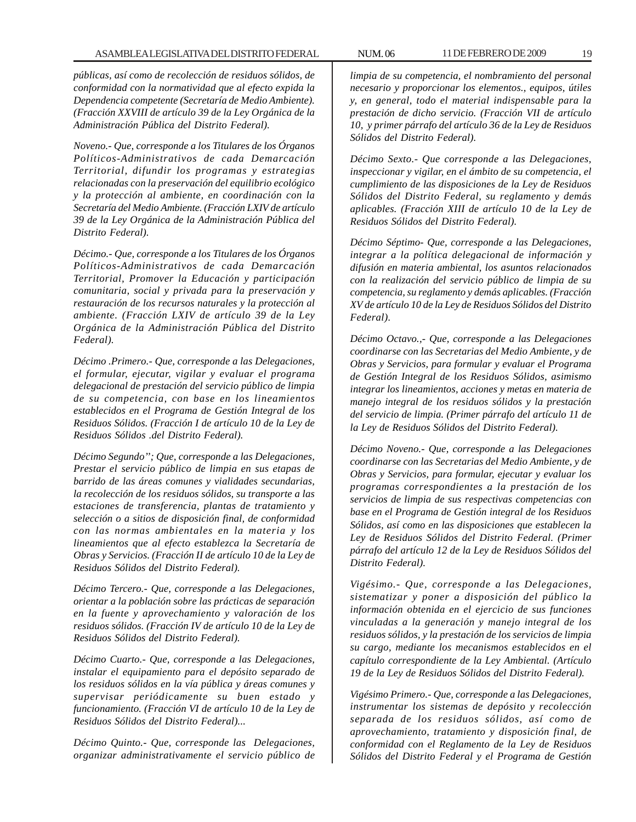*públicas, así como de recolección de residuos sólidos, de conformidad con la normatividad que al efecto expida la Dependencia competente (Secretaría de Medio Ambiente). (Fracción XXVIII de artículo 39 de la Ley Orgánica de la Administración Pública del Distrito Federal).*

*Noveno.- Que, corresponde a los Titulares de los Órganos Políticos-Administrativos de cada Demarcación Territorial, difundir los programas y estrategias relacionadas con la preservación del equilibrio ecológico y la protección al ambiente, en coordinación con la Secretaría del Medio Ambiente. (Fracción LXIV de artículo 39 de la Ley Orgánica de la Administración Pública del Distrito Federal).*

*Décimo.- Que, corresponde a los Titulares de los Órganos Políticos-Administrativos de cada Demarcación Territorial, Promover la Educación y participación comunitaria, social y privada para la preservación y restauración de los recursos naturales y la protección al ambiente. (Fracción LXIV de artículo 39 de la Ley Orgánica de la Administración Pública del Distrito Federal).*

*Décimo .Primero.- Que, corresponde a las Delegaciones, el formular, ejecutar, vigilar y evaluar el programa delegacional de prestación del servicio público de limpia de su competencia, con base en los lineamientos establecidos en el Programa de Gestión Integral de los Residuos Sólidos. (Fracción I de artículo 10 de la Ley de Residuos Sólidos .del Distrito Federal).*

*Décimo Segundo''; Que, corresponde a las Delegaciones, Prestar el servicio público de limpia en sus etapas de barrido de las áreas comunes y vialidades secundarias, la recolección de los residuos sólidos, su transporte a las estaciones de transferencia, plantas de tratamiento y selección o a sitios de disposición final, de conformidad con las normas ambientales en la materia y los lineamientos que al efecto establezca la Secretaría de Obras y Servicios. (Fracción II de artículo 10 de la Ley de Residuos Sólidos del Distrito Federal).*

*Décimo Tercero.- Que, corresponde a las Delegaciones, orientar a la población sobre las prácticas de separación en la fuente y aprovechamiento y valoración de los residuos sólidos. (Fracción IV de artículo 10 de la Ley de Residuos Sólidos del Distrito Federal).*

*Décimo Cuarto.- Que, corresponde a las Delegaciones, instalar el equipamiento para el depósito separado de los residuos sólidos en la vía pública y áreas comunes y supervisar periódicamente su buen estado y funcionamiento. (Fracción VI de artículo 10 de la Ley de Residuos Sólidos del Distrito Federal)...*

*Décimo Quinto.- Que, corresponde las Delegaciones, organizar administrativamente el servicio público de* *limpia de su competencia, el nombramiento del personal necesario y proporcionar los elementos., equipos, útiles y, en general, todo el material indispensable para la prestación de dicho servicio. (Fracción VII de artículo 10, y primer párrafo del artículo 36 de la Ley de Residuos Sólidos del Distrito Federal).*

*Décimo Sexto.- Que corresponde a las Delegaciones, inspeccionar y vigilar, en el ámbito de su competencia, el cumplimiento de las disposiciones de la Ley de Residuos Sólidos del Distrito Federal, su reglamento y demás aplicables. (Fracción XIII de artículo 10 de la Ley de Residuos Sólidos del Distrito Federal).*

*Décimo Séptimo- Que, corresponde a las Delegaciones, integrar a la política delegacional de información y difusión en materia ambiental, los asuntos relacionados con la realización del servicio público de limpia de su competencia, su reglamento y demás aplicables. (Fracción XV de artículo 10 de la Ley de Residuos Sólidos del Distrito Federal).*

*Décimo Octavo.,- Que, corresponde a las Delegaciones coordinarse con las Secretarias del Medio Ambiente, y de Obras y Servicios, para formular y evaluar el Programa de Gestión Integral de los Residuos Sólidos, asimismo integrar los lineamientos, acciones y metas en materia de manejo integral de los residuos sólidos y la prestación del servicio de limpia. (Primer párrafo del artículo 11 de la Ley de Residuos Sólidos del Distrito Federal).*

*Décimo Noveno.- Que, corresponde a las Delegaciones coordinarse con las Secretarias del Medio Ambiente, y de Obras y Servicios, para formular, ejecutar y evaluar los programas correspondientes a la prestación de los servicios de limpia de sus respectivas competencias con base en el Programa de Gestión integral de los Residuos Sólidos, así como en las disposiciones que establecen la Ley de Residuos Sólidos del Distrito Federal. (Primer párrafo del artículo 12 de la Ley de Residuos Sólidos del Distrito Federal).*

*Vigésimo.- Que, corresponde a las Delegaciones, sistematizar y poner a disposición del público la información obtenida en el ejercicio de sus funciones vinculadas a la generación y manejo integral de los residuos sólidos, y la prestación de los servicios de limpia su cargo, mediante los mecanismos establecidos en el capítulo correspondiente de la Ley Ambiental. (Artículo 19 de la Ley de Residuos Sólidos del Distrito Federal).*

*Vigésimo Primero.- Que, corresponde a las Delegaciones, instrumentar los sistemas de depósito y recolección separada de los residuos sólidos, así como de aprovechamiento, tratamiento y disposición final, de conformidad con el Reglamento de la Ley de Residuos Sólidos del Distrito Federal y el Programa de Gestión*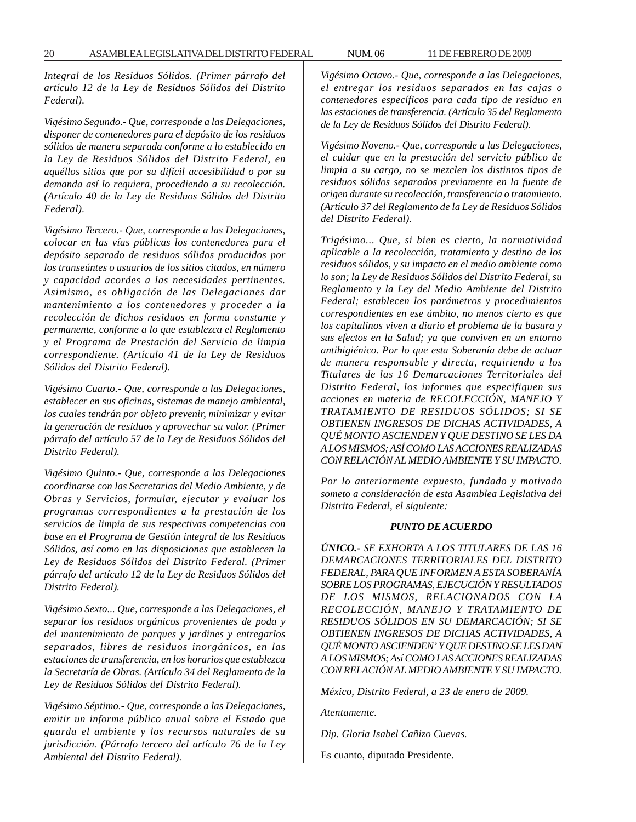*Integral de los Residuos Sólidos. (Primer párrafo del artículo 12 de la Ley de Residuos Sólidos del Distrito Federal).*

*Vigésimo Segundo.- Que, corresponde a las Delegaciones, disponer de contenedores para el depósito de los residuos sólidos de manera separada conforme a lo establecido en la Ley de Residuos Sólidos del Distrito Federal, en aquéllos sitios que por su difícil accesibilidad o por su demanda así lo requiera, procediendo a su recolección. (Artículo 40 de la Ley de Residuos Sólidos del Distrito Federal).*

*Vigésimo Tercero.- Que, corresponde a las Delegaciones, colocar en las vías públicas los contenedores para el depósito separado de residuos sólidos producidos por los transeúntes o usuarios de los sitios citados, en número y capacidad acordes a las necesidades pertinentes. Asimismo, es obligación de las Delegaciones dar mantenimiento a los contenedores y proceder a la recolección de dichos residuos en forma constante y permanente, conforme a lo que establezca el Reglamento y el Programa de Prestación del Servicio de limpia correspondiente. (Artículo 41 de la Ley de Residuos Sólidos del Distrito Federal).*

*Vigésimo Cuarto.- Que, corresponde a las Delegaciones, establecer en sus oficinas, sistemas de manejo ambiental, los cuales tendrán por objeto prevenir, minimizar y evitar la generación de residuos y aprovechar su valor. (Primer párrafo del artículo 57 de la Ley de Residuos Sólidos del Distrito Federal).*

*Vigésimo Quinto.- Que, corresponde a las Delegaciones coordinarse con las Secretarias del Medio Ambiente, y de Obras y Servicios, formular, ejecutar y evaluar los programas correspondientes a la prestación de los servicios de limpia de sus respectivas competencias con base en el Programa de Gestión integral de los Residuos Sólidos, así como en las disposiciones que establecen la Ley de Residuos Sólidos del Distrito Federal. (Primer párrafo del artículo 12 de la Ley de Residuos Sólidos del Distrito Federal).*

*Vigésimo Sexto... Que, corresponde a las Delegaciones, el separar los residuos orgánicos provenientes de poda y del mantenimiento de parques y jardines y entregarlos separados, libres de residuos inorgánicos, en las estaciones de transferencia, en los horarios que establezca la Secretaría de Obras. (Artículo 34 del Reglamento de la Ley de Residuos Sólidos del Distrito Federal).*

*Vigésimo Séptimo.- Que, corresponde a las Delegaciones, emitir un informe público anual sobre el Estado que guarda el ambiente y los recursos naturales de su jurisdicción. (Párrafo tercero del artículo 76 de la Ley Ambiental del Distrito Federal).*

*Vigésimo Octavo.- Que, corresponde a las Delegaciones, el entregar los residuos separados en las cajas o contenedores específicos para cada tipo de residuo en las estaciones de transferencia. (Artículo 35 del Reglamento de la Ley de Residuos Sólidos del Distrito Federal).*

*Vigésimo Noveno.- Que, corresponde a las Delegaciones, el cuidar que en la prestación del servicio público de limpia a su cargo, no se mezclen los distintos tipos de residuos sólidos separados previamente en la fuente de origen durante su recolección, transferencia o tratamiento. (Artículo 37 del Reglamento de la Ley de Residuos Sólidos del Distrito Federal).*

*Trigésimo... Que, si bien es cierto, la normatividad aplicable a la recolección, tratamiento y destino de los residuos sólidos, y su impacto en el medio ambiente como lo son; la Ley de Residuos Sólidos del Distrito Federal, su Reglamento y la Ley del Medio Ambiente del Distrito Federal; establecen los parámetros y procedimientos correspondientes en ese ámbito, no menos cierto es que los capitalinos viven a diario el problema de la basura y sus efectos en la Salud; ya que conviven en un entorno antihigiénico. Por lo que esta Soberanía debe de actuar de manera responsable y directa, requiriendo a los Titulares de las 16 Demarcaciones Territoriales del Distrito Federal, los informes que especifiquen sus acciones en materia de RECOLECCIÓN, MANEJO Y TRATAMIENTO DE RESIDUOS SÓLIDOS; SI SE OBTIENEN INGRESOS DE DICHAS ACTIVIDADES, A QUÉ MONTO ASCIENDEN Y QUE DESTINO SE LES DA A LOS MISMOS; ASÍ COMO LAS ACCIONES REALIZADAS CON RELACIÓN AL MEDIO AMBIENTE Y SU IMPACTO.*

*Por lo anteriormente expuesto, fundado y motivado someto a consideración de esta Asamblea Legislativa del Distrito Federal, el siguiente:*

#### *PUNTO DE ACUERDO*

*ÚNICO.- SE EXHORTA A LOS TITULARES DE LAS 16 DEMARCACIONES TERRITORIALES DEL DISTRITO FEDERAL, PARA QUE INFORMEN A ESTA SOBERANÍA SOBRE LOS PROGRAMAS, EJECUCIÓN Y RESULTADOS DE LOS MISMOS, RELACIONADOS CON LA RECOLECCIÓN, MANEJO Y TRATAMIENTO DE RESIDUOS SÓLIDOS EN SU DEMARCACIÓN; SI SE OBTIENEN INGRESOS DE DICHAS ACTIVIDADES, A QUÉ MONTO ASCIENDEN' Y QUE DESTINO SE LES DAN A LOS MISMOS; Así COMO LAS ACCIONES REALIZADAS CON RELACIÓN AL MEDIO AMBIENTE Y SU IMPACTO.*

*México, Distrito Federal, a 23 de enero de 2009.*

*Atentamente.*

*Dip. Gloria Isabel Cañizo Cuevas.*

Es cuanto, diputado Presidente.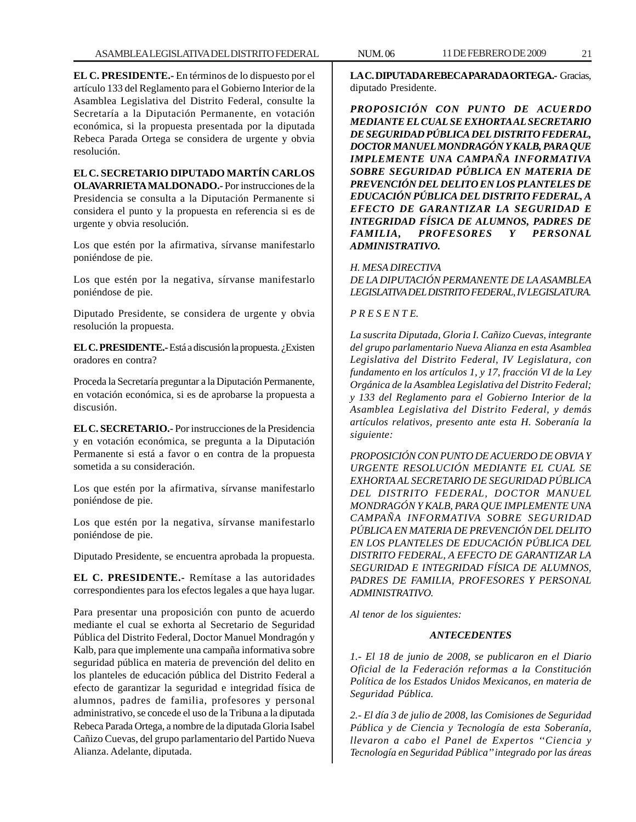**EL C. PRESIDENTE.-** En términos de lo dispuesto por el artículo 133 del Reglamento para el Gobierno Interior de la Asamblea Legislativa del Distrito Federal, consulte la Secretaría a la Diputación Permanente, en votación económica, si la propuesta presentada por la diputada Rebeca Parada Ortega se considera de urgente y obvia resolución.

**EL C. SECRETARIO DIPUTADO MARTÍN CARLOS OLAVARRIETA MALDONADO.-** Por instrucciones de la Presidencia se consulta a la Diputación Permanente si considera el punto y la propuesta en referencia si es de urgente y obvia resolución.

Los que estén por la afirmativa, sírvanse manifestarlo poniéndose de pie.

Los que estén por la negativa, sírvanse manifestarlo poniéndose de pie.

Diputado Presidente, se considera de urgente y obvia resolución la propuesta.

**EL C. PRESIDENTE.-** Está a discusión la propuesta. ¿Existen oradores en contra?

Proceda la Secretaría preguntar a la Diputación Permanente, en votación económica, si es de aprobarse la propuesta a discusión.

**EL C. SECRETARIO.-** Por instrucciones de la Presidencia y en votación económica, se pregunta a la Diputación Permanente si está a favor o en contra de la propuesta sometida a su consideración.

Los que estén por la afirmativa, sírvanse manifestarlo poniéndose de pie.

Los que estén por la negativa, sírvanse manifestarlo poniéndose de pie.

Diputado Presidente, se encuentra aprobada la propuesta.

**EL C. PRESIDENTE.-** Remítase a las autoridades correspondientes para los efectos legales a que haya lugar.

Para presentar una proposición con punto de acuerdo mediante el cual se exhorta al Secretario de Seguridad Pública del Distrito Federal, Doctor Manuel Mondragón y Kalb, para que implemente una campaña informativa sobre seguridad pública en materia de prevención del delito en los planteles de educación pública del Distrito Federal a efecto de garantizar la seguridad e integridad física de alumnos, padres de familia, profesores y personal administrativo, se concede el uso de la Tribuna a la diputada Rebeca Parada Ortega, a nombre de la diputada Gloria Isabel Cañizo Cuevas, del grupo parlamentario del Partido Nueva Alianza. Adelante, diputada.

**LA C. DIPUTADA REBECA PARADA ORTEGA.-** Gracias, diputado Presidente.

*PROPOSICIÓN CON PUNTO DE ACUERDO MEDIANTE EL CUAL SE EXHORTA AL SECRETARIO DE SEGURIDAD PÚBLICA DEL DISTRITO FEDERAL, DOCTOR MANUEL MONDRAGÓN Y KALB, PARA QUE IMPLEMENTE UNA CAMPAÑA INFORMATIVA SOBRE SEGURIDAD PÚBLICA EN MATERIA DE PREVENCIÓN DEL DELITO EN LOS PLANTELES DE EDUCACIÓN PÚBLICA DEL DISTRITO FEDERAL, A EFECTO DE GARANTIZAR LA SEGURIDAD E INTEGRIDAD FÍSICA DE ALUMNOS, PADRES DE FAMILIA, PROFESORES Y PERSONAL ADMINISTRATIVO.*

#### *H. MESA DIRECTIVA*

*DE LA DIPUTACIÓN PERMANENTE DE LA ASAMBLEA LEGISLATIVA DEL DISTRITO FEDERAL, IV LEGISLATURA.*

## *P R E S E N T E.*

*La suscrita Diputada, Gloria I. Cañizo Cuevas, integrante del grupo parlamentario Nueva Alianza en esta Asamblea Legislativa del Distrito Federal, IV Legislatura, con fundamento en los artículos 1, y 17, fracción VI de la Ley Orgánica de la Asamblea Legislativa del Distrito Federal; y 133 del Reglamento para el Gobierno Interior de la Asamblea Legislativa del Distrito Federal, y demás artículos relativos, presento ante esta H. Soberanía la siguiente:*

*PROPOSICIÓN CON PUNTO DE ACUERDO DE OBVIA Y URGENTE RESOLUCIÓN MEDIANTE EL CUAL SE EXHORTA AL SECRETARIO DE SEGURIDAD PÚBLICA DEL DISTRITO FEDERAL, DOCTOR MANUEL MONDRAGÓN Y KALB, PARA QUE IMPLEMENTE UNA CAMPAÑA INFORMATIVA SOBRE SEGURIDAD PÚBLICA EN MATERIA DE PREVENCIÓN DEL DELITO EN LOS PLANTELES DE EDUCACIÓN PÚBLICA DEL DISTRITO FEDERAL, A EFECTO DE GARANTIZAR LA SEGURIDAD E INTEGRIDAD FÍSICA DE ALUMNOS, PADRES DE FAMILIA, PROFESORES Y PERSONAL ADMINISTRATIVO.*

*Al tenor de los siguientes:*

#### *ANTECEDENTES*

*1.- El 18 de junio de 2008, se publicaron en el Diario Oficial de la Federación reformas a la Constitución Política de los Estados Unidos Mexicanos, en materia de Seguridad Pública.*

*2.- El día 3 de julio de 2008, las Comisiones de Seguridad Pública y de Ciencia y Tecnología de esta Soberanía, llevaron a cabo el Panel de Expertos ''Ciencia y Tecnología en Seguridad Pública'' integrado por las áreas*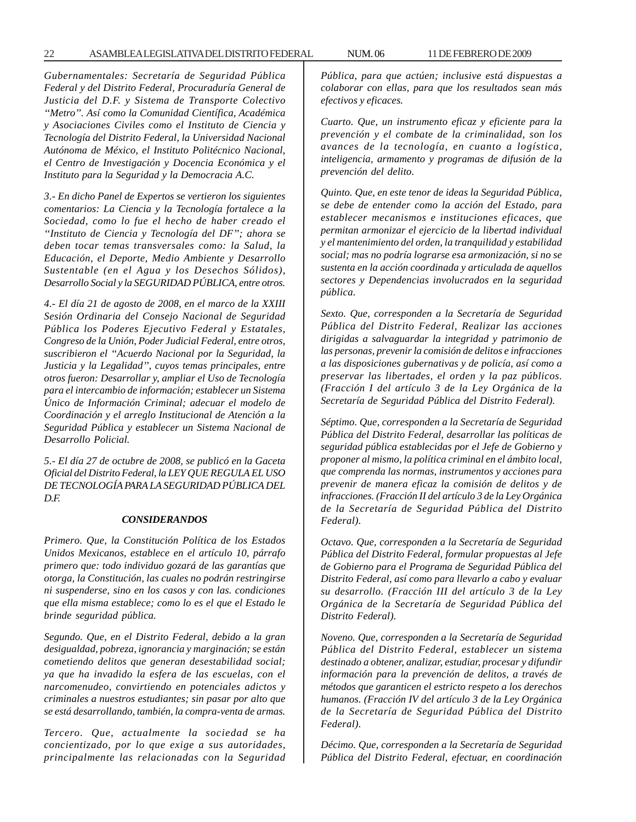*Gubernamentales: Secretaría de Seguridad Pública Federal y del Distrito Federal, Procuraduría General de Justicia del D.F. y Sistema de Transporte Colectivo ''Metro''. Así como la Comunidad Científica, Académica y Asociaciones Civiles como el Instituto de Ciencia y Tecnología del Distrito Federal, la Universidad Nacional Autónoma de México, el Instituto Politécnico Nacional, el Centro de Investigación y Docencia Económica y el Instituto para la Seguridad y la Democracia A.C.*

*3.- En dicho Panel de Expertos se vertieron los siguientes comentarios: La Ciencia y la Tecnología fortalece a la Sociedad, como lo fue el hecho de haber creado el ''Instituto de Ciencia y Tecnología del DF''; ahora se deben tocar temas transversales como: la Salud, la Educación, el Deporte, Medio Ambiente y Desarrollo Sustentable (en el Agua y los Desechos Sólidos), Desarrollo Social y la SEGURIDAD PÚBLICA, entre otros.*

*4.- El día 21 de agosto de 2008, en el marco de la XXIII Sesión Ordinaria del Consejo Nacional de Seguridad Pública los Poderes Ejecutivo Federal y Estatales, Congreso de la Unión, Poder Judicial Federal, entre otros, suscribieron el ''Acuerdo Nacional por la Seguridad, la Justicia y la Legalidad'', cuyos temas principales, entre otros fueron: Desarrollar y, ampliar el Uso de Tecnología para el intercambio de información; establecer un Sistema Único de Información Criminal; adecuar el modelo de Coordinación y el arreglo Institucional de Atención a la Seguridad Pública y establecer un Sistema Nacional de Desarrollo Policial.*

*5.- El día 27 de octubre de 2008, se publicó en la Gaceta Oficial del Distrito Federal, la LEY QUE REGULA EL USO DE TECNOLOGÍA PARA LA SEGURIDAD PÚBLICA DEL D.F.*

#### *CONSIDERANDOS*

*Primero. Que, la Constitución Política de los Estados Unidos Mexicanos, establece en el artículo 10, párrafo primero que: todo individuo gozará de las garantías que otorga, la Constitución, las cuales no podrán restringirse ni suspenderse, sino en los casos y con las. condiciones que ella misma establece; como lo es el que el Estado le brinde seguridad pública.*

*Segundo. Que, en el Distrito Federal, debido a la gran desigualdad, pobreza, ignorancia y marginación; se están cometiendo delitos que generan desestabilidad social; ya que ha invadido la esfera de las escuelas, con el narcomenudeo, convirtiendo en potenciales adictos y criminales a nuestros estudiantes; sin pasar por alto que se está desarrollando, también, la compra-venta de armas.*

*Tercero. Que, actualmente la sociedad se ha concientizado, por lo que exige a sus autoridades, principalmente las relacionadas con la Seguridad* *Pública, para que actúen; inclusive está dispuestas a colaborar con ellas, para que los resultados sean más efectivos y eficaces.*

*Cuarto. Que, un instrumento eficaz y eficiente para la prevención y el combate de la criminalidad, son los avances de la tecnología, en cuanto a logística, inteligencia, armamento y programas de difusión de la prevención del delito.*

*Quinto. Que, en este tenor de ideas la Seguridad Pública, se debe de entender como la acción del Estado, para establecer mecanismos e instituciones eficaces, que permitan armonizar el ejercicio de la libertad individual y el mantenimiento del orden, la tranquilidad y estabilidad social; mas no podría lograrse esa armonización, si no se sustenta en la acción coordinada y articulada de aquellos sectores y Dependencias involucrados en la seguridad pública.*

*Sexto. Que, corresponden a la Secretaría de Seguridad Pública del Distrito Federal, Realizar las acciones dirigidas a salvaguardar la integridad y patrimonio de las personas, prevenir la comisión de delitos e infracciones a las disposiciones gubernativas y de policía, así como a preservar las libertades, el orden y la paz públicos. (Fracción I del artículo 3 de la Ley Orgánica de la Secretaría de Seguridad Pública del Distrito Federal).*

*Séptimo. Que, corresponden a la Secretaría de Seguridad Pública del Distrito Federal, desarrollar las políticas de seguridad pública establecidas por el Jefe de Gobierno y proponer al mismo, la política criminal en el ámbito local, que comprenda las normas, instrumentos y acciones para prevenir de manera eficaz la comisión de delitos y de infracciones. (Fracción II del artículo 3 de la Ley Orgánica de la Secretaría de Seguridad Pública del Distrito Federal).*

*Octavo. Que, corresponden a la Secretaría de Seguridad Pública del Distrito Federal, formular propuestas al Jefe de Gobierno para el Programa de Seguridad Pública del Distrito Federal, así como para llevarlo a cabo y evaluar su desarrollo. (Fracción III del artículo 3 de la Ley Orgánica de la Secretaría de Seguridad Pública del Distrito Federal).*

*Noveno. Que, corresponden a la Secretaría de Seguridad Pública del Distrito Federal, establecer un sistema destinado a obtener, analizar, estudiar, procesar y difundir información para la prevención de delitos, a través de métodos que garanticen el estricto respeto a los derechos humanos. (Fracción IV del artículo 3 de la Ley Orgánica de la Secretaría de Seguridad Pública del Distrito Federal).*

*Décimo. Que, corresponden a la Secretaría de Seguridad Pública del Distrito Federal, efectuar, en coordinación*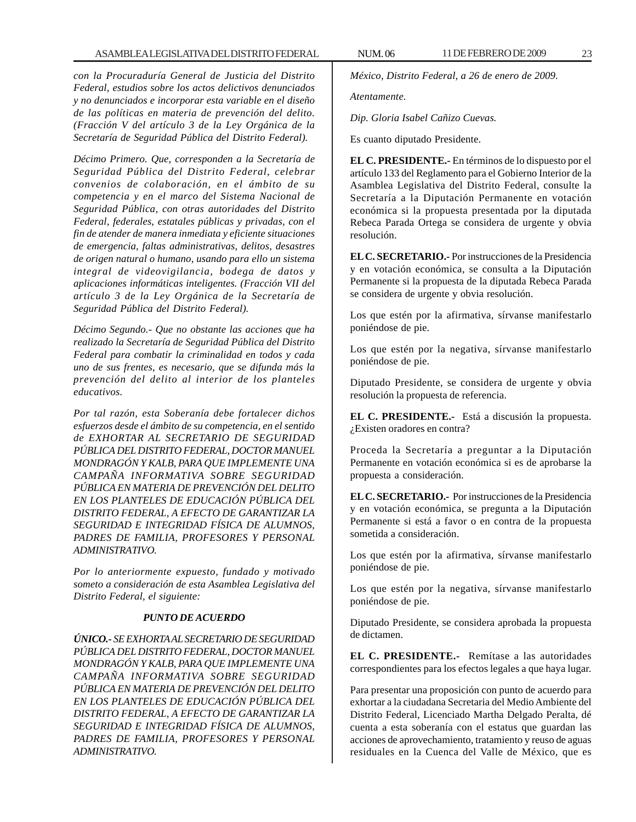*con la Procuraduría General de Justicia del Distrito Federal, estudios sobre los actos delictivos denunciados y no denunciados e incorporar esta variable en el diseño de las políticas en materia de prevención del delito. (Fracción V del artículo 3 de la Ley Orgánica de la Secretaría de Seguridad Pública del Distrito Federal).*

*Décimo Primero. Que, corresponden a la Secretaría de Seguridad Pública del Distrito Federal, celebrar convenios de colaboración, en el ámbito de su competencia y en el marco del Sistema Nacional de Seguridad Pública, con otras autoridades del Distrito Federal, federales, estatales públicas y privadas, con el fin de atender de manera inmediata y eficiente situaciones de emergencia, faltas administrativas, delitos, desastres de origen natural o humano, usando para ello un sistema integral de videovigilancia, bodega de datos y aplicaciones informáticas inteligentes. (Fracción VII del artículo 3 de la Ley Orgánica de la Secretaría de Seguridad Pública del Distrito Federal).*

*Décimo Segundo.- Que no obstante las acciones que ha realizado la Secretaría de Seguridad Pública del Distrito Federal para combatir la criminalidad en todos y cada uno de sus frentes, es necesario, que se difunda más la prevención del delito al interior de los planteles educativos.*

*Por tal razón, esta Soberanía debe fortalecer dichos esfuerzos desde el ámbito de su competencia, en el sentido de EXHORTAR AL SECRETARIO DE SEGURIDAD PÚBLICA DEL DISTRITO FEDERAL, DOCTOR MANUEL MONDRAGÓN Y KALB, PARA QUE IMPLEMENTE UNA CAMPAÑA INFORMATIVA SOBRE SEGURIDAD PÚBLICA EN MATERIA DE PREVENCIÓN DEL DELITO EN LOS PLANTELES DE EDUCACIÓN PÚBLICA DEL DISTRITO FEDERAL, A EFECTO DE GARANTIZAR LA SEGURIDAD E INTEGRIDAD FÍSICA DE ALUMNOS, PADRES DE FAMILIA, PROFESORES Y PERSONAL ADMINISTRATIVO.*

*Por lo anteriormente expuesto, fundado y motivado someto a consideración de esta Asamblea Legislativa del Distrito Federal, el siguiente:*

#### *PUNTO DE ACUERDO*

*ÚNICO.- SE EXHORTA AL SECRETARIO DE SEGURIDAD PÚBLICA DEL DISTRITO FEDERAL, DOCTOR MANUEL MONDRAGÓN Y KALB, PARA QUE IMPLEMENTE UNA CAMPAÑA INFORMATIVA SOBRE SEGURIDAD PÚBLICA EN MATERIA DE PREVENCIÓN DEL DELITO EN LOS PLANTELES DE EDUCACIÓN PÚBLICA DEL DISTRITO FEDERAL, A EFECTO DE GARANTIZAR LA SEGURIDAD E INTEGRIDAD FÍSICA DE ALUMNOS, PADRES DE FAMILIA, PROFESORES Y PERSONAL ADMINISTRATIVO.*

*México, Distrito Federal, a 26 de enero de 2009.*

*Atentamente.*

*Dip. Gloria Isabel Cañizo Cuevas.*

Es cuanto diputado Presidente.

**EL C. PRESIDENTE.-** En términos de lo dispuesto por el artículo 133 del Reglamento para el Gobierno Interior de la Asamblea Legislativa del Distrito Federal, consulte la Secretaría a la Diputación Permanente en votación económica si la propuesta presentada por la diputada Rebeca Parada Ortega se considera de urgente y obvia resolución.

**EL C. SECRETARIO.-** Por instrucciones de la Presidencia y en votación económica, se consulta a la Diputación Permanente si la propuesta de la diputada Rebeca Parada se considera de urgente y obvia resolución.

Los que estén por la afirmativa, sírvanse manifestarlo poniéndose de pie.

Los que estén por la negativa, sírvanse manifestarlo poniéndose de pie.

Diputado Presidente, se considera de urgente y obvia resolución la propuesta de referencia.

**EL C. PRESIDENTE.-** Está a discusión la propuesta. ¿Existen oradores en contra?

Proceda la Secretaría a preguntar a la Diputación Permanente en votación económica si es de aprobarse la propuesta a consideración.

**EL C. SECRETARIO.-** Por instrucciones de la Presidencia y en votación económica, se pregunta a la Diputación Permanente si está a favor o en contra de la propuesta sometida a consideración.

Los que estén por la afirmativa, sírvanse manifestarlo poniéndose de pie.

Los que estén por la negativa, sírvanse manifestarlo poniéndose de pie.

Diputado Presidente, se considera aprobada la propuesta de dictamen.

**EL C. PRESIDENTE.-** Remítase a las autoridades correspondientes para los efectos legales a que haya lugar.

Para presentar una proposición con punto de acuerdo para exhortar a la ciudadana Secretaria del Medio Ambiente del Distrito Federal, Licenciado Martha Delgado Peralta, dé cuenta a esta soberanía con el estatus que guardan las acciones de aprovechamiento, tratamiento y reuso de aguas residuales en la Cuenca del Valle de México, que es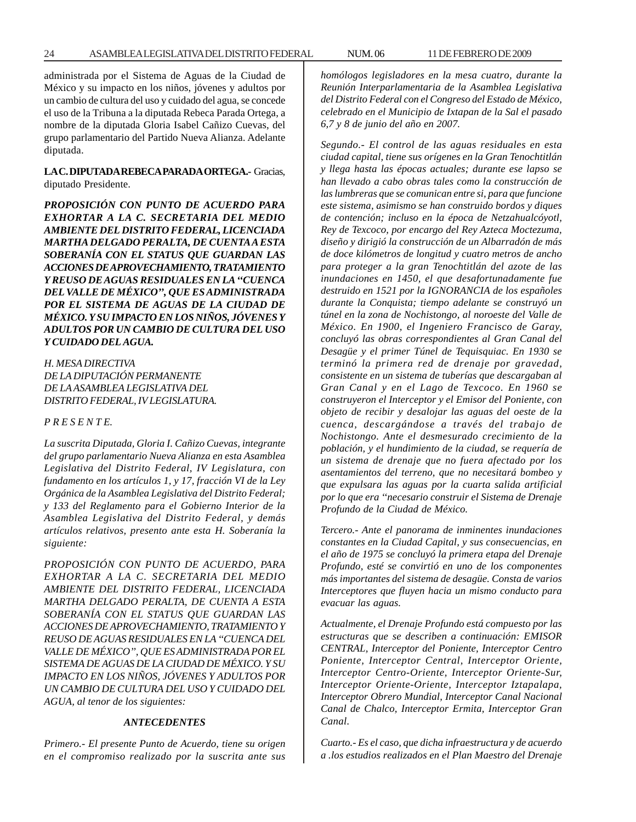administrada por el Sistema de Aguas de la Ciudad de México y su impacto en los niños, jóvenes y adultos por un cambio de cultura del uso y cuidado del agua, se concede el uso de la Tribuna a la diputada Rebeca Parada Ortega, a nombre de la diputada Gloria Isabel Cañizo Cuevas, del grupo parlamentario del Partido Nueva Alianza. Adelante diputada.

**LA C. DIPUTADA REBECA PARADA ORTEGA.-** Gracias, diputado Presidente.

*PROPOSICIÓN CON PUNTO DE ACUERDO PARA EXHORTAR A LA C. SECRETARIA DEL MEDIO AMBIENTE DEL DISTRITO FEDERAL, LICENCIADA MARTHA DELGADO PERALTA, DE CUENTA A ESTA SOBERANÍA CON EL STATUS QUE GUARDAN LAS ACCIONES DE APROVECHAMIENTO, TRATAMIENTO Y REUSO DE AGUAS RESIDUALES EN LA ''CUENCA DEL VALLE DE MÉXICO'', QUE ES ADMINISTRADA POR EL SISTEMA DE AGUAS DE LA CIUDAD DE MÉXICO. Y SU IMPACTO EN LOS NIÑOS, JÓVENES Y ADULTOS POR UN CAMBIO DE CULTURA DEL USO Y CUIDADO DEL AGUA.*

*H. MESA DIRECTIVA DE LA DIPUTACIÓN PERMANENTE DE LA ASAMBLEA LEGISLATIVA DEL DISTRITO FEDERAL, IV LEGISLATURA.*

## *P R E S E N T E.*

*La suscrita Diputada, Gloria I. Cañizo Cuevas, integrante del grupo parlamentario Nueva Alianza en esta Asamblea Legislativa del Distrito Federal, IV Legislatura, con fundamento en los artículos 1, y 17, fracción VI de la Ley Orgánica de la Asamblea Legislativa del Distrito Federal; y 133 del Reglamento para el Gobierno Interior de la Asamblea Legislativa del Distrito Federal, y demás artículos relativos, presento ante esta H. Soberanía la siguiente:*

*PROPOSICIÓN CON PUNTO DE ACUERDO, PARA EXHORTAR A LA C. SECRETARIA DEL MEDIO AMBIENTE DEL DISTRITO FEDERAL, LICENCIADA MARTHA DELGADO PERALTA, DE CUENTA A ESTA SOBERANÍA CON EL STATUS QUE GUARDAN LAS ACCIONES DE APROVECHAMIENTO, TRATAMIENTO Y REUSO DE AGUAS RESIDUALES EN LA ''CUENCA DEL VALLE DE MÉXICO'', QUE ES ADMINISTRADA POR EL SISTEMA DE AGUAS DE LA CIUDAD DE MÉXICO. Y SU IMPACTO EN LOS NIÑOS, JÓVENES Y ADULTOS POR UN CAMBIO DE CULTURA DEL USO Y CUIDADO DEL AGUA, al tenor de los siguientes:*

#### *ANTECEDENTES*

*Primero.- El presente Punto de Acuerdo, tiene su origen en el compromiso realizado por la suscrita ante sus* *homólogos legisladores en la mesa cuatro, durante la Reunión Interparlamentaria de la Asamblea Legislativa del Distrito Federal con el Congreso del Estado de México, celebrado en el Municipio de Ixtapan de la Sal el pasado 6,7 y 8 de junio del año en 2007.*

*Segundo.- El control de las aguas residuales en esta ciudad capital, tiene sus orígenes en la Gran Tenochtitlán y llega hasta las épocas actuales; durante ese lapso se han llevado a cabo obras tales como la construcción de las lumbreras que se comunican entre si, para que funcione este sistema, asimismo se han construido bordos y diques de contención; incluso en la época de Netzahualcóyotl, Rey de Texcoco, por encargo del Rey Azteca Moctezuma, diseño y dirigió la construcción de un Albarradón de más de doce kilómetros de longitud y cuatro metros de ancho para proteger a la gran Tenochtitlán del azote de las inundaciones en 1450, el que desafortunadamente fue destruido en 1521 por la IGNORANCIA de los españoles durante la Conquista; tiempo adelante se construyó un túnel en la zona de Nochistongo, al noroeste del Valle de México. En 1900, el Ingeniero Francisco de Garay, concluyó las obras correspondientes al Gran Canal del Desagüe y el primer Túnel de Tequisquiac. En 1930 se terminó la primera red de drenaje por gravedad, consistente en un sistema de tuberías que descargaban al Gran Canal y en el Lago de Texcoco. En 1960 se construyeron el Interceptor y el Emisor del Poniente, con objeto de recibir y desalojar las aguas del oeste de la cuenca, descargándose a través del trabajo de Nochistongo. Ante el desmesurado crecimiento de la población, y el hundimiento de la ciudad, se requería de un sistema de drenaje que no fuera afectado por los asentamientos del terreno, que no necesitará bombeo y que expulsara las aguas por la cuarta salida artificial por lo que era ''necesario construir el Sistema de Drenaje Profundo de la Ciudad de México.*

*Tercero.- Ante el panorama de inminentes inundaciones constantes en la Ciudad Capital, y sus consecuencias, en el año de 1975 se concluyó la primera etapa del Drenaje Profundo, esté se convirtió en uno de los componentes más importantes del sistema de desagüe. Consta de varios Interceptores que fluyen hacia un mismo conducto para evacuar las aguas.*

*Actualmente, el Drenaje Profundo está compuesto por las estructuras que se describen a continuación: EMISOR CENTRAL, Interceptor del Poniente, Interceptor Centro Poniente, Interceptor Central, Interceptor Oriente, Interceptor Centro-Oriente, Interceptor Oriente-Sur, Interceptor Oriente-Oriente, Interceptor Iztapalapa, Interceptor Obrero Mundial, Interceptor Canal Nacional Canal de Chalco, Interceptor Ermita, Interceptor Gran Canal.*

*Cuarto.- Es el caso, que dicha infraestructura y de acuerdo a .los estudios realizados en el Plan Maestro del Drenaje*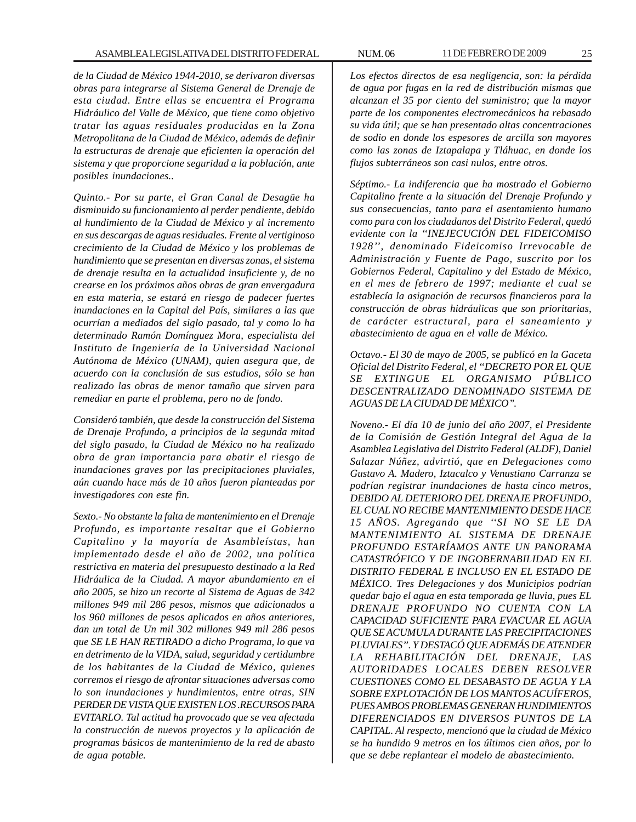*de la Ciudad de México 1944-2010, se derivaron diversas obras para integrarse al Sistema General de Drenaje de esta ciudad. Entre ellas se encuentra el Programa Hidráulico del Valle de México, que tiene como objetivo tratar las aguas residuales producidas en la Zona Metropolitana de la Ciudad de México, además de definir la estructuras de drenaje que eficienten la operación del sistema y que proporcione seguridad a la población, ante posibles inundaciones..*

*Quinto.- Por su parte, el Gran Canal de Desagüe ha disminuido su funcionamiento al perder pendiente, debido al hundimiento de la Ciudad de México y al incremento en sus descargas de aguas residuales. Frente al vertiginoso crecimiento de la Ciudad de México y los problemas de hundimiento que se presentan en diversas zonas, el sistema de drenaje resulta en la actualidad insuficiente y, de no crearse en los próximos años obras de gran envergadura en esta materia, se estará en riesgo de padecer fuertes inundaciones en la Capital del País, similares a las que ocurrían a mediados del siglo pasado, tal y como lo ha determinado Ramón Domínguez Mora, especialista del Instituto de Ingeniería de la Universidad Nacional Autónoma de México (UNAM), quien asegura que, de acuerdo con la conclusión de sus estudios, sólo se han realizado las obras de menor tamaño que sirven para remediar en parte el problema, pero no de fondo.*

*Consideró también, que desde la construcción del Sistema de Drenaje Profundo, a principios de la segunda mitad del siglo pasado, la Ciudad de México no ha realizado obra de gran importancia para abatir el riesgo de inundaciones graves por las precipitaciones pluviales, aún cuando hace más de 10 años fueron planteadas por investigadores con este fin.*

*Sexto.- No obstante la falta de mantenimiento en el Drenaje Profundo, es importante resaltar que el Gobierno Capitalino y la mayoría de Asambleístas, han implementado desde el año de 2002, una política restrictiva en materia del presupuesto destinado a la Red Hidráulica de la Ciudad. A mayor abundamiento en el año 2005, se hizo un recorte al Sistema de Aguas de 342 millones 949 mil 286 pesos, mismos que adicionados a los 960 millones de pesos aplicados en años anteriores, dan un total de Un mil 302 millones 949 mil 286 pesos que SE LE HAN RETIRADO a dicho Programa, lo que va en detrimento de la VIDA, salud, seguridad y certidumbre de los habitantes de la Ciudad de México, quienes corremos el riesgo de afrontar situaciones adversas como lo son inundaciones y hundimientos, entre otras, SIN PERDER DE VISTA QUE EXISTEN LOS .RECURSOS PARA EVITARLO. Tal actitud ha provocado que se vea afectada la construcción de nuevos proyectos y la aplicación de programas básicos de mantenimiento de la red de abasto de agua potable.*

*Los efectos directos de esa negligencia, son: la pérdida de agua por fugas en la red de distribución mismas que alcanzan el 35 por ciento del suministro; que la mayor parte de los componentes electromecánicos ha rebasado su vida útil; que se han presentado altas concentraciones de sodio en donde los espesores de arcilla son mayores como las zonas de Iztapalapa y Tláhuac, en donde los flujos subterráneos son casi nulos, entre otros.*

*Séptimo.- La indiferencia que ha mostrado el Gobierno Capitalino frente a la situación del Drenaje Profundo y sus consecuencias, tanto para el asentamiento humano como para con los ciudadanos del Distrito Federal, quedó evidente con la ''INEJECUCIÓN DEL FIDEICOMISO 1928'', denominado Fideicomiso Irrevocable de Administración y Fuente de Pago, suscrito por los Gobiernos Federal, Capitalino y del Estado de México, en el mes de febrero de 1997; mediante el cual se establecía la asignación de recursos financieros para la construcción de obras hidráulicas que son prioritarias, de carácter estructural, para el saneamiento y abastecimiento de agua en el valle de México.*

*Octavo.- El 30 de mayo de 2005, se publicó en la Gaceta Oficial del Distrito Federal, el ''DECRETO POR EL QUE SE EXTINGUE EL ORGANISMO PÚBLICO DESCENTRALIZADO DENOMINADO SISTEMA DE AGUAS DE LA CIUDAD DE MÉXICO''.*

*Noveno.- El día 10 de junio del año 2007, el Presidente de la Comisión de Gestión Integral del Agua de la Asamblea Legislativa del Distrito Federal (ALDF), Daniel Salazar Núñez, advirtió, que en Delegaciones como Gustavo A. Madero, Iztacalco y Venustiano Carranza se podrían registrar inundaciones de hasta cinco metros, DEBIDO AL DETERIORO DEL DRENAJE PROFUNDO, EL CUAL NO RECIBE MANTENIMIENTO DESDE HACE 15 AÑOS. Agregando que ''SI NO SE LE DA MANTENIMIENTO AL SISTEMA DE DRENAJE PROFUNDO ESTARÍAMOS ANTE UN PANORAMA CATASTRÓFICO Y DE INGOBERNABILIDAD EN EL DISTRITO FEDERAL E INCLUSO EN EL ESTADO DE MÉXICO. Tres Delegaciones y dos Municipios podrían quedar bajo el agua en esta temporada ge lluvia, pues EL DRENAJE PROFUNDO NO CUENTA CON LA CAPACIDAD SUFICIENTE PARA EVACUAR EL AGUA QUE SE ACUMULA DURANTE LAS PRECIPITACIONES PLUVIALES''. Y DESTACÓ QUE ADEMÁS DE ATENDER LA REHABILITACIÓN DEL DRENAJE, LAS AUTORIDADES LOCALES DEBEN RESOLVER CUESTIONES COMO EL DESABASTO DE AGUA Y LA SOBRE EXPLOTACIÓN DE LOS MANTOS ACUÍFEROS, PUES AMBOS PROBLEMAS GENERAN HUNDIMIENTOS DIFERENCIADOS EN DIVERSOS PUNTOS DE LA CAPITAL. Al respecto, mencionó que la ciudad de México se ha hundido 9 metros en los últimos cien años, por lo que se debe replantear el modelo de abastecimiento.*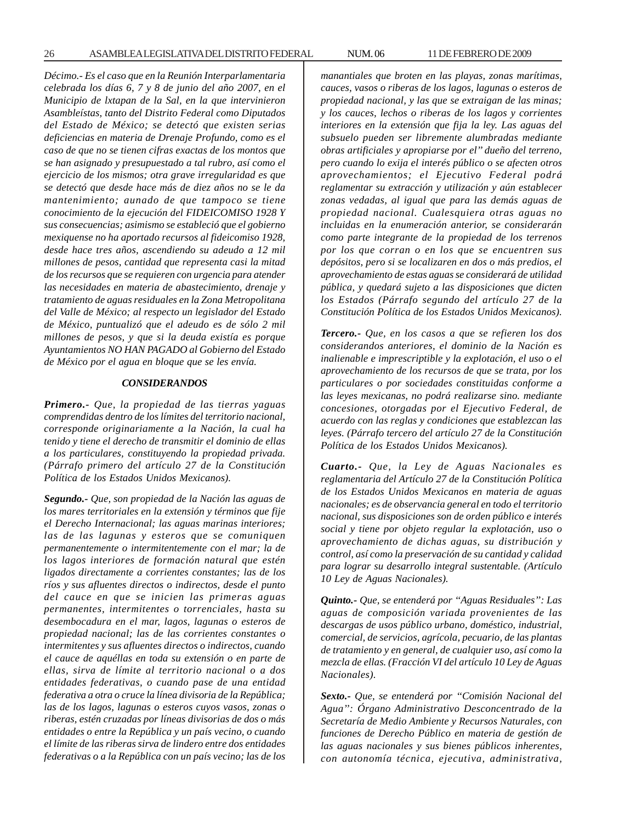*Décimo.- Es el caso que en la Reunión Interparlamentaria celebrada los días 6, 7 y 8 de junio del año 2007, en el Municipio de lxtapan de la Sal, en la que intervinieron Asambleístas, tanto del Distrito Federal como Diputados del Estado de México; se detectó que existen serias deficiencias en materia de Drenaje Profundo, como es el caso de que no se tienen cifras exactas de los montos que se han asignado y presupuestado a tal rubro, así como el ejercicio de los mismos; otra grave irregularidad es que se detectó que desde hace más de diez años no se le da mantenimiento; aunado de que tampoco se tiene conocimiento de la ejecución del FIDEICOMISO 1928 Y sus consecuencias; asimismo se estableció que el gobierno mexiquense no ha aportado recursos al fideicomiso 1928, desde hace tres años, ascendiendo su adeudo a 12 mil millones de pesos, cantidad que representa casi la mitad de los recursos que se requieren con urgencia para atender las necesidades en materia de abastecimiento, drenaje y tratamiento de aguas residuales en la Zona Metropolitana del Valle de México; al respecto un legislador del Estado de México, puntualizó que el adeudo es de sólo 2 mil millones de pesos, y que si la deuda existía es porque Ayuntamientos NO HAN PAGADO al Gobierno del Estado de México por el agua en bloque que se les envía.*

#### *CONSIDERANDOS*

*Primero.- Que, la propiedad de las tierras yaguas comprendidas dentro de los límites del territorio nacional, corresponde originariamente a la Nación, la cual ha tenido y tiene el derecho de transmitir el dominio de ellas a los particulares, constituyendo la propiedad privada. (Párrafo primero del artículo 27 de la Constitución Política de los Estados Unidos Mexicanos).*

*Segundo.- Que, son propiedad de la Nación las aguas de los mares territoriales en la extensión y términos que fije el Derecho Internacional; las aguas marinas interiores; las de las lagunas y esteros que se comuniquen permanentemente o intermitentemente con el mar; la de los lagos interiores de formación natural que estén ligados directamente a corrientes constantes; las de los ríos y sus afluentes directos o indirectos, desde el punto del cauce en que se inicien las primeras aguas permanentes, intermitentes o torrenciales, hasta su desembocadura en el mar, lagos, lagunas o esteros de propiedad nacional; las de las corrientes constantes o intermitentes y sus afluentes directos o indirectos, cuando el cauce de aquéllas en toda su extensión o en parte de ellas, sirva de límite al territorio nacional o a dos entidades federativas, o cuando pase de una entidad federativa a otra o cruce la línea divisoria de la República; las de los lagos, lagunas o esteros cuyos vasos, zonas o riberas, estén cruzadas por líneas divisorias de dos o más entidades o entre la República y un país vecino, o cuando el límite de las riberas sirva de lindero entre dos entidades federativas o a la República con un país vecino; las de los*

*manantiales que broten en las playas, zonas marítimas, cauces, vasos o riberas de los lagos, lagunas o esteros de propiedad nacional, y las que se extraigan de las minas; y los cauces, lechos o riberas de los lagos y corrientes interiores en la extensión que fija la ley. Las aguas del subsuelo pueden ser libremente alumbradas mediante obras artificiales y apropiarse por el'' dueño del terreno, pero cuando lo exija el interés público o se afecten otros aprovechamientos; el Ejecutivo Federal podrá reglamentar su extracción y utilización y aún establecer zonas vedadas, al igual que para las demás aguas de propiedad nacional. Cualesquiera otras aguas no incluidas en la enumeración anterior, se considerarán como parte integrante de la propiedad de los terrenos por los que corran o en los que se encuentren sus depósitos, pero si se localizaren en dos o más predios, el aprovechamiento de estas aguas se considerará de utilidad pública, y quedará sujeto a las disposiciones que dicten los Estados (Párrafo segundo del artículo 27 de la Constitución Política de los Estados Unidos Mexicanos).*

*Tercero.- Que, en los casos a que se refieren los dos considerandos anteriores, el dominio de la Nación es inalienable e imprescriptible y la explotación, el uso o el aprovechamiento de los recursos de que se trata, por los particulares o por sociedades constituidas conforme a las leyes mexicanas, no podrá realizarse sino. mediante concesiones, otorgadas por el Ejecutivo Federal, de acuerdo con las reglas y condiciones que establezcan las leyes. (Párrafo tercero del artículo 27 de la Constitución Política de los Estados Unidos Mexicanos).*

*Cuarto.- Que, la Ley de Aguas Nacionales es reglamentaria del Artículo 27 de la Constitución Política de los Estados Unidos Mexicanos en materia de aguas nacionales; es de observancia general en todo el territorio nacional, sus disposiciones son de orden público e interés social y tiene por objeto regular la explotación, uso o aprovechamiento de dichas aguas, su distribución y control, así como la preservación de su cantidad y calidad para lograr su desarrollo integral sustentable. (Artículo 10 Ley de Aguas Nacionales).*

*Quinto.- Que, se entenderá por ''Aguas Residuales'': Las aguas de composición variada provenientes de las descargas de usos público urbano, doméstico, industrial, comercial, de servicios, agrícola, pecuario, de las plantas de tratamiento y en general, de cualquier uso, así como la mezcla de ellas. (Fracción VI del artículo 10 Ley de Aguas Nacionales).*

*Sexto.- Que, se entenderá por ''Comisión Nacional del Agua'': Órgano Administrativo Desconcentrado de la Secretaría de Medio Ambiente y Recursos Naturales, con funciones de Derecho Público en materia de gestión de las aguas nacionales y sus bienes públicos inherentes, con autonomía técnica, ejecutiva, administrativa,*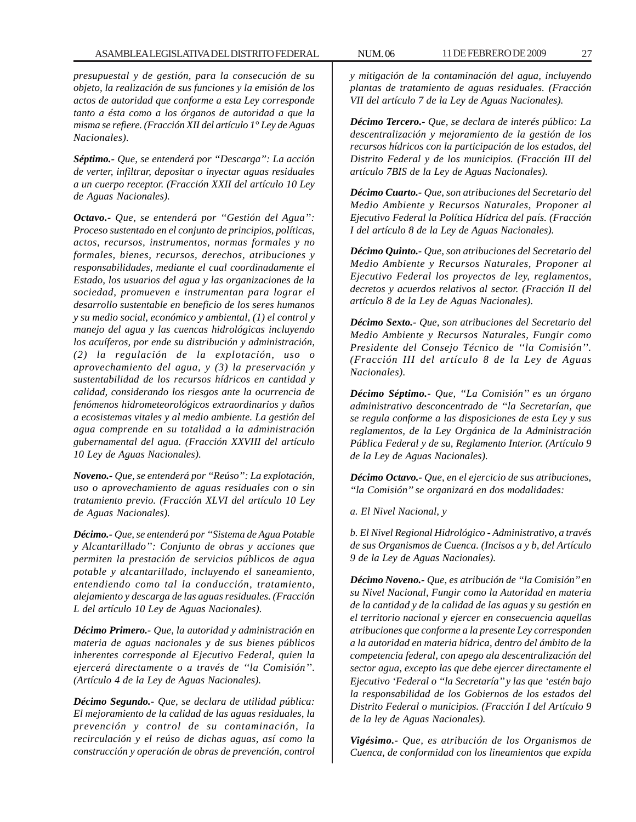*presupuestal y de gestión, para la consecución de su objeto, la realización de sus funciones y la emisión de los actos de autoridad que conforme a esta Ley corresponde tanto a ésta como a los órganos de autoridad a que la misma se refiere. (Fracción XII del artículo 1° Ley de Aguas Nacionales).*

*Séptimo.- Que, se entenderá por ''Descarga'': La acción de verter, infiltrar, depositar o inyectar aguas residuales a un cuerpo receptor. (Fracción XXII del artículo 10 Ley de Aguas Nacionales).*

*Octavo.- Que, se entenderá por ''Gestión del Agua'': Proceso sustentado en el conjunto de principios, políticas, actos, recursos, instrumentos, normas formales y no formales, bienes, recursos, derechos, atribuciones y responsabilidades, mediante el cual coordinadamente el Estado, los usuarios del agua y las organizaciones de la sociedad, promueven e instrumentan para lograr el desarrollo sustentable en beneficio de los seres humanos y su medio social, económico y ambiental, (1) el control y manejo del agua y las cuencas hidrológicas incluyendo los acuíferos, por ende su distribución y administración, (2) la regulación de la explotación, uso o aprovechamiento del agua, y (3) la preservación y sustentabilidad de los recursos hídricos en cantidad y calidad, considerando los riesgos ante la ocurrencia de fenómenos hidrometeorológicos extraordinarios y daños a ecosistemas vitales y al medio ambiente. La gestión del agua comprende en su totalidad a la administración gubernamental del agua. (Fracción XXVIII del artículo 10 Ley de Aguas Nacionales).*

*Noveno.- Que, se entenderá por ''Reúso'': La explotación, uso o aprovechamiento de aguas residuales con o sin tratamiento previo. (Fracción XLVI del artículo 10 Ley de Aguas Nacionales).*

*Décimo.- Que, se entenderá por ''Sistema de Agua Potable y Alcantarillado'': Conjunto de obras y acciones que permiten la prestación de servicios públicos de agua potable y alcantarillado, incluyendo el saneamiento, entendiendo como tal la conducción, tratamiento, alejamiento y descarga de las aguas residuales. (Fracción L del artículo 10 Ley de Aguas Nacionales).*

*Décimo Primero.- Que, la autoridad y administración en materia de aguas nacionales y de sus bienes públicos inherentes corresponde al Ejecutivo Federal, quien la ejercerá directamente o a través de ''la Comisión''. (Artículo 4 de la Ley de Aguas Nacionales).*

*Décimo Segundo.- Que, se declara de utilidad pública: El mejoramiento de la calidad de las aguas residuales, la prevención y control de su contaminación, la recirculación y el reúso de dichas aguas, así como la construcción y operación de obras de prevención, control* *y mitigación de la contaminación del agua, incluyendo plantas de tratamiento de aguas residuales. (Fracción VII del artículo 7 de la Ley de Aguas Nacionales).*

*Décimo Tercero.- Que, se declara de interés público: La descentralización y mejoramiento de la gestión de los recursos hídricos con la participación de los estados, del Distrito Federal y de los municipios. (Fracción III del artículo 7BIS de la Ley de Aguas Nacionales).*

*Décimo Cuarto.- Que, son atribuciones del Secretario del Medio Ambiente y Recursos Naturales, Proponer al Ejecutivo Federal la Política Hídrica del país. (Fracción I del artículo 8 de la Ley de Aguas Nacionales).*

*Décimo Quinto.- Que, son atribuciones del Secretario del Medio Ambiente y Recursos Naturales, Proponer al Ejecutivo Federal los proyectos de ley, reglamentos, decretos y acuerdos relativos al sector. (Fracción II del artículo 8 de la Ley de Aguas Nacionales).*

*Décimo Sexto.- Que, son atribuciones del Secretario del Medio Ambiente y Recursos Naturales, Fungir como Presidente del Consejo Técnico de ''la Comisión''. (Fracción III del artículo 8 de la Ley de Aguas Nacionales).*

*Décimo Séptimo.- Que, ''La Comisión'' es un órgano administrativo desconcentrado de ''la Secretarían, que se regula conforme a las disposiciones de esta Ley y sus reglamentos, de la Ley Orgánica de la Administración Pública Federal y de su, Reglamento Interior. (Artículo 9 de la Ley de Aguas Nacionales).*

*Décimo Octavo.- Que, en el ejercicio de sus atribuciones, ''la Comisión'' se organizará en dos modalidades:*

*a. El Nivel Nacional, y*

*b. El Nivel Regional Hidrológico - Administrativo, a través de sus Organismos de Cuenca. (Incisos a y b, del Artículo 9 de la Ley de Aguas Nacionales).*

*Décimo Noveno.- Que, es atribución de ''la Comisión'' en su Nivel Nacional, Fungir como la Autoridad en materia de la cantidad y de la calidad de las aguas y su gestión en el territorio nacional y ejercer en consecuencia aquellas atribuciones que conforme a la presente Ley corresponden a la autoridad en materia hídrica, dentro del ámbito de la competencia federal, con apego ala descentralización del sector agua, excepto las que debe ejercer directamente el Ejecutivo 'Federal o ''la Secretaría'' y las que 'estén bajo la responsabilidad de los Gobiernos de los estados del Distrito Federal o municipios. (Fracción I del Artículo 9 de la ley de Aguas Nacionales).*

*Vigésimo.- Que, es atribución de los Organismos de Cuenca, de conformidad con los lineamientos que expida*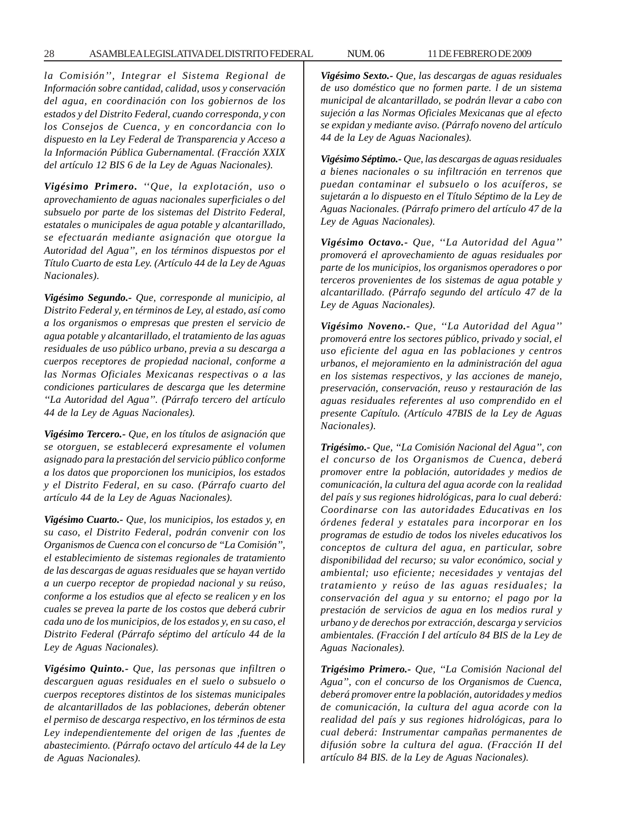*la Comisión'', Integrar el Sistema Regional de Información sobre cantidad, calidad, usos y conservación del agua, en coordinación con los gobiernos de los estados y del Distrito Federal, cuando corresponda, y con los Consejos de Cuenca, y en concordancia con lo dispuesto en la Ley Federal de Transparencia y Acceso a la Información Pública Gubernamental. (Fracción XXIX del artículo 12 BIS 6 de la Ley de Aguas Nacionales).*

*Vigésimo Primero. ''Que, la explotación, uso o aprovechamiento de aguas nacionales superficiales o del subsuelo por parte de los sistemas del Distrito Federal, estatales o municipales de agua potable y alcantarillado, se efectuarán mediante asignación que otorgue la Autoridad del Agua'', en los términos dispuestos por el Título Cuarto de esta Ley. (Artículo 44 de la Ley de Aguas Nacionales).*

*Vigésimo Segundo.- Que, corresponde al municipio, al Distrito Federal y, en términos de Ley, al estado, así como a los organismos o empresas que presten el servicio de agua potable y alcantarillado, el tratamiento de las aguas residuales de uso público urbano, previa a su descarga a cuerpos receptores de propiedad nacional, conforme a las Normas Oficiales Mexicanas respectivas o a las condiciones particulares de descarga que les determine ''La Autoridad del Agua''. (Párrafo tercero del artículo 44 de la Ley de Aguas Nacionales).*

*Vigésimo Tercero.- Que, en los títulos de asignación que se otorguen, se establecerá expresamente el volumen asignado para la prestación del servicio público conforme a los datos que proporcionen los municipios, los estados y el Distrito Federal, en su caso. (Párrafo cuarto del artículo 44 de la Ley de Aguas Nacionales).*

*Vigésimo Cuarto.- Que, los municipios, los estados y, en su caso, el Distrito Federal, podrán convenir con los Organismos de Cuenca con el concurso de ''La Comisión'', el establecimiento de sistemas regionales de tratamiento de las descargas de aguas residuales que se hayan vertido a un cuerpo receptor de propiedad nacional y su reúso, conforme a los estudios que al efecto se realicen y en los cuales se prevea la parte de los costos que deberá cubrir cada uno de los municipios, de los estados y, en su caso, el Distrito Federal (Párrafo séptimo del artículo 44 de la Ley de Aguas Nacionales).*

*Vigésimo Quinto.- Que, las personas que infiltren o descarguen aguas residuales en el suelo o subsuelo o cuerpos receptores distintos de los sistemas municipales de alcantarillados de las poblaciones, deberán obtener el permiso de descarga respectivo, en los términos de esta Ley independientemente del origen de las ,fuentes de abastecimiento. (Párrafo octavo del artículo 44 de la Ley de Aguas Nacionales).*

*Vigésimo Sexto.- Que, las descargas de aguas residuales de uso doméstico que no formen parte. l de un sistema municipal de alcantarillado, se podrán llevar a cabo con sujeción a las Normas Oficiales Mexicanas que al efecto se expidan y mediante aviso. (Párrafo noveno del artículo 44 de la Ley de Aguas Nacionales).*

*Vigésimo Séptimo.- Que, las descargas de aguas residuales a bienes nacionales o su infiltración en terrenos que puedan contaminar el subsuelo o los acuíferos, se sujetarán a lo dispuesto en el Título Séptimo de la Ley de Aguas Nacionales. (Párrafo primero del artículo 47 de la Ley de Aguas Nacionales).*

*Vigésimo Octavo.- Que, ''La Autoridad del Agua'' promoverá el aprovechamiento de aguas residuales por parte de los municipios, los organismos operadores o por terceros provenientes de los sistemas de agua potable y alcantarillado. (Párrafo segundo del artículo 47 de la Ley de Aguas Nacionales).*

*Vigésimo Noveno.- Que, ''La Autoridad del Agua'' promoverá entre los sectores público, privado y social, el uso eficiente del agua en las poblaciones y centros urbanos, el mejoramiento en la administración del agua en los sistemas respectivos, y las acciones de manejo, preservación, conservación, reuso y restauración de las aguas residuales referentes al uso comprendido en el presente Capítulo. (Artículo 47BIS de la Ley de Aguas Nacionales).*

*Trigésimo.- Que, ''La Comisión Nacional del Agua'', con el concurso de los Organismos de Cuenca, deberá promover entre la población, autoridades y medios de comunicación, la cultura del agua acorde con la realidad del país y sus regiones hidrológicas, para lo cual deberá: Coordinarse con las autoridades Educativas en los órdenes federal y estatales para incorporar en los programas de estudio de todos los niveles educativos los conceptos de cultura del agua, en particular, sobre disponibilidad del recurso; su valor económico, social y ambiental; uso eficiente; necesidades y ventajas del tratamiento y reúso de las aguas residuales; la conservación del agua y su entorno; el pago por la prestación de servicios de agua en los medios rural y urbano y de derechos por extracción, descarga y servicios ambientales. (Fracción I del artículo 84 BIS de la Ley de Aguas Nacionales).*

*Trigésimo Primero.- Que, ''La Comisión Nacional del Agua'', con el concurso de los Organismos de Cuenca, deberá promover entre la población, autoridades y medios de comunicación, la cultura del agua acorde con la realidad del país y sus regiones hidrológicas, para lo cual deberá: Instrumentar campañas permanentes de difusión sobre la cultura del agua. (Fracción II del artículo 84 BIS. de la Ley de Aguas Nacionales).*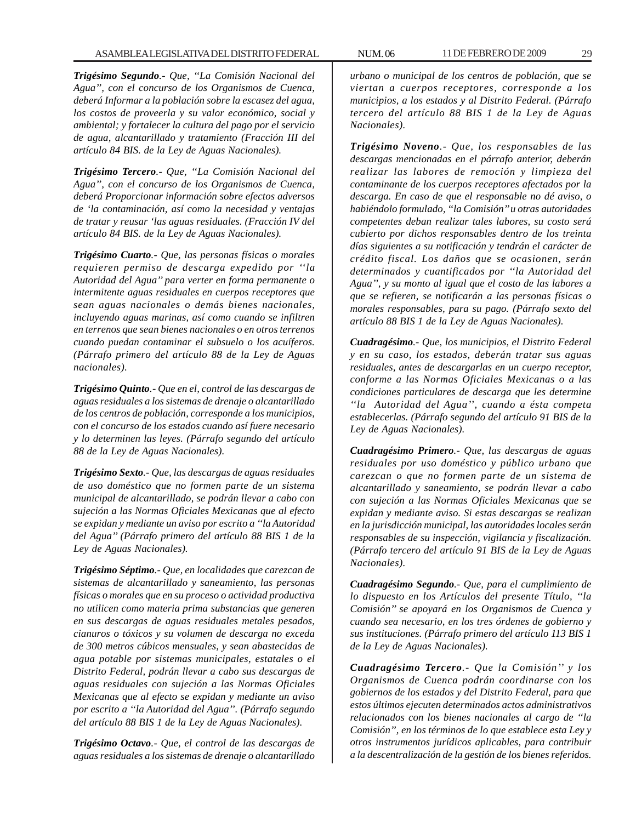*Trigésimo Segundo.- Que, ''La Comisión Nacional del Agua'', con el concurso de los Organismos de Cuenca, deberá Informar a la población sobre la escasez del agua, los costos de proveerla y su valor económico, social y ambiental; y fortalecer la cultura del pago por el servicio de agua, alcantarillado y tratamiento (Fracción III del artículo 84 BIS. de la Ley de Aguas Nacionales).*

*Trigésimo Tercero.- Que, ''La Comisión Nacional del Agua'', con el concurso de los Organismos de Cuenca, deberá Proporcionar información sobre efectos adversos de 'la contaminación, así como la necesidad y ventajas de tratar y reusar 'las aguas residuales. (Fracción IV del artículo 84 BIS. de la Ley de Aguas Nacionales).*

*Trigésimo Cuarto.- Que, las personas físicas o morales requieren permiso de descarga expedido por ''la Autoridad del Agua'' para verter en forma permanente o intermitente aguas residuales en cuerpos receptores que sean aguas nacionales o demás bienes nacionales, incluyendo aguas marinas, así como cuando se infiltren en terrenos que sean bienes nacionales o en otros terrenos cuando puedan contaminar el subsuelo o los acuíferos. (Párrafo primero del artículo 88 de la Ley de Aguas nacionales).*

*Trigésimo Quinto.- Que en el, control de las descargas de aguas residuales a los sistemas de drenaje o alcantarillado de los centros de población, corresponde a los municipios, con el concurso de los estados cuando así fuere necesario y lo determinen las leyes. (Párrafo segundo del artículo 88 de la Ley de Aguas Nacionales).*

*Trigésimo Sexto.- Que, las descargas de aguas residuales de uso doméstico que no formen parte de un sistema municipal de alcantarillado, se podrán llevar a cabo con sujeción a las Normas Oficiales Mexicanas que al efecto se expidan y mediante un aviso por escrito a ''la Autoridad del Agua'' (Párrafo primero del artículo 88 BIS 1 de la Ley de Aguas Nacionales).*

*Trigésimo Séptimo.- Que, en localidades que carezcan de sistemas de alcantarillado y saneamiento, las personas físicas o morales que en su proceso o actividad productiva no utilicen como materia prima substancias que generen en sus descargas de aguas residuales metales pesados, cianuros o tóxicos y su volumen de descarga no exceda de 300 metros cúbicos mensuales, y sean abastecidas de agua potable por sistemas municipales, estatales o el Distrito Federal, podrán llevar a cabo sus descargas de aguas residuales con sujeción a las Normas Oficiales Mexicanas que al efecto se expidan y mediante un aviso por escrito a ''la Autoridad del Agua''. (Párrafo segundo del artículo 88 BIS 1 de la Ley de Aguas Nacionales).*

*Trigésimo Octavo.- Que, el control de las descargas de aguas residuales a los sistemas de drenaje o alcantarillado* *urbano o municipal de los centros de población, que se viertan a cuerpos receptores, corresponde a los municipios, a los estados y al Distrito Federal. (Párrafo tercero del artículo 88 BIS 1 de la Ley de Aguas Nacionales).*

*Trigésimo Noveno.- Que, los responsables de las descargas mencionadas en el párrafo anterior, deberán realizar las labores de remoción y limpieza del contaminante de los cuerpos receptores afectados por la descarga. En caso de que el responsable no dé aviso, o habiéndolo formulado, ''la Comisión'' u otras autoridades competentes deban realizar tales labores, su costo será cubierto por dichos responsables dentro de los treinta días siguientes a su notificación y tendrán el carácter de crédito fiscal. Los daños que se ocasionen, serán determinados y cuantificados por ''la Autoridad del Agua'', y su monto al igual que el costo de las labores a que se refieren, se notificarán a las personas físicas o morales responsables, para su pago. (Párrafo sexto del artículo 88 BIS 1 de la Ley de Aguas Nacionales).*

*Cuadragésimo.- Que, los municipios, el Distrito Federal y en su caso, los estados, deberán tratar sus aguas residuales, antes de descargarlas en un cuerpo receptor, conforme a las Normas Oficiales Mexicanas o a las condiciones particulares de descarga que les determine ''la Autoridad del Agua'', cuando a ésta competa establecerlas. (Párrafo segundo del artículo 91 BIS de la Ley de Aguas Nacionales).*

*Cuadragésimo Primero.- Que, las descargas de aguas residuales por uso doméstico y público urbano que carezcan o que no formen parte de un sistema de alcantarillado y saneamiento, se podrán llevar a cabo con sujeción a las Normas Oficiales Mexicanas que se expidan y mediante aviso. Si estas descargas se realizan en la jurisdicción municipal, las autoridades locales serán responsables de su inspección, vigilancia y fiscalización. (Párrafo tercero del artículo 91 BIS de la Ley de Aguas Nacionales).*

*Cuadragésimo Segundo.- Que, para el cumplimiento de lo dispuesto en los Artículos del presente Título, ''la Comisión'' se apoyará en los Organismos de Cuenca y cuando sea necesario, en los tres órdenes de gobierno y sus instituciones. (Párrafo primero del artículo 113 BIS 1 de la Ley de Aguas Nacionales).*

*Cuadragésimo Tercero.- Que la Comisión'' y los Organismos de Cuenca podrán coordinarse con los gobiernos de los estados y del Distrito Federal, para que estos últimos ejecuten determinados actos administrativos relacionados con los bienes nacionales al cargo de ''la Comisión'', en los términos de lo que establece esta Ley y otros instrumentos jurídicos aplicables, para contribuir a la descentralización de la gestión de los bienes referidos.*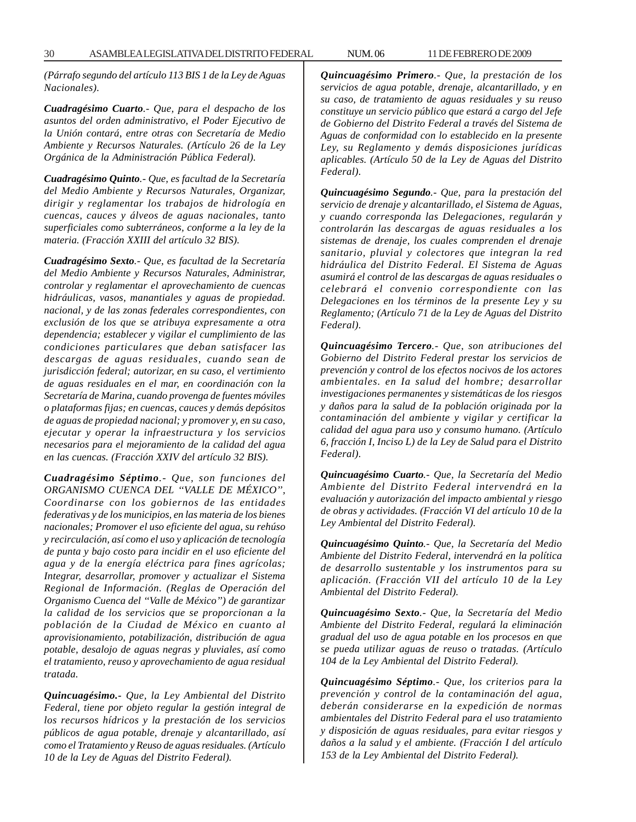*(Párrafo segundo del artículo 113 BIS 1 de la Ley de Aguas Nacionales).*

*Cuadragésimo Cuarto.- Que, para el despacho de los asuntos del orden administrativo, el Poder Ejecutivo de la Unión contará, entre otras con Secretaría de Medio Ambiente y Recursos Naturales. (Artículo 26 de la Ley Orgánica de la Administración Pública Federal).*

*Cuadragésimo Quinto.- Que, es facultad de la Secretaría del Medio Ambiente y Recursos Naturales, Organizar, dirigir y reglamentar los trabajos de hidrología en cuencas, cauces y álveos de aguas nacionales, tanto superficiales como subterráneos, conforme a la ley de la materia. (Fracción XXIII del artículo 32 BIS).*

*Cuadragésimo Sexto.- Que, es facultad de la Secretaría del Medio Ambiente y Recursos Naturales, Administrar, controlar y reglamentar el aprovechamiento de cuencas hidráulicas, vasos, manantiales y aguas de propiedad. nacional, y de las zonas federales correspondientes, con exclusión de los que se atribuya expresamente a otra dependencia; establecer y vigilar el cumplimiento de las condiciones particulares que deban satisfacer las descargas de aguas residuales, cuando sean de jurisdicción federal; autorizar, en su caso, el vertimiento de aguas residuales en el mar, en coordinación con la Secretaría de Marina, cuando provenga de fuentes móviles o plataformas fijas; en cuencas, cauces y demás depósitos de aguas de propiedad nacional; y promover y, en su caso, ejecutar y operar la infraestructura y los servicios necesarios para el mejoramiento de la calidad del agua en las cuencas. (Fracción XXIV del artículo 32 BIS).*

*Cuadragésimo Séptimo.- Que, son funciones del ORGANISMO CUENCA DEL ''VALLE DE MÉXICO'', Coordinarse con los gobiernos de las entidades federativas y de los municipios, en las materia de los bienes nacionales; Promover el uso eficiente del agua, su rehúso y recirculación, así como el uso y aplicación de tecnología de punta y bajo costo para incidir en el uso eficiente del agua y de la energía eléctrica para fines agrícolas; Integrar, desarrollar, promover y actualizar el Sistema Regional de Información. (Reglas de Operación del Organismo Cuenca del ''Valle de México'') de garantizar la calidad de los servicios que se proporcionan a la población de la Ciudad de México en cuanto al aprovisionamiento, potabilización, distribución de agua potable, desalojo de aguas negras y pluviales, así como el tratamiento, reuso y aprovechamiento de agua residual tratada.*

*Quincuagésimo.- Que, la Ley Ambiental del Distrito Federal, tiene por objeto regular la gestión integral de los recursos hídricos y la prestación de los servicios públicos de agua potable, drenaje y alcantarillado, así como el Tratamiento y Reuso de aguas residuales. (Artículo 10 de la Ley de Aguas del Distrito Federal).*

*Quincuagésimo Primero.- Que, la prestación de los servicios de agua potable, drenaje, alcantarillado, y en su caso, de tratamiento de aguas residuales y su reuso constituye un servicio público que estará a cargo del Jefe de Gobierno del Distrito Federal a través del Sistema de Aguas de conformidad con lo establecido en la presente Ley, su Reglamento y demás disposiciones jurídicas aplicables. (Artículo 50 de la Ley de Aguas del Distrito Federal).*

*Quincuagésimo Segundo.- Que, para la prestación del servicio de drenaje y alcantarillado, el Sistema de Aguas, y cuando corresponda las Delegaciones, regularán y controlarán las descargas de aguas residuales a los sistemas de drenaje, los cuales comprenden el drenaje sanitario, pluvial y colectores que integran la red hidráulica del Distrito Federal. El Sistema de Aguas asumirá el control de las descargas de aguas residuales o celebrará el convenio correspondiente con las Delegaciones en los términos de la presente Ley y su Reglamento; (Artículo 71 de la Ley de Aguas del Distrito Federal).*

*Quincuagésimo Tercero.- Que, son atribuciones del Gobierno del Distrito Federal prestar los servicios de prevención y control de los efectos nocivos de los actores ambientales. en Ia salud del hombre; desarrollar investigaciones permanentes y sistemáticas de los riesgos y daños para la salud de Ia población originada por la contaminación del ambiente y vigilar y certificar la calidad del agua para uso y consumo humano. (Artículo 6, fracción I, Inciso L) de la Ley de Salud para el Distrito Federal).*

*Quincuagésimo Cuarto.- Que, la Secretaría del Medio Ambiente del Distrito Federal intervendrá en la evaluación y autorización del impacto ambiental y riesgo de obras y actividades. (Fracción VI del artículo 10 de la Ley Ambiental del Distrito Federal).*

*Quincuagésimo Quinto.- Que, la Secretaría del Medio Ambiente del Distrito Federal, intervendrá en la política de desarrollo sustentable y los instrumentos para su aplicación. (Fracción VII del artículo 10 de la Ley Ambiental del Distrito Federal).*

*Quincuagésimo Sexto.- Que, la Secretaría del Medio Ambiente del Distrito Federal, regulará la eliminación gradual del uso de agua potable en los procesos en que se pueda utilizar aguas de reuso o tratadas. (Artículo 104 de la Ley Ambiental del Distrito Federal).*

*Quincuagésimo Séptimo.- Que, los criterios para la prevención y control de la contaminación del agua, deberán considerarse en la expedición de normas ambientales del Distrito Federal para el uso tratamiento y disposición de aguas residuales, para evitar riesgos y daños a la salud y el ambiente. (Fracción I del artículo 153 de la Ley Ambiental del Distrito Federal).*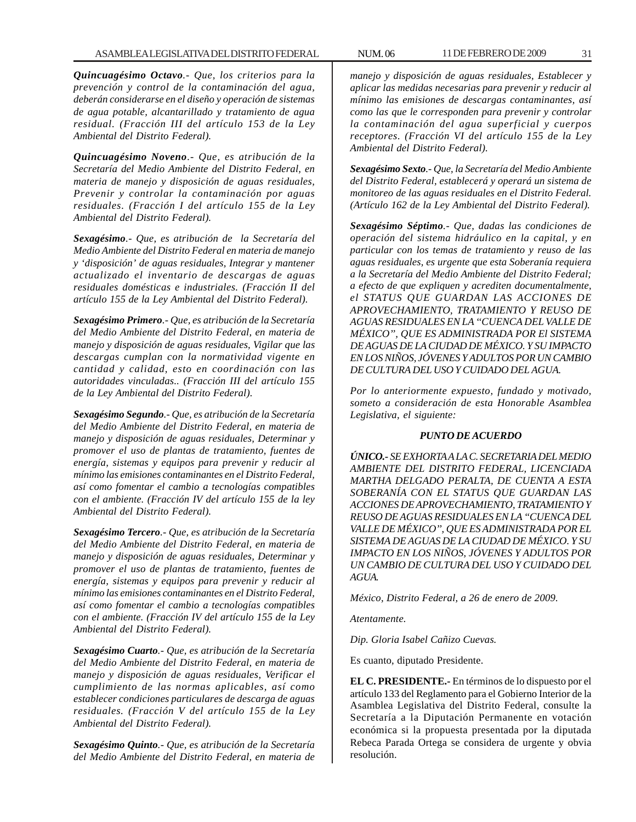*Quincuagésimo Octavo.- Que, los criterios para la prevención y control de la contaminación del agua, deberán considerarse en el diseño y operación de sistemas de agua potable, alcantarillado y tratamiento de agua residual. (Fracción III del artículo 153 de la Ley Ambiental del Distrito Federal).*

*Quincuagésimo Noveno.- Que, es atribución de la Secretaría del Medio Ambiente del Distrito Federal, en materia de manejo y disposición de aguas residuales, Prevenir y controlar la contaminación por aguas residuales. (Fracción I del artículo 155 de la Ley Ambiental del Distrito Federal).*

*Sexagésimo.- Que, es atribución de la Secretaría del Medio Ambiente del Distrito Federal en materia de manejo y 'disposición' de aguas residuales, Integrar y mantener actualizado el inventario de descargas de aguas residuales domésticas e industriales. (Fracción II del artículo 155 de la Ley Ambiental del Distrito Federal).*

*Sexagésimo Primero.- Que, es atribución de la Secretaría del Medio Ambiente del Distrito Federal, en materia de manejo y disposición de aguas residuales, Vigilar que las descargas cumplan con la normatividad vigente en cantidad y calidad, esto en coordinación con las autoridades vinculadas.. (Fracción III del artículo 155 de la Ley Ambiental del Distrito Federal).*

*Sexagésimo Segundo.- Que, es atribución de la Secretaría del Medio Ambiente del Distrito Federal, en materia de manejo y disposición de aguas residuales, Determinar y promover el uso de plantas de tratamiento, fuentes de energía, sistemas y equipos para prevenir y reducir al mínimo las emisiones contaminantes en el Distrito Federal, así como fomentar el cambio a tecnologías compatibles con el ambiente. (Fracción IV del artículo 155 de la ley Ambiental del Distrito Federal).*

*Sexagésimo Tercero.- Que, es atribución de la Secretaría del Medio Ambiente del Distrito Federal, en materia de manejo y disposición de aguas residuales, Determinar y promover el uso de plantas de tratamiento, fuentes de energía, sistemas y equipos para prevenir y reducir al mínimo las emisiones contaminantes en el Distrito Federal, así como fomentar el cambio a tecnologías compatibles con el ambiente. (Fracción IV del artículo 155 de la Ley Ambiental del Distrito Federal).*

*Sexagésimo Cuarto.- Que, es atribución de la Secretaría del Medio Ambiente del Distrito Federal, en materia de manejo y disposición de aguas residuales, Verificar el cumplimiento de las normas aplicables, así como establecer condiciones particulares de descarga de aguas residuales. (Fracción V del artículo 155 de la Ley Ambiental del Distrito Federal).*

*Sexagésimo Quinto.- Que, es atribución de la Secretaría del Medio Ambiente del Distrito Federal, en materia de*

*manejo y disposición de aguas residuales, Establecer y aplicar las medidas necesarias para prevenir y reducir al mínimo las emisiones de descargas contaminantes, así como las que le corresponden para prevenir y controlar la contaminación del agua superficial y cuerpos receptores. (Fracción VI del artículo 155 de la Ley Ambiental del Distrito Federal).*

*Sexagésimo Sexto.- Que, la Secretaría del Medio Ambiente del Distrito Federal, establecerá y operará un sistema de monitoreo de las aguas residuales en el Distrito Federal. (Artículo 162 de la Ley Ambiental del Distrito Federal).*

*Sexagésimo Séptimo.- Que, dadas las condiciones de operación del sistema hidráulico en la capital, y en particular con los temas de tratamiento y reuso de las aguas residuales, es urgente que esta Soberanía requiera a la Secretaría del Medio Ambiente del Distrito Federal; a efecto de que expliquen y acrediten documentalmente, el STATUS QUE GUARDAN LAS ACCIONES DE APROVECHAMIENTO, TRATAMIENTO Y REUSO DE AGUAS RESIDUALES EN LA ''CUENCA DEL VALLE DE MÉXICO'', QUE ES ADMINISTRADA POR El SISTEMA DE AGUAS DE LA CIUDAD DE MÉXICO. Y SU IMPACTO EN LOS NIÑOS, JÓVENES Y ADULTOS POR UN CAMBIO DE CULTURA DEL USO Y CUIDADO DEL AGUA.*

*Por lo anteriormente expuesto, fundado y motivado, someto a consideración de esta Honorable Asamblea Legislativa, el siguiente:*

#### *PUNTO DE ACUERDO*

*ÚNICO.- SE EXHORTA A LA C. SECRETARIA DEL MEDIO AMBIENTE DEL DISTRITO FEDERAL, LICENCIADA MARTHA DELGADO PERALTA, DE CUENTA A ESTA SOBERANÍA CON EL STATUS QUE GUARDAN LAS ACCIONES DE APROVECHAMIENTO, TRATAMIENTO Y REUSO DE AGUAS RESIDUALES EN LA ''CUENCA DEL VALLE DE MÉXICO'', QUE ES ADMINISTRADA POR EL SISTEMA DE AGUAS DE LA CIUDAD DE MÉXICO. Y SU IMPACTO EN LOS NIÑOS, JÓVENES Y ADULTOS POR UN CAMBIO DE CULTURA DEL USO Y CUIDADO DEL AGUA.*

*México, Distrito Federal, a 26 de enero de 2009.*

*Atentamente.*

*Dip. Gloria Isabel Cañizo Cuevas.*

Es cuanto, diputado Presidente.

**EL C. PRESIDENTE.-** En términos de lo dispuesto por el artículo 133 del Reglamento para el Gobierno Interior de la Asamblea Legislativa del Distrito Federal, consulte la Secretaría a la Diputación Permanente en votación económica si la propuesta presentada por la diputada Rebeca Parada Ortega se considera de urgente y obvia resolución.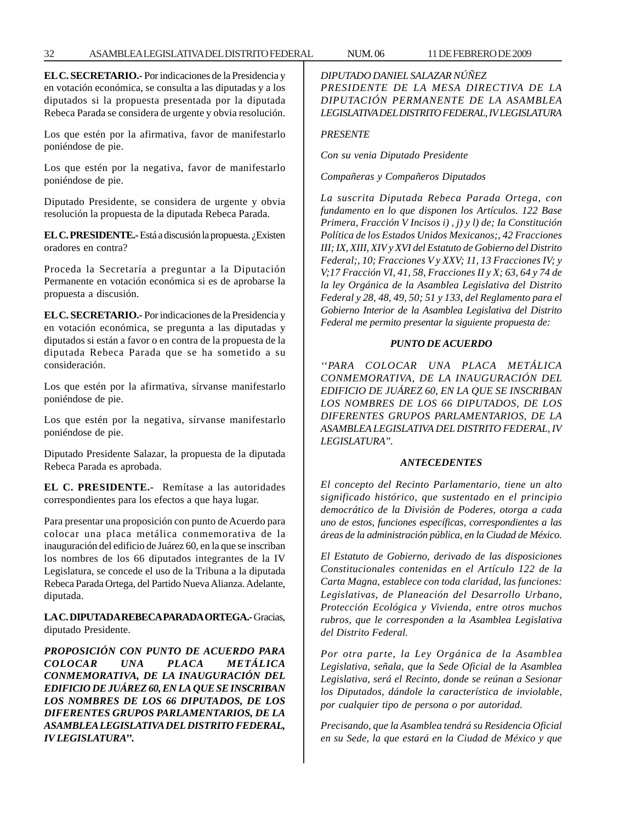**EL C. SECRETARIO.-** Por indicaciones de la Presidencia y en votación económica, se consulta a las diputadas y a los diputados si la propuesta presentada por la diputada Rebeca Parada se considera de urgente y obvia resolución.

Los que estén por la afirmativa, favor de manifestarlo poniéndose de pie.

Los que estén por la negativa, favor de manifestarlo poniéndose de pie.

Diputado Presidente, se considera de urgente y obvia resolución la propuesta de la diputada Rebeca Parada.

**EL C. PRESIDENTE.-** Está a discusión la propuesta. ¿Existen oradores en contra?

Proceda la Secretaría a preguntar a la Diputación Permanente en votación económica si es de aprobarse la propuesta a discusión.

**EL C. SECRETARIO.-** Por indicaciones de la Presidencia y en votación económica, se pregunta a las diputadas y diputados si están a favor o en contra de la propuesta de la diputada Rebeca Parada que se ha sometido a su consideración.

Los que estén por la afirmativa, sírvanse manifestarlo poniéndose de pie.

Los que estén por la negativa, sírvanse manifestarlo poniéndose de pie.

Diputado Presidente Salazar, la propuesta de la diputada Rebeca Parada es aprobada.

**EL C. PRESIDENTE.-** Remítase a las autoridades correspondientes para los efectos a que haya lugar.

Para presentar una proposición con punto de Acuerdo para colocar una placa metálica conmemorativa de la inauguración del edificio de Juárez 60, en la que se inscriban los nombres de los 66 diputados integrantes de la IV Legislatura, se concede el uso de la Tribuna a la diputada Rebeca Parada Ortega, del Partido Nueva Alianza. Adelante, diputada.

**LA C. DIPUTADA REBECA PARADA ORTEGA.-** Gracias, diputado Presidente.

*PROPOSICIÓN CON PUNTO DE ACUERDO PARA COLOCAR UNA PLACA METÁLICA CONMEMORATIVA, DE LA INAUGURACIÓN DEL EDIFICIO DE JUÁREZ 60, EN LA QUE SE INSCRIBAN LOS NOMBRES DE LOS 66 DIPUTADOS, DE LOS DIFERENTES GRUPOS PARLAMENTARIOS, DE LA ASAMBLEA LEGISLATIVA DEL DISTRITO FEDERAL, IV LEGISLATURA''.*

*DIPUTADO DANIEL SALAZAR NÚÑEZ PRESIDENTE DE LA MESA DIRECTIVA DE LA DIPUTACIÓN PERMANENTE DE LA ASAMBLEA LEGISLATIVA DEL DISTRITO FEDERAL, IV LEGISLATURA*

#### *PRESENTE*

*Con su venia Diputado Presidente*

*Compañeras y Compañeros Diputados*

*La suscrita Diputada Rebeca Parada Ortega, con fundamento en lo que disponen los Artículos. 122 Base Primera, Fracción V Incisos i) , j) y l) de; Ia Constitución Política de los Estados Unidos Mexicanos;, 42 Fracciones III; IX, XIII, XIV y XVI del Estatuto de Gobierno del Distrito Federal;, 10; Fracciones V y XXV; 11, 13 Fracciones IV; y V;17 Fracción VI, 41, 58, Fracciones II y X; 63, 64 y 74 de la ley Orgánica de la Asamblea Legislativa del Distrito Federal y 28, 48, 49, 50; 51 y 133, del Reglamento para el Gobierno Interior de la Asamblea Legislativa del Distrito Federal me permito presentar la siguiente propuesta de:*

# *PUNTO DE ACUERDO*

*''PARA COLOCAR UNA PLACA METÁLICA CONMEMORATIVA, DE LA INAUGURACIÓN DEL EDIFICIO DE JUÁREZ 60, EN LA QUE SE INSCRIBAN LOS NOMBRES DE LOS 66 DIPUTADOS, DE LOS DIFERENTES GRUPOS PARLAMENTARIOS, DE LA ASAMBLEA LEGISLATIVA DEL DISTRITO FEDERAL, IV LEGISLATURA''.*

#### *ANTECEDENTES*

*El concepto del Recinto Parlamentario, tiene un alto significado histórico, que sustentado en el principio democrático de la División de Poderes, otorga a cada uno de estos, funciones específicas, correspondientes a las áreas de la administración pública, en la Ciudad de México.*

*El Estatuto de Gobierno, derivado de las disposiciones Constitucionales contenidas en el Artículo 122 de la Carta Magna, establece con toda claridad, las funciones: Legislativas, de Planeación del Desarrollo Urbano, Protección Ecológica y Vivienda, entre otros muchos rubros, que le corresponden a la Asamblea Legislativa del Distrito Federal.*

*Por otra parte, la Ley Orgánica de la Asamblea Legislativa, señala, que la Sede Oficial de la Asamblea Legislativa, será el Recinto, donde se reúnan a Sesionar los Diputados, dándole la característica de inviolable, por cualquier tipo de persona o por autoridad.*

*Precisando, que la Asamblea tendrá su Residencia Oficial en su Sede, la que estará en la Ciudad de México y que*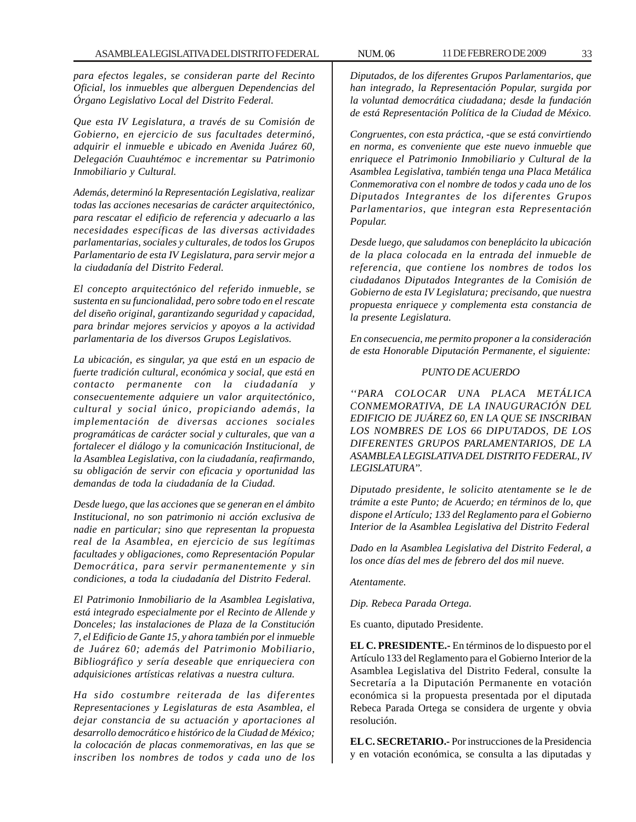*para efectos legales, se consideran parte del Recinto Oficial, los inmuebles que alberguen Dependencias del Órgano Legislativo Local del Distrito Federal.*

*Que esta IV Legislatura, a través de su Comisión de Gobierno, en ejercicio de sus facultades determinó, adquirir el inmueble e ubicado en Avenida Juárez 60, Delegación Cuauhtémoc e incrementar su Patrimonio Inmobiliario y Cultural.*

*Además, determinó la Representación Legislativa, realizar todas las acciones necesarias de carácter arquitectónico, para rescatar el edificio de referencia y adecuarlo a las necesidades específicas de las diversas actividades parlamentarias, sociales y culturales, de todos los Grupos Parlamentario de esta IV Legislatura, para servir mejor a la ciudadanía del Distrito Federal.*

*El concepto arquitectónico del referido inmueble, se sustenta en su funcionalidad, pero sobre todo en el rescate del diseño original, garantizando seguridad y capacidad, para brindar mejores servicios y apoyos a la actividad parlamentaria de los diversos Grupos Legislativos.*

*La ubicación, es singular, ya que está en un espacio de fuerte tradición cultural, económica y social, que está en contacto permanente con la ciudadanía y consecuentemente adquiere un valor arquitectónico, cultural y social único, propiciando además, la implementación de diversas acciones sociales programáticas de carácter social y culturales, que van a fortalecer el diálogo y la comunicación Institucional, de la Asamblea Legislativa, con la ciudadanía, reafirmando, su obligación de servir con eficacia y oportunidad las demandas de toda la ciudadanía de la Ciudad.*

*Desde luego, que las acciones que se generan en el ámbito Institucional, no son patrimonio ni acción exclusiva de nadie en particular; sino que representan la propuesta real de la Asamblea, en ejercicio de sus legítimas facultades y obligaciones, como Representación Popular Democrática, para servir permanentemente y sin condiciones, a toda la ciudadanía del Distrito Federal.*

*El Patrimonio Inmobiliario de la Asamblea Legislativa, está integrado especialmente por el Recinto de Allende y Donceles; las instalaciones de Plaza de la Constitución 7, el Edificio de Gante 15, y ahora también por el inmueble de Juárez 60; además del Patrimonio Mobiliario, Bibliográfico y sería deseable que enriqueciera con adquisiciones artísticas relativas a nuestra cultura.*

*Ha sido costumbre reiterada de las diferentes Representaciones y Legislaturas de esta Asamblea, el dejar constancia de su actuación y aportaciones al desarrollo democrático e histórico de la Ciudad de México; la colocación de placas conmemorativas, en las que se inscriben los nombres de todos y cada uno de los*

*Diputados, de los diferentes Grupos Parlamentarios, que han integrado, la Representación Popular, surgida por la voluntad democrática ciudadana; desde la fundación de está Representación Política de la Ciudad de México.*

*Congruentes, con esta práctica, -que se está convirtiendo en norma, es conveniente que este nuevo inmueble que enriquece el Patrimonio Inmobiliario y Cultural de la Asamblea Legislativa, también tenga una Placa Metálica Conmemorativa con el nombre de todos y cada uno de los Diputados Integrantes de los diferentes Grupos Parlamentarios, que integran esta Representación Popular.*

*Desde luego, que saludamos con beneplácito la ubicación de la placa colocada en la entrada del inmueble de referencia, que contiene los nombres de todos los ciudadanos Diputados Integrantes de la Comisión de Gobierno de esta IV Legislatura; precisando, que nuestra propuesta enriquece y complementa esta constancia de la presente Legislatura.*

*En consecuencia, me permito proponer a la consideración de esta Honorable Diputación Permanente, el siguiente:*

#### *PUNTO DE ACUERDO*

*''PARA COLOCAR UNA PLACA METÁLICA CONMEMORATIVA, DE LA INAUGURACIÓN DEL EDIFICIO DE JUÁREZ 60, EN LA QUE SE INSCRIBAN LOS NOMBRES DE LOS 66 DIPUTADOS, DE LOS DIFERENTES GRUPOS PARLAMENTARIOS, DE LA ASAMBLEA LEGISLATIVA DEL DISTRITO FEDERAL, IV LEGISLATURA''.*

*Diputado presidente, le solicito atentamente se le de trámite a este Punto; de Acuerdo; en términos de lo, que dispone el Artículo; 133 del Reglamento para el Gobierno Interior de la Asamblea Legislativa del Distrito Federal*

*Dado en la Asamblea Legislativa del Distrito Federal, a los once días del mes de febrero del dos mil nueve.*

*Atentamente.*

*Dip. Rebeca Parada Ortega.*

Es cuanto, diputado Presidente.

**EL C. PRESIDENTE.-** En términos de lo dispuesto por el Artículo 133 del Reglamento para el Gobierno Interior de la Asamblea Legislativa del Distrito Federal, consulte la Secretaría a la Diputación Permanente en votación económica si la propuesta presentada por el diputada Rebeca Parada Ortega se considera de urgente y obvia resolución.

**EL C. SECRETARIO.-** Por instrucciones de la Presidencia y en votación económica, se consulta a las diputadas y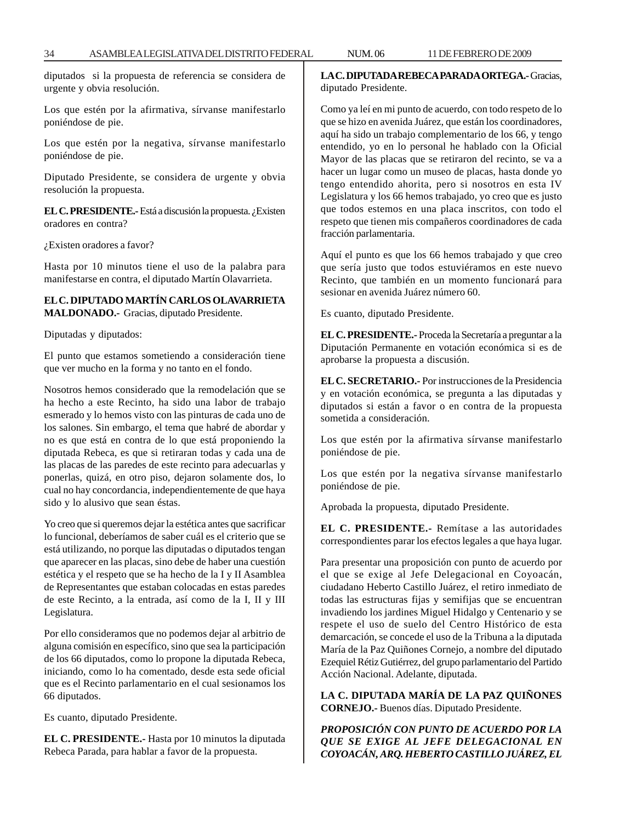diputados si la propuesta de referencia se considera de urgente y obvia resolución.

Los que estén por la afirmativa, sírvanse manifestarlo poniéndose de pie.

Los que estén por la negativa, sírvanse manifestarlo poniéndose de pie.

Diputado Presidente, se considera de urgente y obvia resolución la propuesta.

**EL C. PRESIDENTE.-** Está a discusión la propuesta. ¿Existen oradores en contra?

¿Existen oradores a favor?

Hasta por 10 minutos tiene el uso de la palabra para manifestarse en contra, el diputado Martín Olavarrieta.

#### **EL C. DIPUTADO MARTÍN CARLOS OLAVARRIETA MALDONADO.-** Gracias, diputado Presidente.

Diputadas y diputados:

El punto que estamos sometiendo a consideración tiene que ver mucho en la forma y no tanto en el fondo.

Nosotros hemos considerado que la remodelación que se ha hecho a este Recinto, ha sido una labor de trabajo esmerado y lo hemos visto con las pinturas de cada uno de los salones. Sin embargo, el tema que habré de abordar y no es que está en contra de lo que está proponiendo la diputada Rebeca, es que si retiraran todas y cada una de las placas de las paredes de este recinto para adecuarlas y ponerlas, quizá, en otro piso, dejaron solamente dos, lo cual no hay concordancia, independientemente de que haya sido y lo alusivo que sean éstas.

Yo creo que si queremos dejar la estética antes que sacrificar lo funcional, deberíamos de saber cuál es el criterio que se está utilizando, no porque las diputadas o diputados tengan que aparecer en las placas, sino debe de haber una cuestión estética y el respeto que se ha hecho de la I y II Asamblea de Representantes que estaban colocadas en estas paredes de este Recinto, a la entrada, así como de la I, II y III Legislatura.

Por ello consideramos que no podemos dejar al arbitrio de alguna comisión en específico, sino que sea la participación de los 66 diputados, como lo propone la diputada Rebeca, iniciando, como lo ha comentado, desde esta sede oficial que es el Recinto parlamentario en el cual sesionamos los 66 diputados.

Es cuanto, diputado Presidente.

**EL C. PRESIDENTE.-** Hasta por 10 minutos la diputada Rebeca Parada, para hablar a favor de la propuesta.

# **LA C. DIPUTADA REBECA PARADA ORTEGA.-** Gracias, diputado Presidente.

Como ya leí en mi punto de acuerdo, con todo respeto de lo que se hizo en avenida Juárez, que están los coordinadores, aquí ha sido un trabajo complementario de los 66, y tengo entendido, yo en lo personal he hablado con la Oficial Mayor de las placas que se retiraron del recinto, se va a hacer un lugar como un museo de placas, hasta donde yo tengo entendido ahorita, pero si nosotros en esta IV Legislatura y los 66 hemos trabajado, yo creo que es justo que todos estemos en una placa inscritos, con todo el respeto que tienen mis compañeros coordinadores de cada fracción parlamentaria.

Aquí el punto es que los 66 hemos trabajado y que creo que sería justo que todos estuviéramos en este nuevo Recinto, que también en un momento funcionará para sesionar en avenida Juárez número 60.

Es cuanto, diputado Presidente.

**EL C. PRESIDENTE.-** Proceda la Secretaría a preguntar a la Diputación Permanente en votación económica si es de aprobarse la propuesta a discusión.

**EL C. SECRETARIO.-** Por instrucciones de la Presidencia y en votación económica, se pregunta a las diputadas y diputados si están a favor o en contra de la propuesta sometida a consideración.

Los que estén por la afirmativa sírvanse manifestarlo poniéndose de pie.

Los que estén por la negativa sírvanse manifestarlo poniéndose de pie.

Aprobada la propuesta, diputado Presidente.

**EL C. PRESIDENTE.-** Remítase a las autoridades correspondientes parar los efectos legales a que haya lugar.

Para presentar una proposición con punto de acuerdo por el que se exige al Jefe Delegacional en Coyoacán, ciudadano Heberto Castillo Juárez, el retiro inmediato de todas las estructuras fijas y semifijas que se encuentran invadiendo los jardines Miguel Hidalgo y Centenario y se respete el uso de suelo del Centro Histórico de esta demarcación, se concede el uso de la Tribuna a la diputada María de la Paz Quiñones Cornejo, a nombre del diputado Ezequiel Rétiz Gutiérrez, del grupo parlamentario del Partido Acción Nacional. Adelante, diputada.

**LA C. DIPUTADA MARÍA DE LA PAZ QUIÑONES CORNEJO.-** Buenos días. Diputado Presidente.

*PROPOSICIÓN CON PUNTO DE ACUERDO POR LA QUE SE EXIGE AL JEFE DELEGACIONAL EN COYOACÁN, ARQ. HEBERTO CASTILLO JUÁREZ, EL*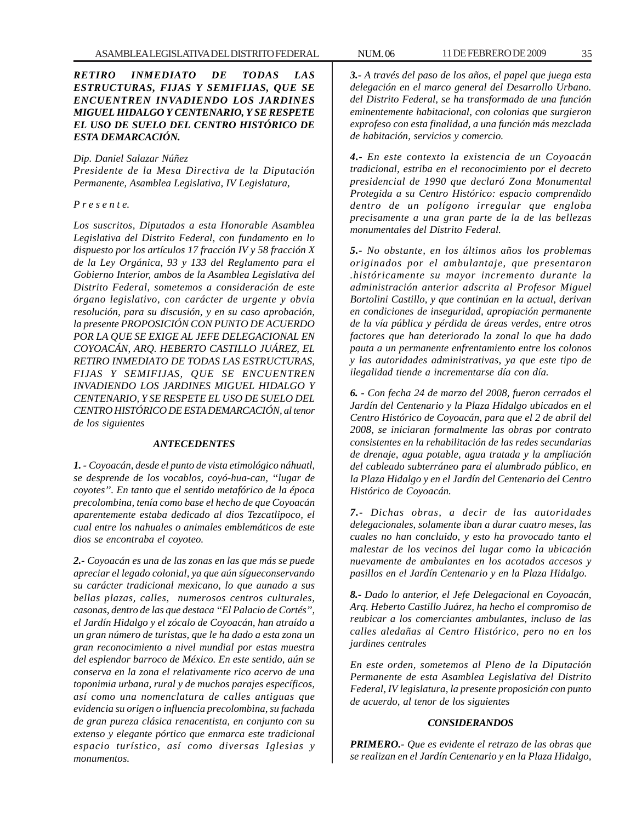# *RETIRO INMEDIATO DE TODAS LAS ESTRUCTURAS, FIJAS Y SEMIFIJAS, QUE SE ENCUENTREN INVADIENDO LOS JARDINES MIGUEL HIDALGO Y CENTENARIO, Y SE RESPETE EL USO DE SUELO DEL CENTRO HISTÓRICO DE ESTA DEMARCACIÓN.*

*Dip. Daniel Salazar Núñez*

*Presidente de la Mesa Directiva de la Diputación Permanente, Asamblea Legislativa, IV Legislatura,*

#### *P r e s e n t e.*

*Los suscritos, Diputados a esta Honorable Asamblea Legislativa del Distrito Federal, con fundamento en lo dispuesto por los artículos 17 fracción IV y 58 fracción X de la Ley Orgánica, 93 y 133 del Reglamento para el Gobierno Interior, ambos de la Asamblea Legislativa del Distrito Federal, sometemos a consideración de este órgano legislativo, con carácter de urgente y obvia resolución, para su discusión, y en su caso aprobación, la presente PROPOSICIÓN CON PUNTO DE ACUERDO POR LA QUE SE EXIGE AL JEFE DELEGACIONAL EN COYOACÁN, ARQ. HEBERTO CASTILLO JUÁREZ, EL RETIRO INMEDIATO DE TODAS LAS ESTRUCTURAS, FIJAS Y SEMIFIJAS, QUE SE ENCUENTREN INVADIENDO LOS JARDINES MIGUEL HIDALGO Y CENTENARIO, Y SE RESPETE EL USO DE SUELO DEL CENTRO HISTÓRICO DE ESTA DEMARCACIÓN, al tenor de los siguientes*

#### *ANTECEDENTES*

*1. - Coyoacán, desde el punto de vista etimológico náhuatl, se desprende de los vocablos, coyó-hua-can, ''lugar de coyotes''. En tanto que el sentido metafórico de la época precolombina, tenía como base el hecho de que Coyoacán aparentemente estaba dedicado al dios Tezcatlipoco, el cual entre los nahuales o animales emblemáticos de este dios se encontraba el coyoteo.*

*2.- Coyoacán es una de las zonas en las que más se puede apreciar el legado colonial, ya que aún sígueconservando su carácter tradicional mexicano, lo que aunado a sus bellas plazas, calles, numerosos centros culturales, casonas, dentro de las que destaca ''El Palacio de Cortés'', el Jardín Hidalgo y el zócalo de Coyoacán, han atraído a un gran número de turistas, que le ha dado a esta zona un gran reconocimiento a nivel mundial por estas muestra del esplendor barroco de México. En este sentido, aún se conserva en la zona el relativamente rico acervo de una toponimia urbana, rural y de muchos parajes específicos, así como una nomenclatura de calles antiguas que evidencia su origen o influencia precolombina, su fachada de gran pureza clásica renacentista, en conjunto con su extenso y elegante pórtico que enmarca este tradicional espacio turístico, así como diversas Iglesias y monumentos.*

*3.- A través del paso de los años, el papel que juega esta delegación en el marco general del Desarrollo Urbano. del Distrito Federal, se ha transformado de una función eminentemente habitacional, con colonias que surgieron exprofeso con esta finalidad, a una función más mezclada de habitación, servicios y comercio.*

*4.- En este contexto la existencia de un Coyoacán tradicional, estriba en el reconocimiento por el decreto presidencial de 1990 que declaró Zona Monumental Protegida a su Centro Histórico: espacio comprendido dentro de un polígono irregular que engloba precisamente a una gran parte de la de las bellezas monumentales del Distrito Federal.*

*5.- No obstante, en los últimos años los problemas originados por el ambulantaje, que presentaron .históricamente su mayor incremento durante la administración anterior adscrita al Profesor Miguel Bortolini Castillo, y que continúan en la actual, derivan en condiciones de inseguridad, apropiación permanente de la vía pública y pérdida de áreas verdes, entre otros factores que han deteriorado la zonal lo que ha dado pauta a un permanente enfrentamiento entre los colonos y las autoridades administrativas, ya que este tipo de ilegalidad tiende a incrementarse día con día.*

*6. - Con fecha 24 de marzo del 2008, fueron cerrados el Jardín del Centenario y la Plaza Hidalgo ubicados en el Centro Histórico de Coyoacán, para que el 2 de abril del 2008, se iniciaran formalmente las obras por contrato consistentes en la rehabilitación de las redes secundarias de drenaje, agua potable, agua tratada y la ampliación del cableado subterráneo para el alumbrado público, en la Plaza Hidalgo y en el Jardín del Centenario del Centro Histórico de Coyoacán.*

*7.- Dichas obras, a decir de las autoridades delegacionales, solamente iban a durar cuatro meses, las cuales no han concluido, y esto ha provocado tanto el malestar de los vecinos del lugar como la ubicación nuevamente de ambulantes en los acotados accesos y pasillos en el Jardín Centenario y en la Plaza Hidalgo.*

*8.- Dado lo anterior, el Jefe Delegacional en Coyoacán, Arq. Heberto Castillo Juárez, ha hecho el compromiso de reubicar a los comerciantes ambulantes, incluso de las calles aledañas al Centro Histórico, pero no en los jardines centrales*

*En este orden, sometemos al Pleno de la Diputación Permanente de esta Asamblea Legislativa del Distrito Federal, IV legislatura, la presente proposición con punto de acuerdo, al tenor de los siguientes*

#### *CONSIDERANDOS*

*PRIMERO.- Que es evidente el retrazo de las obras que se realizan en el Jardín Centenario y en la Plaza Hidalgo,*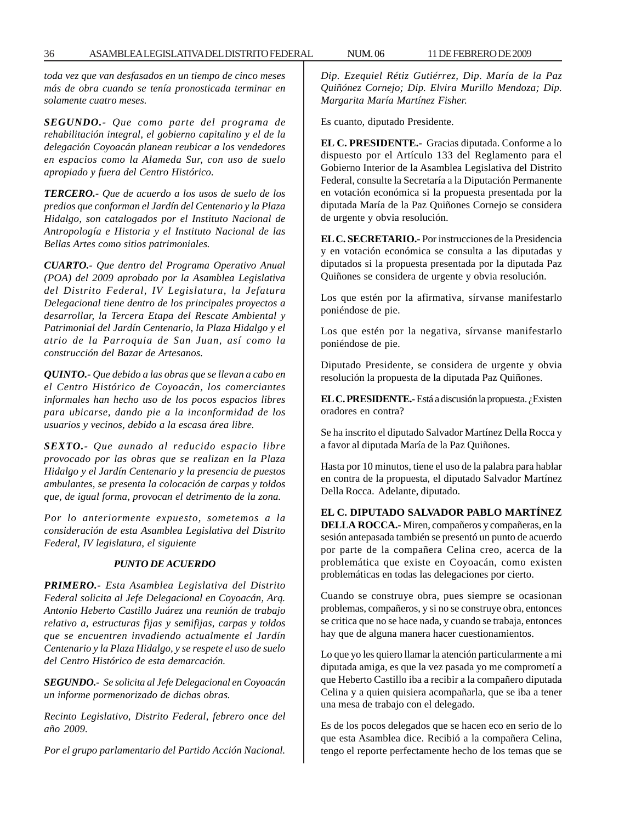*toda vez que van desfasados en un tiempo de cinco meses más de obra cuando se tenía pronosticada terminar en solamente cuatro meses.*

*SEGUNDO.- Que como parte del programa de rehabilitación integral, el gobierno capitalino y el de la delegación Coyoacán planean reubicar a los vendedores en espacios como la Alameda Sur, con uso de suelo apropiado y fuera del Centro Histórico.*

*TERCERO.- Que de acuerdo a los usos de suelo de los predios que conforman el Jardín del Centenario y la Plaza Hidalgo, son catalogados por el Instituto Nacional de Antropología e Historia y el Instituto Nacional de las Bellas Artes como sitios patrimoniales.*

*CUARTO.- Que dentro del Programa Operativo Anual (POA) del 2009 aprobado por la Asamblea Legislativa del Distrito Federal, IV Legislatura, la Jefatura Delegacional tiene dentro de los principales proyectos a desarrollar, la Tercera Etapa del Rescate Ambiental y Patrimonial del Jardín Centenario, la Plaza Hidalgo y el atrio de la Parroquia de San Juan, así como la construcción del Bazar de Artesanos.*

*QUINTO.- Que debido a las obras que se llevan a cabo en el Centro Histórico de Coyoacán, los comerciantes informales han hecho uso de los pocos espacios libres para ubicarse, dando pie a la inconformidad de los usuarios y vecinos, debido a la escasa área libre.*

*SEXTO.- Que aunado al reducido espacio libre provocado por las obras que se realizan en la Plaza Hidalgo y el Jardín Centenario y la presencia de puestos ambulantes, se presenta la colocación de carpas y toldos que, de igual forma, provocan el detrimento de la zona.*

*Por lo anteriormente expuesto, sometemos a la consideración de esta Asamblea Legislativa del Distrito Federal, IV legislatura, el siguiente*

## *PUNTO DE ACUERDO*

*PRIMERO.- Esta Asamblea Legislativa del Distrito Federal solicita al Jefe Delegacional en Coyoacán, Arq. Antonio Heberto Castillo Juárez una reunión de trabajo relativo a, estructuras fijas y semifijas, carpas y toldos que se encuentren invadiendo actualmente el Jardín Centenario y la Plaza Hidalgo, y se respete el uso de suelo del Centro Histórico de esta demarcación.*

*SEGUNDO.- Se solicita al Jefe Delegacional en Coyoacán un informe pormenorizado de dichas obras.*

*Recinto Legislativo, Distrito Federal, febrero once del año 2009.*

*Por el grupo parlamentario del Partido Acción Nacional.*

*Dip. Ezequiel Rétiz Gutiérrez, Dip. María de la Paz Quiñónez Cornejo; Dip. Elvira Murillo Mendoza; Dip. Margarita María Martínez Fisher.*

Es cuanto, diputado Presidente.

**EL C. PRESIDENTE.-** Gracias diputada. Conforme a lo dispuesto por el Artículo 133 del Reglamento para el Gobierno Interior de la Asamblea Legislativa del Distrito Federal, consulte la Secretaría a la Diputación Permanente en votación económica si la propuesta presentada por la diputada María de la Paz Quiñones Cornejo se considera de urgente y obvia resolución.

**EL C. SECRETARIO.-** Por instrucciones de la Presidencia y en votación económica se consulta a las diputadas y diputados si la propuesta presentada por la diputada Paz Quiñones se considera de urgente y obvia resolución.

Los que estén por la afirmativa, sírvanse manifestarlo poniéndose de pie.

Los que estén por la negativa, sírvanse manifestarlo poniéndose de pie.

Diputado Presidente, se considera de urgente y obvia resolución la propuesta de la diputada Paz Quiñones.

**EL C. PRESIDENTE.-** Está a discusión la propuesta. ¿Existen oradores en contra?

Se ha inscrito el diputado Salvador Martínez Della Rocca y a favor al diputada María de la Paz Quiñones.

Hasta por 10 minutos, tiene el uso de la palabra para hablar en contra de la propuesta, el diputado Salvador Martínez Della Rocca. Adelante, diputado.

**EL C. DIPUTADO SALVADOR PABLO MARTÍNEZ DELLA ROCCA.-** Miren, compañeros y compañeras, en la sesión antepasada también se presentó un punto de acuerdo por parte de la compañera Celina creo, acerca de la problemática que existe en Coyoacán, como existen problemáticas en todas las delegaciones por cierto.

Cuando se construye obra, pues siempre se ocasionan problemas, compañeros, y si no se construye obra, entonces se critica que no se hace nada, y cuando se trabaja, entonces hay que de alguna manera hacer cuestionamientos.

Lo que yo les quiero llamar la atención particularmente a mi diputada amiga, es que la vez pasada yo me comprometí a que Heberto Castillo iba a recibir a la compañero diputada Celina y a quien quisiera acompañarla, que se iba a tener una mesa de trabajo con el delegado.

Es de los pocos delegados que se hacen eco en serio de lo que esta Asamblea dice. Recibió a la compañera Celina, tengo el reporte perfectamente hecho de los temas que se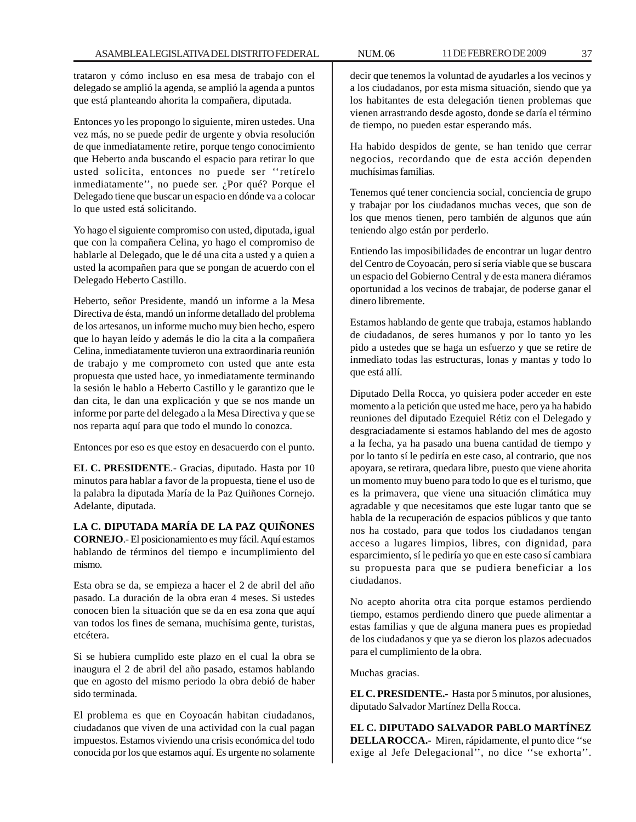trataron y cómo incluso en esa mesa de trabajo con el delegado se amplió la agenda, se amplió la agenda a puntos que está planteando ahorita la compañera, diputada.

Entonces yo les propongo lo siguiente, miren ustedes. Una vez más, no se puede pedir de urgente y obvia resolución de que inmediatamente retire, porque tengo conocimiento que Heberto anda buscando el espacio para retirar lo que usted solicita, entonces no puede ser ''retírelo inmediatamente'', no puede ser. ¿Por qué? Porque el Delegado tiene que buscar un espacio en dónde va a colocar lo que usted está solicitando.

Yo hago el siguiente compromiso con usted, diputada, igual que con la compañera Celina, yo hago el compromiso de hablarle al Delegado, que le dé una cita a usted y a quien a usted la acompañen para que se pongan de acuerdo con el Delegado Heberto Castillo.

Heberto, señor Presidente, mandó un informe a la Mesa Directiva de ésta, mandó un informe detallado del problema de los artesanos, un informe mucho muy bien hecho, espero que lo hayan leído y además le dio la cita a la compañera Celina, inmediatamente tuvieron una extraordinaria reunión de trabajo y me comprometo con usted que ante esta propuesta que usted hace, yo inmediatamente terminando la sesión le hablo a Heberto Castillo y le garantizo que le dan cita, le dan una explicación y que se nos mande un informe por parte del delegado a la Mesa Directiva y que se nos reparta aquí para que todo el mundo lo conozca.

Entonces por eso es que estoy en desacuerdo con el punto.

**EL C. PRESIDENTE**.- Gracias, diputado. Hasta por 10 minutos para hablar a favor de la propuesta, tiene el uso de la palabra la diputada María de la Paz Quiñones Cornejo. Adelante, diputada.

**LA C. DIPUTADA MARÍA DE LA PAZ QUIÑONES CORNEJO**.- El posicionamiento es muy fácil. Aquí estamos hablando de términos del tiempo e incumplimiento del mismo.

Esta obra se da, se empieza a hacer el 2 de abril del año pasado. La duración de la obra eran 4 meses. Si ustedes conocen bien la situación que se da en esa zona que aquí van todos los fines de semana, muchísima gente, turistas, etcétera.

Si se hubiera cumplido este plazo en el cual la obra se inaugura el 2 de abril del año pasado, estamos hablando que en agosto del mismo periodo la obra debió de haber sido terminada.

El problema es que en Coyoacán habitan ciudadanos, ciudadanos que viven de una actividad con la cual pagan impuestos. Estamos viviendo una crisis económica del todo conocida por los que estamos aquí. Es urgente no solamente decir que tenemos la voluntad de ayudarles a los vecinos y a los ciudadanos, por esta misma situación, siendo que ya los habitantes de esta delegación tienen problemas que vienen arrastrando desde agosto, donde se daría el término de tiempo, no pueden estar esperando más.

Ha habido despidos de gente, se han tenido que cerrar negocios, recordando que de esta acción dependen muchísimas familias.

Tenemos qué tener conciencia social, conciencia de grupo y trabajar por los ciudadanos muchas veces, que son de los que menos tienen, pero también de algunos que aún teniendo algo están por perderlo.

Entiendo las imposibilidades de encontrar un lugar dentro del Centro de Coyoacán, pero sí sería viable que se buscara un espacio del Gobierno Central y de esta manera diéramos oportunidad a los vecinos de trabajar, de poderse ganar el dinero libremente.

Estamos hablando de gente que trabaja, estamos hablando de ciudadanos, de seres humanos y por lo tanto yo les pido a ustedes que se haga un esfuerzo y que se retire de inmediato todas las estructuras, lonas y mantas y todo lo que está allí.

Diputado Della Rocca, yo quisiera poder acceder en este momento a la petición que usted me hace, pero ya ha habido reuniones del diputado Ezequiel Rétiz con el Delegado y desgraciadamente si estamos hablando del mes de agosto a la fecha, ya ha pasado una buena cantidad de tiempo y por lo tanto sí le pediría en este caso, al contrario, que nos apoyara, se retirara, quedara libre, puesto que viene ahorita un momento muy bueno para todo lo que es el turismo, que es la primavera, que viene una situación climática muy agradable y que necesitamos que este lugar tanto que se habla de la recuperación de espacios públicos y que tanto nos ha costado, para que todos los ciudadanos tengan acceso a lugares limpios, libres, con dignidad, para esparcimiento, sí le pediría yo que en este caso sí cambiara su propuesta para que se pudiera beneficiar a los ciudadanos.

No acepto ahorita otra cita porque estamos perdiendo tiempo, estamos perdiendo dinero que puede alimentar a estas familias y que de alguna manera pues es propiedad de los ciudadanos y que ya se dieron los plazos adecuados para el cumplimiento de la obra.

Muchas gracias.

**EL C. PRESIDENTE.-** Hasta por 5 minutos, por alusiones, diputado Salvador Martínez Della Rocca.

**EL C. DIPUTADO SALVADOR PABLO MARTÍNEZ DELLA ROCCA.-** Miren, rápidamente, el punto dice ''se exige al Jefe Delegacional'', no dice ''se exhorta''.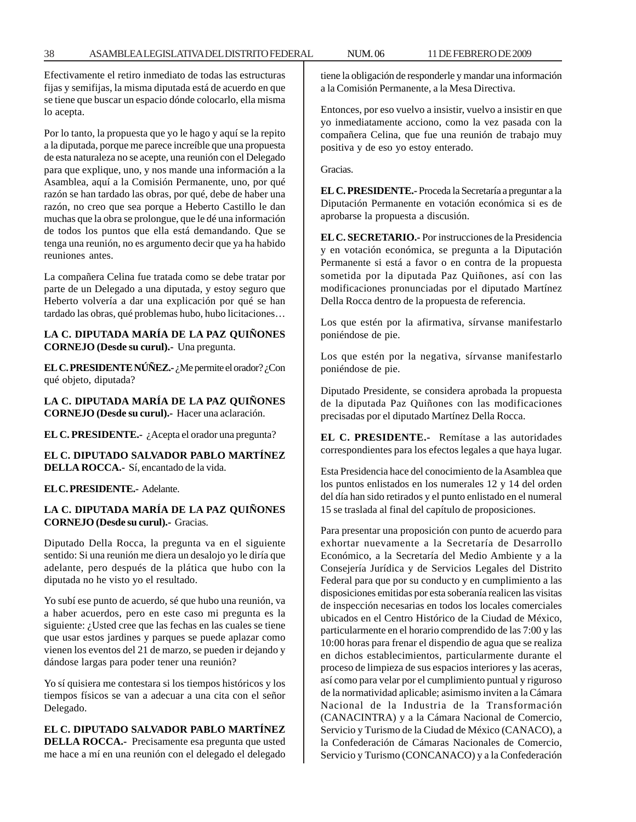Efectivamente el retiro inmediato de todas las estructuras fijas y semifijas, la misma diputada está de acuerdo en que se tiene que buscar un espacio dónde colocarlo, ella misma lo acepta.

Por lo tanto, la propuesta que yo le hago y aquí se la repito a la diputada, porque me parece increíble que una propuesta de esta naturaleza no se acepte, una reunión con el Delegado para que explique, uno, y nos mande una información a la Asamblea, aquí a la Comisión Permanente, uno, por qué razón se han tardado las obras, por qué, debe de haber una razón, no creo que sea porque a Heberto Castillo le dan muchas que la obra se prolongue, que le dé una información de todos los puntos que ella está demandando. Que se tenga una reunión, no es argumento decir que ya ha habido reuniones antes.

La compañera Celina fue tratada como se debe tratar por parte de un Delegado a una diputada, y estoy seguro que Heberto volvería a dar una explicación por qué se han tardado las obras, qué problemas hubo, hubo licitaciones…

### **LA C. DIPUTADA MARÍA DE LA PAZ QUIÑONES CORNEJO (Desde su curul).-** Una pregunta.

**EL C. PRESIDENTE NÚÑEZ.-** *i*, Me permite el orador? *i*, Con qué objeto, diputada?

**LA C. DIPUTADA MARÍA DE LA PAZ QUIÑONES CORNEJO (Desde su curul).-** Hacer una aclaración.

**EL C. PRESIDENTE.-** ¿Acepta el orador una pregunta?

**EL C. DIPUTADO SALVADOR PABLO MARTÍNEZ DELLA ROCCA.-** Sí, encantado de la vida.

# **EL C. PRESIDENTE.-** Adelante.

## **LA C. DIPUTADA MARÍA DE LA PAZ QUIÑONES CORNEJO (Desde su curul).-** Gracias.

Diputado Della Rocca, la pregunta va en el siguiente sentido: Si una reunión me diera un desalojo yo le diría que adelante, pero después de la plática que hubo con la diputada no he visto yo el resultado.

Yo subí ese punto de acuerdo, sé que hubo una reunión, va a haber acuerdos, pero en este caso mi pregunta es la siguiente: ¿Usted cree que las fechas en las cuales se tiene que usar estos jardines y parques se puede aplazar como vienen los eventos del 21 de marzo, se pueden ir dejando y dándose largas para poder tener una reunión?

Yo sí quisiera me contestara si los tiempos históricos y los tiempos físicos se van a adecuar a una cita con el señor Delegado.

## **EL C. DIPUTADO SALVADOR PABLO MARTÍNEZ**

**DELLA ROCCA.-** Precisamente esa pregunta que usted me hace a mí en una reunión con el delegado el delegado tiene la obligación de responderle y mandar una información a la Comisión Permanente, a la Mesa Directiva.

Entonces, por eso vuelvo a insistir, vuelvo a insistir en que yo inmediatamente acciono, como la vez pasada con la compañera Celina, que fue una reunión de trabajo muy positiva y de eso yo estoy enterado.

Gracias.

**EL C. PRESIDENTE.-** Proceda la Secretaría a preguntar a la Diputación Permanente en votación económica si es de aprobarse la propuesta a discusión.

**EL C. SECRETARIO.-** Por instrucciones de la Presidencia y en votación económica, se pregunta a la Diputación Permanente si está a favor o en contra de la propuesta sometida por la diputada Paz Quiñones, así con las modificaciones pronunciadas por el diputado Martínez Della Rocca dentro de la propuesta de referencia.

Los que estén por la afirmativa, sírvanse manifestarlo poniéndose de pie.

Los que estén por la negativa, sírvanse manifestarlo poniéndose de pie.

Diputado Presidente, se considera aprobada la propuesta de la diputada Paz Quiñones con las modificaciones precisadas por el diputado Martínez Della Rocca.

**EL C. PRESIDENTE.-** Remítase a las autoridades correspondientes para los efectos legales a que haya lugar.

Esta Presidencia hace del conocimiento de la Asamblea que los puntos enlistados en los numerales 12 y 14 del orden del día han sido retirados y el punto enlistado en el numeral 15 se traslada al final del capítulo de proposiciones.

Para presentar una proposición con punto de acuerdo para exhortar nuevamente a la Secretaría de Desarrollo Económico, a la Secretaría del Medio Ambiente y a la Consejería Jurídica y de Servicios Legales del Distrito Federal para que por su conducto y en cumplimiento a las disposiciones emitidas por esta soberanía realicen las visitas de inspección necesarias en todos los locales comerciales ubicados en el Centro Histórico de la Ciudad de México, particularmente en el horario comprendido de las 7:00 y las 10:00 horas para frenar el dispendio de agua que se realiza en dichos establecimientos, particularmente durante el proceso de limpieza de sus espacios interiores y las aceras, así como para velar por el cumplimiento puntual y riguroso de la normatividad aplicable; asimismo inviten a la Cámara Nacional de la Industria de la Transformación (CANACINTRA) y a la Cámara Nacional de Comercio, Servicio y Turismo de la Ciudad de México (CANACO), a la Confederación de Cámaras Nacionales de Comercio, Servicio y Turismo (CONCANACO) y a la Confederación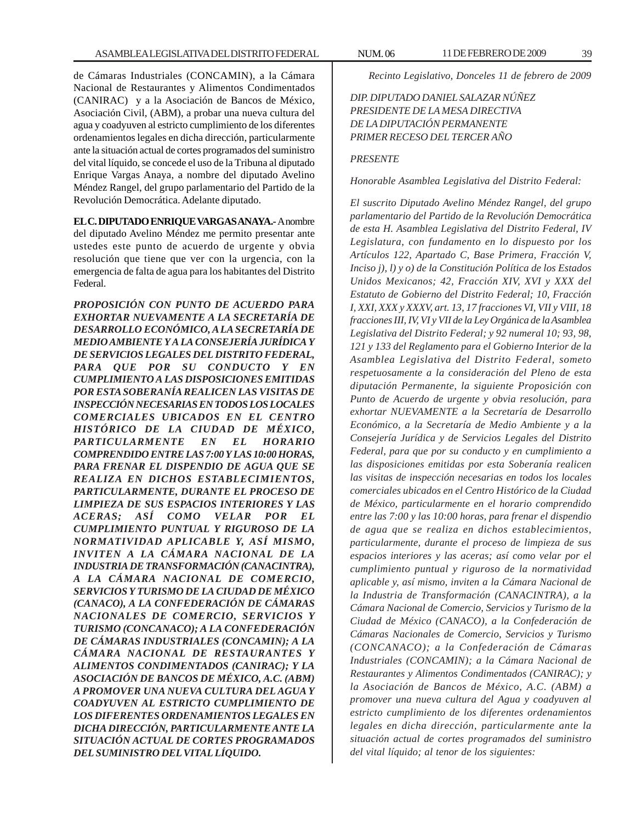de Cámaras Industriales (CONCAMIN), a la Cámara Nacional de Restaurantes y Alimentos Condimentados (CANIRAC) y a la Asociación de Bancos de México, Asociación Civil, (ABM), a probar una nueva cultura del agua y coadyuven al estricto cumplimiento de los diferentes ordenamientos legales en dicha dirección, particularmente ante la situación actual de cortes programados del suministro del vital líquido, se concede el uso de la Tribuna al diputado Enrique Vargas Anaya, a nombre del diputado Avelino Méndez Rangel, del grupo parlamentario del Partido de la Revolución Democrática. Adelante diputado.

**EL C. DIPUTADO ENRIQUE VARGAS ANAYA.-** A nombre del diputado Avelino Méndez me permito presentar ante ustedes este punto de acuerdo de urgente y obvia resolución que tiene que ver con la urgencia, con la emergencia de falta de agua para los habitantes del Distrito Federal.

*PROPOSICIÓN CON PUNTO DE ACUERDO PARA EXHORTAR NUEVAMENTE A LA SECRETARÍA DE DESARROLLO ECONÓMICO, A LA SECRETARÍA DE MEDIO AMBIENTE Y A LA CONSEJERÍA JURÍDICA Y DE SERVICIOS LEGALES DEL DISTRITO FEDERAL, PARA QUE POR SU CONDUCTO Y EN CUMPLIMIENTO A LAS DISPOSICIONES EMITIDAS POR ESTA SOBERANÍA REALICEN LAS VISITAS DE INSPECCIÓN NECESARIAS EN TODOS LOS LOCALES COMERCIALES UBICADOS EN EL CENTRO HISTÓRICO DE LA CIUDAD DE MÉXICO, PARTICULARMENTE EN EL HORARIO COMPRENDIDO ENTRE LAS 7:00 Y LAS 10:00 HORAS, PARA FRENAR EL DISPENDIO DE AGUA QUE SE REALIZA EN DICHOS ESTABLECIMIENTOS, PARTICULARMENTE, DURANTE EL PROCESO DE LIMPIEZA DE SUS ESPACIOS INTERIORES Y LAS ACERAS; ASÍ COMO VELAR POR EL CUMPLIMIENTO PUNTUAL Y RIGUROSO DE LA NORMATIVIDAD APLICABLE Y, ASÍ MISMO, INVITEN A LA CÁMARA NACIONAL DE LA INDUSTRIA DE TRANSFORMACIÓN (CANACINTRA), A LA CÁMARA NACIONAL DE COMERCIO, SERVICIOS Y TURISMO DE LA CIUDAD DE MÉXICO (CANACO), A LA CONFEDERACIÓN DE CÁMARAS NACIONALES DE COMERCIO, SERVICIOS Y TURISMO (CONCANACO); A LA CONFEDERACIÓN DE CÁMARAS INDUSTRIALES (CONCAMIN); A LA CÁMARA NACIONAL DE RESTAURANTES Y ALIMENTOS CONDIMENTADOS (CANIRAC); Y LA ASOCIACIÓN DE BANCOS DE MÉXICO, A.C. (ABM) A PROMOVER UNA NUEVA CULTURA DEL AGUA Y COADYUVEN AL ESTRICTO CUMPLIMIENTO DE LOS DIFERENTES ORDENAMIENTOS LEGALES EN DICHA DIRECCIÓN, PARTICULARMENTE ANTE LA SITUACIÓN ACTUAL DE CORTES PROGRAMADOS DEL SUMINISTRO DEL VITAL LÍQUIDO.*

*Recinto Legislativo, Donceles 11 de febrero de 2009*

# *DIP. DIPUTADO DANIEL SALAZAR NÚÑEZ PRESIDENTE DE LA MESA DIRECTIVA DE LA DIPUTACIÓN PERMANENTE PRIMER RECESO DEL TERCER AÑO*

# *PRESENTE*

*Honorable Asamblea Legislativa del Distrito Federal:*

*El suscrito Diputado Avelino Méndez Rangel, del grupo parlamentario del Partido de la Revolución Democrática de esta H. Asamblea Legislativa del Distrito Federal, IV Legislatura, con fundamento en lo dispuesto por los Artículos 122, Apartado C, Base Primera, Fracción V, Inciso j), l) y o) de la Constitución Política de los Estados Unidos Mexicanos; 42, Fracción XIV, XVI y XXX del Estatuto de Gobierno del Distrito Federal; 10, Fracción I, XXI, XXX y XXXV, art. 13, 17 fracciones VI, VII y VIII, 18 fracciones III, IV, VI y VII de la Ley Orgánica de la Asamblea Legislativa del Distrito Federal; y 92 numeral 10; 93, 98, 121 y 133 del Reglamento para el Gobierno Interior de la Asamblea Legislativa del Distrito Federal, someto respetuosamente a la consideración del Pleno de esta diputación Permanente, la siguiente Proposición con Punto de Acuerdo de urgente y obvia resolución, para exhortar NUEVAMENTE a la Secretaría de Desarrollo Económico, a la Secretaría de Medio Ambiente y a la Consejería Jurídica y de Servicios Legales del Distrito Federal, para que por su conducto y en cumplimiento a las disposiciones emitidas por esta Soberanía realicen las visitas de inspección necesarias en todos los locales comerciales ubicados en el Centro Histórico de la Ciudad de México, particularmente en el horario comprendido entre las 7:00 y las 10:00 horas, para frenar el dispendio de agua que se realiza en dichos establecimientos, particularmente, durante el proceso de limpieza de sus espacios interiores y las aceras; así como velar por el cumplimiento puntual y riguroso de la normatividad aplicable y, así mismo, inviten a la Cámara Nacional de la Industria de Transformación (CANACINTRA), a la Cámara Nacional de Comercio, Servicios y Turismo de la Ciudad de México (CANACO), a la Confederación de Cámaras Nacionales de Comercio, Servicios y Turismo (CONCANACO); a la Confederación de Cámaras Industriales (CONCAMIN); a la Cámara Nacional de Restaurantes y Alimentos Condimentados (CANIRAC); y la Asociación de Bancos de México, A.C. (ABM) a promover una nueva cultura del Agua y coadyuven al estricto cumplimiento de los diferentes ordenamientos legales en dicha dirección, particularmente ante la situación actual de cortes programados del suministro del vital líquido; al tenor de los siguientes:*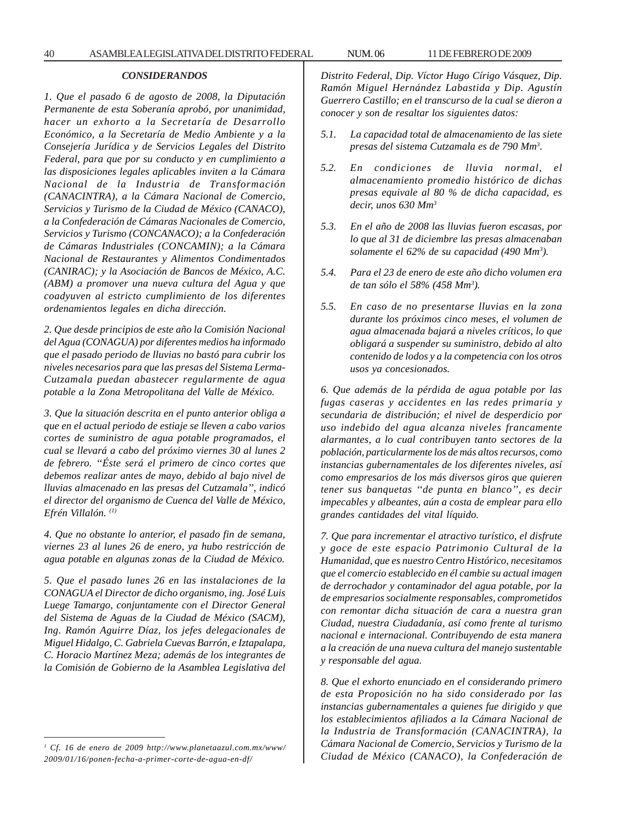#### *CONSIDERANDOS*

*1. Que el pasado 6 de agosto de 2008, la Diputación Permanente de esta Soberanía aprobó, por unanimidad, hacer un exhorto a la Secretaría de Desarrollo Económico, a la Secretaría de Medio Ambiente y a la Consejería Jurídica y de Servicios Legales del Distrito Federal, para que por su conducto y en cumplimiento a las disposiciones legales aplicables inviten a la Cámara Nacional de la Industria de Transformación (CANACINTRA), a la Cámara Nacional de Comercio, Servicios y Turismo de la Ciudad de México (CANACO), a la Confederación de Cámaras Nacionales de Comercio, Servicios y Turismo (CONCANACO); a la Confederación de Cámaras Industriales (CONCAMIN); a la Cámara Nacional de Restaurantes y Alimentos Condimentados (CANIRAC); y la Asociación de Bancos de México, A.C. (ABM) a promover una nueva cultura del Agua y que coadyuven al estricto cumplimiento de los diferentes ordenamientos legales en dicha dirección.*

*2. Que desde principios de este año la Comisión Nacional del Agua (CONAGUA) por diferentes medios ha informado que el pasado periodo de lluvias no bastó para cubrir los niveles necesarios para que las presas del Sistema Lerma-Cutzamala puedan abastecer regularmente de agua potable a la Zona Metropolitana del Valle de México.*

*3. Que la situación descrita en el punto anterior obliga a que en el actual periodo de estiaje se lleven a cabo varios cortes de suministro de agua potable programados, el cual se llevará a cabo del próximo viernes 30 al lunes 2 de febrero. ''Éste será el primero de cinco cortes que debemos realizar antes de mayo, debido al bajo nivel de lluvias almacenado en las presas del Cutzamala'', indicó el director del organismo de Cuenca del Valle de México, Efrén Villalón. (1)*

*4. Que no obstante lo anterior, el pasado fin de semana, viernes 23 al lunes 26 de enero, ya hubo restricción de agua potable en algunas zonas de la Ciudad de México.*

*5. Que el pasado lunes 26 en las instalaciones de la CONAGUA el Director de dicho organismo, ing. José Luis Luege Tamargo, conjuntamente con el Director General del Sistema de Aguas de la Ciudad de México (SACM), Ing. Ramón Aguirre Díaz, los jefes delegacionales de Miguel Hidalgo, C. Gabriela Cuevas Barrón, e Iztapalapa, C. Horacio Martínez Meza; además de los integrantes de la Comisión de Gobierno de la Asamblea Legislativa del* *Distrito Federal, Dip. Víctor Hugo Círigo Vásquez, Dip. Ramón Miguel Hernández Labastida y Dip. Agustín Guerrero Castillo; en el transcurso de la cual se dieron a conocer y son de resaltar los siguientes datos:*

- *5.1. La capacidad total de almacenamiento de las siete presas del sistema Cutzamala es de 790 Mm3 .*
- *5.2. En condiciones de lluvia normal, el almacenamiento promedio histórico de dichas presas equivale al 80 % de dicha capacidad, es decir, unos 630 Mm3*
- *5.3. En el año de 2008 las lluvias fueron escasas, por lo que al 31 de diciembre las presas almacenaban solamente el 62% de su capacidad (490 Mm3 ).*
- *5.4. Para el 23 de enero de este año dicho volumen era de tan sólo el 58% (458 Mm3 ).*
- *5.5. En caso de no presentarse lluvias en la zona durante los próximos cinco meses, el volumen de agua almacenada bajará a niveles críticos, lo que obligará a suspender su suministro, debido al alto contenido de lodos y a la competencia con los otros usos ya concesionados.*

*6. Que además de la pérdida de agua potable por las fugas caseras y accidentes en las redes primaria y secundaria de distribución; el nivel de desperdicio por uso indebido del agua alcanza niveles francamente alarmantes, a lo cual contribuyen tanto sectores de la población, particularmente los de más altos recursos, como instancias gubernamentales de los diferentes niveles, así como empresarios de los más diversos giros que quieren tener sus banquetas ''de punta en blanco'', es decir impecables y albeantes, aún a costa de emplear para ello grandes cantidades del vital líquido.*

*7. Que para incrementar el atractivo turístico, el disfrute y goce de este espacio Patrimonio Cultural de la Humanidad, que es nuestro Centro Histórico, necesitamos que el comercio establecido en él cambie su actual imagen de derrochador y contaminador del agua potable, por la de empresarios socialmente responsables, comprometidos con remontar dicha situación de cara a nuestra gran Ciudad, nuestra Ciudadanía, así como frente al turismo nacional e internacional. Contribuyendo de esta manera a la creación de una nueva cultura del manejo sustentable y responsable del agua.*

*8. Que el exhorto enunciado en el considerando primero de esta Proposición no ha sido considerado por las instancias gubernamentales a quienes fue dirigido y que los establecimientos afiliados a la Cámara Nacional de la Industria de Transformación (CANACINTRA), la Cámara Nacional de Comercio, Servicios y Turismo de la Ciudad de México (CANACO), la Confederación de*

*<sup>1</sup> Cf. 16 de enero de 2009 http://www.planetaazul.com.mx/www/ 2009/01/16/ponen-fecha-a-primer-corte-de-agua-en-df/*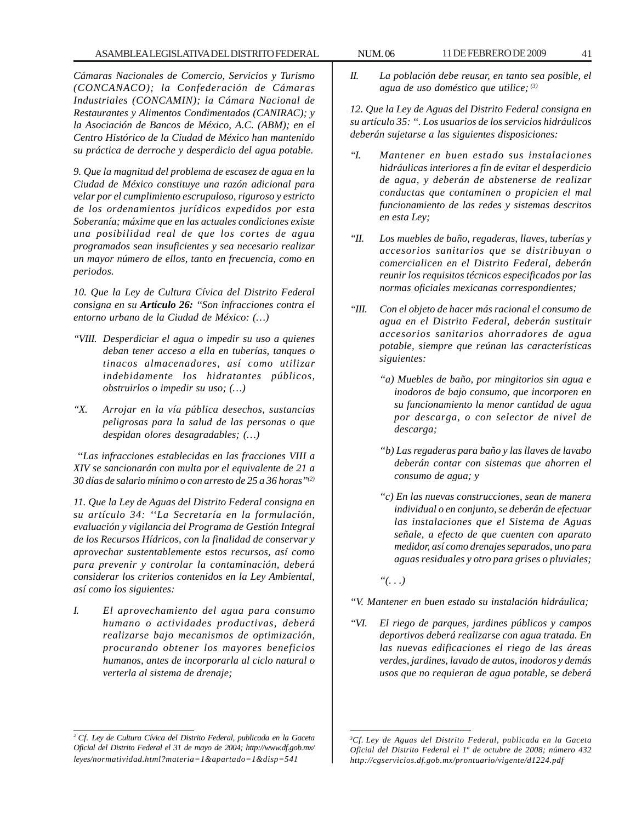*Cámaras Nacionales de Comercio, Servicios y Turismo (CONCANACO); la Confederación de Cámaras Industriales (CONCAMIN); la Cámara Nacional de Restaurantes y Alimentos Condimentados (CANIRAC); y la Asociación de Bancos de México, A.C. (ABM); en el Centro Histórico de la Ciudad de México han mantenido su práctica de derroche y desperdicio del agua potable.*

*9. Que la magnitud del problema de escasez de agua en la Ciudad de México constituye una razón adicional para velar por el cumplimiento escrupuloso, riguroso y estricto de los ordenamientos jurídicos expedidos por esta Soberanía; máxime que en las actuales condiciones existe una posibilidad real de que los cortes de agua programados sean insuficientes y sea necesario realizar un mayor número de ellos, tanto en frecuencia, como en periodos.*

*10. Que la Ley de Cultura Cívica del Distrito Federal consigna en su Artículo 26: ''Son infracciones contra el entorno urbano de la Ciudad de México: (…)*

- *''VIII. Desperdiciar el agua o impedir su uso a quienes deban tener acceso a ella en tuberías, tanques o tinacos almacenadores, así como utilizar indebidamente los hidratantes públicos, obstruirlos o impedir su uso; (…)*
- *''X. Arrojar en la vía pública desechos, sustancias peligrosas para la salud de las personas o que despidan olores desagradables; (…)*

 *''Las infracciones establecidas en las fracciones VIII a XIV se sancionarán con multa por el equivalente de 21 a 30 días de salario mínimo o con arresto de 25 a 36 horas''(2)*

*11. Que la Ley de Aguas del Distrito Federal consigna en su artículo 34: ''La Secretaría en la formulación, evaluación y vigilancia del Programa de Gestión Integral de los Recursos Hídricos, con la finalidad de conservar y aprovechar sustentablemente estos recursos, así como para prevenir y controlar la contaminación, deberá considerar los criterios contenidos en la Ley Ambiental, así como los siguientes:*

*I. El aprovechamiento del agua para consumo humano o actividades productivas, deberá realizarse bajo mecanismos de optimización, procurando obtener los mayores beneficios humanos, antes de incorporarla al ciclo natural o verterla al sistema de drenaje;*

*II. La población debe reusar, en tanto sea posible, el agua de uso doméstico que utilice; (3)*

*12. Que la Ley de Aguas del Distrito Federal consigna en su artículo 35: ''. Los usuarios de los servicios hidráulicos deberán sujetarse a las siguientes disposiciones:*

- *''I. Mantener en buen estado sus instalaciones hidráulicas interiores a fin de evitar el desperdicio de agua, y deberán de abstenerse de realizar conductas que contaminen o propicien el mal funcionamiento de las redes y sistemas descritos en esta Ley;*
- *''II. Los muebles de baño, regaderas, llaves, tuberías y accesorios sanitarios que se distribuyan o comercialicen en el Distrito Federal, deberán reunir los requisitos técnicos especificados por las normas oficiales mexicanas correspondientes;*
- *''III. Con el objeto de hacer más racional el consumo de agua en el Distrito Federal, deberán sustituir accesorios sanitarios ahorradores de agua potable, siempre que reúnan las características siguientes:*
	- *''a) Muebles de baño, por mingitorios sin agua e inodoros de bajo consumo, que incorporen en su funcionamiento la menor cantidad de agua por descarga, o con selector de nivel de descarga;*
	- *''b) Las regaderas para baño y las llaves de lavabo deberán contar con sistemas que ahorren el consumo de agua; y*
	- *''c) En las nuevas construcciones, sean de manera individual o en conjunto, se deberán de efectuar las instalaciones que el Sistema de Aguas señale, a efecto de que cuenten con aparato medidor, así como drenajes separados, uno para aguas residuales y otro para grises o pluviales;*

*''(. . .)*

- *''V. Mantener en buen estado su instalación hidráulica;*
- *''VI. El riego de parques, jardines públicos y campos deportivos deberá realizarse con agua tratada. En las nuevas edificaciones el riego de las áreas verdes, jardines, lavado de autos, inodoros y demás usos que no requieran de agua potable, se deberá*

*<sup>2</sup> Cf. Ley de Cultura Cívica del Distrito Federal, publicada en la Gaceta Oficial del Distrito Federal el 31 de mayo de 2004; http://www.df.gob.mx/ leyes/normatividad.html?materia=1&apartado=1&disp=541*

*<sup>3</sup> Cf. Ley de Aguas del Distrito Federal, publicada en la Gaceta Oficial del Distrito Federal el 1º de octubre de 2008; número 432 http://cgservicios.df.gob.mx/prontuario/vigente/d1224.pdf*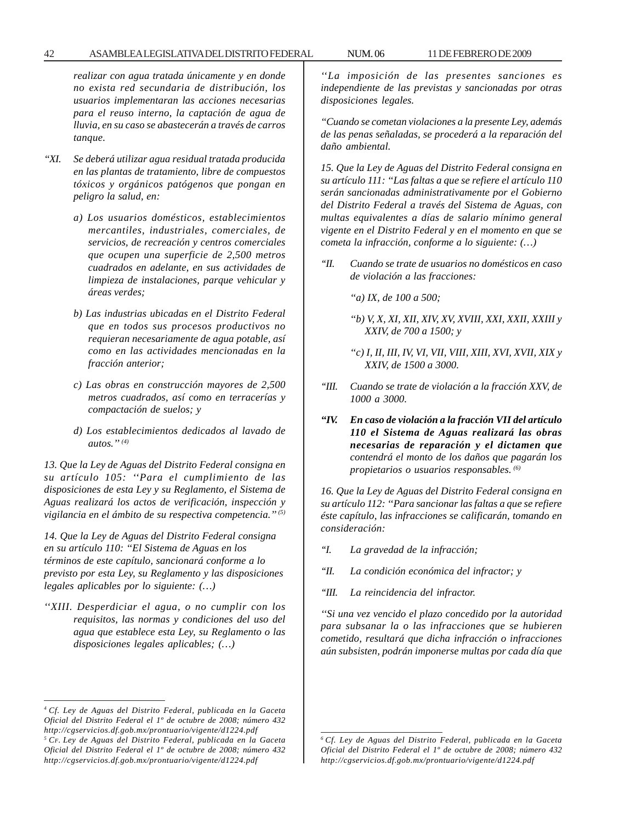### 42 ASAMBLEA LEGISLATIVA DEL DISTRITO FEDERAL NUM. 06 11 DE FEBRERO DE 2009

*realizar con agua tratada únicamente y en donde no exista red secundaria de distribución, los usuarios implementaran las acciones necesarias para el reuso interno, la captación de agua de lluvia, en su caso se abastecerán a través de carros tanque.*

- *''XI. Se deberá utilizar agua residual tratada producida en las plantas de tratamiento, libre de compuestos tóxicos y orgánicos patógenos que pongan en peligro la salud, en:*
	- *a) Los usuarios domésticos, establecimientos mercantiles, industriales, comerciales, de servicios, de recreación y centros comerciales que ocupen una superficie de 2,500 metros cuadrados en adelante, en sus actividades de limpieza de instalaciones, parque vehicular y áreas verdes;*
	- *b) Las industrias ubicadas en el Distrito Federal que en todos sus procesos productivos no requieran necesariamente de agua potable, así como en las actividades mencionadas en la fracción anterior;*
	- *c) Las obras en construcción mayores de 2,500 metros cuadrados, así como en terracerías y compactación de suelos; y*
	- *d) Los establecimientos dedicados al lavado de autos.'' (4)*

*13. Que la Ley de Aguas del Distrito Federal consigna en su artículo 105: ''Para el cumplimiento de las disposiciones de esta Ley y su Reglamento, el Sistema de Aguas realizará los actos de verificación, inspección y vigilancia en el ámbito de su respectiva competencia.'' (5)*

*14. Que la Ley de Aguas del Distrito Federal consigna en su artículo 110: ''El Sistema de Aguas en los términos de este capítulo, sancionará conforme a lo previsto por esta Ley, su Reglamento y las disposiciones legales aplicables por lo siguiente: (…)*

*''XIII. Desperdiciar el agua, o no cumplir con los requisitos, las normas y condiciones del uso del agua que establece esta Ley, su Reglamento o las disposiciones legales aplicables; (…)*

*''La imposición de las presentes sanciones es independiente de las previstas y sancionadas por otras disposiciones legales.*

*''Cuando se cometan violaciones a la presente Ley, además de las penas señaladas, se procederá a la reparación del daño ambiental.*

*15. Que la Ley de Aguas del Distrito Federal consigna en su artículo 111: ''Las faltas a que se refiere el artículo 110 serán sancionadas administrativamente por el Gobierno del Distrito Federal a través del Sistema de Aguas, con multas equivalentes a días de salario mínimo general vigente en el Distrito Federal y en el momento en que se cometa la infracción, conforme a lo siguiente: (…)*

*''II. Cuando se trate de usuarios no domésticos en caso de violación a las fracciones:*

*''a) IX, de 100 a 500;*

- *''b) V, X, XI, XII, XIV, XV, XVIII, XXI, XXII, XXIII y XXIV, de 700 a 1500; y*
- *''c) I, II, III, IV, VI, VII, VIII, XIII, XVI, XVII, XIX y XXIV, de 1500 a 3000.*
- *''III. Cuando se trate de violación a la fracción XXV, de 1000 a 3000.*
- *''IV. En caso de violación a la fracción VII del artículo 110 el Sistema de Aguas realizará las obras necesarias de reparación y el dictamen que contendrá el monto de los daños que pagarán los propietarios o usuarios responsables. (6)*

*16. Que la Ley de Aguas del Distrito Federal consigna en su artículo 112: ''Para sancionar las faltas a que se refiere éste capítulo, las infracciones se calificarán, tomando en consideración:*

- *''I. La gravedad de la infracción;*
- *''II. La condición económica del infractor; y*
- *''III. La reincidencia del infractor.*

*''Si una vez vencido el plazo concedido por la autoridad para subsanar la o las infracciones que se hubieren cometido, resultará que dicha infracción o infracciones aún subsisten, podrán imponerse multas por cada día que*

*<sup>4</sup> Cf. Ley de Aguas del Distrito Federal, publicada en la Gaceta Oficial del Distrito Federal el 1º de octubre de 2008; número 432 http://cgservicios.df.gob.mx/prontuario/vigente/d1224.pdf 5 CF. Ley de Aguas del Distrito Federal, publicada en la Gaceta Oficial del Distrito Federal el 1º de octubre de 2008; número 432 http://cgservicios.df.gob.mx/prontuario/vigente/d1224.pdf*

*<sup>6</sup> Cf. Ley de Aguas del Distrito Federal, publicada en la Gaceta Oficial del Distrito Federal el 1º de octubre de 2008; número 432 http://cgservicios.df.gob.mx/prontuario/vigente/d1224.pdf*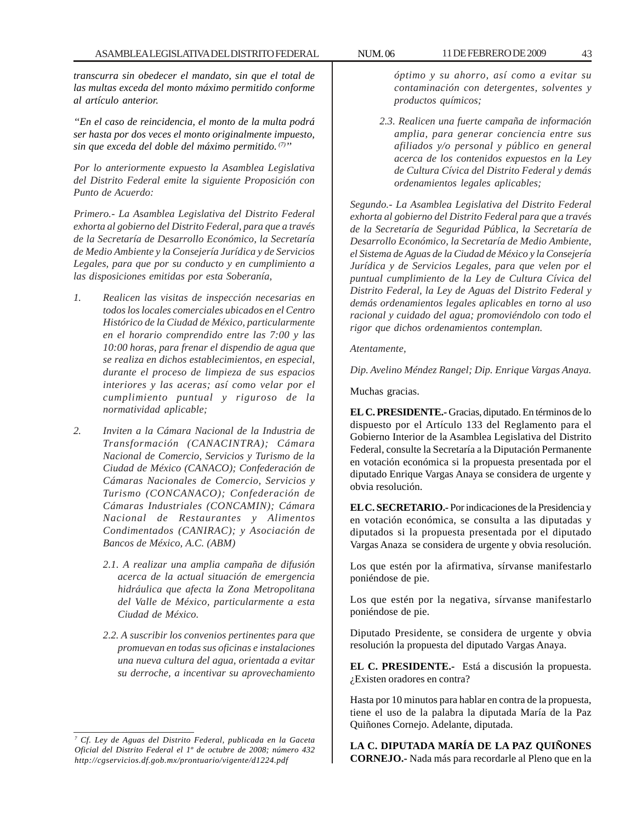*transcurra sin obedecer el mandato, sin que el total de las multas exceda del monto máximo permitido conforme al artículo anterior.*

*''En el caso de reincidencia, el monto de la multa podrá ser hasta por dos veces el monto originalmente impuesto, sin que exceda del doble del máximo permitido. (7)''*

*Por lo anteriormente expuesto la Asamblea Legislativa del Distrito Federal emite la siguiente Proposición con Punto de Acuerdo:*

*Primero.- La Asamblea Legislativa del Distrito Federal exhorta al gobierno del Distrito Federal, para que a través de la Secretaría de Desarrollo Económico, la Secretaría de Medio Ambiente y la Consejería Jurídica y de Servicios Legales, para que por su conducto y en cumplimiento a las disposiciones emitidas por esta Soberanía,*

- *1. Realicen las visitas de inspección necesarias en todos los locales comerciales ubicados en el Centro Histórico de la Ciudad de México, particularmente en el horario comprendido entre las 7:00 y las 10:00 horas, para frenar el dispendio de agua que se realiza en dichos establecimientos, en especial, durante el proceso de limpieza de sus espacios interiores y las aceras; así como velar por el cumplimiento puntual y riguroso de la normatividad aplicable;*
- *2. Inviten a la Cámara Nacional de la Industria de Transformación (CANACINTRA); Cámara Nacional de Comercio, Servicios y Turismo de la Ciudad de México (CANACO); Confederación de Cámaras Nacionales de Comercio, Servicios y Turismo (CONCANACO); Confederación de Cámaras Industriales (CONCAMIN); Cámara Nacional de Restaurantes y Alimentos Condimentados (CANIRAC); y Asociación de Bancos de México, A.C. (ABM)*
	- *2.1. A realizar una amplia campaña de difusión acerca de la actual situación de emergencia hidráulica que afecta la Zona Metropolitana del Valle de México, particularmente a esta Ciudad de México.*
	- *2.2. A suscribir los convenios pertinentes para que promuevan en todas sus oficinas e instalaciones una nueva cultura del agua, orientada a evitar su derroche, a incentivar su aprovechamiento*

*óptimo y su ahorro, así como a evitar su contaminación con detergentes, solventes y productos químicos;*

*2.3. Realicen una fuerte campaña de información amplia, para generar conciencia entre sus afiliados y/o personal y público en general acerca de los contenidos expuestos en la Ley de Cultura Cívica del Distrito Federal y demás ordenamientos legales aplicables;*

*Segundo.- La Asamblea Legislativa del Distrito Federal exhorta al gobierno del Distrito Federal para que a través de la Secretaría de Seguridad Pública, la Secretaría de Desarrollo Económico, la Secretaría de Medio Ambiente, el Sistema de Aguas de la Ciudad de México y la Consejería Jurídica y de Servicios Legales, para que velen por el puntual cumplimiento de la Ley de Cultura Cívica del Distrito Federal, la Ley de Aguas del Distrito Federal y demás ordenamientos legales aplicables en torno al uso racional y cuidado del agua; promoviéndolo con todo el rigor que dichos ordenamientos contemplan.*

*Atentamente,*

*Dip. Avelino Méndez Rangel; Dip. Enrique Vargas Anaya.*

Muchas gracias.

**EL C. PRESIDENTE.-** Gracias, diputado. En términos de lo dispuesto por el Artículo 133 del Reglamento para el Gobierno Interior de la Asamblea Legislativa del Distrito Federal, consulte la Secretaría a la Diputación Permanente en votación económica si la propuesta presentada por el diputado Enrique Vargas Anaya se considera de urgente y obvia resolución.

**EL C. SECRETARIO.-** Por indicaciones de la Presidencia y en votación económica, se consulta a las diputadas y diputados si la propuesta presentada por el diputado Vargas Anaza se considera de urgente y obvia resolución.

Los que estén por la afirmativa, sírvanse manifestarlo poniéndose de pie.

Los que estén por la negativa, sírvanse manifestarlo poniéndose de pie.

Diputado Presidente, se considera de urgente y obvia resolución la propuesta del diputado Vargas Anaya.

**EL C. PRESIDENTE.-** Está a discusión la propuesta. ¿Existen oradores en contra?

Hasta por 10 minutos para hablar en contra de la propuesta, tiene el uso de la palabra la diputada María de la Paz Quiñones Cornejo. Adelante, diputada.

**LA C. DIPUTADA MARÍA DE LA PAZ QUIÑONES CORNEJO.-** Nada más para recordarle al Pleno que en la

*<sup>7</sup> Cf. Ley de Aguas del Distrito Federal, publicada en la Gaceta Oficial del Distrito Federal el 1º de octubre de 2008; número 432 http://cgservicios.df.gob.mx/prontuario/vigente/d1224.pdf*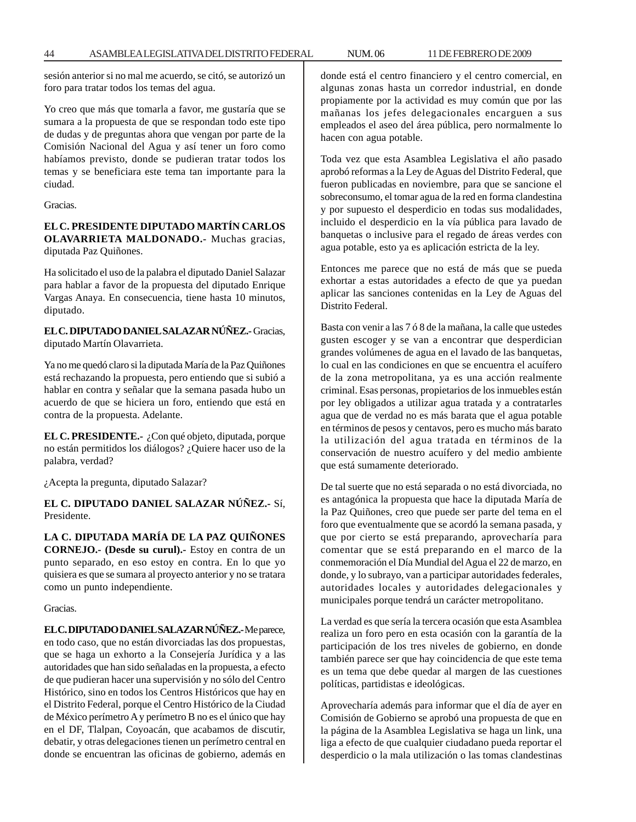sesión anterior si no mal me acuerdo, se citó, se autorizó un foro para tratar todos los temas del agua.

Yo creo que más que tomarla a favor, me gustaría que se sumara a la propuesta de que se respondan todo este tipo de dudas y de preguntas ahora que vengan por parte de la Comisión Nacional del Agua y así tener un foro como habíamos previsto, donde se pudieran tratar todos los temas y se beneficiara este tema tan importante para la ciudad.

Gracias.

# **EL C. PRESIDENTE DIPUTADO MARTÍN CARLOS OLAVARRIETA MALDONADO.-** Muchas gracias, diputada Paz Quiñones.

Ha solicitado el uso de la palabra el diputado Daniel Salazar para hablar a favor de la propuesta del diputado Enrique Vargas Anaya. En consecuencia, tiene hasta 10 minutos, diputado.

**EL C. DIPUTADO DANIEL SALAZAR NÚÑEZ.-** Gracias, diputado Martín Olavarrieta.

Ya no me quedó claro si la diputada María de la Paz Quiñones está rechazando la propuesta, pero entiendo que si subió a hablar en contra y señalar que la semana pasada hubo un acuerdo de que se hiciera un foro, entiendo que está en contra de la propuesta. Adelante.

**EL C. PRESIDENTE.-** ¿Con qué objeto, diputada, porque no están permitidos los diálogos? ¿Quiere hacer uso de la palabra, verdad?

¿Acepta la pregunta, diputado Salazar?

**EL C. DIPUTADO DANIEL SALAZAR NÚÑEZ.-** Sí, Presidente.

**LA C. DIPUTADA MARÍA DE LA PAZ QUIÑONES CORNEJO.- (Desde su curul).-** Estoy en contra de un punto separado, en eso estoy en contra. En lo que yo quisiera es que se sumara al proyecto anterior y no se tratara como un punto independiente.

Gracias.

**EL C. DIPUTADO DANIEL SALAZAR NÚÑEZ.-** Me parece,

en todo caso, que no están divorciadas las dos propuestas, que se haga un exhorto a la Consejería Jurídica y a las autoridades que han sido señaladas en la propuesta, a efecto de que pudieran hacer una supervisión y no sólo del Centro Histórico, sino en todos los Centros Históricos que hay en el Distrito Federal, porque el Centro Histórico de la Ciudad de México perímetro A y perímetro B no es el único que hay en el DF, Tlalpan, Coyoacán, que acabamos de discutir, debatir, y otras delegaciones tienen un perímetro central en donde se encuentran las oficinas de gobierno, además en donde está el centro financiero y el centro comercial, en algunas zonas hasta un corredor industrial, en donde propiamente por la actividad es muy común que por las mañanas los jefes delegacionales encarguen a sus empleados el aseo del área pública, pero normalmente lo hacen con agua potable.

Toda vez que esta Asamblea Legislativa el año pasado aprobó reformas a la Ley de Aguas del Distrito Federal, que fueron publicadas en noviembre, para que se sancione el sobreconsumo, el tomar agua de la red en forma clandestina y por supuesto el desperdicio en todas sus modalidades, incluido el desperdicio en la vía pública para lavado de banquetas o inclusive para el regado de áreas verdes con agua potable, esto ya es aplicación estricta de la ley.

Entonces me parece que no está de más que se pueda exhortar a estas autoridades a efecto de que ya puedan aplicar las sanciones contenidas en la Ley de Aguas del Distrito Federal.

Basta con venir a las 7 ó 8 de la mañana, la calle que ustedes gusten escoger y se van a encontrar que desperdician grandes volúmenes de agua en el lavado de las banquetas, lo cual en las condiciones en que se encuentra el acuífero de la zona metropolitana, ya es una acción realmente criminal. Esas personas, propietarios de los inmuebles están por ley obligados a utilizar agua tratada y a contratarles agua que de verdad no es más barata que el agua potable en términos de pesos y centavos, pero es mucho más barato la utilización del agua tratada en términos de la conservación de nuestro acuífero y del medio ambiente que está sumamente deteriorado.

De tal suerte que no está separada o no está divorciada, no es antagónica la propuesta que hace la diputada María de la Paz Quiñones, creo que puede ser parte del tema en el foro que eventualmente que se acordó la semana pasada, y que por cierto se está preparando, aprovecharía para comentar que se está preparando en el marco de la conmemoración el Día Mundial del Agua el 22 de marzo, en donde, y lo subrayo, van a participar autoridades federales, autoridades locales y autoridades delegacionales y municipales porque tendrá un carácter metropolitano.

La verdad es que sería la tercera ocasión que esta Asamblea realiza un foro pero en esta ocasión con la garantía de la participación de los tres niveles de gobierno, en donde también parece ser que hay coincidencia de que este tema es un tema que debe quedar al margen de las cuestiones políticas, partidistas e ideológicas.

Aprovecharía además para informar que el día de ayer en Comisión de Gobierno se aprobó una propuesta de que en la página de la Asamblea Legislativa se haga un link, una liga a efecto de que cualquier ciudadano pueda reportar el desperdicio o la mala utilización o las tomas clandestinas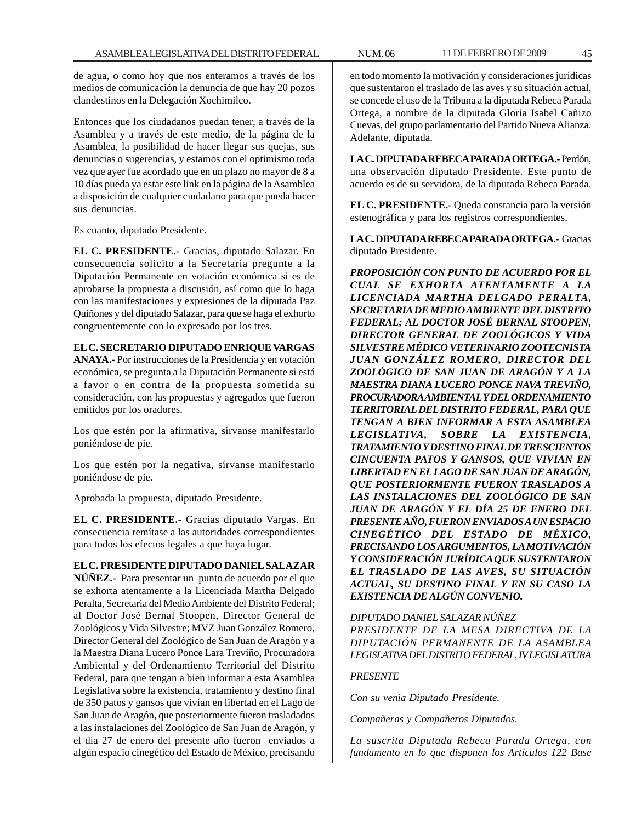de agua, o como hoy que nos enteramos a través de los medios de comunicación la denuncia de que hay 20 pozos clandestinos en la Delegación Xochimilco.

Entonces que los ciudadanos puedan tener, a través de la Asamblea y a través de este medio, de la página de la Asamblea, la posibilidad de hacer llegar sus quejas, sus denuncias o sugerencias, y estamos con el optimismo toda vez que ayer fue acordado que en un plazo no mayor de 8 a 10 días pueda ya estar este link en la página de la Asamblea a disposición de cualquier ciudadano para que pueda hacer sus denuncias.

Es cuanto, diputado Presidente.

**EL C. PRESIDENTE.-** Gracias, diputado Salazar. En consecuencia solicito a la Secretaría pregunte a la Diputación Permanente en votación económica si es de aprobarse la propuesta a discusión, así como que lo haga con las manifestaciones y expresiones de la diputada Paz Quiñones y del diputado Salazar, para que se haga el exhorto congruentemente con lo expresado por los tres.

## **EL C. SECRETARIO DIPUTADO ENRIQUE VARGAS**

**ANAYA.-** Por instrucciones de la Presidencia y en votación económica, se pregunta a la Diputación Permanente si está a favor o en contra de la propuesta sometida su consideración, con las propuestas y agregados que fueron emitidos por los oradores.

Los que estén por la afirmativa, sírvanse manifestarlo poniéndose de pie.

Los que estén por la negativa, sírvanse manifestarlo poniéndose de pie.

Aprobada la propuesta, diputado Presidente.

**EL C. PRESIDENTE.-** Gracias diputado Vargas. En consecuencia remítase a las autoridades correspondientes para todos los efectos legales a que haya lugar.

**EL C. PRESIDENTE DIPUTADO DANIEL SALAZAR**

**NÚÑEZ.-** Para presentar un punto de acuerdo por el que se exhorta atentamente a la Licenciada Martha Delgado Peralta, Secretaria del Medio Ambiente del Distrito Federal; al Doctor José Bernal Stoopen, Director General de Zoológicos y Vida Silvestre; MVZ Juan González Romero, Director General del Zoológico de San Juan de Aragón y a la Maestra Diana Lucero Ponce Lara Treviño, Procuradora Ambiental y del Ordenamiento Territorial del Distrito Federal, para que tengan a bien informar a esta Asamblea Legislativa sobre la existencia, tratamiento y destino final de 350 patos y gansos que vivían en libertad en el Lago de San Juan de Aragón, que posteriormente fueron trasladados a las instalaciones del Zoológico de San Juan de Aragón, y el día 27 de enero del presente año fueron enviados a algún espacio cinegético del Estado de México, precisando

en todo momento la motivación y consideraciones jurídicas que sustentaron el traslado de las aves y su situación actual, se concede el uso de la Tribuna a la diputada Rebeca Parada Ortega, a nombre de la diputada Gloria Isabel Cañizo Cuevas, del grupo parlamentario del Partido Nueva Alianza. Adelante, diputada.

**LA C. DIPUTADA REBECA PARADA ORTEGA.-** Perdón, una observación diputado Presidente. Este punto de acuerdo es de su servidora, de la diputada Rebeca Parada.

**EL C. PRESIDENTE.-** Queda constancia para la versión estenográfica y para los registros correspondientes.

**LA C. DIPUTADA REBECA PARADA ORTEGA.-** Gracias diputado Presidente.

*PROPOSICIÓN CON PUNTO DE ACUERDO POR EL CUAL SE EXHORTA ATENTAMENTE A LA LICENCIADA MARTHA DELGADO PERALTA, SECRETARIA DE MEDIO AMBIENTE DEL DISTRITO FEDERAL; AL DOCTOR JOSÉ BERNAL STOOPEN, DIRECTOR GENERAL DE ZOOLÓGICOS Y VIDA SILVESTRE MÉDICO VETERINARIO ZOOTECNISTA JUAN GONZÁLEZ ROMERO, DIRECTOR DEL ZOOLÓGICO DE SAN JUAN DE ARAGÓN Y A LA MAESTRA DIANA LUCERO PONCE NAVA TREVIÑO, PROCURADORA AMBIENTAL Y DEL ORDENAMIENTO TERRITORIAL DEL DISTRITO FEDERAL, PARA QUE TENGAN A BIEN INFORMAR A ESTA ASAMBLEA LEGISLATIVA, SOBRE LA EXISTENCIA, TRATAMIENTO Y DESTINO FINAL DE TRESCIENTOS CINCUENTA PATOS Y GANSOS, QUE VIVIAN EN LIBERTAD EN EL LAGO DE SAN JUAN DE ARAGÓN, QUE POSTERIORMENTE FUERON TRASLADOS A LAS INSTALACIONES DEL ZOOLÓGICO DE SAN JUAN DE ARAGÓN Y EL DÍA 25 DE ENERO DEL PRESENTE AÑO, FUERON ENVIADOS A UN ESPACIO CINEGÉTICO DEL ESTADO DE MÉXICO, PRECISANDO LOS ARGUMENTOS, LA MOTIVACIÓN Y CONSIDERACIÓN JURÍDICA QUE SUSTENTARON EL TRASLADO DE LAS AVES, SU SITUACIÓN ACTUAL, SU DESTINO FINAL Y EN SU CASO LA EXISTENCIA DE ALGÚN CONVENIO.*

*DIPUTADO DANIEL SALAZAR NÚÑEZ*

*PRESIDENTE DE LA MESA DIRECTIVA DE LA DIPUTACIÓN PERMANENTE DE LA ASAMBLEA LEGISLATIVA DEL DISTRITO FEDERAL, IV LEGISLATURA*

# *PRESENTE*

*Con su venia Diputado Presidente.*

*Compañeras y Compañeros Diputados.*

*La suscrita Diputada Rebeca Parada Ortega, con fundamento en lo que disponen los Artículos 122 Base*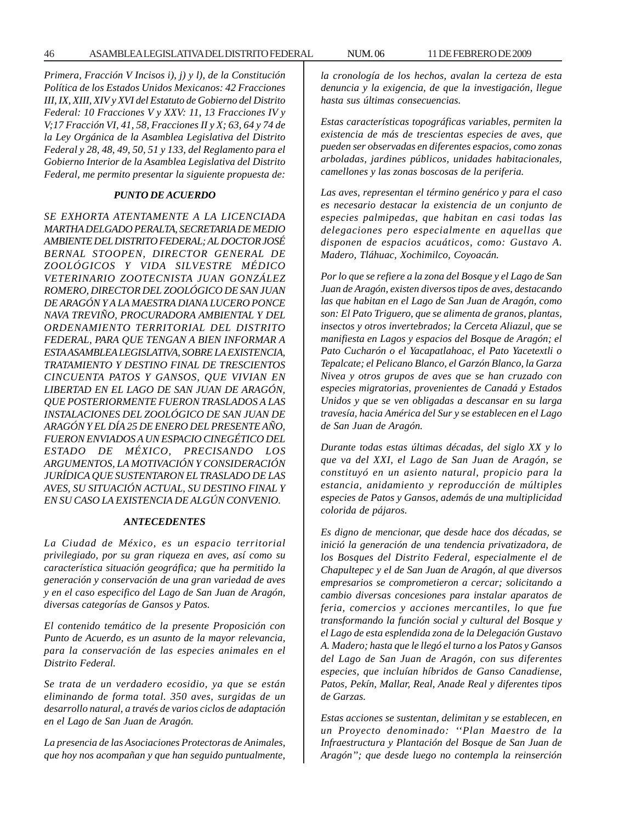*Primera, Fracción V Incisos i), j) y l), de la Constitución Política de los Estados Unidos Mexicanos: 42 Fracciones III, IX, XIII, XIV y XVI del Estatuto de Gobierno del Distrito Federal: 10 Fracciones V y XXV: 11, 13 Fracciones IV y V;17 Fracción VI, 41, 58, Fracciones II y X; 63, 64 y 74 de la Ley Orgánica de la Asamblea Legislativa del Distrito Federal y 28, 48, 49, 50, 51 y 133, del Reglamento para el Gobierno Interior de la Asamblea Legislativa del Distrito Federal, me permito presentar la siguiente propuesta de:*

## *PUNTO DE ACUERDO*

*SE EXHORTA ATENTAMENTE A LA LICENCIADA MARTHA DELGADO PERALTA, SECRETARIA DE MEDIO AMBIENTE DEL DISTRITO FEDERAL; AL DOCTOR JOSÉ BERNAL STOOPEN, DIRECTOR GENERAL DE ZOOLÓGICOS Y VIDA SILVESTRE MÉDICO VETERINARIO ZOOTECNISTA JUAN GONZÁLEZ ROMERO, DIRECTOR DEL ZOOLÓGICO DE SAN JUAN DE ARAGÓN Y A LA MAESTRA DIANA LUCERO PONCE NAVA TREVIÑO, PROCURADORA AMBIENTAL Y DEL ORDENAMIENTO TERRITORIAL DEL DISTRITO FEDERAL, PARA QUE TENGAN A BIEN INFORMAR A ESTA ASAMBLEA LEGISLATIVA, SOBRE LA EXISTENCIA, TRATAMIENTO Y DESTINO FINAL DE TRESCIENTOS CINCUENTA PATOS Y GANSOS, QUE VIVIAN EN LIBERTAD EN EL LAGO DE SAN JUAN DE ARAGÓN, QUE POSTERIORMENTE FUERON TRASLADOS A LAS INSTALACIONES DEL ZOOLÓGICO DE SAN JUAN DE ARAGÓN Y EL DÍA 25 DE ENERO DEL PRESENTE AÑO, FUERON ENVIADOS A UN ESPACIO CINEGÉTICO DEL ESTADO DE MÉXICO, PRECISANDO LOS ARGUMENTOS, LA MOTIVACIÓN Y CONSIDERACIÓN JURÍDICA QUE SUSTENTARON EL TRASLADO DE LAS AVES, SU SITUACIÓN ACTUAL, SU DESTINO FINAL Y EN SU CASO LA EXISTENCIA DE ALGÚN CONVENIO.*

#### *ANTECEDENTES*

*La Ciudad de México, es un espacio territorial privilegiado, por su gran riqueza en aves, así como su característica situación geográfica; que ha permitido la generación y conservación de una gran variedad de aves y en el caso especifico del Lago de San Juan de Aragón, diversas categorías de Gansos y Patos.*

*El contenido temático de la presente Proposición con Punto de Acuerdo, es un asunto de la mayor relevancia, para la conservación de las especies animales en el Distrito Federal.*

*Se trata de un verdadero ecosidio, ya que se están eliminando de forma total. 350 aves, surgidas de un desarrollo natural, a través de varios ciclos de adaptación en el Lago de San Juan de Aragón.*

*La presencia de las Asociaciones Protectoras de Animales, que hoy nos acompañan y que han seguido puntualmente,* *la cronología de los hechos, avalan la certeza de esta denuncia y la exigencia, de que la investigación, llegue hasta sus últimas consecuencias.*

*Estas características topográficas variables, permiten la existencia de más de trescientas especies de aves, que pueden ser observadas en diferentes espacios, como zonas arboladas, jardines públicos, unidades habitacionales, camellones y las zonas boscosas de la periferia.*

*Las aves, representan el término genérico y para el caso es necesario destacar la existencia de un conjunto de especies palmipedas, que habitan en casi todas las delegaciones pero especialmente en aquellas que disponen de espacios acuáticos, como: Gustavo A. Madero, Tláhuac, Xochimilco, Coyoacán.*

*Por lo que se refiere a la zona del Bosque y el Lago de San Juan de Aragón, existen diversos tipos de aves, destacando las que habitan en el Lago de San Juan de Aragón, como son: El Pato Triguero, que se alimenta de granos, plantas, insectos y otros invertebrados; la Cerceta Aliazul, que se manifiesta en Lagos y espacios del Bosque de Aragón; el Pato Cucharón o el Yacapatlahoac, el Pato Yacetextli o Tepalcate; el Pelicano Blanco, el Garzón Blanco, la Garza Nivea y otros grupos de aves que se han cruzado con especies migratorias, provenientes de Canadá y Estados Unidos y que se ven obligadas a descansar en su larga travesía, hacia América del Sur y se establecen en el Lago de San Juan de Aragón.*

*Durante todas estas últimas décadas, del siglo XX y lo que va del XXI, el Lago de San Juan de Aragón, se constituyó en un asiento natural, propicio para la estancia, anidamiento y reproducción de múltiples especies de Patos y Gansos, además de una multiplicidad colorida de pájaros.*

*Es digno de mencionar, que desde hace dos décadas, se inició la generación de una tendencia privatizadora, de los Bosques del Distrito Federal, especialmente el de Chapultepec y el de San Juan de Aragón, al que diversos empresarios se comprometieron a cercar; solicitando a cambio diversas concesiones para instalar aparatos de feria, comercios y acciones mercantiles, lo que fue transformando la función social y cultural del Bosque y el Lago de esta esplendida zona de la Delegación Gustavo A. Madero; hasta que le llegó el turno a los Patos y Gansos del Lago de San Juan de Aragón, con sus diferentes especies, que incluían híbridos de Ganso Canadiense, Patos, Pekín, Mallar, Real, Anade Real y diferentes tipos de Garzas.*

*Estas acciones se sustentan, delimitan y se establecen, en un Proyecto denominado: ''Plan Maestro de la Infraestructura y Plantación del Bosque de San Juan de Aragón''; que desde luego no contempla la reinserción*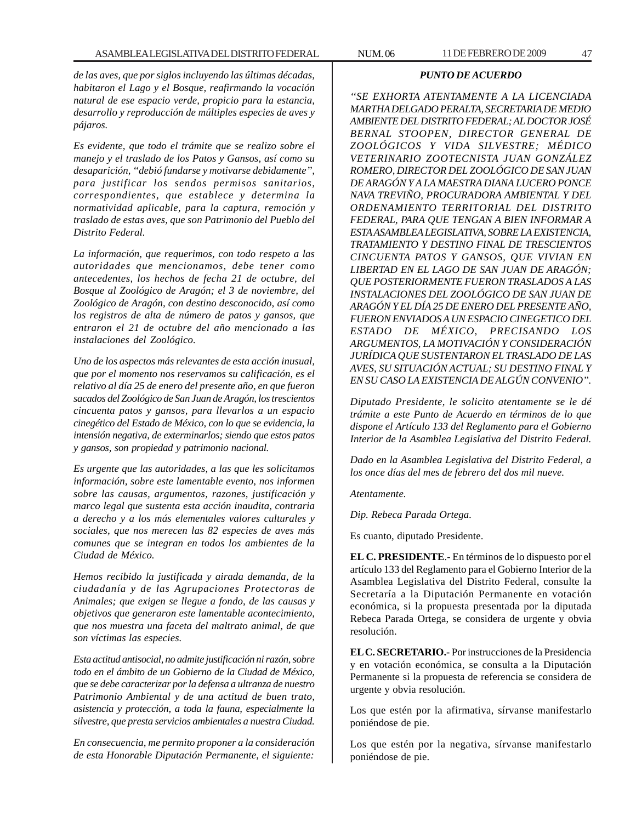*de las aves, que por siglos incluyendo las últimas décadas, habitaron el Lago y el Bosque, reafirmando la vocación natural de ese espacio verde, propicio para la estancia, desarrollo y reproducción de múltiples especies de aves y pájaros.*

*Es evidente, que todo el trámite que se realizo sobre el manejo y el traslado de los Patos y Gansos, así como su desaparición, ''debió fundarse y motivarse debidamente'', para justificar los sendos permisos sanitarios, correspondientes, que establece y determina la normatividad aplicable, para la captura, remoción y traslado de estas aves, que son Patrimonio del Pueblo del Distrito Federal.*

*La información, que requerimos, con todo respeto a las autoridades que mencionamos, debe tener como antecedentes, los hechos de fecha 21 de octubre, del Bosque al Zoológico de Aragón; el 3 de noviembre, del Zoológico de Aragón, con destino desconocido, así como los registros de alta de número de patos y gansos, que entraron el 21 de octubre del año mencionado a las instalaciones del Zoológico.*

*Uno de los aspectos más relevantes de esta acción inusual, que por el momento nos reservamos su calificación, es el relativo al día 25 de enero del presente año, en que fueron sacados del Zoológico de San Juan de Aragón, los trescientos cincuenta patos y gansos, para llevarlos a un espacio cinegético del Estado de México, con lo que se evidencia, la intensión negativa, de exterminarlos; siendo que estos patos y gansos, son propiedad y patrimonio nacional.*

*Es urgente que las autoridades, a las que les solicitamos información, sobre este lamentable evento, nos informen sobre las causas, argumentos, razones, justificación y marco legal que sustenta esta acción inaudita, contraria a derecho y a los más elementales valores culturales y sociales, que nos merecen las 82 especies de aves más comunes que se integran en todos los ambientes de la Ciudad de México.*

*Hemos recibido la justificada y airada demanda, de la ciudadanía y de las Agrupaciones Protectoras de Animales; que exigen se llegue a fondo, de las causas y objetivos que generaron este lamentable acontecimiento, que nos muestra una faceta del maltrato animal, de que son víctimas las especies.*

*Esta actitud antisocial, no admite justificación ni razón, sobre todo en el ámbito de un Gobierno de la Ciudad de México, que se debe caracterizar por la defensa a ultranza de nuestro Patrimonio Ambiental y de una actitud de buen trato, asistencia y protección, a toda la fauna, especialmente la silvestre, que presta servicios ambientales a nuestra Ciudad.*

*En consecuencia, me permito proponer a la consideración de esta Honorable Diputación Permanente, el siguiente:*

### *PUNTO DE ACUERDO*

*''SE EXHORTA ATENTAMENTE A LA LICENCIADA MARTHA DELGADO PERALTA, SECRETARIA DE MEDIO AMBIENTE DEL DISTRITO FEDERAL; AL DOCTOR JOSÉ BERNAL STOOPEN, DIRECTOR GENERAL DE ZOOLÓGICOS Y VIDA SILVESTRE; MÉDICO VETERINARIO ZOOTECNISTA JUAN GONZÁLEZ ROMERO, DIRECTOR DEL ZOOLÓGICO DE SAN JUAN DE ARAGÓN Y A LA MAESTRA DIANA LUCERO PONCE NAVA TREVIÑO, PROCURADORA AMBIENTAL Y DEL ORDENAMIENTO TERRITORIAL DEL DISTRITO FEDERAL, PARA QUE TENGAN A BIEN INFORMAR A ESTA ASAMBLEA LEGISLATIVA, SOBRE LA EXISTENCIA, TRATAMIENTO Y DESTINO FINAL DE TRESCIENTOS CINCUENTA PATOS Y GANSOS, QUE VIVIAN EN LIBERTAD EN EL LAGO DE SAN JUAN DE ARAGÓN; QUE POSTERIORMENTE FUERON TRASLADOS A LAS INSTALACIONES DEL ZOOLÓGICO DE SAN JUAN DE ARAGÓN Y EL DÍA 25 DE ENERO DEL PRESENTE AÑO, FUERON ENVIADOS A UN ESPACIO CINEGETICO DEL ESTADO DE MÉXICO, PRECISANDO LOS ARGUMENTOS, LA MOTIVACIÓN Y CONSIDERACIÓN JURÍDICA QUE SUSTENTARON EL TRASLADO DE LAS AVES, SU SITUACIÓN ACTUAL; SU DESTINO FINAL Y EN SU CASO LA EXISTENCIA DE ALGÚN CONVENIO''.*

*Diputado Presidente, le solicito atentamente se le dé trámite a este Punto de Acuerdo en términos de lo que dispone el Artículo 133 del Reglamento para el Gobierno Interior de la Asamblea Legislativa del Distrito Federal.*

*Dado en la Asamblea Legislativa del Distrito Federal, a los once días del mes de febrero del dos mil nueve.*

*Atentamente.*

*Dip. Rebeca Parada Ortega.*

Es cuanto, diputado Presidente.

**EL C. PRESIDENTE**.- En términos de lo dispuesto por el artículo 133 del Reglamento para el Gobierno Interior de la Asamblea Legislativa del Distrito Federal, consulte la Secretaría a la Diputación Permanente en votación económica, si la propuesta presentada por la diputada Rebeca Parada Ortega, se considera de urgente y obvia resolución.

**EL C. SECRETARIO.-** Por instrucciones de la Presidencia y en votación económica, se consulta a la Diputación Permanente si la propuesta de referencia se considera de urgente y obvia resolución.

Los que estén por la afirmativa, sírvanse manifestarlo poniéndose de pie.

Los que estén por la negativa, sírvanse manifestarlo poniéndose de pie.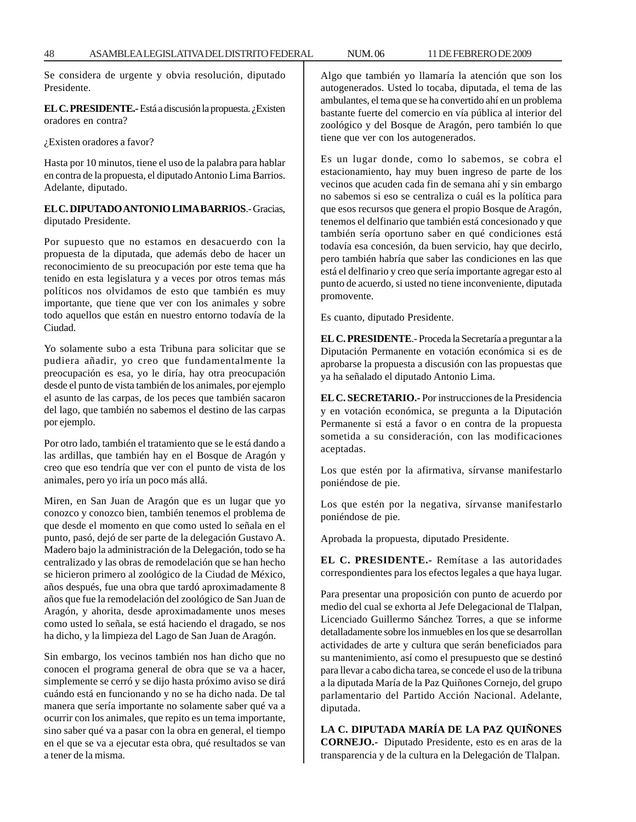Se considera de urgente y obvia resolución, diputado Presidente.

**EL C. PRESIDENTE.-** Está a discusión la propuesta. ¿Existen oradores en contra?

¿Existen oradores a favor?

Hasta por 10 minutos, tiene el uso de la palabra para hablar en contra de la propuesta, el diputado Antonio Lima Barrios. Adelante, diputado.

### **EL C. DIPUTADO ANTONIO LIMA BARRIOS**.- Gracias, diputado Presidente.

Por supuesto que no estamos en desacuerdo con la propuesta de la diputada, que además debo de hacer un reconocimiento de su preocupación por este tema que ha tenido en esta legislatura y a veces por otros temas más políticos nos olvidamos de esto que también es muy importante, que tiene que ver con los animales y sobre todo aquellos que están en nuestro entorno todavía de la Ciudad.

Yo solamente subo a esta Tribuna para solicitar que se pudiera añadir, yo creo que fundamentalmente la preocupación es esa, yo le diría, hay otra preocupación desde el punto de vista también de los animales, por ejemplo el asunto de las carpas, de los peces que también sacaron del lago, que también no sabemos el destino de las carpas por ejemplo.

Por otro lado, también el tratamiento que se le está dando a las ardillas, que también hay en el Bosque de Aragón y creo que eso tendría que ver con el punto de vista de los animales, pero yo iría un poco más allá.

Miren, en San Juan de Aragón que es un lugar que yo conozco y conozco bien, también tenemos el problema de que desde el momento en que como usted lo señala en el punto, pasó, dejó de ser parte de la delegación Gustavo A. Madero bajo la administración de la Delegación, todo se ha centralizado y las obras de remodelación que se han hecho se hicieron primero al zoológico de la Ciudad de México, años después, fue una obra que tardó aproximadamente 8 años que fue la remodelación del zoológico de San Juan de Aragón, y ahorita, desde aproximadamente unos meses como usted lo señala, se está haciendo el dragado, se nos ha dicho, y la limpieza del Lago de San Juan de Aragón.

Sin embargo, los vecinos también nos han dicho que no conocen el programa general de obra que se va a hacer, simplemente se cerró y se dijo hasta próximo aviso se dirá cuándo está en funcionando y no se ha dicho nada. De tal manera que sería importante no solamente saber qué va a ocurrir con los animales, que repito es un tema importante, sino saber qué va a pasar con la obra en general, el tiempo en el que se va a ejecutar esta obra, qué resultados se van a tener de la misma.

Algo que también yo llamaría la atención que son los autogenerados. Usted lo tocaba, diputada, el tema de las ambulantes, el tema que se ha convertido ahí en un problema bastante fuerte del comercio en vía pública al interior del zoológico y del Bosque de Aragón, pero también lo que tiene que ver con los autogenerados.

Es un lugar donde, como lo sabemos, se cobra el estacionamiento, hay muy buen ingreso de parte de los vecinos que acuden cada fin de semana ahí y sin embargo no sabemos si eso se centraliza o cuál es la política para que esos recursos que genera el propio Bosque de Aragón, tenemos el delfinario que también está concesionado y que también sería oportuno saber en qué condiciones está todavía esa concesión, da buen servicio, hay que decirlo, pero también habría que saber las condiciones en las que está el delfinario y creo que sería importante agregar esto al punto de acuerdo, si usted no tiene inconveniente, diputada promovente.

Es cuanto, diputado Presidente.

**EL C. PRESIDENTE**.- Proceda la Secretaría a preguntar a la Diputación Permanente en votación económica si es de aprobarse la propuesta a discusión con las propuestas que ya ha señalado el diputado Antonio Lima.

**EL C. SECRETARIO.-** Por instrucciones de la Presidencia y en votación económica, se pregunta a la Diputación Permanente si está a favor o en contra de la propuesta sometida a su consideración, con las modificaciones aceptadas.

Los que estén por la afirmativa, sírvanse manifestarlo poniéndose de pie.

Los que estén por la negativa, sírvanse manifestarlo poniéndose de pie.

Aprobada la propuesta, diputado Presidente.

**EL C. PRESIDENTE.-** Remítase a las autoridades correspondientes para los efectos legales a que haya lugar.

Para presentar una proposición con punto de acuerdo por medio del cual se exhorta al Jefe Delegacional de Tlalpan, Licenciado Guillermo Sánchez Torres, a que se informe detalladamente sobre los inmuebles en los que se desarrollan actividades de arte y cultura que serán beneficiados para su mantenimiento, así como el presupuesto que se destinó para llevar a cabo dicha tarea, se concede el uso de la tribuna a la diputada María de la Paz Quiñones Cornejo, del grupo parlamentario del Partido Acción Nacional. Adelante, diputada.

**LA C. DIPUTADA MARÍA DE LA PAZ QUIÑONES CORNEJO.-** Diputado Presidente, esto es en aras de la transparencia y de la cultura en la Delegación de Tlalpan.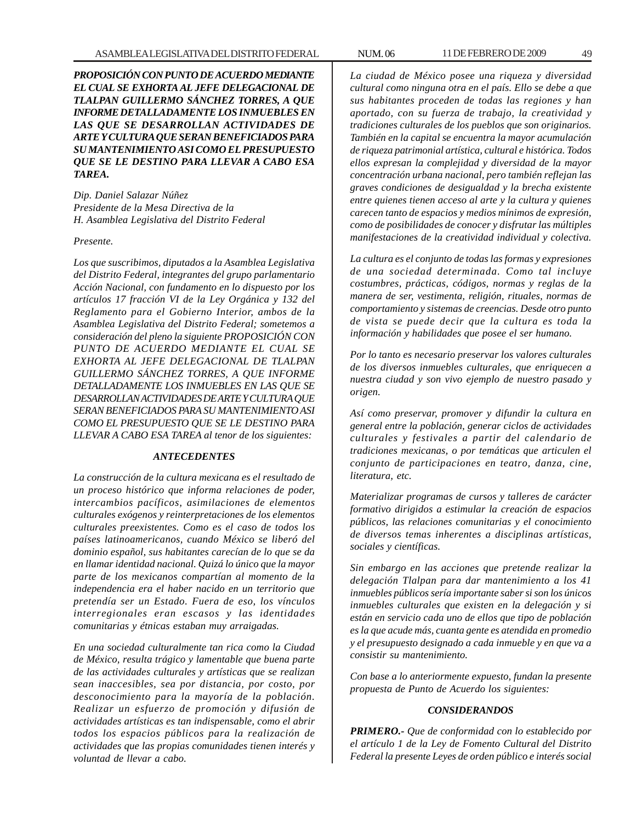*PROPOSICIÓN CON PUNTO DE ACUERDO MEDIANTE EL CUAL SE EXHORTA AL JEFE DELEGACIONAL DE TLALPAN GUILLERMO SÁNCHEZ TORRES, A QUE INFORME DETALLADAMENTE LOS INMUEBLES EN LAS QUE SE DESARROLLAN ACTIVIDADES DE ARTE Y CULTURA QUE SERAN BENEFICIADOS PARA SU MANTENIMIENTO ASI COMO EL PRESUPUESTO QUE SE LE DESTINO PARA LLEVAR A CABO ESA TAREA.*

*Dip. Daniel Salazar Núñez Presidente de la Mesa Directiva de la H. Asamblea Legislativa del Distrito Federal*

### *Presente.*

*Los que suscribimos, diputados a la Asamblea Legislativa del Distrito Federal, integrantes del grupo parlamentario Acción Nacional, con fundamento en lo dispuesto por los artículos 17 fracción VI de la Ley Orgánica y 132 del Reglamento para el Gobierno Interior, ambos de la Asamblea Legislativa del Distrito Federal; sometemos a consideración del pleno la siguiente PROPOSICIÓN CON PUNTO DE ACUERDO MEDIANTE EL CUAL SE EXHORTA AL JEFE DELEGACIONAL DE TLALPAN GUILLERMO SÁNCHEZ TORRES, A QUE INFORME DETALLADAMENTE LOS INMUEBLES EN LAS QUE SE DESARROLLAN ACTIVIDADES DE ARTE Y CULTURA QUE SERAN BENEFICIADOS PARA SU MANTENIMIENTO ASI COMO EL PRESUPUESTO QUE SE LE DESTINO PARA LLEVAR A CABO ESA TAREA al tenor de los siguientes:*

# *ANTECEDENTES*

*La construcción de la cultura mexicana es el resultado de un proceso histórico que informa relaciones de poder, intercambios pacíficos, asimilaciones de elementos culturales exógenos y reinterpretaciones de los elementos culturales preexistentes. Como es el caso de todos los países latinoamericanos, cuando México se liberó del dominio español, sus habitantes carecían de lo que se da en llamar identidad nacional. Quizá lo único que la mayor parte de los mexicanos compartían al momento de la independencia era el haber nacido en un territorio que pretendía ser un Estado. Fuera de eso, los vínculos interregionales eran escasos y las identidades comunitarias y étnicas estaban muy arraigadas.*

*En una sociedad culturalmente tan rica como la Ciudad de México, resulta trágico y lamentable que buena parte de las actividades culturales y artísticas que se realizan sean inaccesibles, sea por distancia, por costo, por desconocimiento para la mayoría de la población. Realizar un esfuerzo de promoción y difusión de actividades artísticas es tan indispensable, como el abrir todos los espacios públicos para la realización de actividades que las propias comunidades tienen interés y voluntad de llevar a cabo.*

*La ciudad de México posee una riqueza y diversidad cultural como ninguna otra en el país. Ello se debe a que sus habitantes proceden de todas las regiones y han aportado, con su fuerza de trabajo, la creatividad y tradiciones culturales de los pueblos que son originarios. También en la capital se encuentra la mayor acumulación de riqueza patrimonial artística, cultural e histórica. Todos ellos expresan la complejidad y diversidad de la mayor concentración urbana nacional, pero también reflejan las graves condiciones de desigualdad y la brecha existente entre quienes tienen acceso al arte y la cultura y quienes carecen tanto de espacios y medios mínimos de expresión, como de posibilidades de conocer y disfrutar las múltiples manifestaciones de la creatividad individual y colectiva.*

*La cultura es el conjunto de todas las formas y expresiones de una sociedad determinada. Como tal incluye costumbres, prácticas, códigos, normas y reglas de la manera de ser, vestimenta, religión, rituales, normas de comportamiento y sistemas de creencias. Desde otro punto de vista se puede decir que la cultura es toda la información y habilidades que posee el ser humano.*

*Por lo tanto es necesario preservar los valores culturales de los diversos inmuebles culturales, que enriquecen a nuestra ciudad y son vivo ejemplo de nuestro pasado y origen.*

*Así como preservar, promover y difundir la cultura en general entre la población, generar ciclos de actividades culturales y festivales a partir del calendario de tradiciones mexicanas, o por temáticas que articulen el conjunto de participaciones en teatro, danza, cine, literatura, etc.*

*Materializar programas de cursos y talleres de carácter formativo dirigidos a estimular la creación de espacios públicos, las relaciones comunitarias y el conocimiento de diversos temas inherentes a disciplinas artísticas, sociales y científicas.*

*Sin embargo en las acciones que pretende realizar la delegación Tlalpan para dar mantenimiento a los 41 inmuebles públicos sería importante saber si son los únicos inmuebles culturales que existen en la delegación y si están en servicio cada uno de ellos que tipo de población es la que acude más, cuanta gente es atendida en promedio y el presupuesto designado a cada inmueble y en que va a consistir su mantenimiento.*

*Con base a lo anteriormente expuesto, fundan la presente propuesta de Punto de Acuerdo los siguientes:*

### *CONSIDERANDOS*

*PRIMERO.- Que de conformidad con lo establecido por el artículo 1 de la Ley de Fomento Cultural del Distrito Federal la presente Leyes de orden público e interés social*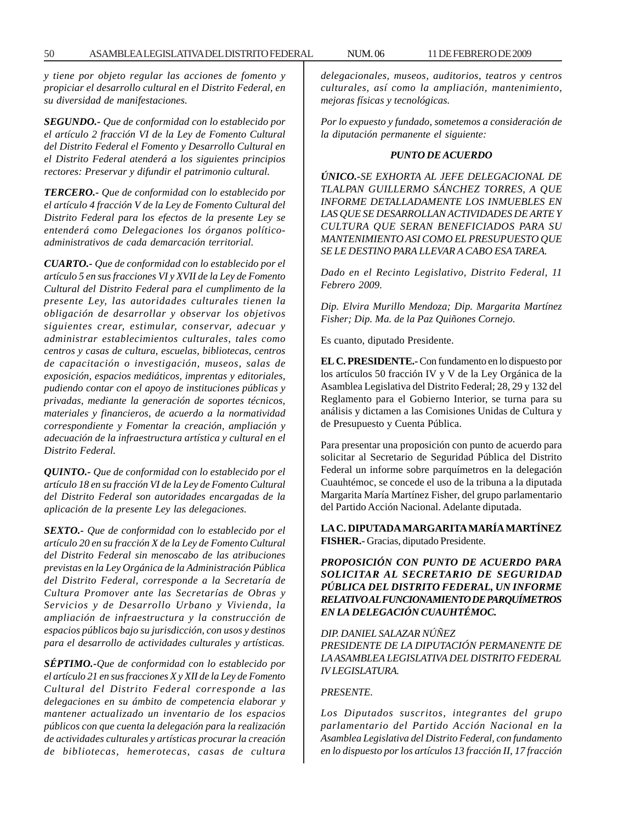*y tiene por objeto regular las acciones de fomento y propiciar el desarrollo cultural en el Distrito Federal, en su diversidad de manifestaciones.*

*SEGUNDO.- Que de conformidad con lo establecido por el artículo 2 fracción VI de la Ley de Fomento Cultural del Distrito Federal el Fomento y Desarrollo Cultural en el Distrito Federal atenderá a los siguientes principios rectores: Preservar y difundir el patrimonio cultural.*

*TERCERO.- Que de conformidad con lo establecido por el artículo 4 fracción V de la Ley de Fomento Cultural del Distrito Federal para los efectos de la presente Ley se entenderá como Delegaciones los órganos políticoadministrativos de cada demarcación territorial.*

*CUARTO.- Que de conformidad con lo establecido por el artículo 5 en sus fracciones VI y XVII de la Ley de Fomento Cultural del Distrito Federal para el cumplimento de la presente Ley, las autoridades culturales tienen la obligación de desarrollar y observar los objetivos siguientes crear, estimular, conservar, adecuar y administrar establecimientos culturales, tales como centros y casas de cultura, escuelas, bibliotecas, centros de capacitación o investigación, museos, salas de exposición, espacios mediáticos, imprentas y editoriales, pudiendo contar con el apoyo de instituciones públicas y privadas, mediante la generación de soportes técnicos, materiales y financieros, de acuerdo a la normatividad correspondiente y Fomentar la creación, ampliación y adecuación de la infraestructura artística y cultural en el Distrito Federal.*

*QUINTO.- Que de conformidad con lo establecido por el artículo 18 en su fracción VI de la Ley de Fomento Cultural del Distrito Federal son autoridades encargadas de la aplicación de la presente Ley las delegaciones.*

*SEXTO.- Que de conformidad con lo establecido por el artículo 20 en su fracción X de la Ley de Fomento Cultural del Distrito Federal sin menoscabo de las atribuciones previstas en la Ley Orgánica de la Administración Pública del Distrito Federal, corresponde a la Secretaría de Cultura Promover ante las Secretarías de Obras y Servicios y de Desarrollo Urbano y Vivienda, la ampliación de infraestructura y la construcción de espacios públicos bajo su jurisdicción, con usos y destinos para el desarrollo de actividades culturales y artísticas.*

*SÉPTIMO.-Que de conformidad con lo establecido por el artículo 21 en sus fracciones X y XII de la Ley de Fomento Cultural del Distrito Federal corresponde a las delegaciones en su ámbito de competencia elaborar y mantener actualizado un inventario de los espacios públicos con que cuenta la delegación para la realización de actividades culturales y artísticas procurar la creación de bibliotecas, hemerotecas, casas de cultura* *delegacionales, museos, auditorios, teatros y centros culturales, así como la ampliación, mantenimiento, mejoras físicas y tecnológicas.*

*Por lo expuesto y fundado, sometemos a consideración de la diputación permanente el siguiente:*

### *PUNTO DE ACUERDO*

*ÚNICO.-SE EXHORTA AL JEFE DELEGACIONAL DE TLALPAN GUILLERMO SÁNCHEZ TORRES, A QUE INFORME DETALLADAMENTE LOS INMUEBLES EN LAS QUE SE DESARROLLAN ACTIVIDADES DE ARTE Y CULTURA QUE SERAN BENEFICIADOS PARA SU MANTENIMIENTO ASI COMO EL PRESUPUESTO QUE SE LE DESTINO PARA LLEVAR A CABO ESA TAREA.*

*Dado en el Recinto Legislativo, Distrito Federal, 11 Febrero 2009.*

*Dip. Elvira Murillo Mendoza; Dip. Margarita Martínez Fisher; Dip. Ma. de la Paz Quiñones Cornejo.*

Es cuanto, diputado Presidente.

**EL C. PRESIDENTE.-** Con fundamento en lo dispuesto por los artículos 50 fracción IV y V de la Ley Orgánica de la Asamblea Legislativa del Distrito Federal; 28, 29 y 132 del Reglamento para el Gobierno Interior, se turna para su análisis y dictamen a las Comisiones Unidas de Cultura y de Presupuesto y Cuenta Pública.

Para presentar una proposición con punto de acuerdo para solicitar al Secretario de Seguridad Pública del Distrito Federal un informe sobre parquímetros en la delegación Cuauhtémoc, se concede el uso de la tribuna a la diputada Margarita María Martínez Fisher, del grupo parlamentario del Partido Acción Nacional. Adelante diputada.

**LA C. DIPUTADA MARGARITA MARÍA MARTÍNEZ FISHER.-** Gracias, diputado Presidente.

*PROPOSICIÓN CON PUNTO DE ACUERDO PARA SOLICITAR AL SECRETARIO DE SEGURIDAD PÚBLICA DEL DISTRITO FEDERAL, UN INFORME RELATIVO AL FUNCIONAMIENTO DE PARQUÍMETROS EN LA DELEGACIÓN CUAUHTÉMOC.*

*DIP. DANIEL SALAZAR NÚÑEZ*

*PRESIDENTE DE LA DIPUTACIÓN PERMANENTE DE LA ASAMBLEA LEGISLATIVA DEL DISTRITO FEDERAL IV LEGISLATURA.*

## *PRESENTE.*

*Los Diputados suscritos, integrantes del grupo parlamentario del Partido Acción Nacional en la Asamblea Legislativa del Distrito Federal, con fundamento en lo dispuesto por los artículos 13 fracción II, 17 fracción*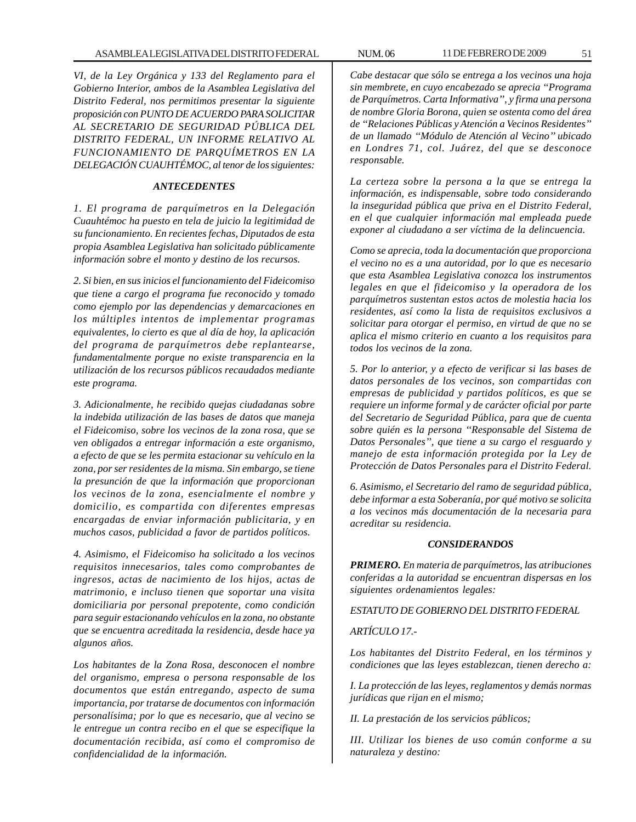*VI, de la Ley Orgánica y 133 del Reglamento para el Gobierno Interior, ambos de la Asamblea Legislativa del Distrito Federal, nos permitimos presentar la siguiente proposición con PUNTO DE ACUERDO PARA SOLICITAR AL SECRETARIO DE SEGURIDAD PÚBLICA DEL DISTRITO FEDERAL, UN INFORME RELATIVO AL FUNCIONAMIENTO DE PARQUÍMETROS EN LA DELEGACIÓN CUAUHTÉMOC, al tenor de los siguientes:*

### *ANTECEDENTES*

*1. El programa de parquímetros en la Delegación Cuauhtémoc ha puesto en tela de juicio la legitimidad de su funcionamiento. En recientes fechas, Diputados de esta propia Asamblea Legislativa han solicitado públicamente información sobre el monto y destino de los recursos.*

*2. Si bien, en sus inicios el funcionamiento del Fideicomiso que tiene a cargo el programa fue reconocido y tomado como ejemplo por las dependencias y demarcaciones en los múltiples intentos de implementar programas equivalentes, lo cierto es que al día de hoy, la aplicación del programa de parquímetros debe replantearse, fundamentalmente porque no existe transparencia en la utilización de los recursos públicos recaudados mediante este programa.*

*3. Adicionalmente, he recibido quejas ciudadanas sobre la indebida utilización de las bases de datos que maneja el Fideicomiso, sobre los vecinos de la zona rosa, que se ven obligados a entregar información a este organismo, a efecto de que se les permita estacionar su vehículo en la zona, por ser residentes de la misma. Sin embargo, se tiene la presunción de que la información que proporcionan los vecinos de la zona, esencialmente el nombre y domicilio, es compartida con diferentes empresas encargadas de enviar información publicitaria, y en muchos casos, publicidad a favor de partidos políticos.*

*4. Asimismo, el Fideicomiso ha solicitado a los vecinos requisitos innecesarios, tales como comprobantes de ingresos, actas de nacimiento de los hijos, actas de matrimonio, e incluso tienen que soportar una visita domiciliaria por personal prepotente, como condición para seguir estacionando vehículos en la zona, no obstante que se encuentra acreditada la residencia, desde hace ya algunos años.*

*Los habitantes de la Zona Rosa, desconocen el nombre del organismo, empresa o persona responsable de los documentos que están entregando, aspecto de suma importancia, por tratarse de documentos con información personalísima; por lo que es necesario, que al vecino se le entregue un contra recibo en el que se especifique la documentación recibida, así como el compromiso de confidencialidad de la información.*

*Cabe destacar que sólo se entrega a los vecinos una hoja sin membrete, en cuyo encabezado se aprecia ''Programa de Parquímetros. Carta Informativa'', y firma una persona de nombre Gloria Borona, quien se ostenta como del área de ''Relaciones Públicas y Atención a Vecinos Residentes'' de un llamado ''Módulo de Atención al Vecino'' ubicado en Londres 71, col. Juárez, del que se desconoce responsable.*

*La certeza sobre la persona a la que se entrega la información, es indispensable, sobre todo considerando la inseguridad pública que priva en el Distrito Federal, en el que cualquier información mal empleada puede exponer al ciudadano a ser víctima de la delincuencia.*

*Como se aprecia, toda la documentación que proporciona el vecino no es a una autoridad, por lo que es necesario que esta Asamblea Legislativa conozca los instrumentos legales en que el fideicomiso y la operadora de los parquímetros sustentan estos actos de molestia hacia los residentes, así como la lista de requisitos exclusivos a solicitar para otorgar el permiso, en virtud de que no se aplica el mismo criterio en cuanto a los requisitos para todos los vecinos de la zona.*

*5. Por lo anterior, y a efecto de verificar si las bases de datos personales de los vecinos, son compartidas con empresas de publicidad y partidos políticos, es que se requiere un informe formal y de carácter oficial por parte del Secretario de Seguridad Pública, para que de cuenta sobre quién es la persona ''Responsable del Sistema de Datos Personales'', que tiene a su cargo el resguardo y manejo de esta información protegida por la Ley de Protección de Datos Personales para el Distrito Federal.*

*6. Asimismo, el Secretario del ramo de seguridad pública, debe informar a esta Soberanía, por qué motivo se solicita a los vecinos más documentación de la necesaria para acreditar su residencia.*

### *CONSIDERANDOS*

*PRIMERO. En materia de parquímetros, las atribuciones conferidas a la autoridad se encuentran dispersas en los siguientes ordenamientos legales:*

*ESTATUTO DE GOBIERNO DEL DISTRITO FEDERAL*

*ARTÍCULO 17.-*

*Los habitantes del Distrito Federal, en los términos y condiciones que las leyes establezcan, tienen derecho a:*

*I. La protección de las leyes, reglamentos y demás normas jurídicas que rijan en el mismo;*

*II. La prestación de los servicios públicos;*

*III. Utilizar los bienes de uso común conforme a su naturaleza y destino:*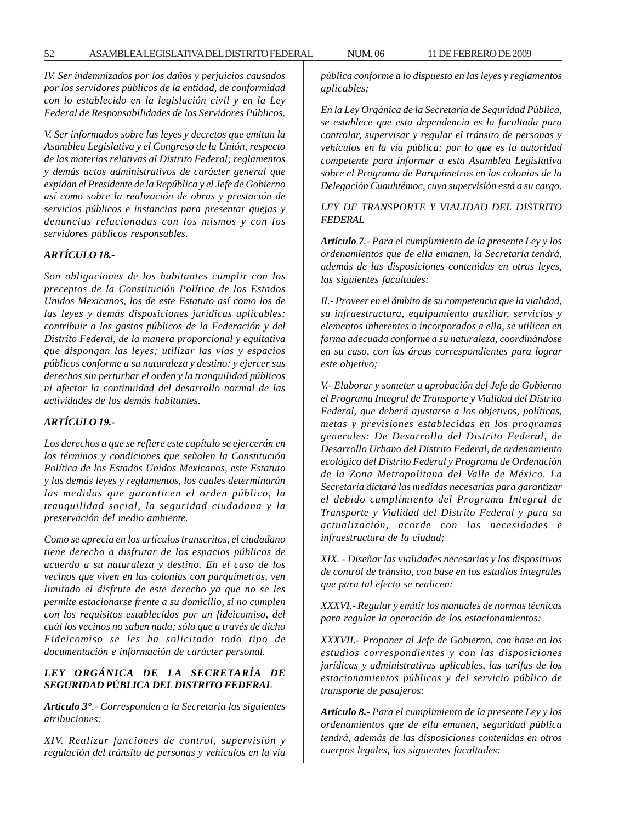*IV. Ser indemnizados por los daños y perjuicios causados por los servidores públicos de la entidad, de conformidad con lo establecido en la legislación civil y en la Ley Federal de Responsabilidades de los Servidores Públicos.*

*V. Ser informados sobre las leyes y decretos que emitan la Asamblea Legislativa y el Congreso de la Unión, respecto de las materias relativas al Distrito Federal; reglamentos y demás actos administrativos de carácter general que expidan el Presidente de la República y el Jefe de Gobierno así como sobre la realización de obras y prestación de servicios públicos e instancias para presentar quejas y denuncias relacionadas con los mismos y con los servidores públicos responsables.*

## *ARTÍCULO 18.-*

*Son obligaciones de los habitantes cumplir con los preceptos de la Constitución Política de los Estados Unidos Mexicanos, los de este Estatuto así como los de las leyes y demás disposiciones jurídicas aplicables; contribuir a los gastos públicos de la Federación y del Distrito Federal, de la manera proporcional y equitativa que dispongan las leyes; utilizar las vías y espacios públicos conforme a su naturaleza y destino: y ejercer sus derechos sin perturbar el orden y la tranquilidad públicos ni afectar la continuidad del desarrollo normal de las actividades de los demás habitantes.*

## *ARTÍCULO 19.-*

*Los derechos a que se refiere este capítulo se ejercerán en los términos y condiciones que señalen la Constitución Política de los Estados Unidos Mexicanos, este Estatuto y las demás leyes y reglamentos, los cuales determinarán las medidas que garanticen el orden público, la tranquilidad social, la seguridad ciudadana y la preservación del medio ambiente.*

*Como se aprecia en los artículos transcritos, el ciudadano tiene derecho a disfrutar de los espacios públicos de acuerdo a su naturaleza y destino. En el caso de los vecinos que viven en las colonias con parquímetros, ven limitado el disfrute de este derecho ya que no se les permite estacionarse frente a su domicilio, si no cumplen con los requisitos establecidos por un fideicomiso, del cuál los vecinos no saben nada; sólo que a través de dicho Fideicomiso se les ha solicitado todo tipo de documentación e información de carácter personal.*

# *LEY ORGÁNICA DE LA SECRETARÍA DE SEGURIDAD PÚBLICA DEL DISTRITO FEDERAL*

*Artículo 3°.- Corresponden a la Secretaría las siguientes atribuciones:*

*XIV. Realizar funciones de control, supervisión y regulación del tránsito de personas y vehículos en la vía* *pública conforme a lo dispuesto en las leyes y reglamentos aplicables;*

*En la Ley Orgánica de la Secretaría de Seguridad Pública, se establece que esta dependencia es la facultada para controlar, supervisar y regular el tránsito de personas y vehículos en la vía pública; por lo que es la autoridad competente para informar a esta Asamblea Legislativa sobre el Programa de Parquímetros en las colonias de la Delegación Cuauhtémoc, cuya supervisión está a su cargo.*

### *LEY DE TRANSPORTE Y VIALIDAD DEL DISTRITO FEDERAL*

*Artículo 7.- Para el cumplimiento de la presente Ley y los ordenamientos que de ella emanen, la Secretaría tendrá, además de las disposiciones contenidas en otras leyes, las siguientes facultades:*

*II.- Proveer en el ámbito de su competencia que la vialidad, su infraestructura, equipamiento auxiliar, servicios y elementos inherentes o incorporados a ella, se utilicen en forma adecuada conforme a su naturaleza, coordinándose en su caso, con las áreas correspondientes para lograr este objetivo;*

*V.- Elaborar y someter a aprobación del Jefe de Gobierno el Programa Integral de Transporte y Vialidad del Distrito Federal, que deberá ajustarse a los objetivos, políticas, metas y previsiones establecidas en los programas generales: De Desarrollo del Distrito Federal, de Desarrollo Urbano del Distrito Federal, de ordenamiento ecológico del Distrito Federal y Programa de Ordenación de la Zona Metropolitana del Valle de México. La Secretaría dictará las medidas necesarias para garantizar el debido cumplimiento del Programa Integral de Transporte y Vialidad del Distrito Federal y para su actualización, acorde con las necesidades e infraestructura de la ciudad;*

*XIX. - Diseñar las vialidades necesarias y los dispositivos de control de tránsito, con base en los estudios integrales que para tal efecto se realicen:*

*XXXVI.- Regular y emitir los manuales de normas técnicas para regular la operación de los estacionamientos:*

*XXXVII.- Proponer al Jefe de Gobierno, con base en los estudios correspondientes y con las disposiciones jurídicas y administrativas aplicables, las tarifas de los estacionamientos públicos y del servicio público de transporte de pasajeros:*

*Artículo 8.- Para el cumplimiento de la presente Ley y los ordenamientos que de ella emanen, seguridad pública tendrá, además de las disposiciones contenidas en otros cuerpos legales, las siguientes facultades:*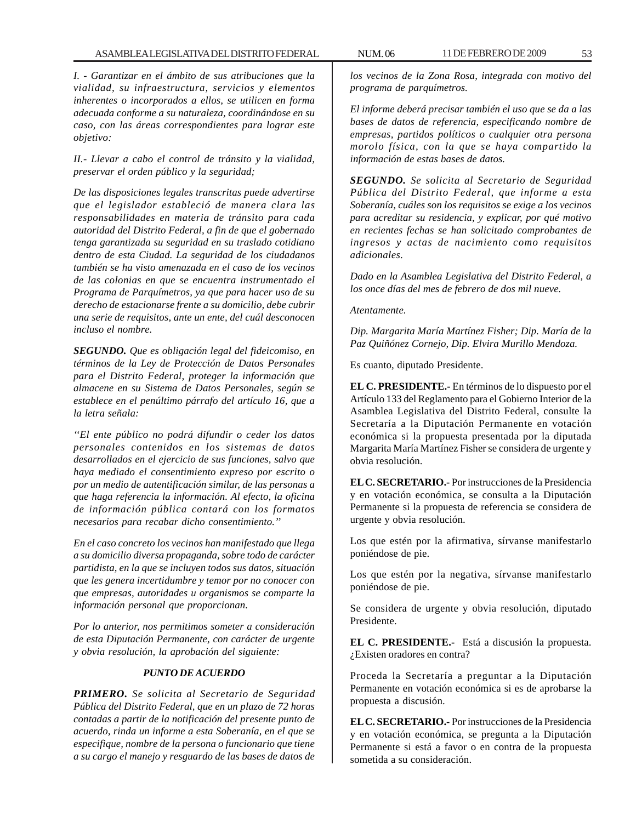*I. - Garantizar en el ámbito de sus atribuciones que la vialidad, su infraestructura, servicios y elementos inherentes o incorporados a ellos, se utilicen en forma adecuada conforme a su naturaleza, coordinándose en su caso, con las áreas correspondientes para lograr este objetivo:*

*II.- Llevar a cabo el control de tránsito y la vialidad, preservar el orden público y la seguridad;*

*De las disposiciones legales transcritas puede advertirse que el legislador estableció de manera clara las responsabilidades en materia de tránsito para cada autoridad del Distrito Federal, a fin de que el gobernado tenga garantizada su seguridad en su traslado cotidiano dentro de esta Ciudad. La seguridad de los ciudadanos también se ha visto amenazada en el caso de los vecinos de las colonias en que se encuentra instrumentado el Programa de Parquímetros, ya que para hacer uso de su derecho de estacionarse frente a su domicilio, debe cubrir una serie de requisitos, ante un ente, del cuál desconocen incluso el nombre.*

*SEGUNDO. Que es obligación legal del fideicomiso, en términos de la Ley de Protección de Datos Personales para el Distrito Federal, proteger la información que almacene en su Sistema de Datos Personales, según se establece en el penúltimo párrafo del artículo 16, que a la letra señala:*

*''El ente público no podrá difundir o ceder los datos personales contenidos en los sistemas de datos desarrollados en el ejercicio de sus funciones, salvo que haya mediado el consentimiento expreso por escrito o por un medio de autentificación similar, de las personas a que haga referencia la información. Al efecto, la oficina de información pública contará con los formatos necesarios para recabar dicho consentimiento.''*

*En el caso concreto los vecinos han manifestado que llega a su domicilio diversa propaganda, sobre todo de carácter partidista, en la que se incluyen todos sus datos, situación que les genera incertidumbre y temor por no conocer con que empresas, autoridades u organismos se comparte la información personal que proporcionan.*

*Por lo anterior, nos permitimos someter a consideración de esta Diputación Permanente, con carácter de urgente y obvia resolución, la aprobación del siguiente:*

# *PUNTO DE ACUERDO*

*PRIMERO. Se solicita al Secretario de Seguridad Pública del Distrito Federal, que en un plazo de 72 horas contadas a partir de la notificación del presente punto de acuerdo, rinda un informe a esta Soberanía, en el que se especifique, nombre de la persona o funcionario que tiene a su cargo el manejo y resguardo de las bases de datos de*

*los vecinos de la Zona Rosa, integrada con motivo del programa de parquímetros.*

*El informe deberá precisar también el uso que se da a las bases de datos de referencia, especificando nombre de empresas, partidos políticos o cualquier otra persona morolo física, con la que se haya compartido la información de estas bases de datos.*

*SEGUNDO. Se solicita al Secretario de Seguridad Pública del Distrito Federal, que informe a esta Soberanía, cuáles son los requisitos se exige a los vecinos para acreditar su residencia, y explicar, por qué motivo en recientes fechas se han solicitado comprobantes de ingresos y actas de nacimiento como requisitos adicionales.*

*Dado en la Asamblea Legislativa del Distrito Federal, a los once días del mes de febrero de dos mil nueve.*

*Atentamente.*

*Dip. Margarita María Martínez Fisher; Dip. María de la Paz Quiñónez Cornejo, Dip. Elvira Murillo Mendoza.*

Es cuanto, diputado Presidente.

**EL C. PRESIDENTE.-** En términos de lo dispuesto por el Artículo 133 del Reglamento para el Gobierno Interior de la Asamblea Legislativa del Distrito Federal, consulte la Secretaría a la Diputación Permanente en votación económica si la propuesta presentada por la diputada Margarita María Martínez Fisher se considera de urgente y obvia resolución.

**EL C. SECRETARIO.-** Por instrucciones de la Presidencia y en votación económica, se consulta a la Diputación Permanente si la propuesta de referencia se considera de urgente y obvia resolución.

Los que estén por la afirmativa, sírvanse manifestarlo poniéndose de pie.

Los que estén por la negativa, sírvanse manifestarlo poniéndose de pie.

Se considera de urgente y obvia resolución, diputado Presidente.

**EL C. PRESIDENTE.-** Está a discusión la propuesta. ¿Existen oradores en contra?

Proceda la Secretaría a preguntar a la Diputación Permanente en votación económica si es de aprobarse la propuesta a discusión.

**EL C. SECRETARIO.-** Por instrucciones de la Presidencia y en votación económica, se pregunta a la Diputación Permanente si está a favor o en contra de la propuesta sometida a su consideración.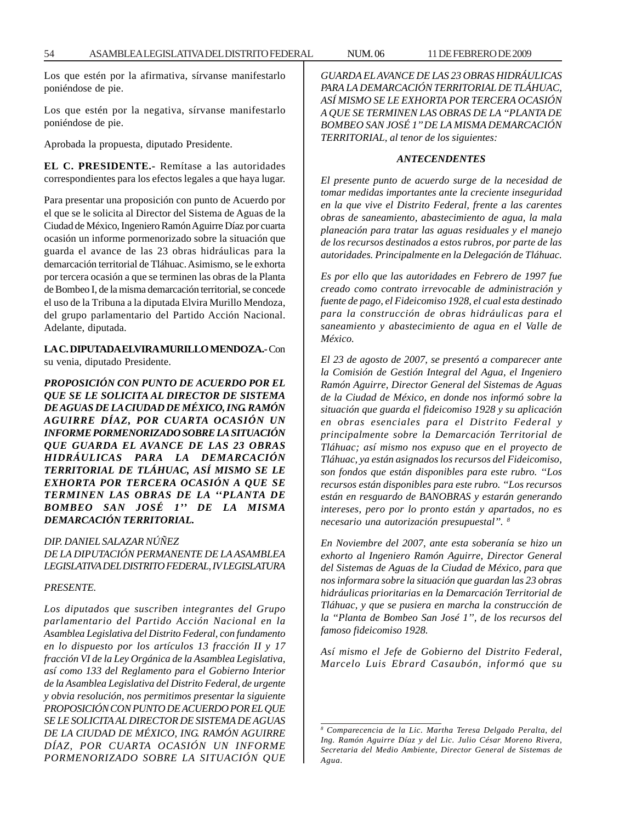Los que estén por la afirmativa, sírvanse manifestarlo poniéndose de pie.

Los que estén por la negativa, sírvanse manifestarlo poniéndose de pie.

Aprobada la propuesta, diputado Presidente.

**EL C. PRESIDENTE.-** Remítase a las autoridades correspondientes para los efectos legales a que haya lugar.

Para presentar una proposición con punto de Acuerdo por el que se le solicita al Director del Sistema de Aguas de la Ciudad de México, Ingeniero Ramón Aguirre Díaz por cuarta ocasión un informe pormenorizado sobre la situación que guarda el avance de las 23 obras hidráulicas para la demarcación territorial de Tláhuac. Asimismo, se le exhorta por tercera ocasión a que se terminen las obras de la Planta de Bombeo I, de la misma demarcación territorial, se concede el uso de la Tribuna a la diputada Elvira Murillo Mendoza, del grupo parlamentario del Partido Acción Nacional. Adelante, diputada.

# **LA C. DIPUTADA ELVIRA MURILLO MENDOZA.-** Con su venia, diputado Presidente.

*PROPOSICIÓN CON PUNTO DE ACUERDO POR EL QUE SE LE SOLICITA AL DIRECTOR DE SISTEMA DE AGUAS DE LA CIUDAD DE MÉXICO, ING. RAMÓN AGUIRRE DÍAZ, POR CUARTA OCASIÓN UN INFORME PORMENORIZADO SOBRE LA SITUACIÓN QUE GUARDA EL AVANCE DE LAS 23 OBRAS HIDRÁULICAS PARA LA DEMARCACIÓN TERRITORIAL DE TLÁHUAC, ASÍ MISMO SE LE EXHORTA POR TERCERA OCASIÓN A QUE SE TERMINEN LAS OBRAS DE LA ''PLANTA DE BOMBEO SAN JOSÉ 1'' DE LA MISMA DEMARCACIÓN TERRITORIAL.*

### *DIP. DANIEL SALAZAR NÚÑEZ*

# *DE LA DIPUTACIÓN PERMANENTE DE LA ASAMBLEA LEGISLATIVA DEL DISTRITO FEDERAL, IV LEGISLATURA*

### *PRESENTE.*

*Los diputados que suscriben integrantes del Grupo parlamentario del Partido Acción Nacional en la Asamblea Legislativa del Distrito Federal, con fundamento en lo dispuesto por los artículos 13 fracción II y 17 fracción VI de la Ley Orgánica de la Asamblea Legislativa, así como 133 del Reglamento para el Gobierno Interior de la Asamblea Legislativa del Distrito Federal, de urgente y obvia resolución, nos permitimos presentar la siguiente PROPOSICIÓN CON PUNTO DE ACUERDO POR EL QUE SE LE SOLICITA AL DIRECTOR DE SISTEMA DE AGUAS DE LA CIUDAD DE MÉXICO, ING. RAMÓN AGUIRRE DÍAZ, POR CUARTA OCASIÓN UN INFORME PORMENORIZADO SOBRE LA SITUACIÓN QUE* *GUARDA EL AVANCE DE LAS 23 OBRAS HIDRÁULICAS PARA LA DEMARCACIÓN TERRITORIAL DE TLÁHUAC, ASÍ MISMO SE LE EXHORTA POR TERCERA OCASIÓN*

*A QUE SE TERMINEN LAS OBRAS DE LA ''PLANTA DE BOMBEO SAN JOSÉ 1'' DE LA MISMA DEMARCACIÓN TERRITORIAL, al tenor de los siguientes:*

### *ANTECENDENTES*

*El presente punto de acuerdo surge de la necesidad de tomar medidas importantes ante la creciente inseguridad en la que vive el Distrito Federal, frente a las carentes obras de saneamiento, abastecimiento de agua, la mala planeación para tratar las aguas residuales y el manejo de los recursos destinados a estos rubros, por parte de las autoridades. Principalmente en la Delegación de Tláhuac.*

*Es por ello que las autoridades en Febrero de 1997 fue creado como contrato irrevocable de administración y fuente de pago, el Fideicomiso 1928, el cual esta destinado para la construcción de obras hidráulicas para el saneamiento y abastecimiento de agua en el Valle de México.*

*El 23 de agosto de 2007, se presentó a comparecer ante la Comisión de Gestión Integral del Agua, el Ingeniero Ramón Aguirre, Director General del Sistemas de Aguas de la Ciudad de México, en donde nos informó sobre la situación que guarda el fideicomiso 1928 y su aplicación en obras esenciales para el Distrito Federal y principalmente sobre la Demarcación Territorial de Tláhuac; así mismo nos expuso que en el proyecto de Tláhuac, ya están asignados los recursos del Fideicomiso, son fondos que están disponibles para este rubro. ''Los recursos están disponibles para este rubro. ''Los recursos están en resguardo de BANOBRAS y estarán generando intereses, pero por lo pronto están y apartados, no es necesario una autorización presupuestal''. 8*

*En Noviembre del 2007, ante esta soberanía se hizo un exhorto al Ingeniero Ramón Aguirre, Director General del Sistemas de Aguas de la Ciudad de México, para que nos informara sobre la situación que guardan las 23 obras hidráulicas prioritarias en la Demarcación Territorial de Tláhuac, y que se pusiera en marcha la construcción de la ''Planta de Bombeo San José 1'', de los recursos del famoso fideicomiso 1928.*

*Así mismo el Jefe de Gobierno del Distrito Federal, Marcelo Luis Ebrard Casaubón, informó que su*

*<sup>8</sup> Comparecencia de la Lic. Martha Teresa Delgado Peralta, del Ing. Ramón Aguirre Díaz y del Lic. Julio César Moreno Rivera, Secretaria del Medio Ambiente, Director General de Sistemas de Agua.*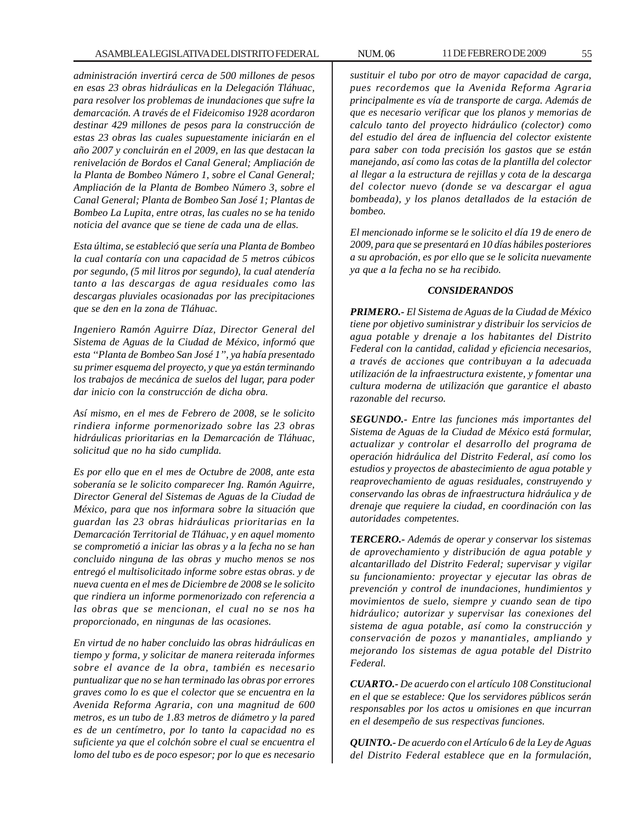*administración invertirá cerca de 500 millones de pesos en esas 23 obras hidráulicas en la Delegación Tláhuac, para resolver los problemas de inundaciones que sufre la demarcación. A través de el Fideicomiso 1928 acordaron destinar 429 millones de pesos para la construcción de estas 23 obras las cuales supuestamente iniciarán en el año 2007 y concluirán en el 2009, en las que destacan la renivelación de Bordos el Canal General; Ampliación de la Planta de Bombeo Número 1, sobre el Canal General; Ampliación de la Planta de Bombeo Número 3, sobre el Canal General; Planta de Bombeo San José 1; Plantas de Bombeo La Lupita, entre otras, las cuales no se ha tenido noticia del avance que se tiene de cada una de ellas.*

*Esta última, se estableció que sería una Planta de Bombeo la cual contaría con una capacidad de 5 metros cúbicos por segundo, (5 mil litros por segundo), la cual atendería tanto a las descargas de agua residuales como las descargas pluviales ocasionadas por las precipitaciones que se den en la zona de Tláhuac.*

*Ingeniero Ramón Aguirre Díaz, Director General del Sistema de Aguas de la Ciudad de México, informó que esta ''Planta de Bombeo San José 1'', ya había presentado su primer esquema del proyecto, y que ya están terminando los trabajos de mecánica de suelos del lugar, para poder dar inicio con la construcción de dicha obra.*

*Así mismo, en el mes de Febrero de 2008, se le solicito rindiera informe pormenorizado sobre las 23 obras hidráulicas prioritarias en la Demarcación de Tláhuac, solicitud que no ha sido cumplida.*

*Es por ello que en el mes de Octubre de 2008, ante esta soberanía se le solicito comparecer Ing. Ramón Aguirre, Director General del Sistemas de Aguas de la Ciudad de México, para que nos informara sobre la situación que guardan las 23 obras hidráulicas prioritarias en la Demarcación Territorial de Tláhuac, y en aquel momento se comprometió a iniciar las obras y a la fecha no se han concluido ninguna de las obras y mucho menos se nos entregó el multisolicitado informe sobre estas obras. y de nueva cuenta en el mes de Diciembre de 2008 se le solicito que rindiera un informe pormenorizado con referencia a las obras que se mencionan, el cual no se nos ha proporcionado, en ningunas de las ocasiones.*

*En virtud de no haber concluido las obras hidráulicas en tiempo y forma, y solicitar de manera reiterada informes sobre el avance de la obra, también es necesario puntualizar que no se han terminado las obras por errores graves como lo es que el colector que se encuentra en la Avenida Reforma Agraria, con una magnitud de 600 metros, es un tubo de 1.83 metros de diámetro y la pared es de un centímetro, por lo tanto la capacidad no es suficiente ya que el colchón sobre el cual se encuentra el lomo del tubo es de poco espesor; por lo que es necesario*

*sustituir el tubo por otro de mayor capacidad de carga, pues recordemos que la Avenida Reforma Agraria principalmente es vía de transporte de carga. Además de que es necesario verificar que los planos y memorias de calculo tanto del proyecto hidráulico (colector) como del estudio del área de influencia del colector existente para saber con toda precisión los gastos que se están manejando, así como las cotas de la plantilla del colector al llegar a la estructura de rejillas y cota de la descarga del colector nuevo (donde se va descargar el agua bombeada), y los planos detallados de la estación de bombeo.*

*El mencionado informe se le solicito el día 19 de enero de 2009, para que se presentará en 10 días hábiles posteriores a su aprobación, es por ello que se le solicita nuevamente ya que a la fecha no se ha recibido.*

### *CONSIDERANDOS*

*PRIMERO.- El Sistema de Aguas de la Ciudad de México tiene por objetivo suministrar y distribuir los servicios de agua potable y drenaje a los habitantes del Distrito Federal con la cantidad, calidad y eficiencia necesarios, a través de acciones que contribuyan a la adecuada utilización de la infraestructura existente, y fomentar una cultura moderna de utilización que garantice el abasto razonable del recurso.*

*SEGUNDO.- Entre las funciones más importantes del Sistema de Aguas de la Ciudad de México está formular, actualizar y controlar el desarrollo del programa de operación hidráulica del Distrito Federal, así como los estudios y proyectos de abastecimiento de agua potable y reaprovechamiento de aguas residuales, construyendo y conservando las obras de infraestructura hidráulica y de drenaje que requiere la ciudad, en coordinación con las autoridades competentes.*

*TERCERO.- Además de operar y conservar los sistemas de aprovechamiento y distribución de agua potable y alcantarillado del Distrito Federal; supervisar y vigilar su funcionamiento: proyectar y ejecutar las obras de prevención y control de inundaciones, hundimientos y movimientos de suelo, siempre y cuando sean de tipo hidráulico; autorizar y supervisar las conexiones del sistema de agua potable, así como la construcción y conservación de pozos y manantiales, ampliando y mejorando los sistemas de agua potable del Distrito Federal.*

*CUARTO.- De acuerdo con el artículo 108 Constitucional en el que se establece: Que los servidores públicos serán responsables por los actos u omisiones en que incurran en el desempeño de sus respectivas funciones.*

*QUINTO.- De acuerdo con el Artículo 6 de la Ley de Aguas del Distrito Federal establece que en la formulación,*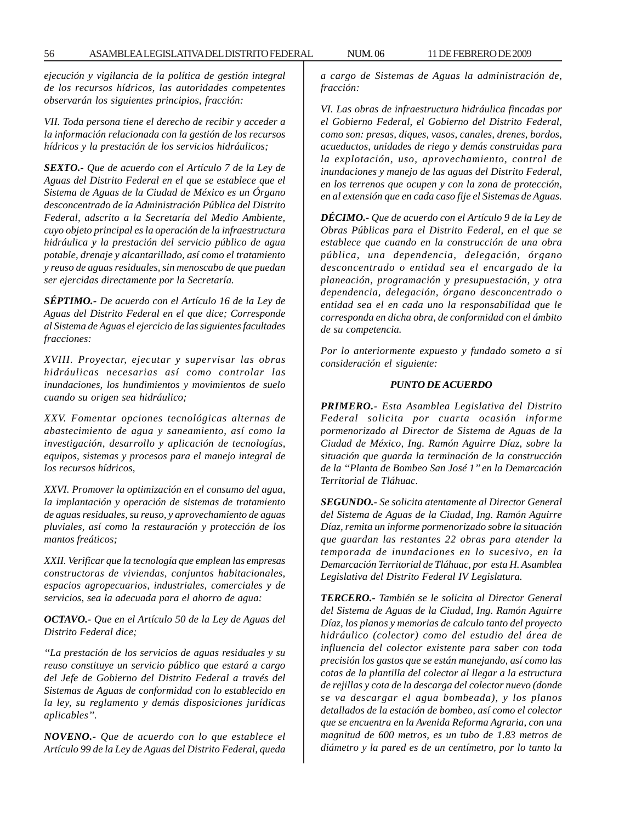*ejecución y vigilancia de la política de gestión integral de los recursos hídricos, las autoridades competentes observarán los siguientes principios, fracción:*

*VII. Toda persona tiene el derecho de recibir y acceder a la información relacionada con la gestión de los recursos hídricos y la prestación de los servicios hidráulicos;*

*SEXTO.- Que de acuerdo con el Artículo 7 de la Ley de Aguas del Distrito Federal en el que se establece que el Sistema de Aguas de la Ciudad de México es un Órgano desconcentrado de la Administración Pública del Distrito Federal, adscrito a la Secretaría del Medio Ambiente, cuyo objeto principal es la operación de la infraestructura hidráulica y la prestación del servicio público de agua potable, drenaje y alcantarillado, así como el tratamiento y reuso de aguas residuales, sin menoscabo de que puedan ser ejercidas directamente por la Secretaría.*

*SÉPTIMO.- De acuerdo con el Artículo 16 de la Ley de Aguas del Distrito Federal en el que dice; Corresponde al Sistema de Aguas el ejercicio de las siguientes facultades fracciones:*

*XVIII. Proyectar, ejecutar y supervisar las obras hidráulicas necesarias así como controlar las inundaciones, los hundimientos y movimientos de suelo cuando su origen sea hidráulico;*

*XXV. Fomentar opciones tecnológicas alternas de abastecimiento de agua y saneamiento, así como la investigación, desarrollo y aplicación de tecnologías, equipos, sistemas y procesos para el manejo integral de los recursos hídricos,*

*XXVI. Promover la optimización en el consumo del agua, la implantación y operación de sistemas de tratamiento de aguas residuales, su reuso, y aprovechamiento de aguas pluviales, así como la restauración y protección de los mantos freáticos;*

*XXII. Verificar que la tecnología que emplean las empresas constructoras de viviendas, conjuntos habitacionales, espacios agropecuarios, industriales, comerciales y de servicios, sea la adecuada para el ahorro de agua:*

*OCTAVO.- Que en el Artículo 50 de la Ley de Aguas del Distrito Federal dice;*

*''La prestación de los servicios de aguas residuales y su reuso constituye un servicio público que estará a cargo del Jefe de Gobierno del Distrito Federal a través del Sistemas de Aguas de conformidad con lo establecido en la ley, su reglamento y demás disposiciones jurídicas aplicables''.*

*NOVENO.- Que de acuerdo con lo que establece el Artículo 99 de la Ley de Aguas del Distrito Federal, queda*

*a cargo de Sistemas de Aguas la administración de, fracción:*

*VI. Las obras de infraestructura hidráulica fincadas por el Gobierno Federal, el Gobierno del Distrito Federal, como son: presas, diques, vasos, canales, drenes, bordos, acueductos, unidades de riego y demás construidas para la explotación, uso, aprovechamiento, control de inundaciones y manejo de las aguas del Distrito Federal, en los terrenos que ocupen y con la zona de protección, en al extensión que en cada caso fije el Sistemas de Aguas.*

*DÉCIMO.- Que de acuerdo con el Artículo 9 de la Ley de Obras Públicas para el Distrito Federal, en el que se establece que cuando en la construcción de una obra pública, una dependencia, delegación, órgano desconcentrado o entidad sea el encargado de la planeación, programación y presupuestación, y otra dependencia, delegación, órgano desconcentrado o entidad sea el en cada uno la responsabilidad que le corresponda en dicha obra, de conformidad con el ámbito de su competencia.*

*Por lo anteriormente expuesto y fundado someto a si consideración el siguiente:*

# *PUNTO DE ACUERDO*

*PRIMERO.- Esta Asamblea Legislativa del Distrito Federal solicita por cuarta ocasión informe pormenorizado al Director de Sistema de Aguas de la Ciudad de México, Ing. Ramón Aguirre Díaz, sobre la situación que guarda la terminación de la construcción de la ''Planta de Bombeo San José 1'' en la Demarcación Territorial de Tláhuac.*

*SEGUNDO.- Se solicita atentamente al Director General del Sistema de Aguas de la Ciudad, Ing. Ramón Aguirre Díaz, remita un informe pormenorizado sobre la situación que guardan las restantes 22 obras para atender la temporada de inundaciones en lo sucesivo, en la Demarcación Territorial de Tláhuac, por esta H. Asamblea Legislativa del Distrito Federal IV Legislatura.*

*TERCERO.- También se le solicita al Director General del Sistema de Aguas de la Ciudad, Ing. Ramón Aguirre Díaz, los planos y memorias de calculo tanto del proyecto hidráulico (colector) como del estudio del área de influencia del colector existente para saber con toda precisión los gastos que se están manejando, así como las cotas de la plantilla del colector al llegar a la estructura de rejillas y cota de la descarga del colector nuevo (donde se va descargar el agua bombeada), y los planos detallados de la estación de bombeo, así como el colector que se encuentra en la Avenida Reforma Agraria, con una magnitud de 600 metros, es un tubo de 1.83 metros de diámetro y la pared es de un centímetro, por lo tanto la*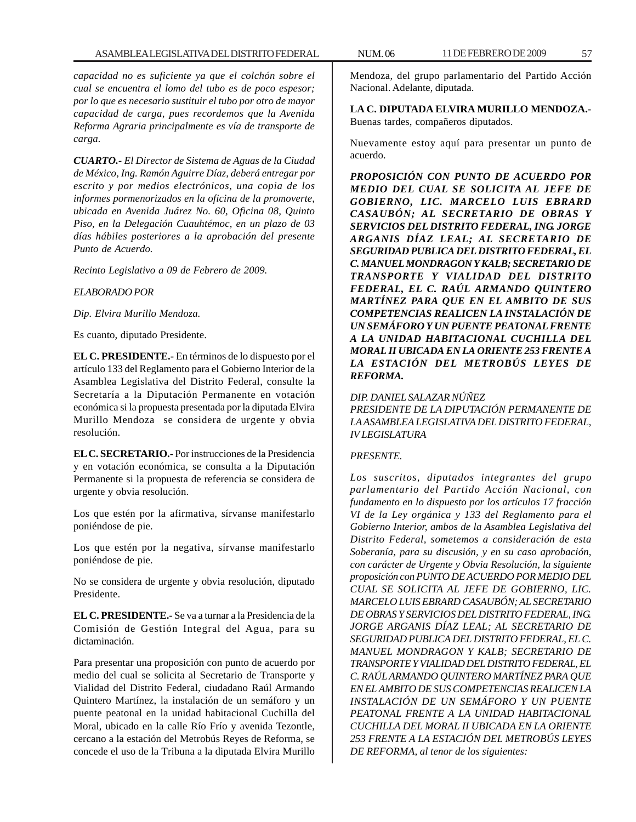*capacidad no es suficiente ya que el colchón sobre el cual se encuentra el lomo del tubo es de poco espesor; por lo que es necesario sustituir el tubo por otro de mayor capacidad de carga, pues recordemos que la Avenida Reforma Agraria principalmente es vía de transporte de carga.*

*CUARTO.- El Director de Sistema de Aguas de la Ciudad de México, Ing. Ramón Aguirre Díaz, deberá entregar por escrito y por medios electrónicos, una copia de los informes pormenorizados en la oficina de la promoverte, ubicada en Avenida Juárez No. 60, Oficina 08, Quinto Piso, en la Delegación Cuauhtémoc, en un plazo de 03 días hábiles posteriores a la aprobación del presente Punto de Acuerdo.*

*Recinto Legislativo a 09 de Febrero de 2009.*

### *ELABORADO POR*

*Dip. Elvira Murillo Mendoza.*

Es cuanto, diputado Presidente.

**EL C. PRESIDENTE.-** En términos de lo dispuesto por el artículo 133 del Reglamento para el Gobierno Interior de la Asamblea Legislativa del Distrito Federal, consulte la Secretaría a la Diputación Permanente en votación económica si la propuesta presentada por la diputada Elvira Murillo Mendoza se considera de urgente y obvia resolución.

**EL C. SECRETARIO.-** Por instrucciones de la Presidencia y en votación económica, se consulta a la Diputación Permanente si la propuesta de referencia se considera de urgente y obvia resolución.

Los que estén por la afirmativa, sírvanse manifestarlo poniéndose de pie.

Los que estén por la negativa, sírvanse manifestarlo poniéndose de pie.

No se considera de urgente y obvia resolución, diputado Presidente.

**EL C. PRESIDENTE.-** Se va a turnar a la Presidencia de la Comisión de Gestión Integral del Agua, para su dictaminación.

Para presentar una proposición con punto de acuerdo por medio del cual se solicita al Secretario de Transporte y Vialidad del Distrito Federal, ciudadano Raúl Armando Quintero Martínez, la instalación de un semáforo y un puente peatonal en la unidad habitacional Cuchilla del Moral, ubicado en la calle Río Frío y avenida Tezontle, cercano a la estación del Metrobús Reyes de Reforma, se concede el uso de la Tribuna a la diputada Elvira Murillo

**LA C. DIPUTADA ELVIRA MURILLO MENDOZA.-** Buenas tardes, compañeros diputados.

Nuevamente estoy aquí para presentar un punto de acuerdo.

*PROPOSICIÓN CON PUNTO DE ACUERDO POR MEDIO DEL CUAL SE SOLICITA AL JEFE DE GOBIERNO, LIC. MARCELO LUIS EBRARD CASAUBÓN; AL SECRETARIO DE OBRAS Y SERVICIOS DEL DISTRITO FEDERAL, ING. JORGE ARGANIS DÍAZ LEAL; AL SECRETARIO DE SEGURIDAD PUBLICA DEL DISTRITO FEDERAL, EL C. MANUEL MONDRAGON Y KALB; SECRETARIO DE TRANSPORTE Y VIALIDAD DEL DISTRITO FEDERAL, EL C. RAÚL ARMANDO QUINTERO MARTÍNEZ PARA QUE EN EL AMBITO DE SUS COMPETENCIAS REALICEN LA INSTALACIÓN DE UN SEMÁFORO Y UN PUENTE PEATONAL FRENTE A LA UNIDAD HABITACIONAL CUCHILLA DEL MORAL II UBICADA EN LA ORIENTE 253 FRENTE A LA ESTACIÓN DEL METROBÚS LEYES DE REFORMA.*

### *DIP. DANIEL SALAZAR NÚÑEZ*

*PRESIDENTE DE LA DIPUTACIÓN PERMANENTE DE LA ASAMBLEA LEGISLATIVA DEL DISTRITO FEDERAL, IV LEGISLATURA*

### *PRESENTE.*

*Los suscritos, diputados integrantes del grupo parlamentario del Partido Acción Nacional, con fundamento en lo dispuesto por los artículos 17 fracción VI de la Ley orgánica y 133 del Reglamento para el Gobierno Interior, ambos de la Asamblea Legislativa del Distrito Federal, sometemos a consideración de esta Soberanía, para su discusión, y en su caso aprobación, con carácter de Urgente y Obvia Resolución, la siguiente proposición con PUNTO DE ACUERDO POR MEDIO DEL CUAL SE SOLICITA AL JEFE DE GOBIERNO, LIC. MARCELO LUIS EBRARD CASAUBÓN; AL SECRETARIO DE OBRAS Y SERVICIOS DEL DISTRITO FEDERAL, ING. JORGE ARGANIS DÍAZ LEAL; AL SECRETARIO DE SEGURIDAD PUBLICA DEL DISTRITO FEDERAL, EL C. MANUEL MONDRAGON Y KALB; SECRETARIO DE TRANSPORTE Y VIALIDAD DEL DISTRITO FEDERAL, EL C. RAÚL ARMANDO QUINTERO MARTÍNEZ PARA QUE EN EL AMBITO DE SUS COMPETENCIAS REALICEN LA INSTALACIÓN DE UN SEMÁFORO Y UN PUENTE PEATONAL FRENTE A LA UNIDAD HABITACIONAL CUCHILLA DEL MORAL II UBICADA EN LA ORIENTE 253 FRENTE A LA ESTACIÓN DEL METROBÚS LEYES DE REFORMA, al tenor de los siguientes:*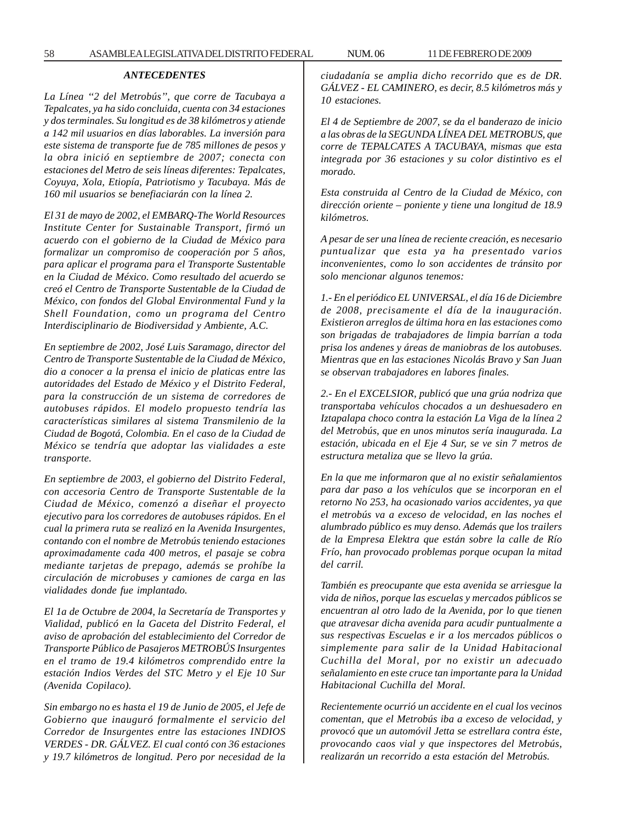## *ANTECEDENTES*

*La Línea ''2 del Metrobús'', que corre de Tacubaya a Tepalcates, ya ha sido concluida, cuenta con 34 estaciones y dos terminales. Su longitud es de 38 kilómetros y atiende a 142 mil usuarios en días laborables. La inversión para este sistema de transporte fue de 785 millones de pesos y la obra inició en septiembre de 2007; conecta con estaciones del Metro de seis líneas diferentes: Tepalcates, Coyuya, Xola, Etiopía, Patriotismo y Tacubaya. Más de 160 mil usuarios se benefiaciarán con la línea 2.*

*El 31 de mayo de 2002, el EMBARQ-The World Resources Institute Center for Sustainable Transport, firmó un acuerdo con el gobierno de la Ciudad de México para formalizar un compromiso de cooperación por 5 años, para aplicar el programa para el Transporte Sustentable en la Ciudad de México. Como resultado del acuerdo se creó el Centro de Transporte Sustentable de la Ciudad de México, con fondos del Global Environmental Fund y la Shell Foundation, como un programa del Centro Interdisciplinario de Biodiversidad y Ambiente, A.C.*

*En septiembre de 2002, José Luis Saramago, director del Centro de Transporte Sustentable de la Ciudad de México, dio a conocer a la prensa el inicio de platicas entre las autoridades del Estado de México y el Distrito Federal, para la construcción de un sistema de corredores de autobuses rápidos. El modelo propuesto tendría las características similares al sistema Transmilenio de la Ciudad de Bogotá, Colombia. En el caso de la Ciudad de México se tendría que adoptar las vialidades a este transporte.*

*En septiembre de 2003, el gobierno del Distrito Federal, con accesoria Centro de Transporte Sustentable de la Ciudad de México, comenzó a diseñar el proyecto ejecutivo para los corredores de autobuses rápidos. En el cual la primera ruta se realizó en la Avenida Insurgentes, contando con el nombre de Metrobús teniendo estaciones aproximadamente cada 400 metros, el pasaje se cobra mediante tarjetas de prepago, además se prohíbe la circulación de microbuses y camiones de carga en las vialidades donde fue implantado.*

*El 1a de Octubre de 2004, la Secretaría de Transportes y Vialidad, publicó en la Gaceta del Distrito Federal, el aviso de aprobación del establecimiento del Corredor de Transporte Público de Pasajeros METROBÚS Insurgentes en el tramo de 19.4 kilómetros comprendido entre la estación Indios Verdes del STC Metro y el Eje 10 Sur (Avenida Copilaco).*

*Sin embargo no es hasta el 19 de Junio de 2005, el Jefe de Gobierno que inauguró formalmente el servicio del Corredor de Insurgentes entre las estaciones INDIOS VERDES - DR. GÁLVEZ. El cual contó con 36 estaciones y 19.7 kilómetros de longitud. Pero por necesidad de la* *ciudadanía se amplia dicho recorrido que es de DR. GÁLVEZ - EL CAMINERO, es decir, 8.5 kilómetros más y 10 estaciones.*

*El 4 de Septiembre de 2007, se da el banderazo de inicio a las obras de la SEGUNDA LÍNEA DEL METROBUS, que corre de TEPALCATES A TACUBAYA, mismas que esta integrada por 36 estaciones y su color distintivo es el morado.*

*Esta construida al Centro de la Ciudad de México, con dirección oriente – poniente y tiene una longitud de 18.9 kilómetros.*

*A pesar de ser una línea de reciente creación, es necesario puntualizar que esta ya ha presentado varios inconvenientes, como lo son accidentes de tránsito por solo mencionar algunos tenemos:*

*1.- En el periódico EL UNIVERSAL, el día 16 de Diciembre de 2008, precisamente el día de la inauguración. Existieron arreglos de última hora en las estaciones como son brigadas de trabajadores de limpia barrían a toda prisa los andenes y áreas de maniobras de los autobuses. Mientras que en las estaciones Nicolás Bravo y San Juan se observan trabajadores en labores finales.*

*2.- En el EXCELSIOR, publicó que una grúa nodriza que transportaba vehículos chocados a un deshuesadero en Iztapalapa choco contra la estación La Viga de la línea 2 del Metrobús, que en unos minutos sería inaugurada. La estación, ubicada en el Eje 4 Sur, se ve sin 7 metros de estructura metaliza que se llevo la grúa.*

*En la que me informaron que al no existir señalamientos para dar paso a los vehículos que se incorporan en el retorno No 253, ha ocasionado varios accidentes, ya que el metrobús va a exceso de velocidad, en las noches el alumbrado público es muy denso. Además que los trailers de la Empresa Elektra que están sobre la calle de Río Frío, han provocado problemas porque ocupan la mitad del carril.*

*También es preocupante que esta avenida se arriesgue la vida de niños, porque las escuelas y mercados públicos se encuentran al otro lado de la Avenida, por lo que tienen que atravesar dicha avenida para acudir puntualmente a sus respectivas Escuelas e ir a los mercados públicos o simplemente para salir de la Unidad Habitacional Cuchilla del Moral, por no existir un adecuado señalamiento en este cruce tan importante para la Unidad Habitacional Cuchilla del Moral.*

*Recientemente ocurrió un accidente en el cual los vecinos comentan, que el Metrobús iba a exceso de velocidad, y provocó que un automóvil Jetta se estrellara contra éste, provocando caos vial y que inspectores del Metrobús, realizarán un recorrido a esta estación del Metrobús.*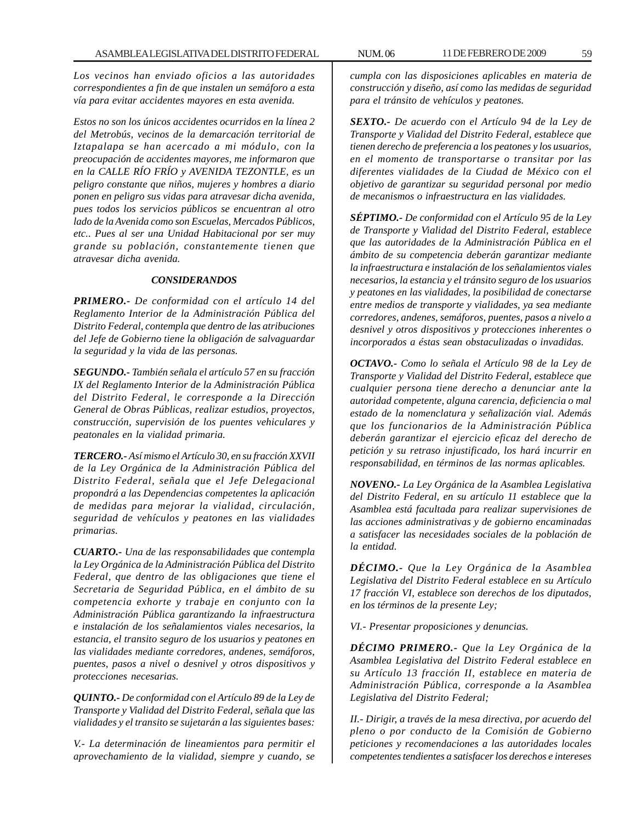*Los vecinos han enviado oficios a las autoridades correspondientes a fin de que instalen un semáforo a esta vía para evitar accidentes mayores en esta avenida.*

*Estos no son los únicos accidentes ocurridos en la línea 2 del Metrobús, vecinos de la demarcación territorial de Iztapalapa se han acercado a mi módulo, con la preocupación de accidentes mayores, me informaron que en la CALLE RÍO FRÍO y AVENIDA TEZONTLE, es un peligro constante que niños, mujeres y hombres a diario ponen en peligro sus vidas para atravesar dicha avenida, pues todos los servicios públicos se encuentran al otro lado de la Avenida como son Escuelas, Mercados Públicos, etc.. Pues al ser una Unidad Habitacional por ser muy grande su población, constantemente tienen que atravesar dicha avenida.*

### *CONSIDERANDOS*

*PRIMERO.- De conformidad con el artículo 14 del Reglamento Interior de la Administración Pública del Distrito Federal, contempla que dentro de las atribuciones del Jefe de Gobierno tiene la obligación de salvaguardar la seguridad y la vida de las personas.*

*SEGUNDO.- También señala el artículo 57 en su fracción IX del Reglamento Interior de la Administración Pública del Distrito Federal, le corresponde a la Dirección General de Obras Públicas, realizar estudios, proyectos, construcción, supervisión de los puentes vehiculares y peatonales en la vialidad primaria.*

*TERCERO.- Así mismo el Artículo 30, en su fracción XXVII de la Ley Orgánica de la Administración Pública del Distrito Federal, señala que el Jefe Delegacional propondrá a las Dependencias competentes la aplicación de medidas para mejorar la vialidad, circulación, seguridad de vehículos y peatones en las vialidades primarias.*

*CUARTO.- Una de las responsabilidades que contempla la Ley Orgánica de la Administración Pública del Distrito Federal, que dentro de las obligaciones que tiene el Secretaria de Seguridad Pública, en el ámbito de su competencia exhorte y trabaje en conjunto con la Administración Pública garantizando la infraestructura e instalación de los señalamientos viales necesarios, la estancia, el transito seguro de los usuarios y peatones en las vialidades mediante corredores, andenes, semáforos, puentes, pasos a nivel o desnivel y otros dispositivos y protecciones necesarias.*

*QUINTO.- De conformidad con el Artículo 89 de la Ley de Transporte y Vialidad del Distrito Federal, señala que las vialidades y el transito se sujetarán a las siguientes bases:*

*V.- La determinación de lineamientos para permitir el aprovechamiento de la vialidad, siempre y cuando, se*

*cumpla con las disposiciones aplicables en materia de construcción y diseño, así como las medidas de seguridad para el tránsito de vehículos y peatones.*

*SEXTO.- De acuerdo con el Artículo 94 de la Ley de Transporte y Vialidad del Distrito Federal, establece que tienen derecho de preferencia a los peatones y los usuarios, en el momento de transportarse o transitar por las diferentes vialidades de la Ciudad de México con el objetivo de garantizar su seguridad personal por medio de mecanismos o infraestructura en las vialidades.*

*SÉPTIMO.- De conformidad con el Artículo 95 de la Ley de Transporte y Vialidad del Distrito Federal, establece que las autoridades de la Administración Pública en el ámbito de su competencia deberán garantizar mediante la infraestructura e instalación de los señalamientos viales necesarios, la estancia y el tránsito seguro de los usuarios y peatones en las vialidades, la posibilidad de conectarse entre medios de transporte y vialidades, ya sea mediante corredores, andenes, semáforos, puentes, pasos a nivelo a desnivel y otros dispositivos y protecciones inherentes o incorporados a éstas sean obstaculizadas o invadidas.*

*OCTAVO.- Como lo señala el Artículo 98 de la Ley de Transporte y Vialidad del Distrito Federal, establece que cualquier persona tiene derecho a denunciar ante la autoridad competente, alguna carencia, deficiencia o mal estado de la nomenclatura y señalización vial. Además que los funcionarios de la Administración Pública deberán garantizar el ejercicio eficaz del derecho de petición y su retraso injustificado, los hará incurrir en responsabilidad, en términos de las normas aplicables.*

*NOVENO.- La Ley Orgánica de la Asamblea Legislativa del Distrito Federal, en su artículo 11 establece que la Asamblea está facultada para realizar supervisiones de las acciones administrativas y de gobierno encaminadas a satisfacer las necesidades sociales de la población de la entidad.*

*DÉCIMO.- Que la Ley Orgánica de la Asamblea Legislativa del Distrito Federal establece en su Artículo 17 fracción VI, establece son derechos de los diputados, en los términos de la presente Ley;*

*VI.- Presentar proposiciones y denuncias.*

*DÉCIMO PRIMERO.- Que la Ley Orgánica de la Asamblea Legislativa del Distrito Federal establece en su Artículo 13 fracción II, establece en materia de Administración Pública, corresponde a la Asamblea Legislativa del Distrito Federal;*

*II.- Dirigir, a través de la mesa directiva, por acuerdo del pleno o por conducto de la Comisión de Gobierno peticiones y recomendaciones a las autoridades locales competentes tendientes a satisfacer los derechos e intereses*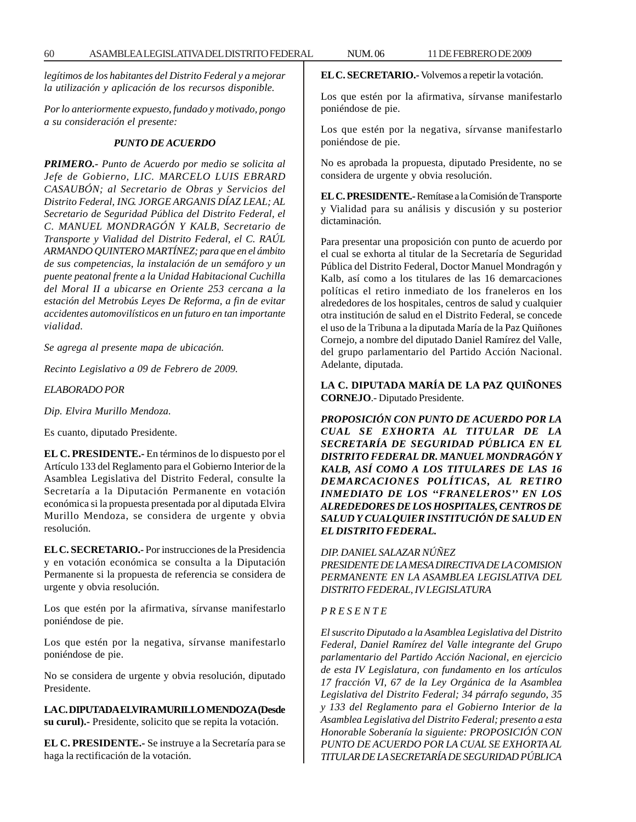*legítimos de los habitantes del Distrito Federal y a mejorar la utilización y aplicación de los recursos disponible.*

*Por lo anteriormente expuesto, fundado y motivado, pongo a su consideración el presente:*

### *PUNTO DE ACUERDO*

*PRIMERO.- Punto de Acuerdo por medio se solicita al Jefe de Gobierno, LIC. MARCELO LUIS EBRARD CASAUBÓN; al Secretario de Obras y Servicios del Distrito Federal, ING. JORGE ARGANIS DÍAZ LEAL; AL Secretario de Seguridad Pública del Distrito Federal, el C. MANUEL MONDRAGÓN Y KALB, Secretario de Transporte y Vialidad del Distrito Federal, el C. RAÚL ARMANDO QUINTERO MARTÍNEZ; para que en el ámbito de sus competencias, la instalación de un semáforo y un puente peatonal frente a la Unidad Habitacional Cuchilla del Moral II a ubicarse en Oriente 253 cercana a la estación del Metrobús Leyes De Reforma, a fin de evitar accidentes automovilísticos en un futuro en tan importante vialidad.*

*Se agrega al presente mapa de ubicación.*

*Recinto Legislativo a 09 de Febrero de 2009.*

*ELABORADO POR*

*Dip. Elvira Murillo Mendoza.*

Es cuanto, diputado Presidente.

**EL C. PRESIDENTE.-** En términos de lo dispuesto por el Artículo 133 del Reglamento para el Gobierno Interior de la Asamblea Legislativa del Distrito Federal, consulte la Secretaría a la Diputación Permanente en votación económica si la propuesta presentada por al diputada Elvira Murillo Mendoza, se considera de urgente y obvia resolución.

**EL C. SECRETARIO.-** Por instrucciones de la Presidencia y en votación económica se consulta a la Diputación Permanente si la propuesta de referencia se considera de urgente y obvia resolución.

Los que estén por la afirmativa, sírvanse manifestarlo poniéndose de pie.

Los que estén por la negativa, sírvanse manifestarlo poniéndose de pie.

No se considera de urgente y obvia resolución, diputado Presidente.

**LA C. DIPUTADA ELVIRA MURILLO MENDOZA (Desde su curul).-** Presidente, solicito que se repita la votación.

**EL C. PRESIDENTE.-** Se instruye a la Secretaría para se haga la rectificación de la votación.

**EL C. SECRETARIO.-** Volvemos a repetir la votación.

Los que estén por la afirmativa, sírvanse manifestarlo poniéndose de pie.

Los que estén por la negativa, sírvanse manifestarlo poniéndose de pie.

No es aprobada la propuesta, diputado Presidente, no se considera de urgente y obvia resolución.

**EL C. PRESIDENTE.-** Remítase a la Comisión de Transporte y Vialidad para su análisis y discusión y su posterior dictaminación.

Para presentar una proposición con punto de acuerdo por el cual se exhorta al titular de la Secretaría de Seguridad Pública del Distrito Federal, Doctor Manuel Mondragón y Kalb, así como a los titulares de las 16 demarcaciones políticas el retiro inmediato de los franeleros en los alrededores de los hospitales, centros de salud y cualquier otra institución de salud en el Distrito Federal, se concede el uso de la Tribuna a la diputada María de la Paz Quiñones Cornejo, a nombre del diputado Daniel Ramírez del Valle, del grupo parlamentario del Partido Acción Nacional. Adelante, diputada.

# **LA C. DIPUTADA MARÍA DE LA PAZ QUIÑONES CORNEJO**.- Diputado Presidente.

*PROPOSICIÓN CON PUNTO DE ACUERDO POR LA CUAL SE EXHORTA AL TITULAR DE LA SECRETARÍA DE SEGURIDAD PÚBLICA EN EL DISTRITO FEDERAL DR. MANUEL MONDRAGÓN Y KALB, ASÍ COMO A LOS TITULARES DE LAS 16 DEMARCACIONES POLÍTICAS, AL RETIRO INMEDIATO DE LOS ''FRANELEROS'' EN LOS ALREDEDORES DE LOS HOSPITALES, CENTROS DE SALUD Y CUALQUIER INSTITUCIÓN DE SALUD EN EL DISTRITO FEDERAL.*

#### *DIP. DANIEL SALAZAR NÚÑEZ*

*PRESIDENTE DE LA MESA DIRECTIVA DE LA COMISION PERMANENTE EN LA ASAMBLEA LEGISLATIVA DEL DISTRITO FEDERAL, IV LEGISLATURA*

# *P R E S E N T E*

*El suscrito Diputado a la Asamblea Legislativa del Distrito Federal, Daniel Ramírez del Valle integrante del Grupo parlamentario del Partido Acción Nacional, en ejercicio de esta IV Legislatura, con fundamento en los artículos 17 fracción VI, 67 de la Ley Orgánica de la Asamblea Legislativa del Distrito Federal; 34 párrafo segundo, 35 y 133 del Reglamento para el Gobierno Interior de la Asamblea Legislativa del Distrito Federal; presento a esta Honorable Soberanía la siguiente: PROPOSICIÓN CON PUNTO DE ACUERDO POR LA CUAL SE EXHORTA AL TITULAR DE LA SECRETARÍA DE SEGURIDAD PÚBLICA*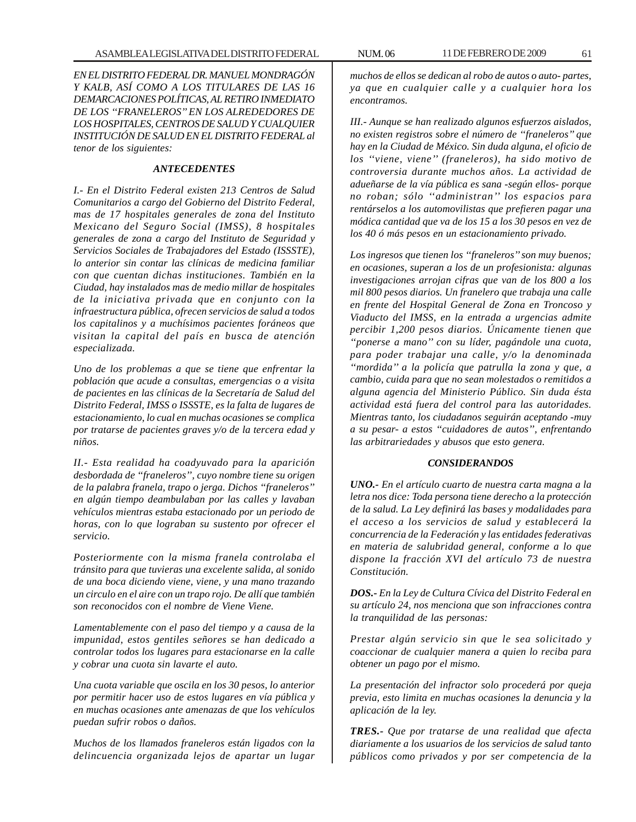*EN EL DISTRITO FEDERAL DR. MANUEL MONDRAGÓN Y KALB, ASÍ COMO A LOS TITULARES DE LAS 16 DEMARCACIONES POLÍTICAS, AL RETIRO INMEDIATO DE LOS ''FRANELEROS'' EN LOS ALREDEDORES DE LOS HOSPITALES, CENTROS DE SALUD Y CUALQUIER INSTITUCIÓN DE SALUD EN EL DISTRITO FEDERAL al tenor de los siguientes:*

### *ANTECEDENTES*

*I.- En el Distrito Federal existen 213 Centros de Salud Comunitarios a cargo del Gobierno del Distrito Federal, mas de 17 hospitales generales de zona del Instituto Mexicano del Seguro Social (IMSS), 8 hospitales generales de zona a cargo del Instituto de Seguridad y Servicios Sociales de Trabajadores del Estado (ISSSTE), lo anterior sin contar las clínicas de medicina familiar con que cuentan dichas instituciones. También en la Ciudad, hay instalados mas de medio millar de hospitales de la iniciativa privada que en conjunto con la infraestructura pública, ofrecen servicios de salud a todos los capitalinos y a muchísimos pacientes foráneos que visitan la capital del país en busca de atención especializada.*

*Uno de los problemas a que se tiene que enfrentar la población que acude a consultas, emergencias o a visita de pacientes en las clínicas de la Secretaría de Salud del Distrito Federal, IMSS o ISSSTE, es la falta de lugares de estacionamiento, lo cual en muchas ocasiones se complica por tratarse de pacientes graves y/o de la tercera edad y niños.*

*II.- Esta realidad ha coadyuvado para la aparición desbordada de ''franeleros'', cuyo nombre tiene su origen de la palabra franela, trapo o jerga. Dichos ''franeleros'' en algún tiempo deambulaban por las calles y lavaban vehículos mientras estaba estacionado por un periodo de horas, con lo que lograban su sustento por ofrecer el servicio.*

*Posteriormente con la misma franela controlaba el tránsito para que tuvieras una excelente salida, al sonido de una boca diciendo viene, viene, y una mano trazando un circulo en el aire con un trapo rojo. De allí que también son reconocidos con el nombre de Viene Viene.*

*Lamentablemente con el paso del tiempo y a causa de la impunidad, estos gentiles señores se han dedicado a controlar todos los lugares para estacionarse en la calle y cobrar una cuota sin lavarte el auto.*

*Una cuota variable que oscila en los 30 pesos, lo anterior por permitir hacer uso de estos lugares en vía pública y en muchas ocasiones ante amenazas de que los vehículos puedan sufrir robos o daños.*

*Muchos de los llamados franeleros están ligados con la delincuencia organizada lejos de apartar un lugar* *muchos de ellos se dedican al robo de autos o auto- partes, ya que en cualquier calle y a cualquier hora los encontramos.*

*III.- Aunque se han realizado algunos esfuerzos aislados, no existen registros sobre el número de ''franeleros'' que hay en la Ciudad de México. Sin duda alguna, el oficio de los ''viene, viene'' (franeleros), ha sido motivo de controversia durante muchos años. La actividad de adueñarse de la vía pública es sana -según ellos- porque no roban; sólo ''administran'' los espacios para rentárselos a los automovilistas que prefieren pagar una módica cantidad que va de los 15 a los 30 pesos en vez de los 40 ó más pesos en un estacionamiento privado.*

*Los ingresos que tienen los ''franeleros'' son muy buenos; en ocasiones, superan a los de un profesionista: algunas investigaciones arrojan cifras que van de los 800 a los mil 800 pesos diarios. Un franelero que trabaja una calle en frente del Hospital General de Zona en Troncoso y Viaducto del IMSS, en la entrada a urgencias admite percibir 1,200 pesos diarios. Únicamente tienen que ''ponerse a mano'' con su líder, pagándole una cuota, para poder trabajar una calle, y/o la denominada ''mordida'' a la policía que patrulla la zona y que, a cambio, cuida para que no sean molestados o remitidos a alguna agencia del Ministerio Público. Sin duda ésta actividad está fuera del control para las autoridades. Mientras tanto, los ciudadanos seguirán aceptando -muy a su pesar- a estos ''cuidadores de autos'', enfrentando las arbitrariedades y abusos que esto genera.*

### *CONSIDERANDOS*

*UNO.- En el artículo cuarto de nuestra carta magna a la letra nos dice: Toda persona tiene derecho a la protección de la salud. La Ley definirá las bases y modalidades para el acceso a los servicios de salud y establecerá la concurrencia de la Federación y las entidades federativas en materia de salubridad general, conforme a lo que dispone la fracción XVI del artículo 73 de nuestra Constitución.*

*DOS.- En la Ley de Cultura Cívica del Distrito Federal en su artículo 24, nos menciona que son infracciones contra la tranquilidad de las personas:*

*Prestar algún servicio sin que le sea solicitado y coaccionar de cualquier manera a quien lo reciba para obtener un pago por el mismo.*

*La presentación del infractor solo procederá por queja previa, esto limita en muchas ocasiones la denuncia y la aplicación de la ley.*

*TRES.- Que por tratarse de una realidad que afecta diariamente a los usuarios de los servicios de salud tanto públicos como privados y por ser competencia de la*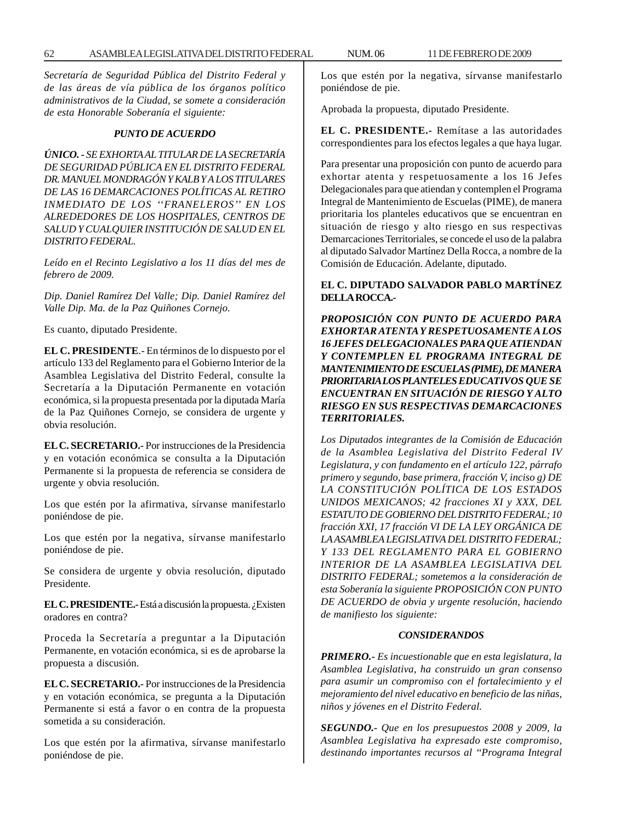*Secretaría de Seguridad Pública del Distrito Federal y de las áreas de vía pública de los órganos político administrativos de la Ciudad, se somete a consideración de esta Honorable Soberanía el siguiente:*

#### *PUNTO DE ACUERDO*

*ÚNICO. - SE EXHORTA AL TITULAR DE LA SECRETARÍA DE SEGURIDAD PÚBLICA EN EL DISTRITO FEDERAL DR. MANUEL MONDRAGÓN Y KALB Y A LOS TITULARES DE LAS 16 DEMARCACIONES POLÍTICAS AL RETIRO INMEDIATO DE LOS ''FRANELEROS'' EN LOS ALREDEDORES DE LOS HOSPITALES, CENTROS DE SALUD Y CUALQUIER INSTITUCIÓN DE SALUD EN EL DISTRITO FEDERAL.*

*Leído en el Recinto Legislativo a los 11 días del mes de febrero de 2009.*

*Dip. Daniel Ramírez Del Valle; Dip. Daniel Ramírez del Valle Dip. Ma. de la Paz Quiñones Cornejo.*

Es cuanto, diputado Presidente.

**EL C. PRESIDENTE**.- En términos de lo dispuesto por el artículo 133 del Reglamento para el Gobierno Interior de la Asamblea Legislativa del Distrito Federal, consulte la Secretaría a la Diputación Permanente en votación económica, si la propuesta presentada por la diputada María de la Paz Quiñones Cornejo, se considera de urgente y obvia resolución.

**EL C. SECRETARIO.-** Por instrucciones de la Presidencia y en votación económica se consulta a la Diputación Permanente si la propuesta de referencia se considera de urgente y obvia resolución.

Los que estén por la afirmativa, sírvanse manifestarlo poniéndose de pie.

Los que estén por la negativa, sírvanse manifestarlo poniéndose de pie.

Se considera de urgente y obvia resolución, diputado Presidente.

**EL C. PRESIDENTE.-** Está a discusión la propuesta. ¿Existen oradores en contra?

Proceda la Secretaría a preguntar a la Diputación Permanente, en votación económica, si es de aprobarse la propuesta a discusión.

**EL C. SECRETARIO.-** Por instrucciones de la Presidencia y en votación económica, se pregunta a la Diputación Permanente si está a favor o en contra de la propuesta sometida a su consideración.

Los que estén por la afirmativa, sírvanse manifestarlo poniéndose de pie.

Los que estén por la negativa, sírvanse manifestarlo poniéndose de pie.

Aprobada la propuesta, diputado Presidente.

**EL C. PRESIDENTE.-** Remítase a las autoridades correspondientes para los efectos legales a que haya lugar.

Para presentar una proposición con punto de acuerdo para exhortar atenta y respetuosamente a los 16 Jefes Delegacionales para que atiendan y contemplen el Programa Integral de Mantenimiento de Escuelas (PIME), de manera prioritaria los planteles educativos que se encuentran en situación de riesgo y alto riesgo en sus respectivas Demarcaciones Territoriales, se concede el uso de la palabra al diputado Salvador Martínez Della Rocca, a nombre de la Comisión de Educación. Adelante, diputado.

# **EL C. DIPUTADO SALVADOR PABLO MARTÍNEZ DELLA ROCCA.-**

*PROPOSICIÓN CON PUNTO DE ACUERDO PARA EXHORTAR ATENTA Y RESPETUOSAMENTE A LOS 16 JEFES DELEGACIONALES PARA QUE ATIENDAN Y CONTEMPLEN EL PROGRAMA INTEGRAL DE MANTENIMIENTO DE ESCUELAS (PIME), DE MANERA PRIORITARIA LOS PLANTELES EDUCATIVOS QUE SE ENCUENTRAN EN SITUACIÓN DE RIESGO Y ALTO RIESGO EN SUS RESPECTIVAS DEMARCACIONES TERRITORIALES.*

*Los Diputados integrantes de la Comisión de Educación de la Asamblea Legislativa del Distrito Federal IV Legislatura, y con fundamento en el artículo 122, párrafo primero y segundo, base primera, fracción V, inciso g) DE LA CONSTITUCIÓN POLÍTICA DE LOS ESTADOS UNIDOS MEXICANOS; 42 fracciones XI y XXX, DEL ESTATUTO DE GOBIERNO DEL DISTRITO FEDERAL; 10 fracción XXI, 17 fracción VI DE LA LEY ORGÁNICA DE LA ASAMBLEA LEGISLATIVA DEL DISTRITO FEDERAL; Y 133 DEL REGLAMENTO PARA EL GOBIERNO INTERIOR DE LA ASAMBLEA LEGISLATIVA DEL DISTRITO FEDERAL; sometemos a la consideración de esta Soberanía la siguiente PROPOSICIÓN CON PUNTO DE ACUERDO de obvia y urgente resolución, haciendo de manifiesto los siguiente:*

#### *CONSIDERANDOS*

*PRIMERO.- Es incuestionable que en esta legislatura, la Asamblea Legislativa, ha construido un gran consenso para asumir un compromiso con el fortalecimiento y el mejoramiento del nivel educativo en beneficio de las niñas, niños y jóvenes en el Distrito Federal.*

*SEGUNDO.- Que en los presupuestos 2008 y 2009, la Asamblea Legislativa ha expresado este compromiso, destinando importantes recursos al ''Programa Integral*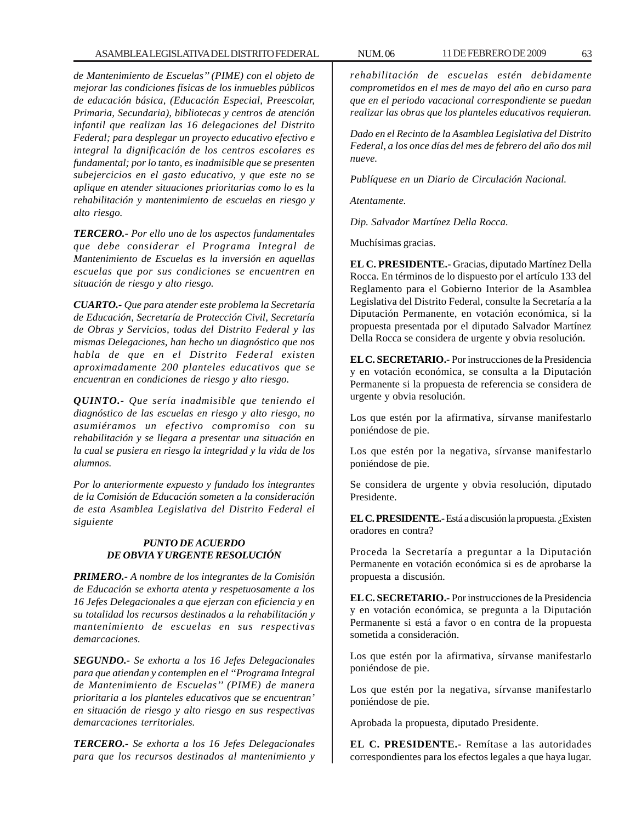*de Mantenimiento de Escuelas'' (PIME) con el objeto de mejorar las condiciones físicas de los inmuebles públicos de educación básica, (Educación Especial, Preescolar, Primaria, Secundaria), bibliotecas y centros de atención infantil que realizan las 16 delegaciones del Distrito Federal; para desplegar un proyecto educativo efectivo e integral la dignificación de los centros escolares es fundamental; por lo tanto, es inadmisible que se presenten subejercicios en el gasto educativo, y que este no se aplique en atender situaciones prioritarias como lo es la rehabilitación y mantenimiento de escuelas en riesgo y alto riesgo.*

*TERCERO.- Por ello uno de los aspectos fundamentales que debe considerar el Programa Integral de Mantenimiento de Escuelas es la inversión en aquellas escuelas que por sus condiciones se encuentren en situación de riesgo y alto riesgo.*

*CUARTO.- Que para atender este problema la Secretaría de Educación, Secretaría de Protección Civil, Secretaría de Obras y Servicios, todas del Distrito Federal y las mismas Delegaciones, han hecho un diagnóstico que nos habla de que en el Distrito Federal existen aproximadamente 200 planteles educativos que se encuentran en condiciones de riesgo y alto riesgo.*

*QUINTO.- Que sería inadmisible que teniendo el diagnóstico de las escuelas en riesgo y alto riesgo, no asumiéramos un efectivo compromiso con su rehabilitación y se llegara a presentar una situación en la cual se pusiera en riesgo la integridad y la vida de los alumnos.*

*Por lo anteriormente expuesto y fundado los integrantes de la Comisión de Educación someten a la consideración de esta Asamblea Legislativa del Distrito Federal el siguiente*

# *PUNTO DE ACUERDO DE OBVIA Y URGENTE RESOLUCIÓN*

*PRIMERO.- A nombre de los integrantes de la Comisión de Educación se exhorta atenta y respetuosamente a los 16 Jefes Delegacionales a que ejerzan con eficiencia y en su totalidad los recursos destinados a la rehabilitación y mantenimiento de escuelas en sus respectivas demarcaciones.*

*SEGUNDO.- Se exhorta a los 16 Jefes Delegacionales para que atiendan y contemplen en el ''Programa Integral de Mantenimiento de Escuelas'' (PIME) de manera prioritaria a los planteles educativos que se encuentran' en situación de riesgo y alto riesgo en sus respectivas demarcaciones territoriales.*

*TERCERO.- Se exhorta a los 16 Jefes Delegacionales para que los recursos destinados al mantenimiento y* *rehabilitación de escuelas estén debidamente comprometidos en el mes de mayo del año en curso para que en el periodo vacacional correspondiente se puedan realizar las obras que los planteles educativos requieran.*

*Dado en el Recinto de la Asamblea Legislativa del Distrito Federal, a los once días del mes de febrero del año dos mil nueve.*

*Publíquese en un Diario de Circulación Nacional.*

*Atentamente.*

*Dip. Salvador Martínez Della Rocca.*

Muchísimas gracias.

**EL C. PRESIDENTE.-** Gracias, diputado Martínez Della Rocca. En términos de lo dispuesto por el artículo 133 del Reglamento para el Gobierno Interior de la Asamblea Legislativa del Distrito Federal, consulte la Secretaría a la Diputación Permanente, en votación económica, si la propuesta presentada por el diputado Salvador Martínez Della Rocca se considera de urgente y obvia resolución.

**EL C. SECRETARIO.-** Por instrucciones de la Presidencia y en votación económica, se consulta a la Diputación Permanente si la propuesta de referencia se considera de urgente y obvia resolución.

Los que estén por la afirmativa, sírvanse manifestarlo poniéndose de pie.

Los que estén por la negativa, sírvanse manifestarlo poniéndose de pie.

Se considera de urgente y obvia resolución, diputado Presidente.

**EL C. PRESIDENTE.-** Está a discusión la propuesta. ¿Existen oradores en contra?

Proceda la Secretaría a preguntar a la Diputación Permanente en votación económica si es de aprobarse la propuesta a discusión.

**EL C. SECRETARIO.-** Por instrucciones de la Presidencia y en votación económica, se pregunta a la Diputación Permanente si está a favor o en contra de la propuesta sometida a consideración.

Los que estén por la afirmativa, sírvanse manifestarlo poniéndose de pie.

Los que estén por la negativa, sírvanse manifestarlo poniéndose de pie.

Aprobada la propuesta, diputado Presidente.

**EL C. PRESIDENTE.-** Remítase a las autoridades correspondientes para los efectos legales a que haya lugar.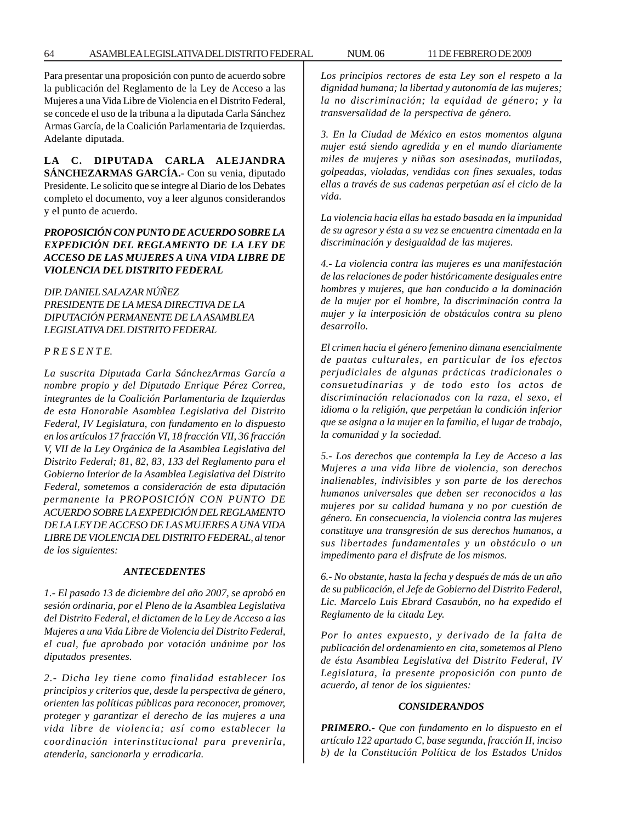Para presentar una proposición con punto de acuerdo sobre la publicación del Reglamento de la Ley de Acceso a las Mujeres a una Vida Libre de Violencia en el Distrito Federal, se concede el uso de la tribuna a la diputada Carla Sánchez Armas García, de la Coalición Parlamentaria de Izquierdas. Adelante diputada.

**LA C. DIPUTADA CARLA ALEJANDRA SÁNCHEZARMAS GARCÍA.-** Con su venia, diputado Presidente. Le solicito que se integre al Diario de los Debates completo el documento, voy a leer algunos considerandos y el punto de acuerdo.

# *PROPOSICIÓN CON PUNTO DE ACUERDO SOBRE LA EXPEDICIÓN DEL REGLAMENTO DE LA LEY DE ACCESO DE LAS MUJERES A UNA VIDA LIBRE DE VIOLENCIA DEL DISTRITO FEDERAL*

*DIP. DANIEL SALAZAR NÚÑEZ PRESIDENTE DE LA MESA DIRECTIVA DE LA DIPUTACIÓN PERMANENTE DE LA ASAMBLEA LEGISLATIVA DEL DISTRITO FEDERAL*

### *P R E S E N T E.*

*La suscrita Diputada Carla SánchezArmas García a nombre propio y del Diputado Enrique Pérez Correa, integrantes de la Coalición Parlamentaria de Izquierdas de esta Honorable Asamblea Legislativa del Distrito Federal, IV Legislatura, con fundamento en lo dispuesto en los artículos 17 fracción VI, 18 fracción VII, 36 fracción V, VII de la Ley Orgánica de la Asamblea Legislativa del Distrito Federal; 81, 82, 83, 133 del Reglamento para el Gobierno Interior de la Asamblea Legislativa del Distrito Federal, sometemos a consideración de esta diputación permanente la PROPOSICIÓN CON PUNTO DE ACUERDO SOBRE LA EXPEDICIÓN DEL REGLAMENTO DE LA LEY DE ACCESO DE LAS MUJERES A UNA VIDA LIBRE DE VIOLENCIA DEL DISTRITO FEDERAL, al tenor de los siguientes:*

### *ANTECEDENTES*

*1.- El pasado 13 de diciembre del año 2007, se aprobó en sesión ordinaria, por el Pleno de la Asamblea Legislativa del Distrito Federal, el dictamen de la Ley de Acceso a las Mujeres a una Vida Libre de Violencia del Distrito Federal, el cual, fue aprobado por votación unánime por los diputados presentes.*

*2.- Dicha ley tiene como finalidad establecer los principios y criterios que, desde la perspectiva de género, orienten las políticas públicas para reconocer, promover, proteger y garantizar el derecho de las mujeres a una vida libre de violencia; así como establecer la coordinación interinstitucional para prevenirla, atenderla, sancionarla y erradicarla.*

*Los principios rectores de esta Ley son el respeto a la dignidad humana; la libertad y autonomía de las mujeres; la no discriminación; la equidad de género; y la transversalidad de la perspectiva de género.*

*3. En la Ciudad de México en estos momentos alguna mujer está siendo agredida y en el mundo diariamente miles de mujeres y niñas son asesinadas, mutiladas, golpeadas, violadas, vendidas con fines sexuales, todas ellas a través de sus cadenas perpetúan así el ciclo de la vida.*

*La violencia hacia ellas ha estado basada en la impunidad de su agresor y ésta a su vez se encuentra cimentada en la discriminación y desigualdad de las mujeres.*

*4.- La violencia contra las mujeres es una manifestación de las relaciones de poder históricamente desiguales entre hombres y mujeres, que han conducido a la dominación de la mujer por el hombre, la discriminación contra la mujer y la interposición de obstáculos contra su pleno desarrollo.*

*El crimen hacia el género femenino dimana esencialmente de pautas culturales, en particular de los efectos perjudiciales de algunas prácticas tradicionales o consuetudinarias y de todo esto los actos de discriminación relacionados con la raza, el sexo, el idioma o la religión, que perpetúan la condición inferior que se asigna a la mujer en la familia, el lugar de trabajo, la comunidad y la sociedad.*

*5.- Los derechos que contempla la Ley de Acceso a las Mujeres a una vida libre de violencia, son derechos inalienables, indivisibles y son parte de los derechos humanos universales que deben ser reconocidos a las mujeres por su calidad humana y no por cuestión de género. En consecuencia, la violencia contra las mujeres constituye una transgresión de sus derechos humanos, a sus libertades fundamentales y un obstáculo o un impedimento para el disfrute de los mismos.*

*6.- No obstante, hasta la fecha y después de más de un año de su publicación, el Jefe de Gobierno del Distrito Federal, Lic. Marcelo Luis Ebrard Casaubón, no ha expedido el Reglamento de la citada Ley.*

*Por lo antes expuesto, y derivado de la falta de publicación del ordenamiento en cita, sometemos al Pleno de ésta Asamblea Legislativa del Distrito Federal, IV Legislatura, la presente proposición con punto de acuerdo, al tenor de los siguientes:*

#### *CONSIDERANDOS*

*PRIMERO.- Que con fundamento en lo dispuesto en el artículo 122 apartado C, base segunda, fracción II, inciso b) de la Constitución Política de los Estados Unidos*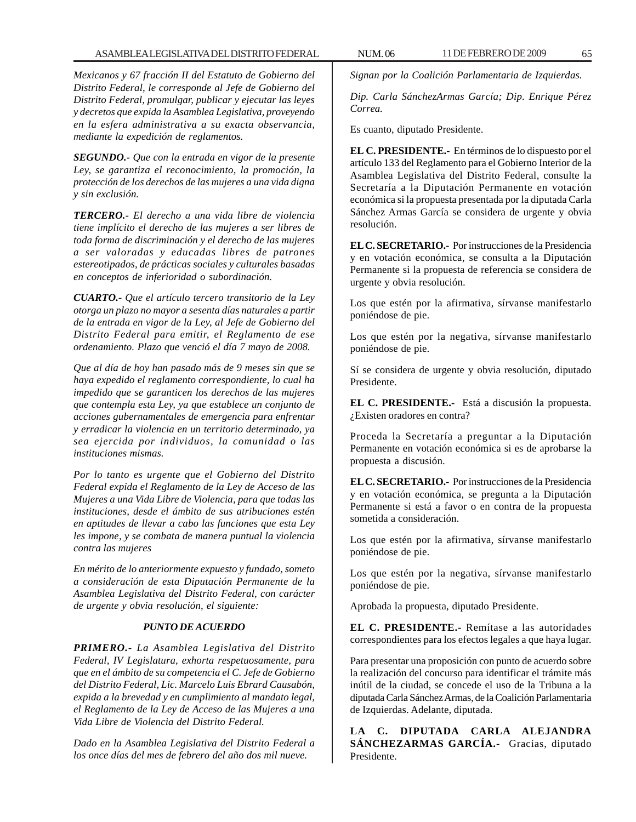*Mexicanos y 67 fracción II del Estatuto de Gobierno del Distrito Federal, le corresponde al Jefe de Gobierno del Distrito Federal, promulgar, publicar y ejecutar las leyes y decretos que expida la Asamblea Legislativa, proveyendo en la esfera administrativa a su exacta observancia, mediante la expedición de reglamentos.*

*SEGUNDO.- Que con la entrada en vigor de la presente Ley, se garantiza el reconocimiento, la promoción, la protección de los derechos de las mujeres a una vida digna y sin exclusión.*

*TERCERO.- El derecho a una vida libre de violencia tiene implícito el derecho de las mujeres a ser libres de toda forma de discriminación y el derecho de las mujeres a ser valoradas y educadas libres de patrones estereotipados, de prácticas sociales y culturales basadas en conceptos de inferioridad o subordinación.*

*CUARTO.- Que el artículo tercero transitorio de la Ley otorga un plazo no mayor a sesenta días naturales a partir de la entrada en vigor de la Ley, al Jefe de Gobierno del Distrito Federal para emitir, el Reglamento de ese ordenamiento. Plazo que venció el día 7 mayo de 2008.*

*Que al día de hoy han pasado más de 9 meses sin que se haya expedido el reglamento correspondiente, lo cual ha impedido que se garanticen los derechos de las mujeres que contempla esta Ley, ya que establece un conjunto de acciones gubernamentales de emergencia para enfrentar y erradicar la violencia en un territorio determinado, ya sea ejercida por individuos, la comunidad o las instituciones mismas.*

*Por lo tanto es urgente que el Gobierno del Distrito Federal expida el Reglamento de la Ley de Acceso de las Mujeres a una Vida Libre de Violencia, para que todas las instituciones, desde el ámbito de sus atribuciones estén en aptitudes de llevar a cabo las funciones que esta Ley les impone, y se combata de manera puntual la violencia contra las mujeres*

*En mérito de lo anteriormente expuesto y fundado, someto a consideración de esta Diputación Permanente de la Asamblea Legislativa del Distrito Federal, con carácter de urgente y obvia resolución, el siguiente:*

### *PUNTO DE ACUERDO*

*PRIMERO.- La Asamblea Legislativa del Distrito Federal, IV Legislatura, exhorta respetuosamente, para que en el ámbito de su competencia el C. Jefe de Gobierno del Distrito Federal, Lic. Marcelo Luis Ebrard Causabón, expida a la brevedad y en cumplimiento al mandato legal, el Reglamento de la Ley de Acceso de las Mujeres a una Vida Libre de Violencia del Distrito Federal.*

*Dado en la Asamblea Legislativa del Distrito Federal a los once días del mes de febrero del año dos mil nueve.*

*Signan por la Coalición Parlamentaria de Izquierdas.*

*Dip. Carla SánchezArmas García; Dip. Enrique Pérez Correa.*

Es cuanto, diputado Presidente.

**EL C. PRESIDENTE.-** En términos de lo dispuesto por el artículo 133 del Reglamento para el Gobierno Interior de la Asamblea Legislativa del Distrito Federal, consulte la Secretaría a la Diputación Permanente en votación económica si la propuesta presentada por la diputada Carla Sánchez Armas García se considera de urgente y obvia resolución.

**EL C. SECRETARIO.-** Por instrucciones de la Presidencia y en votación económica, se consulta a la Diputación Permanente si la propuesta de referencia se considera de urgente y obvia resolución.

Los que estén por la afirmativa, sírvanse manifestarlo poniéndose de pie.

Los que estén por la negativa, sírvanse manifestarlo poniéndose de pie.

Sí se considera de urgente y obvia resolución, diputado Presidente.

**EL C. PRESIDENTE.-** Está a discusión la propuesta. ¿Existen oradores en contra?

Proceda la Secretaría a preguntar a la Diputación Permanente en votación económica si es de aprobarse la propuesta a discusión.

**EL C. SECRETARIO.-** Por instrucciones de la Presidencia y en votación económica, se pregunta a la Diputación Permanente si está a favor o en contra de la propuesta sometida a consideración.

Los que estén por la afirmativa, sírvanse manifestarlo poniéndose de pie.

Los que estén por la negativa, sírvanse manifestarlo poniéndose de pie.

Aprobada la propuesta, diputado Presidente.

**EL C. PRESIDENTE.-** Remítase a las autoridades correspondientes para los efectos legales a que haya lugar.

Para presentar una proposición con punto de acuerdo sobre la realización del concurso para identificar el trámite más inútil de la ciudad, se concede el uso de la Tribuna a la diputada Carla Sánchez Armas, de la Coalición Parlamentaria de Izquierdas. Adelante, diputada.

**LA C. DIPUTADA CARLA ALEJANDRA SÁNCHEZARMAS GARCÍA.-** Gracias, diputado Presidente.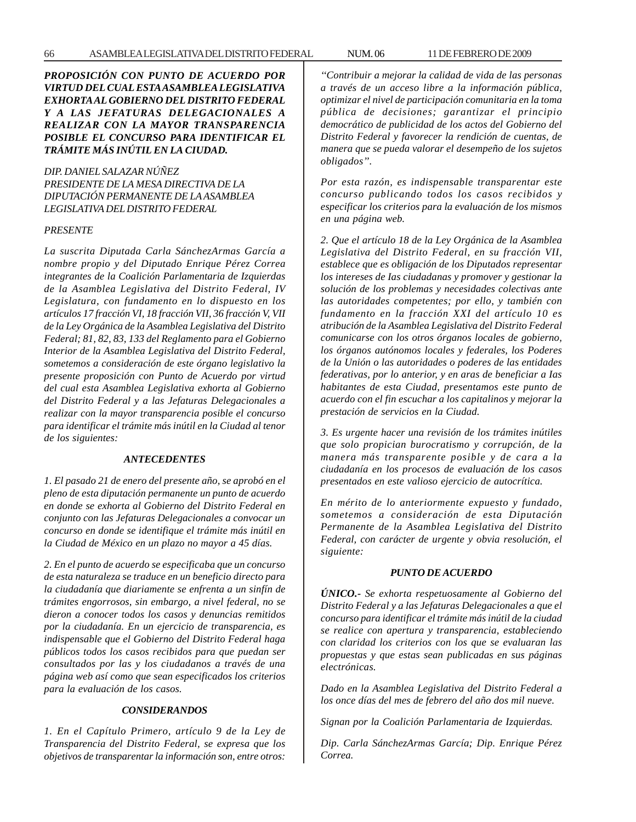*PROPOSICIÓN CON PUNTO DE ACUERDO POR VIRTUD DEL CUAL ESTA ASAMBLEA LEGISLATIVA EXHORTA AL GOBIERNO DEL DISTRITO FEDERAL Y A LAS JEFATURAS DELEGACIONALES A REALIZAR CON LA MAYOR TRANSPARENCIA POSIBLE EL CONCURSO PARA IDENTIFICAR EL TRÁMITE MÁS INÚTIL EN LA CIUDAD.*

*DIP. DANIEL SALAZAR NÚÑEZ PRESIDENTE DE LA MESA DIRECTIVA DE LA DIPUTACIÓN PERMANENTE DE LA ASAMBLEA LEGISLATIVA DEL DISTRITO FEDERAL*

#### *PRESENTE*

*La suscrita Diputada Carla SánchezArmas García a nombre propio y del Diputado Enrique Pérez Correa integrantes de la Coalición Parlamentaria de Izquierdas de la Asamblea Legislativa del Distrito Federal, IV Legislatura, con fundamento en lo dispuesto en los artículos 17 fracción VI, 18 fracción VII, 36 fracción V, VII de la Ley Orgánica de la Asamblea Legislativa del Distrito Federal; 81, 82, 83, 133 del Reglamento para el Gobierno Interior de la Asamblea Legislativa del Distrito Federal, sometemos a consideración de este órgano legislativo la presente proposición con Punto de Acuerdo por virtud del cual esta Asamblea Legislativa exhorta al Gobierno del Distrito Federal y a las Jefaturas Delegacionales a realizar con la mayor transparencia posible el concurso para identificar el trámite más inútil en la Ciudad al tenor de los siguientes:*

#### *ANTECEDENTES*

*1. El pasado 21 de enero del presente año, se aprobó en el pleno de esta diputación permanente un punto de acuerdo en donde se exhorta al Gobierno del Distrito Federal en conjunto con las Jefaturas Delegacionales a convocar un concurso en donde se identifique el trámite más inútil en la Ciudad de México en un plazo no mayor a 45 días.*

*2. En el punto de acuerdo se especificaba que un concurso de esta naturaleza se traduce en un beneficio directo para la ciudadanía que diariamente se enfrenta a un sinfín de trámites engorrosos, sin embargo, a nivel federal, no se dieron a conocer todos los casos y denuncias remitidos por la ciudadanía. En un ejercicio de transparencia, es indispensable que el Gobierno del Distrito Federal haga públicos todos los casos recibidos para que puedan ser consultados por las y los ciudadanos a través de una página web así como que sean especificados los criterios para la evaluación de los casos.*

### *CONSIDERANDOS*

*1. En el Capítulo Primero, artículo 9 de la Ley de Transparencia del Distrito Federal, se expresa que los objetivos de transparentar la información son, entre otros:*

*''Contribuir a mejorar la calidad de vida de las personas a través de un acceso libre a la información pública, optimizar el nivel de participación comunitaria en la toma pública de decisiones; garantizar el principio democrático de publicidad de los actos del Gobierno del Distrito Federal y favorecer la rendición de cuentas, de manera que se pueda valorar el desempeño de los sujetos obligados''.*

*Por esta razón, es indispensable transparentar este concurso publicando todos los casos recibidos y especificar los criterios para la evaluación de los mismos en una página web.*

*2. Que el artículo 18 de la Ley Orgánica de la Asamblea Legislativa del Distrito Federal, en su fracción VII, establece que es obligación de los Diputados representar los intereses de Ias ciudadanas y promover y gestionar la solución de los problemas y necesidades colectivas ante las autoridades competentes; por ello, y también con fundamento en la fracción XXI del artículo 10 es atribución de la Asamblea Legislativa del Distrito Federal comunicarse con los otros órganos locales de gobierno, los órganos autónomos locales y federales, los Poderes de la Unión o las autoridades o poderes de las entidades federativas, por lo anterior, y en aras de beneficiar a Ias habitantes de esta Ciudad, presentamos este punto de acuerdo con el fin escuchar a los capitalinos y mejorar la prestación de servicios en la Ciudad.*

*3. Es urgente hacer una revisión de los trámites inútiles que solo propician burocratismo y corrupción, de la manera más transparente posible y de cara a la ciudadanía en los procesos de evaluación de los casos presentados en este valioso ejercicio de autocrítica.*

*En mérito de lo anteriormente expuesto y fundado, sometemos a consideración de esta Diputación Permanente de la Asamblea Legislativa del Distrito Federal, con carácter de urgente y obvia resolución, el siguiente:*

#### *PUNTO DE ACUERDO*

*ÚNICO.- Se exhorta respetuosamente al Gobierno del Distrito Federal y a las Jefaturas Delegacionales a que el concurso para identificar el trámite más inútil de la ciudad se realice con apertura y transparencia, estableciendo con claridad los criterios con los que se evaluaran las propuestas y que estas sean publicadas en sus páginas electrónicas.*

*Dado en la Asamblea Legislativa del Distrito Federal a los once días del mes de febrero del año dos mil nueve.*

*Signan por la Coalición Parlamentaria de Izquierdas.*

*Dip. Carla SánchezArmas García; Dip. Enrique Pérez Correa.*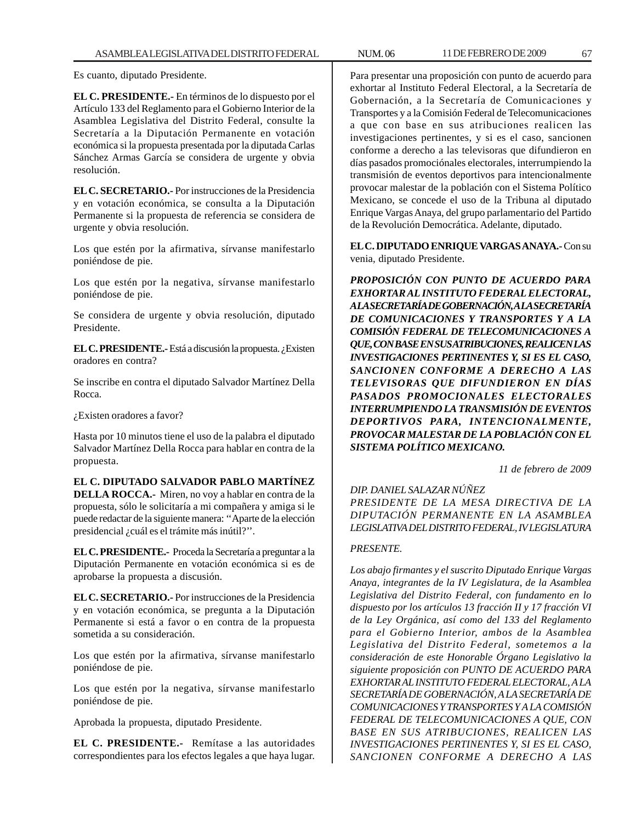Es cuanto, diputado Presidente.

**EL C. PRESIDENTE.-** En términos de lo dispuesto por el Artículo 133 del Reglamento para el Gobierno Interior de la Asamblea Legislativa del Distrito Federal, consulte la Secretaría a la Diputación Permanente en votación económica si la propuesta presentada por la diputada Carlas Sánchez Armas García se considera de urgente y obvia resolución.

**EL C. SECRETARIO.-** Por instrucciones de la Presidencia y en votación económica, se consulta a la Diputación Permanente si la propuesta de referencia se considera de urgente y obvia resolución.

Los que estén por la afirmativa, sírvanse manifestarlo poniéndose de pie.

Los que estén por la negativa, sírvanse manifestarlo poniéndose de pie.

Se considera de urgente y obvia resolución, diputado Presidente.

**EL C. PRESIDENTE.-** Está a discusión la propuesta. ¿Existen oradores en contra?

Se inscribe en contra el diputado Salvador Martínez Della Rocca.

¿Existen oradores a favor?

Hasta por 10 minutos tiene el uso de la palabra el diputado Salvador Martínez Della Rocca para hablar en contra de la propuesta.

**EL C. DIPUTADO SALVADOR PABLO MARTÍNEZ DELLA ROCCA.-** Miren, no voy a hablar en contra de la propuesta, sólo le solicitaría a mi compañera y amiga si le puede redactar de la siguiente manera: ''Aparte de la elección presidencial ¿cuál es el trámite más inútil?''.

**EL C. PRESIDENTE.-** Proceda la Secretaría a preguntar a la Diputación Permanente en votación económica si es de aprobarse la propuesta a discusión.

**EL C. SECRETARIO.-** Por instrucciones de la Presidencia y en votación económica, se pregunta a la Diputación Permanente si está a favor o en contra de la propuesta sometida a su consideración.

Los que estén por la afirmativa, sírvanse manifestarlo poniéndose de pie.

Los que estén por la negativa, sírvanse manifestarlo poniéndose de pie.

Aprobada la propuesta, diputado Presidente.

**EL C. PRESIDENTE.-** Remítase a las autoridades correspondientes para los efectos legales a que haya lugar. Para presentar una proposición con punto de acuerdo para exhortar al Instituto Federal Electoral, a la Secretaría de Gobernación, a la Secretaría de Comunicaciones y Transportes y a la Comisión Federal de Telecomunicaciones a que con base en sus atribuciones realicen las investigaciones pertinentes, y si es el caso, sancionen conforme a derecho a las televisoras que difundieron en días pasados promociónales electorales, interrumpiendo la transmisión de eventos deportivos para intencionalmente provocar malestar de la población con el Sistema Político Mexicano, se concede el uso de la Tribuna al diputado Enrique Vargas Anaya, del grupo parlamentario del Partido de la Revolución Democrática. Adelante, diputado.

**EL C. DIPUTADO ENRIQUE VARGAS ANAYA.-** Con su venia, diputado Presidente.

*PROPOSICIÓN CON PUNTO DE ACUERDO PARA EXHORTAR AL INSTITUTO FEDERAL ELECTORAL, A LA SECRETARÍA DE GOBERNACIÓN, A LA SECRETARÍA DE COMUNICACIONES Y TRANSPORTES Y A LA COMISIÓN FEDERAL DE TELECOMUNICACIONES A QUE, CON BASE EN SUS ATRIBUCIONES, REALICEN LAS INVESTIGACIONES PERTINENTES Y, SI ES EL CASO, SANCIONEN CONFORME A DERECHO A LAS TELEVISORAS QUE DIFUNDIERON EN DÍAS PASADOS PROMOCIONALES ELECTORALES INTERRUMPIENDO LA TRANSMISIÓN DE EVENTOS DEPORTIVOS PARA, INTENCIONALMENTE, PROVOCAR MALESTAR DE LA POBLACIÓN CON EL SISTEMA POLÍTICO MEXICANO.*

*11 de febrero de 2009*

*DIP. DANIEL SALAZAR NÚÑEZ PRESIDENTE DE LA MESA DIRECTIVA DE LA DIPUTACIÓN PERMANENTE EN LA ASAMBLEA LEGISLATIVA DEL DISTRITO FEDERAL, IV LEGISLATURA*

# *PRESENTE.*

*Los abajo firmantes y el suscrito Diputado Enrique Vargas Anaya, integrantes de la IV Legislatura, de la Asamblea Legislativa del Distrito Federal, con fundamento en lo dispuesto por los artículos 13 fracción II y 17 fracción VI de la Ley Orgánica, así como del 133 del Reglamento para el Gobierno Interior, ambos de la Asamblea Legislativa del Distrito Federal, sometemos a la consideración de este Honorable Órgano Legislativo la siguiente proposición con PUNTO DE ACUERDO PARA EXHORTAR AL INSTITUTO FEDERAL ELECTORAL, A LA SECRETARÍA DE GOBERNACIÓN, A LA SECRETARÍA DE COMUNICACIONES Y TRANSPORTES Y A LA COMISIÓN FEDERAL DE TELECOMUNICACIONES A QUE, CON BASE EN SUS ATRIBUCIONES, REALICEN LAS INVESTIGACIONES PERTINENTES Y, SI ES EL CASO, SANCIONEN CONFORME A DERECHO A LAS*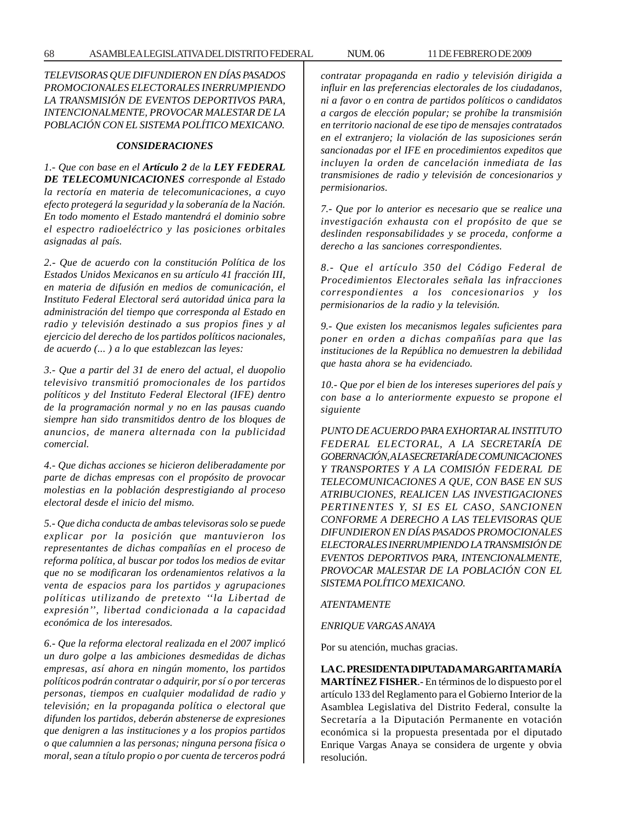*TELEVISORAS QUE DIFUNDIERON EN DÍAS PASADOS PROMOCIONALES ELECTORALES INERRUMPIENDO LA TRANSMISIÓN DE EVENTOS DEPORTIVOS PARA, INTENCIONALMENTE, PROVOCAR MALESTAR DE LA POBLACIÓN CON EL SISTEMA POLÍTICO MEXICANO.*

### *CONSIDERACIONES*

*1.- Que con base en el Artículo 2 de la LEY FEDERAL DE TELECOMUNICACIONES corresponde al Estado la rectoría en materia de telecomunicaciones, a cuyo efecto protegerá la seguridad y la soberanía de la Nación. En todo momento el Estado mantendrá el dominio sobre el espectro radioeléctrico y las posiciones orbitales asignadas al país.*

*2.- Que de acuerdo con la constitución Política de los Estados Unidos Mexicanos en su artículo 41 fracción III, en materia de difusión en medios de comunicación, el Instituto Federal Electoral será autoridad única para la administración del tiempo que corresponda al Estado en radio y televisión destinado a sus propios fines y al ejercicio del derecho de los partidos políticos nacionales, de acuerdo (... ) a lo que establezcan las leyes:*

*3.- Que a partir del 31 de enero del actual, el duopolio televisivo transmitió promocionales de los partidos políticos y del Instituto Federal Electoral (IFE) dentro de la programación normal y no en las pausas cuando siempre han sido transmitidos dentro de los bloques de anuncios, de manera alternada con la publicidad comercial.*

*4.- Que dichas acciones se hicieron deliberadamente por parte de dichas empresas con el propósito de provocar molestias en la población desprestigiando al proceso electoral desde el inicio del mismo.*

*5.- Que dicha conducta de ambas televisoras solo se puede explicar por la posición que mantuvieron los representantes de dichas compañías en el proceso de reforma política, al buscar por todos los medios de evitar que no se modificaran los ordenamientos relativos a la venta de espacios para los partidos y agrupaciones políticas utilizando de pretexto ''la Libertad de expresión'', libertad condicionada a la capacidad económica de los interesados.*

*6.- Que la reforma electoral realizada en el 2007 implicó un duro golpe a las ambiciones desmedidas de dichas empresas, así ahora en ningún momento, los partidos políticos podrán contratar o adquirir, por sí o por terceras personas, tiempos en cualquier modalidad de radio y televisión; en la propaganda política o electoral que difunden los partidos, deberán abstenerse de expresiones que denigren a las instituciones y a los propios partidos o que calumnien a las personas; ninguna persona física o moral, sean a título propio o por cuenta de terceros podrá* *contratar propaganda en radio y televisión dirigida a influir en las preferencias electorales de los ciudadanos, ni a favor o en contra de partidos políticos o candidatos a cargos de elección popular; se prohíbe la transmisión en territorio nacional de ese tipo de mensajes contratados en el extranjero; la violación de las suposiciones serán sancionadas por el IFE en procedimientos expeditos que incluyen la orden de cancelación inmediata de las transmisiones de radio y televisión de concesionarios y permisionarios.*

*7.- Que por lo anterior es necesario que se realice una investigación exhausta con el propósito de que se deslinden responsabilidades y se proceda, conforme a derecho a las sanciones correspondientes.*

*8.- Que el artículo 350 del Código Federal de Procedimientos Electorales señala las infracciones correspondientes a los concesionarios y los permisionarios de la radio y la televisión.*

*9.- Que existen los mecanismos legales suficientes para poner en orden a dichas compañías para que las instituciones de la República no demuestren la debilidad que hasta ahora se ha evidenciado.*

*10.- Que por el bien de los intereses superiores del país y con base a lo anteriormente expuesto se propone el siguiente*

*PUNTO DE ACUERDO PARA EXHORTAR AL INSTITUTO FEDERAL ELECTORAL, A LA SECRETARÍA DE GOBERNACIÓN, A LA SECRETARÍA DE COMUNICACIONES Y TRANSPORTES Y A LA COMISIÓN FEDERAL DE TELECOMUNICACIONES A QUE, CON BASE EN SUS ATRIBUCIONES, REALICEN LAS INVESTIGACIONES PERTINENTES Y, SI ES EL CASO, SANCIONEN CONFORME A DERECHO A LAS TELEVISORAS QUE DIFUNDIERON EN DÍAS PASADOS PROMOCIONALES ELECTORALES INERRUMPIENDO LA TRANSMISIÓN DE EVENTOS DEPORTIVOS PARA, INTENCIONALMENTE, PROVOCAR MALESTAR DE LA POBLACIÓN CON EL SISTEMA POLÍTICO MEXICANO.*

#### *ATENTAMENTE*

#### *ENRIQUE VARGAS ANAYA*

Por su atención, muchas gracias.

**LA C. PRESIDENTA DIPUTADA MARGARITA MARÍA MARTÍNEZ FISHER**.- En términos de lo dispuesto por el artículo 133 del Reglamento para el Gobierno Interior de la Asamblea Legislativa del Distrito Federal, consulte la Secretaría a la Diputación Permanente en votación económica si la propuesta presentada por el diputado Enrique Vargas Anaya se considera de urgente y obvia resolución.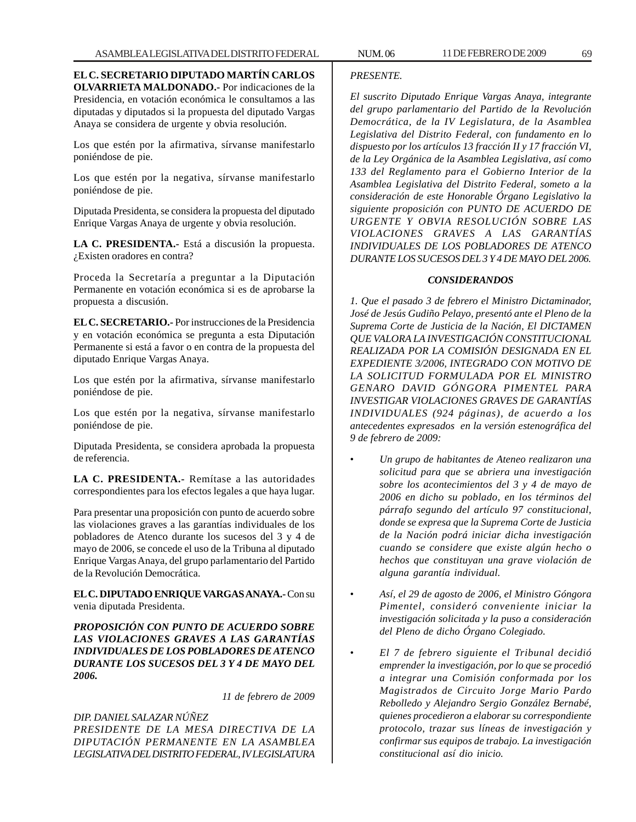**EL C. SECRETARIO DIPUTADO MARTÍN CARLOS OLVARRIETA MALDONADO.-** Por indicaciones de la Presidencia, en votación económica le consultamos a las diputadas y diputados si la propuesta del diputado Vargas Anaya se considera de urgente y obvia resolución.

Los que estén por la afirmativa, sírvanse manifestarlo poniéndose de pie.

Los que estén por la negativa, sírvanse manifestarlo poniéndose de pie.

Diputada Presidenta, se considera la propuesta del diputado Enrique Vargas Anaya de urgente y obvia resolución.

**LA C. PRESIDENTA.-** Está a discusión la propuesta. ¿Existen oradores en contra?

Proceda la Secretaría a preguntar a la Diputación Permanente en votación económica si es de aprobarse la propuesta a discusión.

**EL C. SECRETARIO.-** Por instrucciones de la Presidencia y en votación económica se pregunta a esta Diputación Permanente si está a favor o en contra de la propuesta del diputado Enrique Vargas Anaya.

Los que estén por la afirmativa, sírvanse manifestarlo poniéndose de pie.

Los que estén por la negativa, sírvanse manifestarlo poniéndose de pie.

Diputada Presidenta, se considera aprobada la propuesta de referencia.

**LA C. PRESIDENTA.-** Remítase a las autoridades correspondientes para los efectos legales a que haya lugar.

Para presentar una proposición con punto de acuerdo sobre las violaciones graves a las garantías individuales de los pobladores de Atenco durante los sucesos del 3 y 4 de mayo de 2006, se concede el uso de la Tribuna al diputado Enrique Vargas Anaya, del grupo parlamentario del Partido de la Revolución Democrática.

**EL C. DIPUTADO ENRIQUE VARGAS ANAYA.-** Con su venia diputada Presidenta.

*PROPOSICIÓN CON PUNTO DE ACUERDO SOBRE LAS VIOLACIONES GRAVES A LAS GARANTÍAS INDIVIDUALES DE LOS POBLADORES DE ATENCO DURANTE LOS SUCESOS DEL 3 Y 4 DE MAYO DEL 2006.*

*11 de febrero de 2009*

*DIP. DANIEL SALAZAR NÚÑEZ PRESIDENTE DE LA MESA DIRECTIVA DE LA DIPUTACIÓN PERMANENTE EN LA ASAMBLEA LEGISLATIVA DEL DISTRITO FEDERAL, IV LEGISLATURA*

# *PRESENTE.*

*El suscrito Diputado Enrique Vargas Anaya, integrante del grupo parlamentario del Partido de la Revolución Democrática, de la IV Legislatura, de la Asamblea Legislativa del Distrito Federal, con fundamento en lo dispuesto por los artículos 13 fracción II y 17 fracción VI, de la Ley Orgánica de la Asamblea Legislativa, así como 133 del Reglamento para el Gobierno Interior de la Asamblea Legislativa del Distrito Federal, someto a la consideración de este Honorable Órgano Legislativo la siguiente proposición con PUNTO DE ACUERDO DE URGENTE Y OBVIA RESOLUCIÓN SOBRE LAS VIOLACIONES GRAVES A LAS GARANTÍAS INDIVIDUALES DE LOS POBLADORES DE ATENCO DURANTE LOS SUCESOS DEL 3 Y 4 DE MAYO DEL 2006.*

## *CONSIDERANDOS*

*1. Que el pasado 3 de febrero el Ministro Dictaminador, José de Jesús Gudiño Pelayo, presentó ante el Pleno de la Suprema Corte de Justicia de la Nación, El DICTAMEN QUE VALORA LA INVESTIGACIÓN CONSTITUCIONAL REALIZADA POR LA COMISIÓN DESIGNADA EN EL EXPEDIENTE 3/2006, INTEGRADO CON MOTIVO DE LA SOLICITUD FORMULADA POR EL MINISTRO GENARO DAVID GÓNGORA PIMENTEL PARA INVESTIGAR VIOLACIONES GRAVES DE GARANTÍAS INDIVIDUALES (924 páginas), de acuerdo a los antecedentes expresados en la versión estenográfica del 9 de febrero de 2009:*

- *Un grupo de habitantes de Ateneo realizaron una solicitud para que se abriera una investigación sobre los acontecimientos del 3 y 4 de mayo de 2006 en dicho su poblado, en los términos del párrafo segundo del artículo 97 constitucional, donde se expresa que la Suprema Corte de Justicia de la Nación podrá iniciar dicha investigación cuando se considere que existe algún hecho o hechos que constituyan una grave violación de alguna garantía individual.*
- *Así, el 29 de agosto de 2006, el Ministro Góngora Pimentel, consideró conveniente iniciar la investigación solicitada y la puso a consideración del Pleno de dicho Órgano Colegiado.*
- *El 7 de febrero siguiente el Tribunal decidió emprender la investigación, por lo que se procedió a integrar una Comisión conformada por los Magistrados de Circuito Jorge Mario Pardo Rebolledo y Alejandro Sergio González Bernabé, quienes procedieron a elaborar su correspondiente protocolo, trazar sus líneas de investigación y confirmar sus equipos de trabajo. La investigación constitucional así dio inicio.*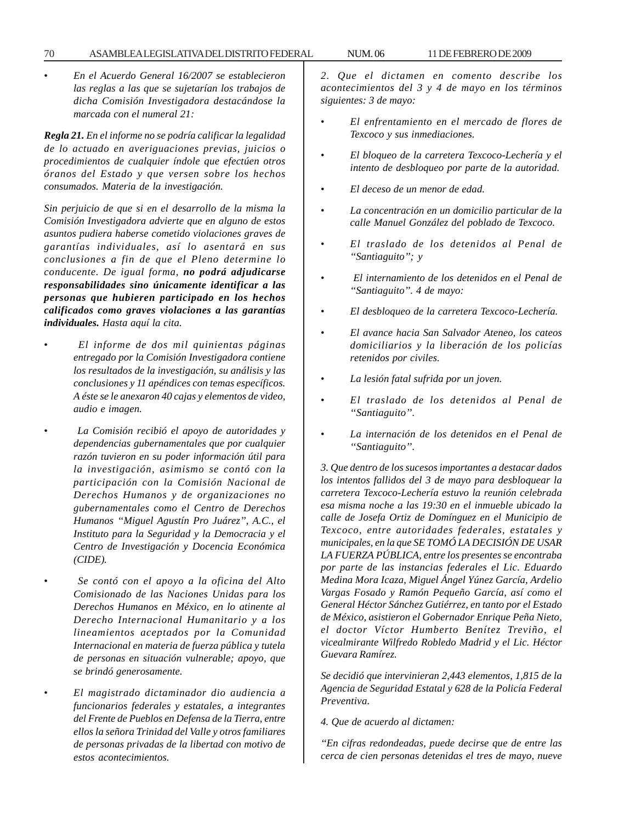• *En el Acuerdo General 16/2007 se establecieron las reglas a las que se sujetarían los trabajos de dicha Comisión Investigadora destacándose la marcada con el numeral 21:*

*Regla 21. En el informe no se podría calificar la legalidad de lo actuado en averiguaciones previas, juicios o procedimientos de cualquier índole que efectúen otros óranos del Estado y que versen sobre los hechos consumados. Materia de la investigación.*

*Sin perjuicio de que si en el desarrollo de la misma la Comisión Investigadora advierte que en alguno de estos asuntos pudiera haberse cometido violaciones graves de garantías individuales, así lo asentará en sus conclusiones a fin de que el Pleno determine lo conducente. De igual forma, no podrá adjudicarse responsabilidades sino únicamente identificar a las personas que hubieren participado en los hechos calificados como graves violaciones a las garantías individuales. Hasta aquí la cita.*

- • *El informe de dos mil quinientas páginas entregado por la Comisión Investigadora contiene los resultados de la investigación, su análisis y las conclusiones y 11 apéndices con temas específicos. A éste se le anexaron 40 cajas y elementos de video, audio e imagen.*
- • *La Comisión recibió el apoyo de autoridades y dependencias gubernamentales que por cualquier razón tuvieron en su poder información útil para la investigación, asimismo se contó con la participación con la Comisión Nacional de Derechos Humanos y de organizaciones no gubernamentales como el Centro de Derechos Humanos ''Miguel Agustín Pro Juárez'', A.C., el Instituto para la Seguridad y la Democracia y el Centro de Investigación y Docencia Económica (CIDE).*

• *Se contó con el apoyo a la oficina del Alto Comisionado de las Naciones Unidas para los Derechos Humanos en México, en lo atinente al Derecho Internacional Humanitario y a los lineamientos aceptados por la Comunidad Internacional en materia de fuerza pública y tutela de personas en situación vulnerable; apoyo, que se brindó generosamente.*

• *El magistrado dictaminador dio audiencia a funcionarios federales y estatales, a integrantes del Frente de Pueblos en Defensa de la Tierra, entre ellos la señora Trinidad del Valle y otros familiares de personas privadas de la libertad con motivo de estos acontecimientos.*

*2. Que el dictamen en comento describe los acontecimientos del 3 y 4 de mayo en los términos siguientes: 3 de mayo:*

- *El enfrentamiento en el mercado de flores de Texcoco y sus inmediaciones.*
- *El bloqueo de la carretera Texcoco-Lechería y el intento de desbloqueo por parte de la autoridad.*
- *El deceso de un menor de edad.*
- *La concentración en un domicilio particular de la calle Manuel González del poblado de Texcoco.*
- *El traslado de los detenidos al Penal de ''Santiaguito''; y*
- • *El internamiento de los detenidos en el Penal de ''Santiaguito''. 4 de mayo:*
- *El desbloqueo de la carretera Texcoco-Lechería.*
- *El avance hacia San Salvador Ateneo, los cateos domiciliarios y la liberación de los policías retenidos por civiles.*
- *La lesión fatal sufrida por un joven.*
- *El traslado de los detenidos al Penal de ''Santiaguito''.*
- *La internación de los detenidos en el Penal de ''Santiaguito''.*

*3. Que dentro de los sucesos importantes a destacar dados los intentos fallidos del 3 de mayo para desbloquear la carretera Texcoco-Lechería estuvo la reunión celebrada esa misma noche a las 19:30 en el inmueble ubicado la calle de Josefa Ortiz de Domínguez en el Municipio de Texcoco, entre autoridades federales, estatales y municipales, en la que SE TOMÓ LA DECISIÓN DE USAR LA FUERZA PÚBLICA, entre los presentes se encontraba por parte de las instancias federales el Lic. Eduardo Medina Mora Icaza, Miguel Ángel Yúnez García, Ardelio Vargas Fosado y Ramón Pequeño García, así como el General Héctor Sánchez Gutiérrez, en tanto por el Estado de México, asistieron el Gobernador Enrique Peña Nieto, el doctor Víctor Humberto Benítez Treviño, el vicealmirante Wilfredo Robledo Madrid y el Lic. Héctor Guevara Ramírez.*

*Se decidió que intervinieran 2,443 elementos, 1,815 de la Agencia de Seguridad Estatal y 628 de la Policía Federal Preventiva.*

#### *4. Que de acuerdo al dictamen:*

*''En cifras redondeadas, puede decirse que de entre las cerca de cien personas detenidas el tres de mayo, nueve*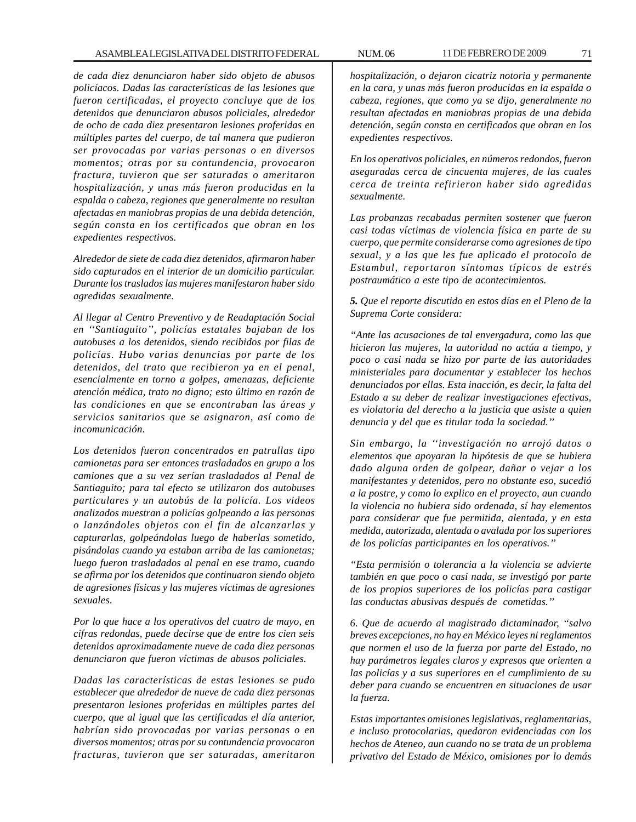*de cada diez denunciaron haber sido objeto de abusos policíacos. Dadas las características de las lesiones que fueron certificadas, el proyecto concluye que de los detenidos que denunciaron abusos policiales, alrededor de ocho de cada diez presentaron lesiones proferidas en múltiples partes del cuerpo, de tal manera que pudieron ser provocadas por varias personas o en diversos momentos; otras por su contundencia, provocaron fractura, tuvieron que ser saturadas o ameritaron hospitalización, y unas más fueron producidas en la espalda o cabeza, regiones que generalmente no resultan afectadas en maniobras propias de una debida detención, según consta en los certificados que obran en los expedientes respectivos.*

*Alrededor de siete de cada diez detenidos, afirmaron haber sido capturados en el interior de un domicilio particular. Durante los traslados las mujeres manifestaron haber sido agredidas sexualmente.*

*Al llegar al Centro Preventivo y de Readaptación Social en ''Santiaguito'', policías estatales bajaban de los autobuses a los detenidos, siendo recibidos por filas de policías. Hubo varias denuncias por parte de los detenidos, del trato que recibieron ya en el penal, esencialmente en torno a golpes, amenazas, deficiente atención médica, trato no digno; esto último en razón de las condiciones en que se encontraban las áreas y servicios sanitarios que se asignaron, así como de incomunicación.*

*Los detenidos fueron concentrados en patrullas tipo camionetas para ser entonces trasladados en grupo a los camiones que a su vez serían trasladados al Penal de Santiaguito; para tal efecto se utilizaron dos autobuses particulares y un autobús de la policía. Los videos analizados muestran a policías golpeando a las personas o lanzándoles objetos con el fin de alcanzarlas y capturarlas, golpeándolas luego de haberlas sometido, pisándolas cuando ya estaban arriba de las camionetas; luego fueron trasladados al penal en ese tramo, cuando se afirma por los detenidos que continuaron siendo objeto de agresiones físicas y las mujeres víctimas de agresiones sexuales.*

*Por lo que hace a los operativos del cuatro de mayo, en cifras redondas, puede decirse que de entre los cien seis detenidos aproximadamente nueve de cada diez personas denunciaron que fueron víctimas de abusos policiales.*

*Dadas las características de estas lesiones se pudo establecer que alrededor de nueve de cada diez personas presentaron lesiones proferidas en múltiples partes del cuerpo, que al igual que las certificadas el día anterior, habrían sido provocadas por varias personas o en diversos momentos; otras por su contundencia provocaron fracturas, tuvieron que ser saturadas, ameritaron*

*hospitalización, o dejaron cicatriz notoria y permanente en la cara, y unas más fueron producidas en la espalda o cabeza, regiones, que como ya se dijo, generalmente no resultan afectadas en maniobras propias de una debida detención, según consta en certificados que obran en los expedientes respectivos.*

*En los operativos policiales, en números redondos, fueron aseguradas cerca de cincuenta mujeres, de las cuales cerca de treinta refirieron haber sido agredidas sexualmente.*

*Las probanzas recabadas permiten sostener que fueron casi todas víctimas de violencia física en parte de su cuerpo, que permite considerarse como agresiones de tipo sexual, y a las que les fue aplicado el protocolo de Estambul, reportaron síntomas típicos de estrés postraumático a este tipo de acontecimientos.*

*5. Que el reporte discutido en estos días en el Pleno de la Suprema Corte considera:*

*''Ante las acusaciones de tal envergadura, como las que hicieron las mujeres, la autoridad no actúa a tiempo, y poco o casi nada se hizo por parte de las autoridades ministeriales para documentar y establecer los hechos denunciados por ellas. Esta inacción, es decir, la falta del Estado a su deber de realizar investigaciones efectivas, es violatoria del derecho a la justicia que asiste a quien denuncia y del que es titular toda la sociedad.''*

*Sin embargo, la ''investigación no arrojó datos o elementos que apoyaran la hipótesis de que se hubiera dado alguna orden de golpear, dañar o vejar a los manifestantes y detenidos, pero no obstante eso, sucedió a la postre, y como lo explico en el proyecto, aun cuando la violencia no hubiera sido ordenada, sí hay elementos para considerar que fue permitida, alentada, y en esta medida, autorizada, alentada o avalada por los superiores de los policías participantes en los operativos.''*

*''Esta permisión o tolerancia a la violencia se advierte también en que poco o casi nada, se investigó por parte de los propios superiores de los policías para castigar las conductas abusivas después de cometidas.''*

*6. Que de acuerdo al magistrado dictaminador, ''salvo breves excepciones, no hay en México leyes ni reglamentos que normen el uso de la fuerza por parte del Estado, no hay parámetros legales claros y expresos que orienten a las policías y a sus superiores en el cumplimiento de su deber para cuando se encuentren en situaciones de usar la fuerza.*

*Estas importantes omisiones legislativas, reglamentarias, e incluso protocolarias, quedaron evidenciadas con los hechos de Ateneo, aun cuando no se trata de un problema privativo del Estado de México, omisiones por lo demás*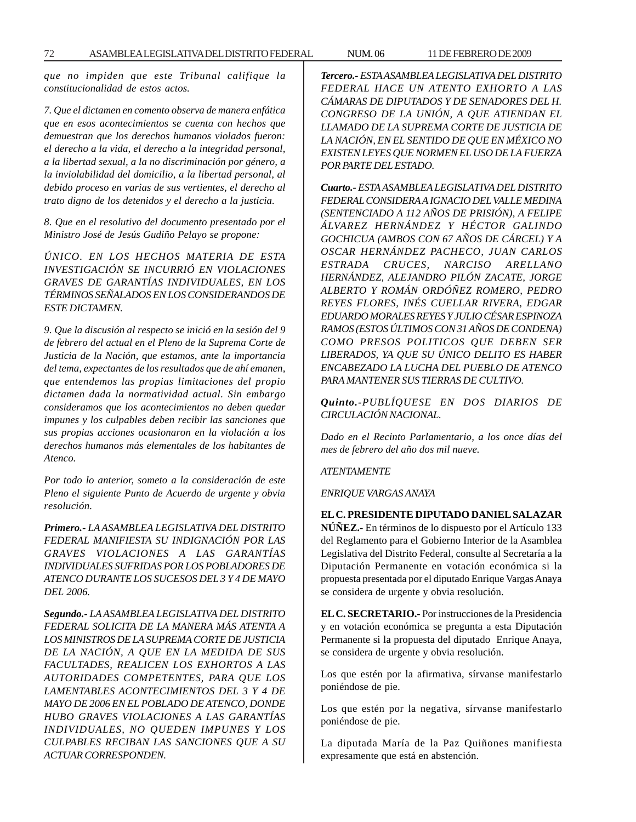*que no impiden que este Tribunal califique la constitucionalidad de estos actos.*

*7. Que el dictamen en comento observa de manera enfática que en esos acontecimientos se cuenta con hechos que demuestran que los derechos humanos violados fueron: el derecho a la vida, el derecho a la integridad personal, a la libertad sexual, a la no discriminación por género, a la inviolabilidad del domicilio, a la libertad personal, al debido proceso en varias de sus vertientes, el derecho al trato digno de los detenidos y el derecho a la justicia.*

*8. Que en el resolutivo del documento presentado por el Ministro José de Jesús Gudiño Pelayo se propone:*

*ÚNICO. EN LOS HECHOS MATERIA DE ESTA INVESTIGACIÓN SE INCURRIÓ EN VIOLACIONES GRAVES DE GARANTÍAS INDIVIDUALES, EN LOS TÉRMINOS SEÑALADOS EN LOS CONSIDERANDOS DE ESTE DICTAMEN.*

*9. Que la discusión al respecto se inició en la sesión del 9 de febrero del actual en el Pleno de la Suprema Corte de Justicia de la Nación, que estamos, ante la importancia del tema, expectantes de los resultados que de ahí emanen, que entendemos las propias limitaciones del propio dictamen dada la normatividad actual. Sin embargo consideramos que los acontecimientos no deben quedar impunes y los culpables deben recibir las sanciones que sus propias acciones ocasionaron en la violación a los derechos humanos más elementales de los habitantes de Atenco.*

*Por todo lo anterior, someto a la consideración de este Pleno el siguiente Punto de Acuerdo de urgente y obvia resolución.*

*Primero.- LA ASAMBLEA LEGISLATIVA DEL DISTRITO FEDERAL MANIFIESTA SU INDIGNACIÓN POR LAS GRAVES VIOLACIONES A LAS GARANTÍAS INDIVIDUALES SUFRIDAS POR LOS POBLADORES DE ATENCO DURANTE LOS SUCESOS DEL 3 Y 4 DE MAYO DEL 2006.*

*Segundo.- LA ASAMBLEA LEGISLATIVA DEL DISTRITO FEDERAL SOLICITA DE LA MANERA MÁS ATENTA A LOS MINISTROS DE LA SUPREMA CORTE DE JUSTICIA DE LA NACIÓN, A QUE EN LA MEDIDA DE SUS FACULTADES, REALICEN LOS EXHORTOS A LAS AUTORIDADES COMPETENTES, PARA QUE LOS LAMENTABLES ACONTECIMIENTOS DEL 3 Y 4 DE MAYO DE 2006 EN EL POBLADO DE ATENCO, DONDE HUBO GRAVES VIOLACIONES A LAS GARANTÍAS INDIVIDUALES, NO QUEDEN IMPUNES Y LOS CULPABLES RECIBAN LAS SANCIONES QUE A SU ACTUAR CORRESPONDEN.*

*Tercero.- ESTA ASAMBLEA LEGISLATIVA DEL DISTRITO FEDERAL HACE UN ATENTO EXHORTO A LAS CÁMARAS DE DIPUTADOS Y DE SENADORES DEL H. CONGRESO DE LA UNIÓN, A QUE ATIENDAN EL LLAMADO DE LA SUPREMA CORTE DE JUSTICIA DE LA NACIÓN, EN EL SENTIDO DE QUE EN MÉXICO NO EXISTEN LEYES QUE NORMEN EL USO DE LA FUERZA POR PARTE DEL ESTADO.*

*Cuarto.- ESTA ASAMBLEA LEGISLATIVA DEL DISTRITO FEDERAL CONSIDERA A IGNACIO DEL VALLE MEDINA (SENTENCIADO A 112 AÑOS DE PRISIÓN), A FELIPE ÁLVAREZ HERNÁNDEZ Y HÉCTOR GALINDO GOCHICUA (AMBOS CON 67 AÑOS DE CÁRCEL) Y A OSCAR HERNÁNDEZ PACHECO, JUAN CARLOS ESTRADA CRUCES, NARCISO ARELLANO HERNÁNDEZ, ALEJANDRO PILÓN ZACATE, JORGE ALBERTO Y ROMÁN ORDÓÑEZ ROMERO, PEDRO REYES FLORES, INÉS CUELLAR RIVERA, EDGAR EDUARDO MORALES REYES Y JULIO CÉSAR ESPINOZA RAMOS (ESTOS ÚLTIMOS CON 31 AÑOS DE CONDENA) COMO PRESOS POLITICOS QUE DEBEN SER LIBERADOS, YA QUE SU ÚNICO DELITO ES HABER ENCABEZADO LA LUCHA DEL PUEBLO DE ATENCO PARA MANTENER SUS TIERRAS DE CULTIVO.*

*Quinto.-PUBLÍQUESE EN DOS DIARIOS DE CIRCULACIÓN NACIONAL.*

*Dado en el Recinto Parlamentario, a los once días del mes de febrero del año dos mil nueve.*

*ATENTAMENTE*

*ENRIQUE VARGAS ANAYA*

**EL C. PRESIDENTE DIPUTADO DANIEL SALAZAR NÚÑEZ.-** En términos de lo dispuesto por el Artículo 133 del Reglamento para el Gobierno Interior de la Asamblea Legislativa del Distrito Federal, consulte al Secretaría a la Diputación Permanente en votación económica si la propuesta presentada por el diputado Enrique Vargas Anaya se considera de urgente y obvia resolución.

**EL C. SECRETARIO.-** Por instrucciones de la Presidencia y en votación económica se pregunta a esta Diputación Permanente si la propuesta del diputado Enrique Anaya, se considera de urgente y obvia resolución.

Los que estén por la afirmativa, sírvanse manifestarlo poniéndose de pie.

Los que estén por la negativa, sírvanse manifestarlo poniéndose de pie.

La diputada María de la Paz Quiñones manifiesta expresamente que está en abstención.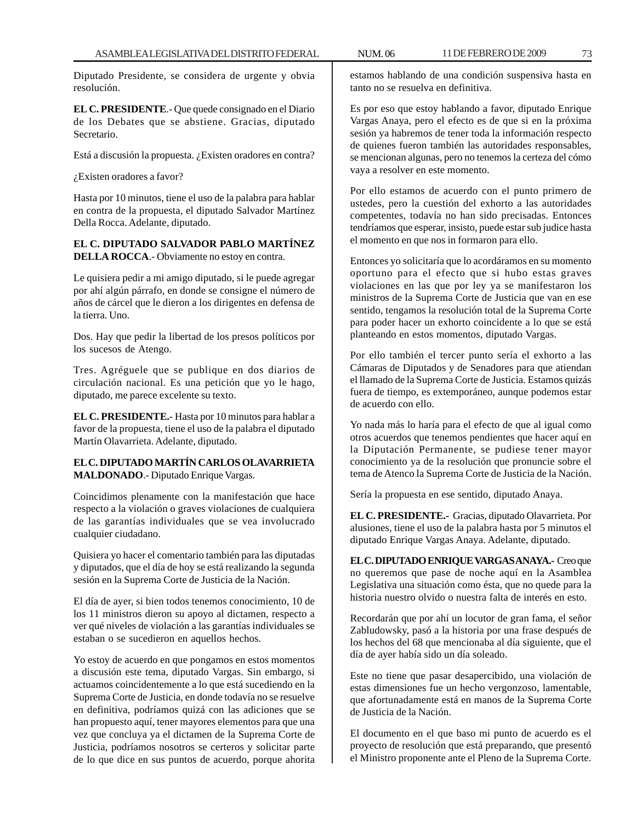Diputado Presidente, se considera de urgente y obvia resolución.

**EL C. PRESIDENTE**.- Que quede consignado en el Diario de los Debates que se abstiene. Gracias, diputado Secretario.

Está a discusión la propuesta. ¿Existen oradores en contra?

¿Existen oradores a favor?

Hasta por 10 minutos, tiene el uso de la palabra para hablar en contra de la propuesta, el diputado Salvador Martínez Della Rocca. Adelante, diputado.

# **EL C. DIPUTADO SALVADOR PABLO MARTÍNEZ DELLA ROCCA**.- Obviamente no estoy en contra.

Le quisiera pedir a mi amigo diputado, si le puede agregar por ahí algún párrafo, en donde se consigne el número de años de cárcel que le dieron a los dirigentes en defensa de la tierra. Uno.

Dos. Hay que pedir la libertad de los presos políticos por los sucesos de Atengo.

Tres. Agréguele que se publique en dos diarios de circulación nacional. Es una petición que yo le hago, diputado, me parece excelente su texto.

**EL C. PRESIDENTE.-** Hasta por 10 minutos para hablar a favor de la propuesta, tiene el uso de la palabra el diputado Martín Olavarrieta. Adelante, diputado.

# **EL C. DIPUTADO MARTÍN CARLOS OLAVARRIETA MALDONADO**.- Diputado Enrique Vargas.

Coincidimos plenamente con la manifestación que hace respecto a la violación o graves violaciones de cualquiera de las garantías individuales que se vea involucrado cualquier ciudadano.

Quisiera yo hacer el comentario también para las diputadas y diputados, que el día de hoy se está realizando la segunda sesión en la Suprema Corte de Justicia de la Nación.

El día de ayer, si bien todos tenemos conocimiento, 10 de los 11 ministros dieron su apoyo al dictamen, respecto a ver qué niveles de violación a las garantías individuales se estaban o se sucedieron en aquellos hechos.

Yo estoy de acuerdo en que pongamos en estos momentos a discusión este tema, diputado Vargas. Sin embargo, si actuamos coincidentemente a lo que está sucediendo en la Suprema Corte de Justicia, en donde todavía no se resuelve en definitiva, podríamos quizá con las adiciones que se han propuesto aquí, tener mayores elementos para que una vez que concluya ya el dictamen de la Suprema Corte de Justicia, podríamos nosotros se certeros y solicitar parte de lo que dice en sus puntos de acuerdo, porque ahorita

estamos hablando de una condición suspensiva hasta en tanto no se resuelva en definitiva.

Es por eso que estoy hablando a favor, diputado Enrique Vargas Anaya, pero el efecto es de que si en la próxima sesión ya habremos de tener toda la información respecto de quienes fueron también las autoridades responsables, se mencionan algunas, pero no tenemos la certeza del cómo vaya a resolver en este momento.

Por ello estamos de acuerdo con el punto primero de ustedes, pero la cuestión del exhorto a las autoridades competentes, todavía no han sido precisadas. Entonces tendríamos que esperar, insisto, puede estar sub judice hasta el momento en que nos in formaron para ello.

Entonces yo solicitaría que lo acordáramos en su momento oportuno para el efecto que si hubo estas graves violaciones en las que por ley ya se manifestaron los ministros de la Suprema Corte de Justicia que van en ese sentido, tengamos la resolución total de la Suprema Corte para poder hacer un exhorto coincidente a lo que se está planteando en estos momentos, diputado Vargas.

Por ello también el tercer punto sería el exhorto a las Cámaras de Diputados y de Senadores para que atiendan el llamado de la Suprema Corte de Justicia. Estamos quizás fuera de tiempo, es extemporáneo, aunque podemos estar de acuerdo con ello.

Yo nada más lo haría para el efecto de que al igual como otros acuerdos que tenemos pendientes que hacer aquí en la Diputación Permanente, se pudiese tener mayor conocimiento ya de la resolución que pronuncie sobre el tema de Atenco la Suprema Corte de Justicia de la Nación.

Sería la propuesta en ese sentido, diputado Anaya.

**EL C. PRESIDENTE.-** Gracias, diputado Olavarrieta. Por alusiones, tiene el uso de la palabra hasta por 5 minutos el diputado Enrique Vargas Anaya. Adelante, diputado.

**EL C. DIPUTADO ENRIQUE VARGAS ANAYA.-** Creo que no queremos que pase de noche aquí en la Asamblea Legislativa una situación como ésta, que no quede para la historia nuestro olvido o nuestra falta de interés en esto.

Recordarán que por ahí un locutor de gran fama, el señor Zabludowsky, pasó a la historia por una frase después de los hechos del 68 que mencionaba al día siguiente, que el día de ayer había sido un día soleado.

Este no tiene que pasar desapercibido, una violación de estas dimensiones fue un hecho vergonzoso, lamentable, que afortunadamente está en manos de la Suprema Corte de Justicia de la Nación.

El documento en el que baso mi punto de acuerdo es el proyecto de resolución que está preparando, que presentó el Ministro proponente ante el Pleno de la Suprema Corte.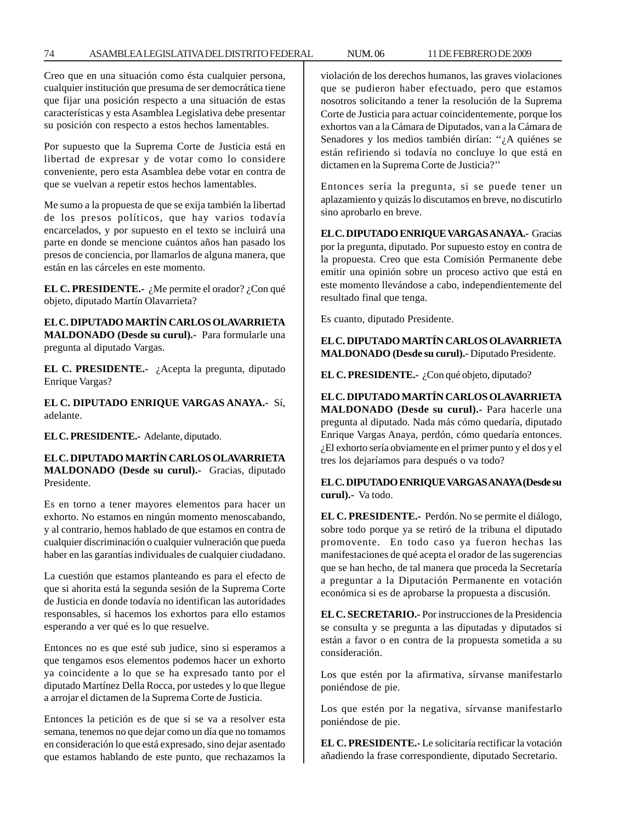74 ASAMBLEA LEGISLATIVA DEL DISTRITO FEDERAL NUM. 06 11 DE FEBRERO DE 2009

Creo que en una situación como ésta cualquier persona, cualquier institución que presuma de ser democrática tiene que fijar una posición respecto a una situación de estas características y esta Asamblea Legislativa debe presentar su posición con respecto a estos hechos lamentables.

Por supuesto que la Suprema Corte de Justicia está en libertad de expresar y de votar como lo considere conveniente, pero esta Asamblea debe votar en contra de que se vuelvan a repetir estos hechos lamentables.

Me sumo a la propuesta de que se exija también la libertad de los presos políticos, que hay varios todavía encarcelados, y por supuesto en el texto se incluirá una parte en donde se mencione cuántos años han pasado los presos de conciencia, por llamarlos de alguna manera, que están en las cárceles en este momento.

**EL C. PRESIDENTE.-** ¿Me permite el orador? ¿Con qué objeto, diputado Martín Olavarrieta?

**EL C. DIPUTADO MARTÍN CARLOS OLAVARRIETA MALDONADO (Desde su curul).-** Para formularle una pregunta al diputado Vargas.

**EL C. PRESIDENTE.-** ¿Acepta la pregunta, diputado Enrique Vargas?

**EL C. DIPUTADO ENRIQUE VARGAS ANAYA.-** Sí, adelante.

**EL C. PRESIDENTE.-** Adelante, diputado.

**EL C. DIPUTADO MARTÍN CARLOS OLAVARRIETA MALDONADO (Desde su curul).-** Gracias, diputado Presidente.

Es en torno a tener mayores elementos para hacer un exhorto. No estamos en ningún momento menoscabando, y al contrario, hemos hablado de que estamos en contra de cualquier discriminación o cualquier vulneración que pueda haber en las garantías individuales de cualquier ciudadano.

La cuestión que estamos planteando es para el efecto de que si ahorita está la segunda sesión de la Suprema Corte de Justicia en donde todavía no identifican las autoridades responsables, si hacemos los exhortos para ello estamos esperando a ver qué es lo que resuelve.

Entonces no es que esté sub judice, sino si esperamos a que tengamos esos elementos podemos hacer un exhorto ya coincidente a lo que se ha expresado tanto por el diputado Martínez Della Rocca, por ustedes y lo que llegue a arrojar el dictamen de la Suprema Corte de Justicia.

Entonces la petición es de que si se va a resolver esta semana, tenemos no que dejar como un día que no tomamos en consideración lo que está expresado, sino dejar asentado que estamos hablando de este punto, que rechazamos la

violación de los derechos humanos, las graves violaciones que se pudieron haber efectuado, pero que estamos nosotros solicitando a tener la resolución de la Suprema Corte de Justicia para actuar coincidentemente, porque los exhortos van a la Cámara de Diputados, van a la Cámara de Senadores y los medios también dirían: ''¿A quiénes se están refiriendo si todavía no concluye lo que está en dictamen en la Suprema Corte de Justicia?''

Entonces sería la pregunta, si se puede tener un aplazamiento y quizás lo discutamos en breve, no discutirlo sino aprobarlo en breve.

**EL C. DIPUTADO ENRIQUE VARGAS ANAYA.-** Gracias por la pregunta, diputado. Por supuesto estoy en contra de la propuesta. Creo que esta Comisión Permanente debe emitir una opinión sobre un proceso activo que está en este momento llevándose a cabo, independientemente del resultado final que tenga.

Es cuanto, diputado Presidente.

**EL C. DIPUTADO MARTÍN CARLOS OLAVARRIETA MALDONADO (Desde su curul).-** Diputado Presidente.

**EL C. PRESIDENTE.-** ¿Con qué objeto, diputado?

**EL C. DIPUTADO MARTÍN CARLOS OLAVARRIETA MALDONADO (Desde su curul).-** Para hacerle una pregunta al diputado. Nada más cómo quedaría, diputado Enrique Vargas Anaya, perdón, cómo quedaría entonces. ¿El exhorto sería obviamente en el primer punto y el dos y el tres los dejaríamos para después o va todo?

# **EL C. DIPUTADO ENRIQUE VARGAS ANAYA (Desde su curul).-** Va todo.

**EL C. PRESIDENTE.-** Perdón. No se permite el diálogo, sobre todo porque ya se retiró de la tribuna el diputado promovente. En todo caso ya fueron hechas las manifestaciones de qué acepta el orador de las sugerencias que se han hecho, de tal manera que proceda la Secretaría a preguntar a la Diputación Permanente en votación económica si es de aprobarse la propuesta a discusión.

**EL C. SECRETARIO.-** Por instrucciones de la Presidencia se consulta y se pregunta a las diputadas y diputados si están a favor o en contra de la propuesta sometida a su consideración.

Los que estén por la afirmativa, sírvanse manifestarlo poniéndose de pie.

Los que estén por la negativa, sírvanse manifestarlo poniéndose de pie.

**EL C. PRESIDENTE.-** Le solicitaría rectificar la votación añadiendo la frase correspondiente, diputado Secretario.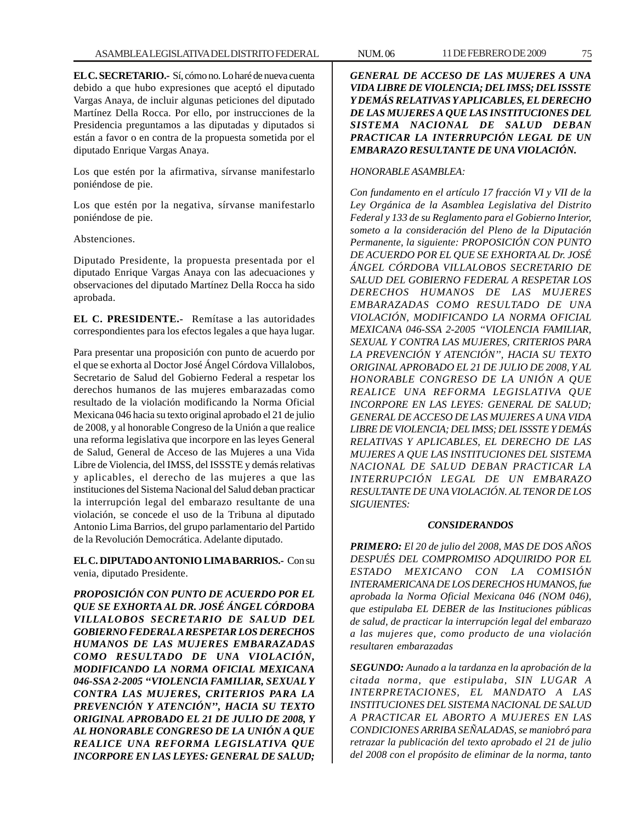**EL C. SECRETARIO.-** Sí, cómo no. Lo haré de nueva cuenta debido a que hubo expresiones que aceptó el diputado Vargas Anaya, de incluir algunas peticiones del diputado Martínez Della Rocca. Por ello, por instrucciones de la Presidencia preguntamos a las diputadas y diputados si están a favor o en contra de la propuesta sometida por el diputado Enrique Vargas Anaya.

Los que estén por la afirmativa, sírvanse manifestarlo poniéndose de pie.

Los que estén por la negativa, sírvanse manifestarlo poniéndose de pie.

Abstenciones.

Diputado Presidente, la propuesta presentada por el diputado Enrique Vargas Anaya con las adecuaciones y observaciones del diputado Martínez Della Rocca ha sido aprobada.

**EL C. PRESIDENTE.-** Remítase a las autoridades correspondientes para los efectos legales a que haya lugar.

Para presentar una proposición con punto de acuerdo por el que se exhorta al Doctor José Ángel Córdova Villalobos, Secretario de Salud del Gobierno Federal a respetar los derechos humanos de las mujeres embarazadas como resultado de la violación modificando la Norma Oficial Mexicana 046 hacia su texto original aprobado el 21 de julio de 2008, y al honorable Congreso de la Unión a que realice una reforma legislativa que incorpore en las leyes General de Salud, General de Acceso de las Mujeres a una Vida Libre de Violencia, del IMSS, del ISSSTE y demás relativas y aplicables, el derecho de las mujeres a que las instituciones del Sistema Nacional del Salud deban practicar la interrupción legal del embarazo resultante de una violación, se concede el uso de la Tribuna al diputado Antonio Lima Barrios, del grupo parlamentario del Partido de la Revolución Democrática. Adelante diputado.

**EL C. DIPUTADO ANTONIO LIMA BARRIOS.-** Con su venia, diputado Presidente.

*PROPOSICIÓN CON PUNTO DE ACUERDO POR EL QUE SE EXHORTA AL DR. JOSÉ ÁNGEL CÓRDOBA VILLALOBOS SECRETARIO DE SALUD DEL GOBIERNO FEDERAL A RESPETAR LOS DERECHOS HUMANOS DE LAS MUJERES EMBARAZADAS COMO RESULTADO DE UNA VIOLACIÓN, MODIFICANDO LA NORMA OFICIAL MEXICANA 046-SSA 2-2005 ''VIOLENCIA FAMILIAR, SEXUAL Y CONTRA LAS MUJERES, CRITERIOS PARA LA PREVENCIÓN Y ATENCIÓN'', HACIA SU TEXTO ORIGINAL APROBADO EL 21 DE JULIO DE 2008, Y AL HONORABLE CONGRESO DE LA UNIÓN A QUE REALICE UNA REFORMA LEGISLATIVA QUE INCORPORE EN LAS LEYES: GENERAL DE SALUD;*

*GENERAL DE ACCESO DE LAS MUJERES A UNA VIDA LIBRE DE VIOLENCIA; DEL IMSS; DEL ISSSTE Y DEMÁS RELATIVAS Y APLICABLES, EL DERECHO DE LAS MUJERES A QUE LAS INSTITUCIONES DEL SISTEMA NACIONAL DE SALUD DEBAN PRACTICAR LA INTERRUPCIÓN LEGAL DE UN EMBARAZO RESULTANTE DE UNA VIOLACIÓN.*

### *HONORABLE ASAMBLEA:*

*Con fundamento en el artículo 17 fracción VI y VII de la Ley Orgánica de la Asamblea Legislativa del Distrito Federal y 133 de su Reglamento para el Gobierno Interior, someto a la consideración del Pleno de la Diputación Permanente, la siguiente: PROPOSICIÓN CON PUNTO DE ACUERDO POR EL QUE SE EXHORTA AL Dr. JOSÉ ÁNGEL CÓRDOBA VILLALOBOS SECRETARIO DE SALUD DEL GOBIERNO FEDERAL A RESPETAR LOS DERECHOS HUMANOS DE LAS MUJERES EMBARAZADAS COMO RESULTADO DE UNA VIOLACIÓN, MODIFICANDO LA NORMA OFICIAL MEXICANA 046-SSA 2-2005 ''VIOLENCIA FAMILIAR, SEXUAL Y CONTRA LAS MUJERES, CRITERIOS PARA LA PREVENCIÓN Y ATENCIÓN'', HACIA SU TEXTO ORIGINAL APROBADO EL 21 DE JULIO DE 2008, Y AL HONORABLE CONGRESO DE LA UNIÓN A QUE REALICE UNA REFORMA LEGISLATIVA QUE INCORPORE EN LAS LEYES: GENERAL DE SALUD; GENERAL DE ACCESO DE LAS MUJERES A UNA VIDA LIBRE DE VIOLENCIA; DEL IMSS; DEL ISSSTE Y DEMÁS RELATIVAS Y APLICABLES, EL DERECHO DE LAS MUJERES A QUE LAS INSTITUCIONES DEL SISTEMA NACIONAL DE SALUD DEBAN PRACTICAR LA INTERRUPCIÓN LEGAL DE UN EMBARAZO RESULTANTE DE UNA VIOLACIÓN. AL TENOR DE LOS SIGUIENTES:*

#### *CONSIDERANDOS*

*PRIMERO: El 20 de julio del 2008, MAS DE DOS AÑOS DESPUÉS DEL COMPROMISO ADQUIRIDO POR EL ESTADO MEXICANO CON LA COMISIÓN INTERAMERICANA DE LOS DERECHOS HUMANOS, fue aprobada la Norma Oficial Mexicana 046 (NOM 046), que estipulaba EL DEBER de las Instituciones públicas de salud, de practicar la interrupción legal del embarazo a las mujeres que, como producto de una violación resultaren embarazadas*

*SEGUNDO: Aunado a la tardanza en la aprobación de la citada norma, que estipulaba, SIN LUGAR A INTERPRETACIONES, EL MANDATO A LAS INSTITUCIONES DEL SISTEMA NACIONAL DE SALUD A PRACTICAR EL ABORTO A MUJERES EN LAS CONDICIONES ARRIBA SEÑALADAS, se maniobró para retrazar la publicación del texto aprobado el 21 de julio del 2008 con el propósito de eliminar de la norma, tanto*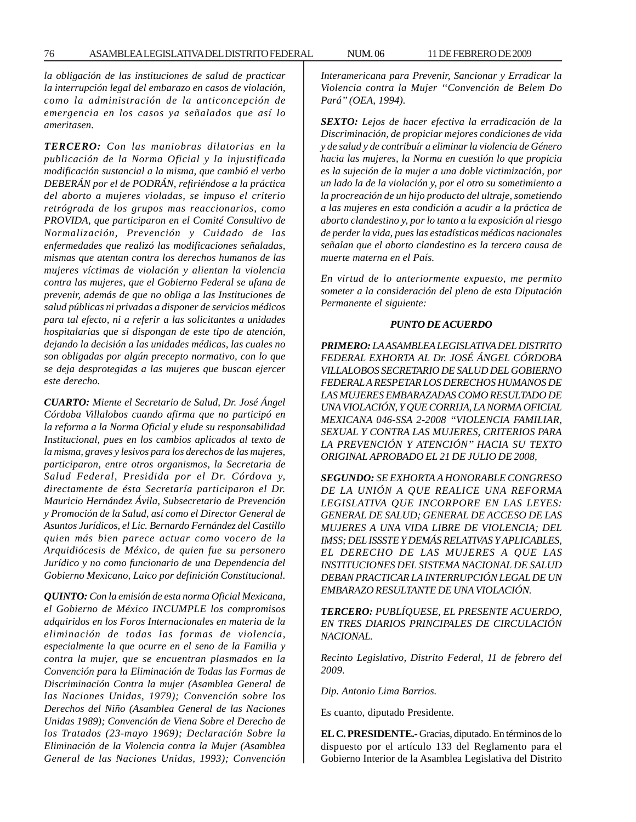*la obligación de las instituciones de salud de practicar la interrupción legal del embarazo en casos de violación, como la administración de la anticoncepción de emergencia en los casos ya señalados que así lo ameritasen.*

*TERCERO: Con las maniobras dilatorias en la publicación de la Norma Oficial y la injustificada modificación sustancial a la misma, que cambió el verbo DEBERÁN por el de PODRÁN, refiriéndose a la práctica del aborto a mujeres violadas, se impuso el criterio retrógrada de los grupos mas reaccionarios, como PROVIDA, que participaron en el Comité Consultivo de Normalización, Prevención y Cuidado de las enfermedades que realizó las modificaciones señaladas, mismas que atentan contra los derechos humanos de las mujeres víctimas de violación y alientan la violencia contra las mujeres, que el Gobierno Federal se ufana de prevenir, además de que no obliga a las Instituciones de salud públicas ni privadas a disponer de servicios médicos para tal efecto, ni a referir a las solicitantes a unidades hospitalarias que si dispongan de este tipo de atención, dejando la decisión a las unidades médicas, las cuales no son obligadas por algún precepto normativo, con lo que se deja desprotegidas a las mujeres que buscan ejercer este derecho.*

*CUARTO: Miente el Secretario de Salud, Dr. José Ángel Córdoba Villalobos cuando afirma que no participó en la reforma a la Norma Oficial y elude su responsabilidad Institucional, pues en los cambios aplicados al texto de la misma, graves y lesivos para los derechos de las mujeres, participaron, entre otros organismos, la Secretaria de Salud Federal, Presidida por el Dr. Córdova y, directamente de ésta Secretaría participaron el Dr. Mauricio Hernández Ávila, Subsecretario de Prevención y Promoción de la Salud, así como el Director General de Asuntos Jurídicos, el Lic. Bernardo Fernández del Castillo quien más bien parece actuar como vocero de la Arquidiócesis de México, de quien fue su personero Jurídico y no como funcionario de una Dependencia del Gobierno Mexicano, Laico por definición Constitucional.*

*QUINTO: Con la emisión de esta norma Oficial Mexicana, el Gobierno de México INCUMPLE los compromisos adquiridos en los Foros Internacionales en materia de la eliminación de todas las formas de violencia, especialmente la que ocurre en el seno de la Familia y contra la mujer, que se encuentran plasmados en la Convención para la Eliminación de Todas las Formas de Discriminación Contra la mujer (Asamblea General de las Naciones Unidas, 1979); Convención sobre los Derechos del Niño (Asamblea General de las Naciones Unidas 1989); Convención de Viena Sobre el Derecho de los Tratados (23-mayo 1969); Declaración Sobre la Eliminación de la Violencia contra la Mujer (Asamblea General de las Naciones Unidas, 1993); Convención* *Interamericana para Prevenir, Sancionar y Erradicar la Violencia contra la Mujer ''Convención de Belem Do Pará'' (OEA, 1994).*

*SEXTO: Lejos de hacer efectiva la erradicación de la Discriminación, de propiciar mejores condiciones de vida y de salud y de contribuír a eliminar la violencia de Género hacia las mujeres, la Norma en cuestión lo que propicia es la sujeción de la mujer a una doble victimización, por un lado la de la violación y, por el otro su sometimiento a la procreación de un hijo producto del ultraje, sometiendo a las mujeres en esta condición a acudir a la práctica de aborto clandestino y, por lo tanto a la exposición al riesgo de perder la vida, pues las estadísticas médicas nacionales señalan que el aborto clandestino es la tercera causa de muerte materna en el País.*

*En virtud de lo anteriormente expuesto, me permito someter a la consideración del pleno de esta Diputación Permanente el siguiente:*

# *PUNTO DE ACUERDO*

*PRIMERO: LA ASAMBLEA LEGISLATIVA DEL DISTRITO FEDERAL EXHORTA AL Dr. JOSÉ ÁNGEL CÓRDOBA VILLALOBOS SECRETARIO DE SALUD DEL GOBIERNO FEDERAL A RESPETAR LOS DERECHOS HUMANOS DE LAS MUJERES EMBARAZADAS COMO RESULTADO DE UNA VIOLACIÓN, Y QUE CORRIJA, LA NORMA OFICIAL MEXICANA 046-SSA 2-2008 ''VIOLENCIA FAMILIAR, SEXUAL Y CONTRA LAS MUJERES, CRITERIOS PARA LA PREVENCIÓN Y ATENCIÓN'' HACIA SU TEXTO ORIGINAL APROBADO EL 21 DE JULIO DE 2008,*

*SEGUNDO: SE EXHORTA A HONORABLE CONGRESO DE LA UNIÓN A QUE REALICE UNA REFORMA LEGISLATIVA QUE INCORPORE EN LAS LEYES: GENERAL DE SALUD; GENERAL DE ACCESO DE LAS MUJERES A UNA VIDA LIBRE DE VIOLENCIA; DEL IMSS; DEL ISSSTE Y DEMÁS RELATIVAS Y APLICABLES, EL DERECHO DE LAS MUJERES A QUE LAS INSTITUCIONES DEL SISTEMA NACIONAL DE SALUD DEBAN PRACTICAR LA INTERRUPCIÓN LEGAL DE UN EMBARAZO RESULTANTE DE UNA VIOLACIÓN.*

*TERCERO: PUBLÍQUESE, EL PRESENTE ACUERDO, EN TRES DIARIOS PRINCIPALES DE CIRCULACIÓN NACIONAL.*

*Recinto Legislativo, Distrito Federal, 11 de febrero del 2009.*

*Dip. Antonio Lima Barrios.*

Es cuanto, diputado Presidente.

**EL C. PRESIDENTE.-** Gracias, diputado. En términos de lo dispuesto por el artículo 133 del Reglamento para el Gobierno Interior de la Asamblea Legislativa del Distrito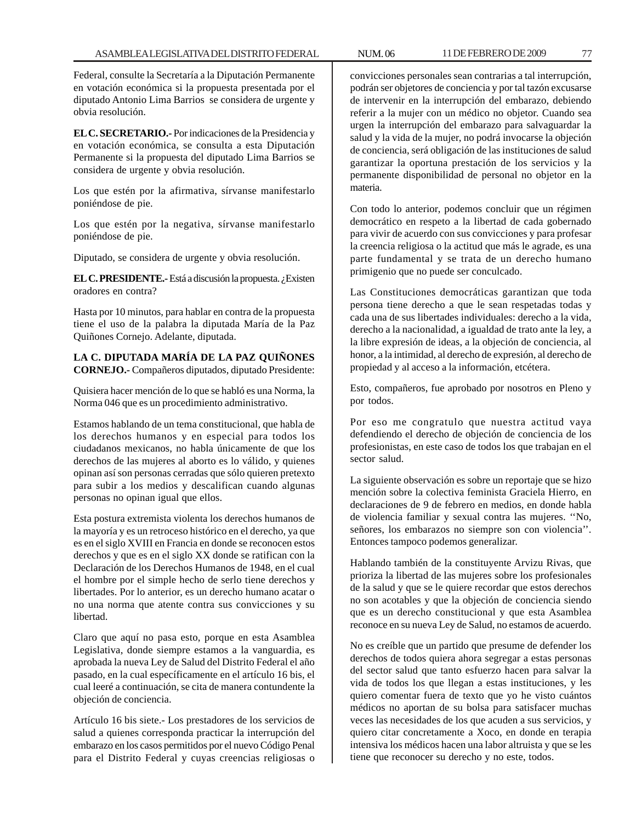Federal, consulte la Secretaría a la Diputación Permanente en votación económica si la propuesta presentada por el diputado Antonio Lima Barrios se considera de urgente y obvia resolución.

**EL C. SECRETARIO.-** Por indicaciones de la Presidencia y en votación económica, se consulta a esta Diputación Permanente si la propuesta del diputado Lima Barrios se considera de urgente y obvia resolución.

Los que estén por la afirmativa, sírvanse manifestarlo poniéndose de pie.

Los que estén por la negativa, sírvanse manifestarlo poniéndose de pie.

Diputado, se considera de urgente y obvia resolución.

**EL C. PRESIDENTE.-** Está a discusión la propuesta. ¿Existen oradores en contra?

Hasta por 10 minutos, para hablar en contra de la propuesta tiene el uso de la palabra la diputada María de la Paz Quiñones Cornejo. Adelante, diputada.

**LA C. DIPUTADA MARÍA DE LA PAZ QUIÑONES CORNEJO.-** Compañeros diputados, diputado Presidente:

Quisiera hacer mención de lo que se habló es una Norma, la Norma 046 que es un procedimiento administrativo.

Estamos hablando de un tema constitucional, que habla de los derechos humanos y en especial para todos los ciudadanos mexicanos, no habla únicamente de que los derechos de las mujeres al aborto es lo válido, y quienes opinan así son personas cerradas que sólo quieren pretexto para subir a los medios y descalifican cuando algunas personas no opinan igual que ellos.

Esta postura extremista violenta los derechos humanos de la mayoría y es un retroceso histórico en el derecho, ya que es en el siglo XVIII en Francia en donde se reconocen estos derechos y que es en el siglo XX donde se ratifican con la Declaración de los Derechos Humanos de 1948, en el cual el hombre por el simple hecho de serlo tiene derechos y libertades. Por lo anterior, es un derecho humano acatar o no una norma que atente contra sus convicciones y su libertad.

Claro que aquí no pasa esto, porque en esta Asamblea Legislativa, donde siempre estamos a la vanguardia, es aprobada la nueva Ley de Salud del Distrito Federal el año pasado, en la cual específicamente en el artículo 16 bis, el cual leeré a continuación, se cita de manera contundente la objeción de conciencia.

Artículo 16 bis siete.- Los prestadores de los servicios de salud a quienes corresponda practicar la interrupción del embarazo en los casos permitidos por el nuevo Código Penal para el Distrito Federal y cuyas creencias religiosas o

convicciones personales sean contrarias a tal interrupción, podrán ser objetores de conciencia y por tal tazón excusarse de intervenir en la interrupción del embarazo, debiendo referir a la mujer con un médico no objetor. Cuando sea urgen la interrupción del embarazo para salvaguardar la salud y la vida de la mujer, no podrá invocarse la objeción de conciencia, será obligación de las instituciones de salud garantizar la oportuna prestación de los servicios y la permanente disponibilidad de personal no objetor en la materia.

Con todo lo anterior, podemos concluir que un régimen democrático en respeto a la libertad de cada gobernado para vivir de acuerdo con sus convicciones y para profesar la creencia religiosa o la actitud que más le agrade, es una parte fundamental y se trata de un derecho humano primigenio que no puede ser conculcado.

Las Constituciones democráticas garantizan que toda persona tiene derecho a que le sean respetadas todas y cada una de sus libertades individuales: derecho a la vida, derecho a la nacionalidad, a igualdad de trato ante la ley, a la libre expresión de ideas, a la objeción de conciencia, al honor, a la intimidad, al derecho de expresión, al derecho de propiedad y al acceso a la información, etcétera.

Esto, compañeros, fue aprobado por nosotros en Pleno y por todos.

Por eso me congratulo que nuestra actitud vaya defendiendo el derecho de objeción de conciencia de los profesionistas, en este caso de todos los que trabajan en el sector salud.

La siguiente observación es sobre un reportaje que se hizo mención sobre la colectiva feminista Graciela Hierro, en declaraciones de 9 de febrero en medios, en donde habla de violencia familiar y sexual contra las mujeres. ''No, señores, los embarazos no siempre son con violencia''. Entonces tampoco podemos generalizar.

Hablando también de la constituyente Arvizu Rivas, que prioriza la libertad de las mujeres sobre los profesionales de la salud y que se le quiere recordar que estos derechos no son acotables y que la objeción de conciencia siendo que es un derecho constitucional y que esta Asamblea reconoce en su nueva Ley de Salud, no estamos de acuerdo.

No es creíble que un partido que presume de defender los derechos de todos quiera ahora segregar a estas personas del sector salud que tanto esfuerzo hacen para salvar la vida de todos los que llegan a estas instituciones, y les quiero comentar fuera de texto que yo he visto cuántos médicos no aportan de su bolsa para satisfacer muchas veces las necesidades de los que acuden a sus servicios, y quiero citar concretamente a Xoco, en donde en terapia intensiva los médicos hacen una labor altruista y que se les tiene que reconocer su derecho y no este, todos.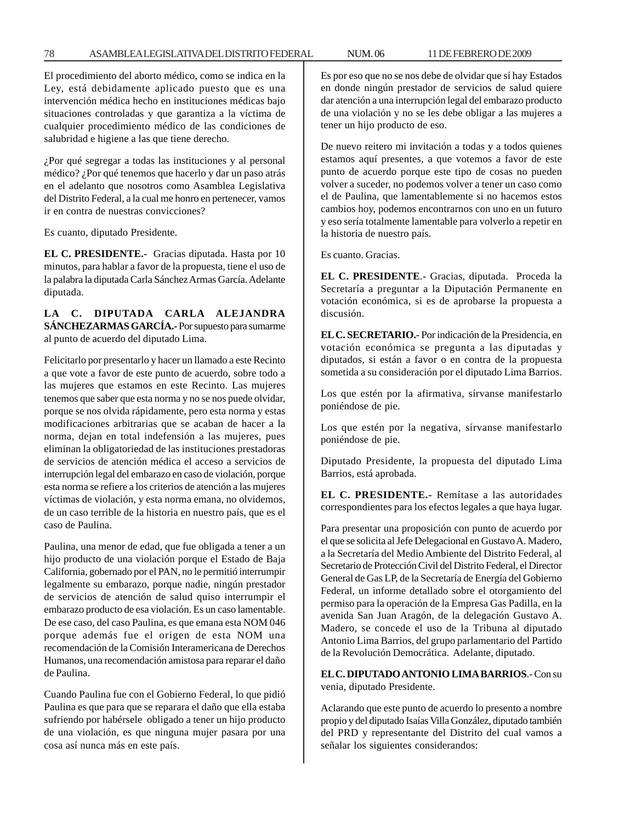El procedimiento del aborto médico, como se indica en la Ley, está debidamente aplicado puesto que es una intervención médica hecho en instituciones médicas bajo situaciones controladas y que garantiza a la víctima de cualquier procedimiento médico de las condiciones de salubridad e higiene a las que tiene derecho.

¿Por qué segregar a todas las instituciones y al personal médico? ¿Por qué tenemos que hacerlo y dar un paso atrás en el adelanto que nosotros como Asamblea Legislativa del Distrito Federal, a la cual me honro en pertenecer, vamos ir en contra de nuestras convicciones?

Es cuanto, diputado Presidente.

**EL C. PRESIDENTE.-** Gracias diputada. Hasta por 10 minutos, para hablar a favor de la propuesta, tiene el uso de la palabra la diputada Carla Sánchez Armas García. Adelante diputada.

# **LA C. DIPUTADA CARLA ALEJANDRA SÁNCHEZARMAS GARCÍA.-** Por supuesto para sumarme al punto de acuerdo del diputado Lima.

Felicitarlo por presentarlo y hacer un llamado a este Recinto a que vote a favor de este punto de acuerdo, sobre todo a las mujeres que estamos en este Recinto. Las mujeres tenemos que saber que esta norma y no se nos puede olvidar, porque se nos olvida rápidamente, pero esta norma y estas modificaciones arbitrarias que se acaban de hacer a la norma, dejan en total indefensión a las mujeres, pues eliminan la obligatoriedad de las instituciones prestadoras de servicios de atención médica el acceso a servicios de interrupción legal del embarazo en caso de violación, porque esta norma se refiere a los criterios de atención a las mujeres víctimas de violación, y esta norma emana, no olvidemos, de un caso terrible de la historia en nuestro país, que es el caso de Paulina.

Paulina, una menor de edad, que fue obligada a tener a un hijo producto de una violación porque el Estado de Baja California, gobernado por el PAN, no le permitió interrumpir legalmente su embarazo, porque nadie, ningún prestador de servicios de atención de salud quiso interrumpir el embarazo producto de esa violación. Es un caso lamentable. De ese caso, del caso Paulina, es que emana esta NOM 046 porque además fue el origen de esta NOM una recomendación de la Comisión Interamericana de Derechos Humanos, una recomendación amistosa para reparar el daño de Paulina.

Cuando Paulina fue con el Gobierno Federal, lo que pidió Paulina es que para que se reparara el daño que ella estaba sufriendo por habérsele obligado a tener un hijo producto de una violación, es que ninguna mujer pasara por una cosa así nunca más en este país.

Es por eso que no se nos debe de olvidar que sí hay Estados en donde ningún prestador de servicios de salud quiere dar atención a una interrupción legal del embarazo producto de una violación y no se les debe obligar a las mujeres a tener un hijo producto de eso.

De nuevo reitero mi invitación a todas y a todos quienes estamos aquí presentes, a que votemos a favor de este punto de acuerdo porque este tipo de cosas no pueden volver a suceder, no podemos volver a tener un caso como el de Paulina, que lamentablemente si no hacemos estos cambios hoy, podemos encontrarnos con uno en un futuro y eso sería totalmente lamentable para volverlo a repetir en la historia de nuestro país.

Es cuanto. Gracias.

**EL C. PRESIDENTE**.- Gracias, diputada. Proceda la Secretaría a preguntar a la Diputación Permanente en votación económica, si es de aprobarse la propuesta a discusión.

**EL C. SECRETARIO.-** Por indicación de la Presidencia, en votación económica se pregunta a las diputadas y diputados, si están a favor o en contra de la propuesta sometida a su consideración por el diputado Lima Barrios.

Los que estén por la afirmativa, sírvanse manifestarlo poniéndose de pie.

Los que estén por la negativa, sírvanse manifestarlo poniéndose de pie.

Diputado Presidente, la propuesta del diputado Lima Barrios, está aprobada.

**EL C. PRESIDENTE.-** Remítase a las autoridades correspondientes para los efectos legales a que haya lugar.

Para presentar una proposición con punto de acuerdo por el que se solicita al Jefe Delegacional en Gustavo A. Madero, a la Secretaría del Medio Ambiente del Distrito Federal, al Secretario de Protección Civil del Distrito Federal, el Director General de Gas LP, de la Secretaría de Energía del Gobierno Federal, un informe detallado sobre el otorgamiento del permiso para la operación de la Empresa Gas Padilla, en la avenida San Juan Aragón, de la delegación Gustavo A. Madero, se concede el uso de la Tribuna al diputado Antonio Lima Barrios, del grupo parlamentario del Partido de la Revolución Democrática. Adelante, diputado.

**EL C. DIPUTADO ANTONIO LIMA BARRIOS**.- Con su venia, diputado Presidente.

Aclarando que este punto de acuerdo lo presento a nombre propio y del diputado Isaías Villa González, diputado también del PRD y representante del Distrito del cual vamos a señalar los siguientes considerandos: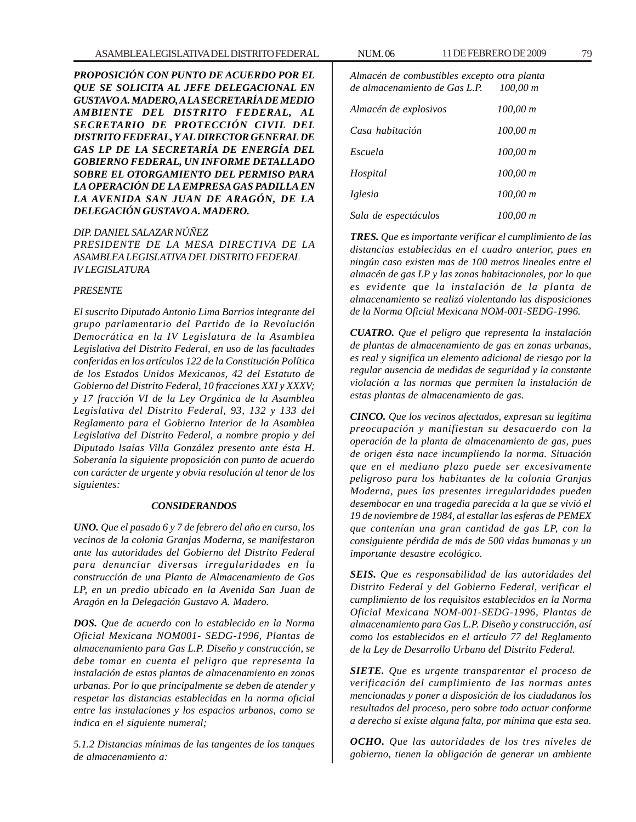*PROPOSICIÓN CON PUNTO DE ACUERDO POR EL QUE SE SOLICITA AL JEFE DELEGACIONAL EN GUSTAVO A. MADERO, A LA SECRETARÍA DE MEDIO AMBIENTE DEL DISTRITO FEDERAL, AL SECRETARIO DE PROTECCIÓN CIVIL DEL DISTRITO FEDERAL, Y AL DIRECTOR GENERAL DE GAS LP DE LA SECRETARÍA DE ENERGÍA DEL GOBIERNO FEDERAL, UN INFORME DETALLADO SOBRE EL OTORGAMIENTO DEL PERMISO PARA LA OPERACIÓN DE LA EMPRESA GAS PADILLA EN LA AVENIDA SAN JUAN DE ARAGÓN, DE LA DELEGACIÓN GUSTAVO A. MADERO.*

#### *DIP. DANIEL SALAZAR NÚÑEZ*

*PRESIDENTE DE LA MESA DIRECTIVA DE LA ASAMBLEA LEGISLATIVA DEL DISTRITO FEDERAL IV LEGISLATURA*

# *PRESENTE*

*El suscrito Diputado Antonio Lima Barrios integrante del grupo parlamentario del Partido de la Revolución Democrática en la IV Legislatura de la Asamblea Legislativa del Distrito Federal, en uso de las facultades conferidas en los artículos 122 de la Constitución Política de los Estados Unidos Mexicanos, 42 del Estatuto de Gobierno del Distrito Federal, 10 fracciones XXI y XXXV; y 17 fracción VI de la Ley Orgánica de la Asamblea Legislativa del Distrito Federal, 93, 132 y 133 del Reglamento para el Gobierno Interior de la Asamblea Legislativa del Distrito Federal, a nombre propio y del Diputado lsaías Villa González presento ante ésta H. Soberanía la siguiente proposición con punto de acuerdo con carácter de urgente y obvia resolución al tenor de los siguientes:*

#### *CONSIDERANDOS*

*UNO. Que el pasado 6 y 7 de febrero del año en curso, los vecinos de la colonia Granjas Moderna, se manifestaron ante las autoridades del Gobierno del Distrito Federal para denunciar diversas irregularidades en la construcción de una Planta de Almacenamiento de Gas LP, en un predio ubicado en la Avenida San Juan de Aragón en la Delegación Gustavo A. Madero.*

*DOS. Que de acuerdo con lo establecido en la Norma Oficial Mexicana NOM001- SEDG-1996, Plantas de almacenamiento para Gas L.P. Diseño y construcción, se debe tomar en cuenta el peligro que representa la instalación de estas plantas de almacenamiento en zonas urbanas. Por lo que principalmente se deben de atender y respetar las distancias establecidas en la norma oficial entre las instalaciones y los espacios urbanos, como se indica en el siguiente numeral;*

*5.1.2 Distancias mínimas de las tangentes de los tanques de almacenamiento a:*

*Almacén de combustibles excepto otra planta de almacenamiento de Gas L.P. 100,00 m*

| Almacén de explosivos | 100,00 m |
|-----------------------|----------|
| Casa habitación       | 100.00 m |
| Escuela               | 100.00 m |
| Hospital              | 100.00 m |
| Iglesia               | 100.00 m |
| Sala de espectáculos  | 100.00 m |

*TRES. Que es importante verificar el cumplimiento de las distancias establecidas en el cuadro anterior, pues en ningún caso existen mas de 100 metros lineales entre el almacén de gas LP y las zonas habitacionales, por lo que es evidente que la instalación de la planta de almacenamiento se realizó violentando las disposiciones de la Norma Oficial Mexicana NOM-001-SEDG-1996.*

*CUATRO. Que el peligro que representa la instalación de plantas de almacenamiento de gas en zonas urbanas, es real y significa un elemento adicional de riesgo por la regular ausencia de medidas de seguridad y la constante violación a las normas que permiten la instalación de estas plantas de almacenamiento de gas.*

*CINCO. Que los vecinos afectados, expresan su legítima preocupación y manifiestan su desacuerdo con la operación de la planta de almacenamiento de gas, pues de origen ésta nace incumpliendo la norma. Situación que en el mediano plazo puede ser excesivamente peligroso para los habitantes de la colonia Granjas Moderna, pues las presentes irregularidades pueden desembocar en una tragedia parecida a la que se vivió el 19 de noviembre de 1984, al estallar las esferas de PEMEX que contenían una gran cantidad de gas LP, con la consiguiente pérdida de más de 500 vidas humanas y un importante desastre ecológico.*

*SEIS. Que es responsabilidad de las autoridades del Distrito Federal y del Gobierno Federal, verificar el cumplimiento de los requisitos establecidos en la Norma Oficial Mexicana NOM-001-SEDG-1996, Plantas de almacenamiento para Gas L.P. Diseño y construcción, así como los establecidos en el artículo 77 del Reglamento de la Ley de Desarrollo Urbano del Distrito Federal.*

*SIETE. Que es urgente transparentar el proceso de verificación del cumplimiento de las normas antes mencionadas y poner a disposición de los ciudadanos los resultados del proceso, pero sobre todo actuar conforme a derecho si existe alguna falta, por mínima que esta sea.*

*OCHO. Que las autoridades de los tres niveles de gobierno, tienen la obligación de generar un ambiente*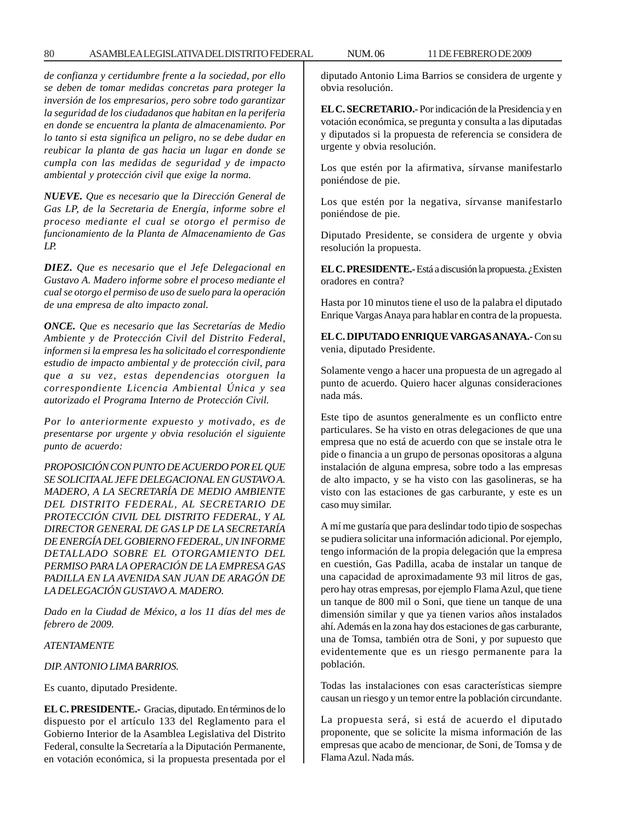*de confianza y certidumbre frente a la sociedad, por ello se deben de tomar medidas concretas para proteger la inversión de los empresarios, pero sobre todo garantizar la seguridad de los ciudadanos que habitan en la periferia en donde se encuentra la planta de almacenamiento. Por lo tanto si esta significa un peligro, no se debe dudar en reubicar la planta de gas hacia un lugar en donde se cumpla con las medidas de seguridad y de impacto ambiental y protección civil que exige la norma.*

*NUEVE. Que es necesario que la Dirección General de Gas LP, de la Secretaria de Energía, informe sobre el proceso mediante el cual se otorgo el permiso de funcionamiento de la Planta de Almacenamiento de Gas LP.*

*DIEZ. Que es necesario que el Jefe Delegacional en Gustavo A. Madero informe sobre el proceso mediante el cual se otorgo el permiso de uso de suelo para la operación de una empresa de alto impacto zonal.*

*ONCE. Que es necesario que las Secretarías de Medio Ambiente y de Protección Civil del Distrito Federal, informen si la empresa les ha solicitado el correspondiente estudio de impacto ambiental y de protección civil, para que a su vez, estas dependencias otorguen la correspondiente Licencia Ambiental Única y sea autorizado el Programa Interno de Protección Civil.*

*Por lo anteriormente expuesto y motivado, es de presentarse por urgente y obvia resolución el siguiente punto de acuerdo:*

*PROPOSICIÓN CON PUNTO DE ACUERDO POR EL QUE SE SOLICITA AL JEFE DELEGACIONAL EN GUSTAVO A. MADERO, A LA SECRETARÍA DE MEDIO AMBIENTE DEL DISTRITO FEDERAL, AL SECRETARIO DE PROTECCIÓN CIVIL DEL DISTRITO FEDERAL, Y AL DIRECTOR GENERAL DE GAS LP DE LA SECRETARÍA DE ENERGÍA DEL GOBIERNO FEDERAL, UN INFORME DETALLADO SOBRE EL OTORGAMIENTO DEL PERMISO PARA LA OPERACIÓN DE LA EMPRESA GAS PADILLA EN LA AVENIDA SAN JUAN DE ARAGÓN DE LA DELEGACIÓN GUSTAVO A. MADERO.*

*Dado en la Ciudad de México, a los 11 días del mes de febrero de 2009.*

# *ATENTAMENTE*

### *DIP. ANTONIO LIMA BARRIOS.*

Es cuanto, diputado Presidente.

**EL C. PRESIDENTE.-** Gracias, diputado. En términos de lo dispuesto por el artículo 133 del Reglamento para el Gobierno Interior de la Asamblea Legislativa del Distrito Federal, consulte la Secretaría a la Diputación Permanente, en votación económica, si la propuesta presentada por el diputado Antonio Lima Barrios se considera de urgente y obvia resolución.

**EL C. SECRETARIO.-** Por indicación de la Presidencia y en votación económica, se pregunta y consulta a las diputadas y diputados si la propuesta de referencia se considera de urgente y obvia resolución.

Los que estén por la afirmativa, sírvanse manifestarlo poniéndose de pie.

Los que estén por la negativa, sírvanse manifestarlo poniéndose de pie.

Diputado Presidente, se considera de urgente y obvia resolución la propuesta.

**EL C. PRESIDENTE.-** Está a discusión la propuesta. ¿Existen oradores en contra?

Hasta por 10 minutos tiene el uso de la palabra el diputado Enrique Vargas Anaya para hablar en contra de la propuesta.

**EL C. DIPUTADO ENRIQUE VARGAS ANAYA.-** Con su venia, diputado Presidente.

Solamente vengo a hacer una propuesta de un agregado al punto de acuerdo. Quiero hacer algunas consideraciones nada más.

Este tipo de asuntos generalmente es un conflicto entre particulares. Se ha visto en otras delegaciones de que una empresa que no está de acuerdo con que se instale otra le pide o financia a un grupo de personas opositoras a alguna instalación de alguna empresa, sobre todo a las empresas de alto impacto, y se ha visto con las gasolineras, se ha visto con las estaciones de gas carburante, y este es un caso muy similar.

A mí me gustaría que para deslindar todo tipio de sospechas se pudiera solicitar una información adicional. Por ejemplo, tengo información de la propia delegación que la empresa en cuestión, Gas Padilla, acaba de instalar un tanque de una capacidad de aproximadamente 93 mil litros de gas, pero hay otras empresas, por ejemplo Flama Azul, que tiene un tanque de 800 mil o Soni, que tiene un tanque de una dimensión similar y que ya tienen varios años instalados ahí. Además en la zona hay dos estaciones de gas carburante, una de Tomsa, también otra de Soni, y por supuesto que evidentemente que es un riesgo permanente para la población.

Todas las instalaciones con esas características siempre causan un riesgo y un temor entre la población circundante.

La propuesta será, si está de acuerdo el diputado proponente, que se solicite la misma información de las empresas que acabo de mencionar, de Soni, de Tomsa y de Flama Azul. Nada más.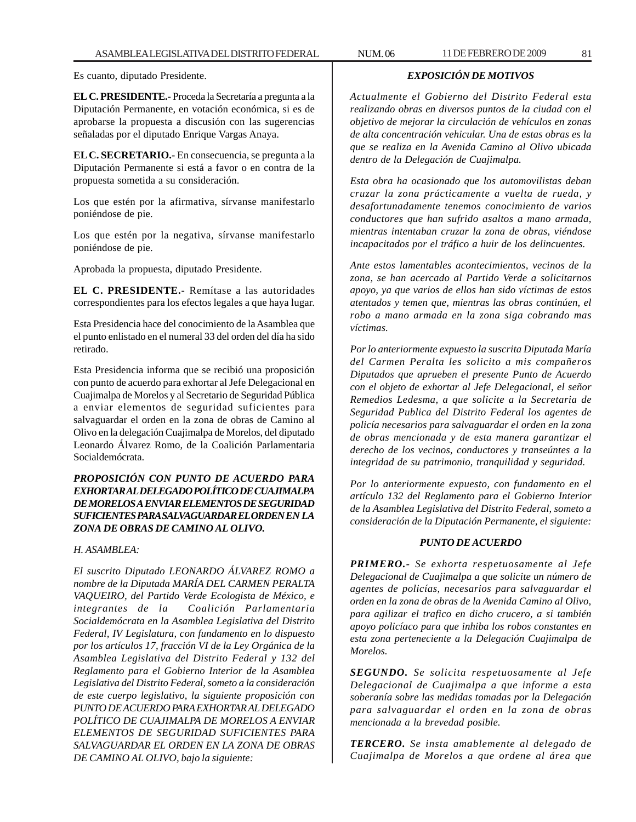Es cuanto, diputado Presidente.

**EL C. PRESIDENTE.-** Proceda la Secretaría a pregunta a la Diputación Permanente, en votación económica, si es de aprobarse la propuesta a discusión con las sugerencias señaladas por el diputado Enrique Vargas Anaya.

**EL C. SECRETARIO.-** En consecuencia, se pregunta a la Diputación Permanente si está a favor o en contra de la propuesta sometida a su consideración.

Los que estén por la afirmativa, sírvanse manifestarlo poniéndose de pie.

Los que estén por la negativa, sírvanse manifestarlo poniéndose de pie.

Aprobada la propuesta, diputado Presidente.

**EL C. PRESIDENTE.-** Remítase a las autoridades correspondientes para los efectos legales a que haya lugar.

Esta Presidencia hace del conocimiento de la Asamblea que el punto enlistado en el numeral 33 del orden del día ha sido retirado.

Esta Presidencia informa que se recibió una proposición con punto de acuerdo para exhortar al Jefe Delegacional en Cuajimalpa de Morelos y al Secretario de Seguridad Pública a enviar elementos de seguridad suficientes para salvaguardar el orden en la zona de obras de Camino al Olivo en la delegación Cuajimalpa de Morelos, del diputado Leonardo Álvarez Romo, de la Coalición Parlamentaria Socialdemócrata.

# *PROPOSICIÓN CON PUNTO DE ACUERDO PARA EXHORTAR AL DELEGADO POLÍTICO DE CUAJIMALPA DE MORELOS A ENVIAR ELEMENTOS DE SEGURIDAD SUFICIENTES PARA SALVAGUARDAR EL ORDEN EN LA ZONA DE OBRAS DE CAMINO AL OLIVO.*

### *H. ASAMBLEA:*

*El suscrito Diputado LEONARDO ÁLVAREZ ROMO a nombre de la Diputada MARÍA DEL CARMEN PERALTA VAQUEIRO, del Partido Verde Ecologista de México, e integrantes de la Coalición Parlamentaria Socialdemócrata en la Asamblea Legislativa del Distrito Federal, IV Legislatura, con fundamento en lo dispuesto por los artículos 17, fracción VI de la Ley Orgánica de la Asamblea Legislativa del Distrito Federal y 132 del Reglamento para el Gobierno Interior de la Asamblea Legislativa del Distrito Federal, someto a la consideración de este cuerpo legislativo, la siguiente proposición con PUNTO DE ACUERDO PARA EXHORTAR AL DELEGADO POLÍTICO DE CUAJIMALPA DE MORELOS A ENVIAR ELEMENTOS DE SEGURIDAD SUFICIENTES PARA SALVAGUARDAR EL ORDEN EN LA ZONA DE OBRAS DE CAMINO AL OLIVO, bajo la siguiente:*

*EXPOSICIÓN DE MOTIVOS*

*Actualmente el Gobierno del Distrito Federal esta realizando obras en diversos puntos de la ciudad con el objetivo de mejorar la circulación de vehículos en zonas de alta concentración vehicular. Una de estas obras es la que se realiza en la Avenida Camino al Olivo ubicada dentro de la Delegación de Cuajimalpa.*

*Esta obra ha ocasionado que los automovilistas deban cruzar la zona prácticamente a vuelta de rueda, y desafortunadamente tenemos conocimiento de varios conductores que han sufrido asaltos a mano armada, mientras intentaban cruzar la zona de obras, viéndose incapacitados por el tráfico a huir de los delincuentes.*

*Ante estos lamentables acontecimientos, vecinos de la zona, se han acercado al Partido Verde a solicitarnos apoyo, ya que varios de ellos han sido víctimas de estos atentados y temen que, mientras las obras continúen, el robo a mano armada en la zona siga cobrando mas víctimas.*

*Por lo anteriormente expuesto la suscrita Diputada María del Carmen Peralta les solicito a mis compañeros Diputados que aprueben el presente Punto de Acuerdo con el objeto de exhortar al Jefe Delegacional, el señor Remedios Ledesma, a que solicite a la Secretaria de Seguridad Publica del Distrito Federal los agentes de policía necesarios para salvaguardar el orden en la zona de obras mencionada y de esta manera garantizar el derecho de los vecinos, conductores y transeúntes a la integridad de su patrimonio, tranquilidad y seguridad.*

*Por lo anteriormente expuesto, con fundamento en el artículo 132 del Reglamento para el Gobierno Interior de la Asamblea Legislativa del Distrito Federal, someto a consideración de la Diputación Permanente, el siguiente:*

# *PUNTO DE ACUERDO*

*PRIMERO.- Se exhorta respetuosamente al Jefe Delegacional de Cuajimalpa a que solicite un número de agentes de policías, necesarios para salvaguardar el orden en la zona de obras de la Avenida Camino al Olivo, para agilizar el trafico en dicho crucero, a si también apoyo policíaco para que inhiba los robos constantes en esta zona perteneciente a la Delegación Cuajimalpa de Morelos.*

*SEGUNDO. Se solicita respetuosamente al Jefe Delegacional de Cuajimalpa a que informe a esta soberanía sobre las medidas tomadas por la Delegación para salvaguardar el orden en la zona de obras mencionada a la brevedad posible.*

*TERCERO. Se insta amablemente al delegado de Cuajimalpa de Morelos a que ordene al área que*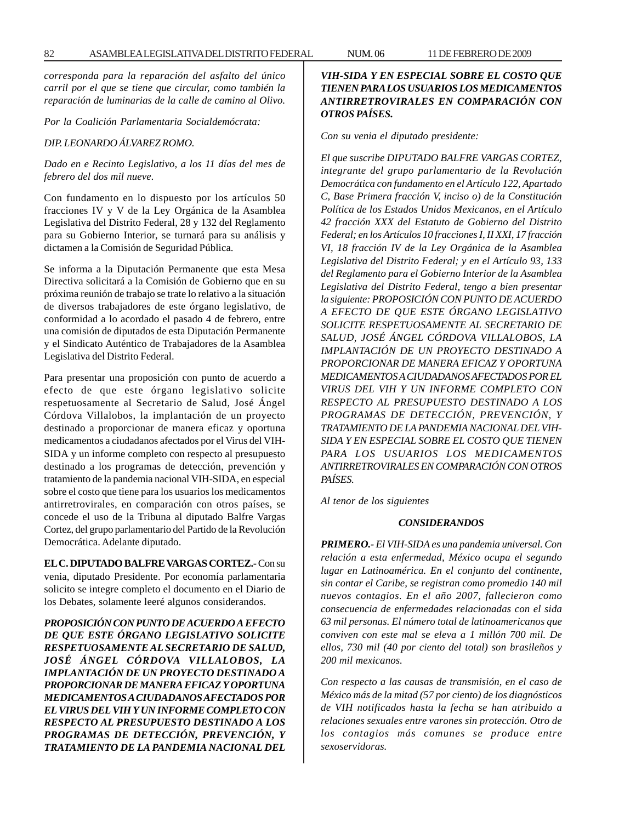*corresponda para la reparación del asfalto del único carril por el que se tiene que circular, como también la reparación de luminarias de la calle de camino al Olivo.*

*Por la Coalición Parlamentaria Socialdemócrata:*

### *DIP. LEONARDO ÁLVAREZ ROMO.*

*Dado en e Recinto Legislativo, a los 11 días del mes de febrero del dos mil nueve.*

Con fundamento en lo dispuesto por los artículos 50 fracciones IV y V de la Ley Orgánica de la Asamblea Legislativa del Distrito Federal, 28 y 132 del Reglamento para su Gobierno Interior, se turnará para su análisis y dictamen a la Comisión de Seguridad Pública.

Se informa a la Diputación Permanente que esta Mesa Directiva solicitará a la Comisión de Gobierno que en su próxima reunión de trabajo se trate lo relativo a la situación de diversos trabajadores de este órgano legislativo, de conformidad a lo acordado el pasado 4 de febrero, entre una comisión de diputados de esta Diputación Permanente y el Sindicato Auténtico de Trabajadores de la Asamblea Legislativa del Distrito Federal.

Para presentar una proposición con punto de acuerdo a efecto de que este órgano legislativo solicite respetuosamente al Secretario de Salud, José Ángel Córdova Villalobos, la implantación de un proyecto destinado a proporcionar de manera eficaz y oportuna medicamentos a ciudadanos afectados por el Virus del VIH-SIDA y un informe completo con respecto al presupuesto destinado a los programas de detección, prevención y tratamiento de la pandemia nacional VIH-SIDA, en especial sobre el costo que tiene para los usuarios los medicamentos antirretrovirales, en comparación con otros países, se concede el uso de la Tribuna al diputado Balfre Vargas Cortez, del grupo parlamentario del Partido de la Revolución Democrática. Adelante diputado.

**EL C. DIPUTADO BALFRE VARGAS CORTEZ.-** Con su venia, diputado Presidente. Por economía parlamentaria solicito se integre completo el documento en el Diario de los Debates, solamente leeré algunos considerandos.

*PROPOSICIÓN CON PUNTO DE ACUERDO A EFECTO DE QUE ESTE ÓRGANO LEGISLATIVO SOLICITE RESPETUOSAMENTE AL SECRETARIO DE SALUD, JOSÉ ÁNGEL CÓRDOVA VILLALOBOS, LA IMPLANTACIÓN DE UN PROYECTO DESTINADO A PROPORCIONAR DE MANERA EFICAZ Y OPORTUNA MEDICAMENTOS A CIUDADANOS AFECTADOS POR EL VIRUS DEL VIH Y UN INFORME COMPLETO CON RESPECTO AL PRESUPUESTO DESTINADO A LOS PROGRAMAS DE DETECCIÓN, PREVENCIÓN, Y TRATAMIENTO DE LA PANDEMIA NACIONAL DEL* *Con su venia el diputado presidente:*

*El que suscribe DIPUTADO BALFRE VARGAS CORTEZ, integrante del grupo parlamentario de la Revolución Democrática con fundamento en el Artículo 122, Apartado C, Base Primera fracción V, inciso o) de la Constitución Política de los Estados Unidos Mexicanos, en el Artículo 42 fracción XXX del Estatuto de Gobierno del Distrito Federal; en los Artículos 10 fracciones I, II XXI, 17 fracción VI, 18 fracción IV de la Ley Orgánica de la Asamblea Legislativa del Distrito Federal; y en el Artículo 93, 133 del Reglamento para el Gobierno Interior de la Asamblea Legislativa del Distrito Federal, tengo a bien presentar la siguiente: PROPOSICIÓN CON PUNTO DE ACUERDO A EFECTO DE QUE ESTE ÓRGANO LEGISLATIVO SOLICITE RESPETUOSAMENTE AL SECRETARIO DE SALUD, JOSÉ ÁNGEL CÓRDOVA VILLALOBOS, LA IMPLANTACIÓN DE UN PROYECTO DESTINADO A PROPORCIONAR DE MANERA EFICAZ Y OPORTUNA MEDICAMENTOS A CIUDADANOS AFECTADOS POR EL VIRUS DEL VIH Y UN INFORME COMPLETO CON RESPECTO AL PRESUPUESTO DESTINADO A LOS PROGRAMAS DE DETECCIÓN, PREVENCIÓN, Y TRATAMIENTO DE LA PANDEMIA NACIONAL DEL VIH-SIDA Y EN ESPECIAL SOBRE EL COSTO QUE TIENEN PARA LOS USUARIOS LOS MEDICAMENTOS ANTIRRETROVIRALES EN COMPARACIÓN CON OTROS PAÍSES.*

*Al tenor de los siguientes*

#### *CONSIDERANDOS*

*PRIMERO.- El VIH-SIDA es una pandemia universal. Con relación a esta enfermedad, México ocupa el segundo lugar en Latinoamérica. En el conjunto del continente, sin contar el Caribe, se registran como promedio 140 mil nuevos contagios. En el año 2007, fallecieron como consecuencia de enfermedades relacionadas con el sida 63 mil personas. El número total de latinoamericanos que conviven con este mal se eleva a 1 millón 700 mil. De ellos, 730 mil (40 por ciento del total) son brasileños y 200 mil mexicanos.*

*Con respecto a las causas de transmisión, en el caso de México más de la mitad (57 por ciento) de los diagnósticos de VIH notificados hasta la fecha se han atribuido a relaciones sexuales entre varones sin protección. Otro de los contagios más comunes se produce entre sexoservidoras.*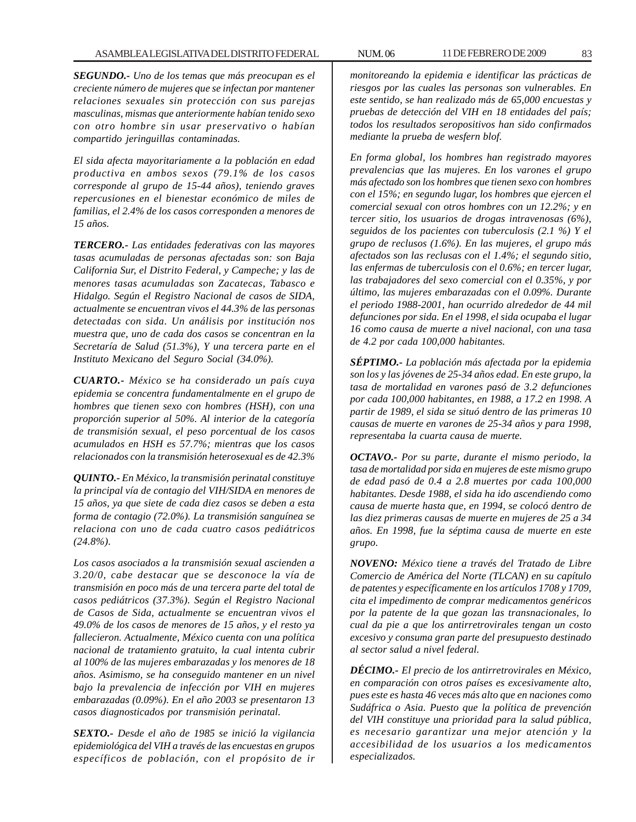*SEGUNDO.- Uno de los temas que más preocupan es el creciente número de mujeres que se infectan por mantener relaciones sexuales sin protección con sus parejas masculinas, mismas que anteriormente habían tenido sexo con otro hombre sin usar preservativo o habían compartido jeringuillas contaminadas.*

*El sida afecta mayoritariamente a la población en edad productiva en ambos sexos (79.1% de los casos corresponde al grupo de 15-44 años), teniendo graves repercusiones en el bienestar económico de miles de familias, el 2.4% de los casos corresponden a menores de 15 años.*

*TERCERO.- Las entidades federativas con las mayores tasas acumuladas de personas afectadas son: son Baja California Sur, el Distrito Federal, y Campeche; y las de menores tasas acumuladas son Zacatecas, Tabasco e Hidalgo. Según el Registro Nacional de casos de SIDA, actualmente se encuentran vivos el 44.3% de las personas detectadas con sida. Un análisis por institución nos muestra que, uno de cada dos casos se concentran en la Secretaría de Salud (51.3%), Y una tercera parte en el Instituto Mexicano del Seguro Social (34.0%).*

*CUARTO.- México se ha considerado un país cuya epidemia se concentra fundamentalmente en el grupo de hombres que tienen sexo con hombres (HSH), con una proporción superior al 50%. Al interior de la categoría de transmisión sexual, el peso porcentual de los casos acumulados en HSH es 57.7%; mientras que los casos relacionados con la transmisión heterosexual es de 42.3%*

*QUINTO.- En México, la transmisión perinatal constituye la principal vía de contagio del VIH/SIDA en menores de 15 años, ya que siete de cada diez casos se deben a esta forma de contagio (72.0%). La transmisión sanguínea se relaciona con uno de cada cuatro casos pediátricos (24.8%).*

*Los casos asociados a la transmisión sexual ascienden a 3.20/0, cabe destacar que se desconoce la vía de transmisión en poco más de una tercera parte del total de casos pediátricos (37.3%). Según el Registro Nacional de Casos de Sida, actualmente se encuentran vivos el 49.0% de los casos de menores de 15 años, y el resto ya fallecieron. Actualmente, México cuenta con una política nacional de tratamiento gratuito, la cual intenta cubrir al 100% de las mujeres embarazadas y los menores de 18 años. Asimismo, se ha conseguido mantener en un nivel bajo la prevalencia de infección por VIH en mujeres embarazadas (0.09%). En el año 2003 se presentaron 13 casos diagnosticados por transmisión perinatal.*

*SEXTO.- Desde el año de 1985 se inició la vigilancia epidemiológica del VIH a través de las encuestas en grupos específicos de población, con el propósito de ir*

*monitoreando la epidemia e identificar las prácticas de riesgos por las cuales las personas son vulnerables. En este sentido, se han realizado más de 65,000 encuestas y pruebas de detección del VIH en 18 entidades del país; todos los resultados seropositivos han sido confirmados mediante la prueba de wesfern blof.*

*En forma global, los hombres han registrado mayores prevalencias que las mujeres. En los varones el grupo más afectado son los hombres que tienen sexo con hombres con el 15%; en segundo lugar, los hombres que ejercen el comercial sexual con otros hombres con un 12.2%; y en tercer sitio, los usuarios de drogas intravenosas (6%), seguidos de los pacientes con tuberculosis (2.1 %) Y el grupo de reclusos (1.6%). En las mujeres, el grupo más afectados son las reclusas con el 1.4%; el segundo sitio, las enfermas de tuberculosis con el 0.6%; en tercer lugar, las trabajadores del sexo comercial con el 0.35%, y por último, las mujeres embarazadas con el 0.09%. Durante el periodo 1988-2001, han ocurrido alrededor de 44 mil defunciones por sida. En el 1998, el sida ocupaba el lugar 16 como causa de muerte a nivel nacional, con una tasa de 4.2 por cada 100,000 habitantes.*

*SÉPTIMO.- La población más afectada por la epidemia son los y las jóvenes de 25-34 años edad. En este grupo, la tasa de mortalidad en varones pasó de 3.2 defunciones por cada 100,000 habitantes, en 1988, a 17.2 en 1998. A partir de 1989, el sida se situó dentro de las primeras 10 causas de muerte en varones de 25-34 años y para 1998, representaba la cuarta causa de muerte.*

*OCTAVO.- Por su parte, durante el mismo periodo, la tasa de mortalidad por sida en mujeres de este mismo grupo de edad pasó de 0.4 a 2.8 muertes por cada 100,000 habitantes. Desde 1988, el sida ha ido ascendiendo como causa de muerte hasta que, en 1994, se colocó dentro de las diez primeras causas de muerte en mujeres de 25 a 34 años. En 1998, fue la séptima causa de muerte en este grupo.*

*NOVENO: México tiene a través del Tratado de Libre Comercio de América del Norte (TLCAN) en su capítulo de patentes y específicamente en los artículos 1708 y 1709, cita el impedimento de comprar medicamentos genéricos por la patente de la que gozan las transnacionales, lo cual da pie a que los antirretrovirales tengan un costo excesivo y consuma gran parte del presupuesto destinado al sector salud a nivel federal.*

*DÉCIMO.- El precio de los antirretrovirales en México, en comparación con otros países es excesivamente alto, pues este es hasta 46 veces más alto que en naciones como Sudáfrica o Asia. Puesto que la política de prevención del VIH constituye una prioridad para la salud pública, es necesario garantizar una mejor atención y la accesibilidad de los usuarios a los medicamentos especializados.*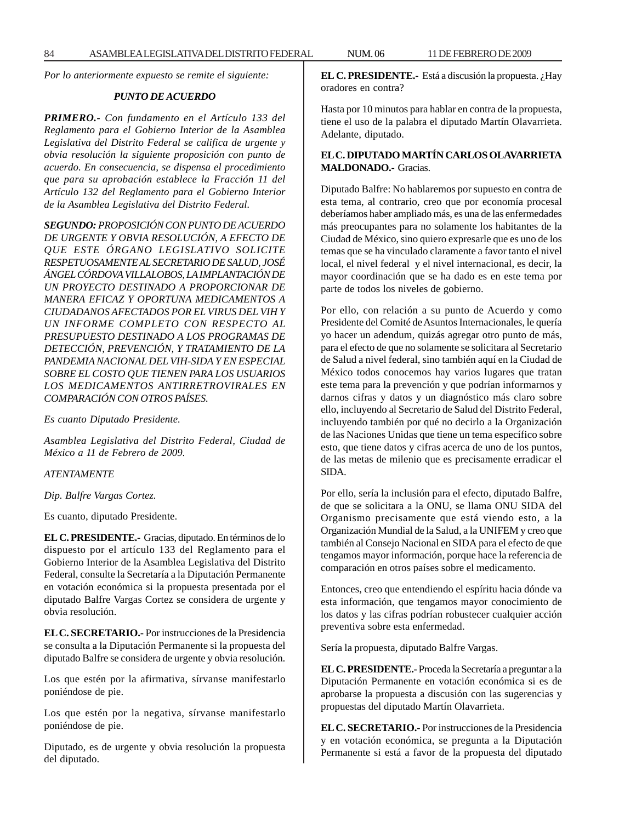*Por lo anteriormente expuesto se remite el siguiente:*

### *PUNTO DE ACUERDO*

*PRIMERO.- Con fundamento en el Artículo 133 del Reglamento para el Gobierno Interior de la Asamblea Legislativa del Distrito Federal se califica de urgente y obvia resolución la siguiente proposición con punto de acuerdo. En consecuencia, se dispensa el procedimiento que para su aprobación establece la Fracción 11 del Artículo 132 del Reglamento para el Gobierno Interior de la Asamblea Legislativa del Distrito Federal.*

*SEGUNDO: PROPOSICIÓN CON PUNTO DE ACUERDO DE URGENTE Y OBVIA RESOLUCIÓN, A EFECTO DE QUE ESTE ÓRGANO LEGISLATIVO SOLICITE RESPETUOSAMENTE AL SECRETARIO DE SALUD, JOSÉ ÁNGEL CÓRDOVA VILLALOBOS, LA IMPLANTACIÓN DE UN PROYECTO DESTINADO A PROPORCIONAR DE MANERA EFICAZ Y OPORTUNA MEDICAMENTOS A CIUDADANOS AFECTADOS POR EL VIRUS DEL VIH Y UN INFORME COMPLETO CON RESPECTO AL PRESUPUESTO DESTINADO A LOS PROGRAMAS DE DETECCIÓN, PREVENCIÓN, Y TRATAMIENTO DE LA PANDEMIA NACIONAL DEL VIH-SIDA Y EN ESPECIAL SOBRE EL COSTO QUE TIENEN PARA LOS USUARIOS LOS MEDICAMENTOS ANTIRRETROVIRALES EN COMPARACIÓN CON OTROS PAÍSES.*

*Es cuanto Diputado Presidente.*

*Asamblea Legislativa del Distrito Federal, Ciudad de México a 11 de Febrero de 2009.*

# *ATENTAMENTE*

*Dip. Balfre Vargas Cortez.*

Es cuanto, diputado Presidente.

**EL C. PRESIDENTE.-** Gracias, diputado. En términos de lo dispuesto por el artículo 133 del Reglamento para el Gobierno Interior de la Asamblea Legislativa del Distrito Federal, consulte la Secretaría a la Diputación Permanente en votación económica si la propuesta presentada por el diputado Balfre Vargas Cortez se considera de urgente y obvia resolución.

**EL C. SECRETARIO.-** Por instrucciones de la Presidencia se consulta a la Diputación Permanente si la propuesta del diputado Balfre se considera de urgente y obvia resolución.

Los que estén por la afirmativa, sírvanse manifestarlo poniéndose de pie.

Los que estén por la negativa, sírvanse manifestarlo poniéndose de pie.

Diputado, es de urgente y obvia resolución la propuesta del diputado.

**EL C. PRESIDENTE.-** Está a discusión la propuesta. ¿Hay oradores en contra?

Hasta por 10 minutos para hablar en contra de la propuesta, tiene el uso de la palabra el diputado Martín Olavarrieta. Adelante, diputado.

# **EL C. DIPUTADO MARTÍN CARLOS OLAVARRIETA MALDONADO.-** Gracias.

Diputado Balfre: No hablaremos por supuesto en contra de esta tema, al contrario, creo que por economía procesal deberíamos haber ampliado más, es una de las enfermedades más preocupantes para no solamente los habitantes de la Ciudad de México, sino quiero expresarle que es uno de los temas que se ha vinculado claramente a favor tanto el nivel local, el nivel federal y el nivel internacional, es decir, la mayor coordinación que se ha dado es en este tema por parte de todos los niveles de gobierno.

Por ello, con relación a su punto de Acuerdo y como Presidente del Comité de Asuntos Internacionales, le quería yo hacer un adendum, quizás agregar otro punto de más, para el efecto de que no solamente se solicitara al Secretario de Salud a nivel federal, sino también aquí en la Ciudad de México todos conocemos hay varios lugares que tratan este tema para la prevención y que podrían informarnos y darnos cifras y datos y un diagnóstico más claro sobre ello, incluyendo al Secretario de Salud del Distrito Federal, incluyendo también por qué no decirlo a la Organización de las Naciones Unidas que tiene un tema específico sobre esto, que tiene datos y cifras acerca de uno de los puntos, de las metas de milenio que es precisamente erradicar el SIDA.

Por ello, sería la inclusión para el efecto, diputado Balfre, de que se solicitara a la ONU, se llama ONU SIDA del Organismo precisamente que está viendo esto, a la Organización Mundial de la Salud, a la UNIFEM y creo que también al Consejo Nacional en SIDA para el efecto de que tengamos mayor información, porque hace la referencia de comparación en otros países sobre el medicamento.

Entonces, creo que entendiendo el espíritu hacia dónde va esta información, que tengamos mayor conocimiento de los datos y las cifras podrían robustecer cualquier acción preventiva sobre esta enfermedad.

Sería la propuesta, diputado Balfre Vargas.

**EL C. PRESIDENTE.-** Proceda la Secretaría a preguntar a la Diputación Permanente en votación económica si es de aprobarse la propuesta a discusión con las sugerencias y propuestas del diputado Martín Olavarrieta.

**EL C. SECRETARIO.-** Por instrucciones de la Presidencia y en votación económica, se pregunta a la Diputación Permanente si está a favor de la propuesta del diputado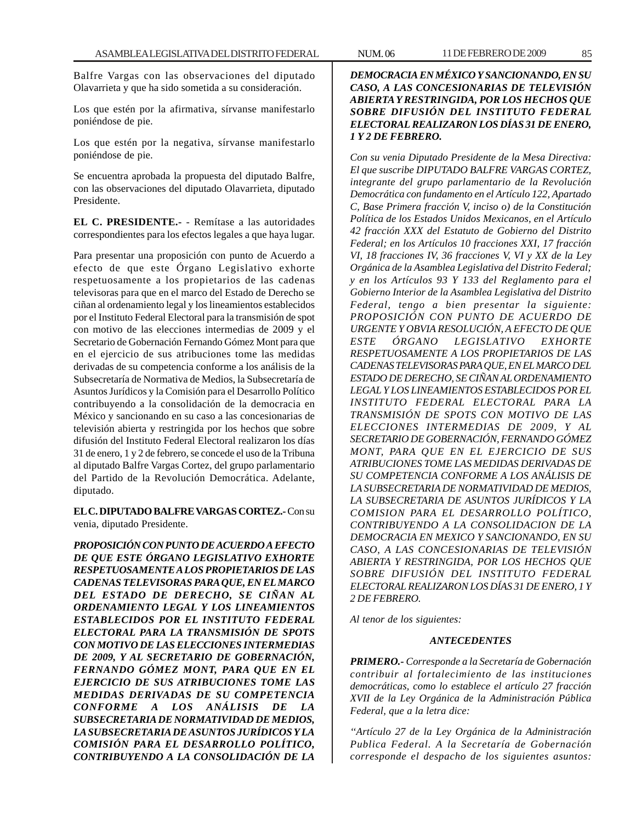Balfre Vargas con las observaciones del diputado Olavarrieta y que ha sido sometida a su consideración.

Los que estén por la afirmativa, sírvanse manifestarlo poniéndose de pie.

Los que estén por la negativa, sírvanse manifestarlo poniéndose de pie.

Se encuentra aprobada la propuesta del diputado Balfre, con las observaciones del diputado Olavarrieta, diputado Presidente.

**EL C. PRESIDENTE.-** - Remítase a las autoridades correspondientes para los efectos legales a que haya lugar.

Para presentar una proposición con punto de Acuerdo a efecto de que este Órgano Legislativo exhorte respetuosamente a los propietarios de las cadenas televisoras para que en el marco del Estado de Derecho se ciñan al ordenamiento legal y los lineamientos establecidos por el Instituto Federal Electoral para la transmisión de spot con motivo de las elecciones intermedias de 2009 y el Secretario de Gobernación Fernando Gómez Mont para que en el ejercicio de sus atribuciones tome las medidas derivadas de su competencia conforme a los análisis de la Subsecretaría de Normativa de Medios, la Subsecretaría de Asuntos Jurídicos y la Comisión para el Desarrollo Político contribuyendo a la consolidación de la democracia en México y sancionando en su caso a las concesionarias de televisión abierta y restringida por los hechos que sobre difusión del Instituto Federal Electoral realizaron los días 31 de enero, 1 y 2 de febrero, se concede el uso de la Tribuna al diputado Balfre Vargas Cortez, del grupo parlamentario del Partido de la Revolución Democrática. Adelante, diputado.

**EL C. DIPUTADO BALFRE VARGAS CORTEZ.-** Con su venia, diputado Presidente.

*PROPOSICIÓN CON PUNTO DE ACUERDO A EFECTO DE QUE ESTE ÓRGANO LEGISLATIVO EXHORTE RESPETUOSAMENTE A LOS PROPIETARIOS DE LAS CADENAS TELEVISORAS PARA QUE, EN EL MARCO DEL ESTADO DE DERECHO, SE CIÑAN AL ORDENAMIENTO LEGAL Y LOS LINEAMIENTOS ESTABLECIDOS POR EL INSTITUTO FEDERAL ELECTORAL PARA LA TRANSMISIÓN DE SPOTS CON MOTIVO DE LAS ELECCIONES INTERMEDIAS DE 2009, Y AL SECRETARIO DE GOBERNACIÓN, FERNANDO GÓMEZ MONT, PARA QUE EN EL EJERCICIO DE SUS ATRIBUCIONES TOME LAS MEDIDAS DERIVADAS DE SU COMPETENCIA CONFORME A LOS ANÁLISIS DE LA SUBSECRETARIA DE NORMATIVIDAD DE MEDIOS, LA SUBSECRETARIA DE ASUNTOS JURÍDICOS Y LA COMISIÓN PARA EL DESARROLLO POLÍTICO, CONTRIBUYENDO A LA CONSOLIDACIÓN DE LA*

# *DEMOCRACIA EN MÉXICO Y SANCIONANDO, EN SU CASO, A LAS CONCESIONARIAS DE TELEVISIÓN ABIERTA Y RESTRINGIDA, POR LOS HECHOS QUE SOBRE DIFUSIÓN DEL INSTITUTO FEDERAL ELECTORAL REALIZARON LOS DÍAS 31 DE ENERO, 1 Y 2 DE FEBRERO.*

*Con su venia Diputado Presidente de la Mesa Directiva: El que suscribe DIPUTADO BALFRE VARGAS CORTEZ, integrante del grupo parlamentario de la Revolución Democrática con fundamento en el Artículo 122, Apartado C, Base Primera fracción V, inciso o) de la Constitución Política de los Estados Unidos Mexicanos, en el Artículo 42 fracción XXX del Estatuto de Gobierno del Distrito Federal; en los Artículos 10 fracciones XXI, 17 fracción VI, 18 fracciones IV, 36 fracciones V, VI y XX de la Ley Orgánica de la Asamblea Legislativa del Distrito Federal; y en los Artículos 93 Y 133 del Reglamento para el Gobierno Interior de la Asamblea Legislativa del Distrito Federal, tengo a bien presentar la siguiente: PROPOSICIÓN CON PUNTO DE ACUERDO DE URGENTE Y OBVIA RESOLUCIÓN, A EFECTO DE QUE ESTE ÓRGANO LEGISLATIVO EXHORTE RESPETUOSAMENTE A LOS PROPIETARIOS DE LAS CADENAS TELEVISORAS PARA QUE, EN EL MARCO DEL ESTADO DE DERECHO, SE CIÑAN AL ORDENAMIENTO LEGAL Y LOS LINEAMIENTOS ESTABLECIDOS POR EL INSTITUTO FEDERAL ELECTORAL PARA LA TRANSMISIÓN DE SPOTS CON MOTIVO DE LAS ELECCIONES INTERMEDIAS DE 2009, Y AL SECRETARIO DE GOBERNACIÓN, FERNANDO GÓMEZ MONT, PARA QUE EN EL EJERCICIO DE SUS ATRIBUCIONES TOME LAS MEDIDAS DERIVADAS DE SU COMPETENCIA CONFORME A LOS ANÁLISIS DE LA SUBSECRETARIA DE NORMATIVIDAD DE MEDIOS, LA SUBSECRETARIA DE ASUNTOS JURÍDICOS Y LA COMISION PARA EL DESARROLLO POLÍTICO, CONTRIBUYENDO A LA CONSOLIDACION DE LA DEMOCRACIA EN MEXICO Y SANCIONANDO, EN SU CASO, A LAS CONCESIONARIAS DE TELEVISIÓN ABIERTA Y RESTRINGIDA, POR LOS HECHOS QUE SOBRE DIFUSIÓN DEL INSTITUTO FEDERAL ELECTORAL REALIZARON LOS DÍAS 31 DE ENERO, 1 Y 2 DE FEBRERO.*

*Al tenor de los siguientes:*

#### *ANTECEDENTES*

*PRIMERO.- Corresponde a la Secretaría de Gobernación contribuir al fortalecimiento de las instituciones democráticas, como lo establece el artículo 27 fracción XVII de la Ley Orgánica de la Administración Pública Federal, que a la letra dice:*

*''Artículo 27 de la Ley Orgánica de la Administración Publica Federal. A la Secretaría de Gobernación corresponde el despacho de los siguientes asuntos:*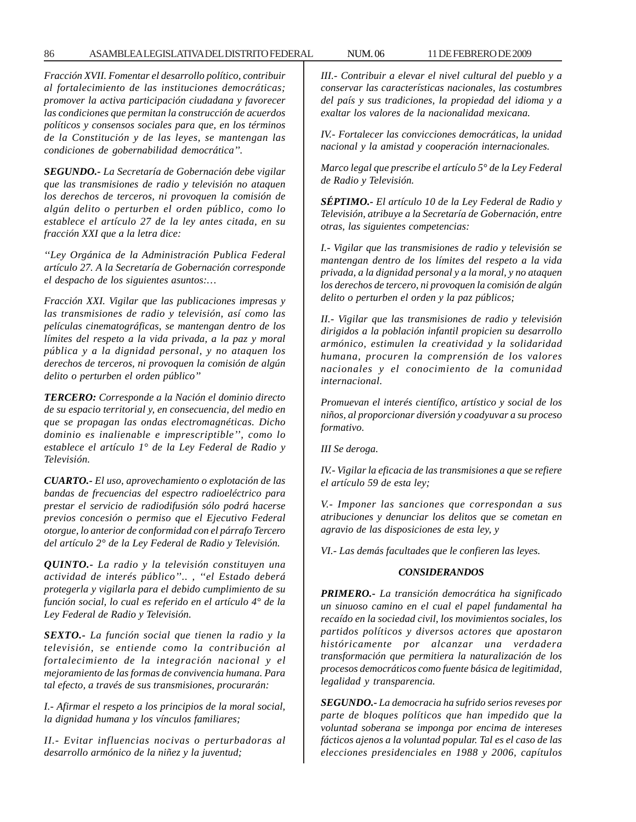*Fracción XVII. Fomentar el desarrollo político, contribuir al fortalecimiento de las instituciones democráticas; promover la activa participación ciudadana y favorecer las condiciones que permitan la construcción de acuerdos políticos y consensos sociales para que, en los términos de la Constitución y de las leyes, se mantengan las condiciones de gobernabilidad democrática''.*

*SEGUNDO.- La Secretaría de Gobernación debe vigilar que las transmisiones de radio y televisión no ataquen los derechos de terceros, ni provoquen la comisión de algún delito o perturben el orden público, como lo establece el artículo 27 de la ley antes citada, en su fracción XXI que a la letra dice:*

*''Ley Orgánica de la Administración Publica Federal artículo 27. A la Secretaría de Gobernación corresponde el despacho de los siguientes asuntos:…*

*Fracción XXI. Vigilar que las publicaciones impresas y las transmisiones de radio y televisión, así como las películas cinematográficas, se mantengan dentro de los límites del respeto a la vida privada, a la paz y moral pública y a la dignidad personal, y no ataquen los derechos de terceros, ni provoquen la comisión de algún delito o perturben el orden público''*

*TERCERO: Corresponde a la Nación el dominio directo de su espacio territorial y, en consecuencia, del medio en que se propagan las ondas electromagnéticas. Dicho dominio es inalienable e imprescriptible'', como lo establece el artículo 1° de la Ley Federal de Radio y Televisión.*

*CUARTO.- El uso, aprovechamiento o explotación de las bandas de frecuencias del espectro radioeléctrico para prestar el servicio de radiodifusión sólo podrá hacerse previos concesión o permiso que el Ejecutivo Federal otorgue, lo anterior de conformidad con el párrafo Tercero del artículo 2° de la Ley Federal de Radio y Televisión.*

*QUINTO.- La radio y la televisión constituyen una actividad de interés público''.. , ''el Estado deberá protegerla y vigilarla para el debido cumplimiento de su función social, lo cual es referido en el artículo 4° de la Ley Federal de Radio y Televisión.*

*SEXTO.- La función social que tienen la radio y la televisión, se entiende como la contribución al fortalecimiento de la integración nacional y el mejoramiento de las formas de convivencia humana. Para tal efecto, a través de sus transmisiones, procurarán:*

*I.- Afirmar el respeto a los principios de la moral social, la dignidad humana y los vínculos familiares;*

*II.- Evitar influencias nocivas o perturbadoras al desarrollo armónico de la niñez y la juventud;*

*III.- Contribuir a elevar el nivel cultural del pueblo y a conservar las características nacionales, las costumbres del país y sus tradiciones, la propiedad del idioma y a exaltar los valores de la nacionalidad mexicana.*

*IV.- Fortalecer las convicciones democráticas, la unidad nacional y la amistad y cooperación internacionales.*

*Marco legal que prescribe el artículo 5° de la Ley Federal de Radio y Televisión.*

*SÉPTIMO.- El artículo 10 de la Ley Federal de Radio y Televisión, atribuye a la Secretaría de Gobernación, entre otras, las siguientes competencias:*

*I.- Vigilar que las transmisiones de radio y televisión se mantengan dentro de los límites del respeto a la vida privada, a la dignidad personal y a la moral, y no ataquen los derechos de tercero, ni provoquen la comisión de algún delito o perturben el orden y la paz públicos;*

*II.- Vigilar que las transmisiones de radio y televisión dirigidos a la población infantil propicien su desarrollo armónico, estimulen la creatividad y la solidaridad humana, procuren la comprensión de los valores nacionales y el conocimiento de la comunidad internacional.*

*Promuevan el interés científico, artístico y social de los niños, al proporcionar diversión y coadyuvar a su proceso formativo.*

*III Se deroga.*

*IV.- Vigilar la eficacia de las transmisiones a que se refiere el artículo 59 de esta ley;*

*V.- Imponer las sanciones que correspondan a sus atribuciones y denunciar los delitos que se cometan en agravio de las disposiciones de esta ley, y*

*VI.- Las demás facultades que le confieren las leyes.*

### *CONSIDERANDOS*

*PRIMERO.- La transición democrática ha significado un sinuoso camino en el cual el papel fundamental ha recaído en la sociedad civil, los movimientos sociales, los partidos políticos y diversos actores que apostaron históricamente por alcanzar una verdadera transformación que permitiera la naturalización de los procesos democráticos como fuente básica de legitimidad, legalidad y transparencia.*

*SEGUNDO.- La democracia ha sufrido serios reveses por parte de bloques políticos que han impedido que la voluntad soberana se imponga por encima de intereses fácticos ajenos a la voluntad popular. Tal es el caso de las elecciones presidenciales en 1988 y 2006, capítulos*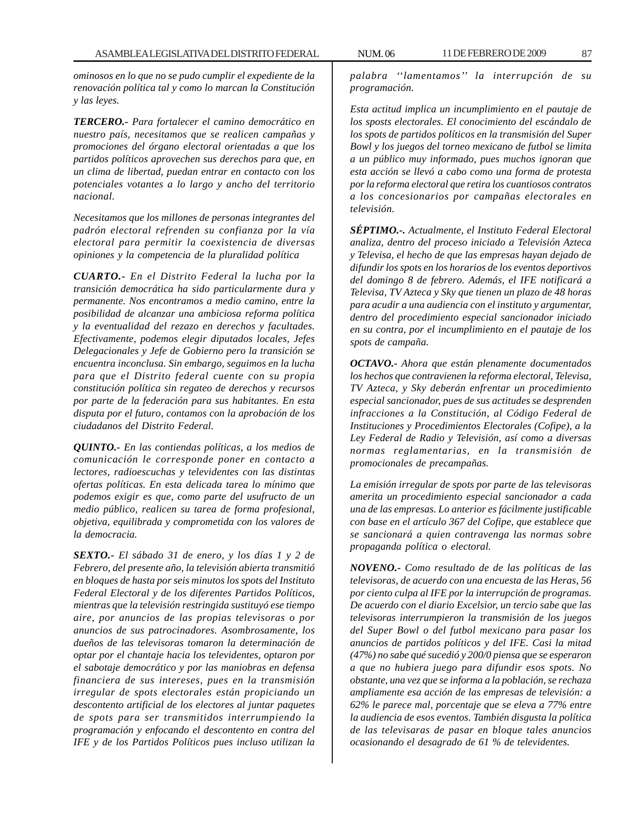*ominosos en lo que no se pudo cumplir el expediente de la renovación política tal y como lo marcan la Constitución y las leyes.*

*TERCERO.- Para fortalecer el camino democrático en nuestro país, necesitamos que se realicen campañas y promociones del órgano electoral orientadas a que los partidos políticos aprovechen sus derechos para que, en un clima de libertad, puedan entrar en contacto con los potenciales votantes a lo largo y ancho del territorio nacional.*

*Necesitamos que los millones de personas integrantes del padrón electoral refrenden su confianza por la vía electoral para permitir la coexistencia de diversas opiniones y la competencia de la pluralidad política*

*CUARTO.- En el Distrito Federal la lucha por la transición democrática ha sido particularmente dura y permanente. Nos encontramos a medio camino, entre la posibilidad de alcanzar una ambiciosa reforma política y la eventualidad del rezazo en derechos y facultades. Efectivamente, podemos elegir diputados locales, Jefes Delegacionales y Jefe de Gobierno pero la transición se encuentra inconclusa. Sin embargo, seguimos en la lucha para que el Distrito federal cuente con su propia constitución política sin regateo de derechos y recursos por parte de la federación para sus habitantes. En esta disputa por el futuro, contamos con la aprobación de los ciudadanos del Distrito Federal.*

*QUINTO.- En las contiendas políticas, a los medios de comunicación le corresponde poner en contacto a lectores, radioescuchas y televidentes con las distintas ofertas políticas. En esta delicada tarea lo mínimo que podemos exigir es que, como parte del usufructo de un medio público, realicen su tarea de forma profesional, objetiva, equilibrada y comprometida con los valores de la democracia.*

*SEXTO.- El sábado 31 de enero, y los días 1 y 2 de Febrero, del presente año, la televisión abierta transmitió en bloques de hasta por seis minutos los spots del Instituto Federal Electoral y de los diferentes Partidos Políticos, mientras que la televisión restringida sustituyó ese tiempo aire, por anuncios de las propias televisoras o por anuncios de sus patrocinadores. Asombrosamente, los dueños de las televisoras tomaron la determinación de optar por el chantaje hacia los televidentes, optaron por el sabotaje democrático y por las maniobras en defensa financiera de sus intereses, pues en la transmisión irregular de spots electorales están propiciando un descontento artificial de los electores al juntar paquetes de spots para ser transmitidos interrumpiendo la programación y enfocando el descontento en contra del IFE y de los Partidos Políticos pues incluso utilizan la*

*palabra ''lamentamos'' la interrupción de su programación.*

*Esta actitud implica un incumplimiento en el pautaje de los sposts electorales. El conocimiento del escándalo de los spots de partidos políticos en la transmisión del Super Bowl y los juegos del torneo mexicano de futbol se limita a un público muy informado, pues muchos ignoran que esta acción se llevó a cabo como una forma de protesta por la reforma electoral que retira los cuantiosos contratos a los concesionarios por campañas electorales en televisión.*

*SÉPTIMO.-. Actualmente, el Instituto Federal Electoral analiza, dentro del proceso iniciado a Televisión Azteca y Televisa, el hecho de que las empresas hayan dejado de difundir los spots en los horarios de los eventos deportivos del domingo 8 de febrero. Además, el IFE notificará a Televisa, TV Azteca y Sky que tienen un plazo de 48 horas para acudir a una audiencia con el instituto y argumentar, dentro del procedimiento especial sancionador iniciado en su contra, por el incumplimiento en el pautaje de los spots de campaña.*

*OCTAVO.- Ahora que están plenamente documentados los hechos que contravienen la reforma electoral, Televisa, TV Azteca, y Sky deberán enfrentar un procedimiento especial sancionador, pues de sus actitudes se desprenden infracciones a la Constitución, al Código Federal de Instituciones y Procedimientos Electorales (Cofipe), a la Ley Federal de Radio y Televisión, así como a diversas normas reglamentarias, en la transmisión de promocionales de precampañas.*

*La emisión irregular de spots por parte de las televisoras amerita un procedimiento especial sancionador a cada una de las empresas. Lo anterior es fácilmente justificable con base en el artículo 367 del Cofipe, que establece que se sancionará a quien contravenga las normas sobre propaganda política o electoral.*

*NOVENO.- Como resultado de de las políticas de las televisoras, de acuerdo con una encuesta de las Heras, 56 por ciento culpa al IFE por la interrupción de programas. De acuerdo con el diario Excelsior, un tercio sabe que las televisoras interrumpieron la transmisión de los juegos del Super Bowl o del futbol mexicano para pasar los anuncios de partidos políticos y del IFE. Casi la mitad (47%) no sabe qué sucedió y 200/0 piensa que se esperaron a que no hubiera juego para difundir esos spots. No obstante, una vez que se informa a la población, se rechaza ampliamente esa acción de las empresas de televisión: a 62% le parece mal, porcentaje que se eleva a 77% entre la audiencia de esos eventos. También disgusta la política de las televisaras de pasar en bloque tales anuncios ocasionando el desagrado de 61 % de televidentes.*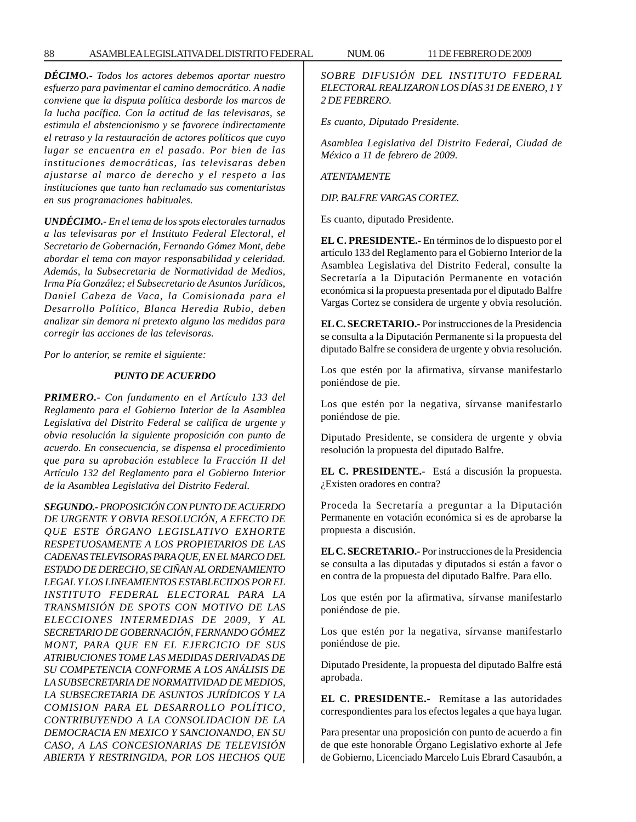*DÉCIMO.- Todos los actores debemos aportar nuestro esfuerzo para pavimentar el camino democrático. A nadie conviene que la disputa política desborde los marcos de la lucha pacífica. Con la actitud de las televisaras, se estimula el abstencionismo y se favorece indirectamente el retraso y la restauración de actores políticos que cuyo lugar se encuentra en el pasado. Por bien de las instituciones democráticas, las televisaras deben ajustarse al marco de derecho y el respeto a las instituciones que tanto han reclamado sus comentaristas en sus programaciones habituales.*

*UNDÉCIMO.- En el tema de los spots electorales turnados a las televisaras por el Instituto Federal Electoral, el Secretario de Gobernación, Fernando Gómez Mont, debe abordar el tema con mayor responsabilidad y celeridad. Además, la Subsecretaria de Normatividad de Medios, Irma Pía González; el Subsecretario de Asuntos Jurídicos, Daniel Cabeza de Vaca, la Comisionada para el Desarrollo Político, Blanca Heredia Rubio, deben analizar sin demora ni pretexto alguno las medidas para corregir las acciones de las televisoras.*

*Por lo anterior, se remite el siguiente:*

# *PUNTO DE ACUERDO*

*PRIMERO.- Con fundamento en el Artículo 133 del Reglamento para el Gobierno Interior de la Asamblea Legislativa del Distrito Federal se califica de urgente y obvia resolución la siguiente proposición con punto de acuerdo. En consecuencia, se dispensa el procedimiento que para su aprobación establece la Fracción II del Artículo 132 del Reglamento para el Gobierno Interior de la Asamblea Legislativa del Distrito Federal.*

*SEGUNDO.- PROPOSICIÓN CON PUNTO DE ACUERDO DE URGENTE Y OBVIA RESOLUCIÓN, A EFECTO DE QUE ESTE ÓRGANO LEGISLATIVO EXHORTE RESPETUOSAMENTE A LOS PROPIETARIOS DE LAS CADENAS TELEVISORAS PARA QUE, EN EL MARCO DEL ESTADO DE DERECHO, SE CIÑAN AL ORDENAMIENTO LEGAL Y LOS LINEAMIENTOS ESTABLECIDOS POR EL INSTITUTO FEDERAL ELECTORAL PARA LA TRANSMISIÓN DE SPOTS CON MOTIVO DE LAS ELECCIONES INTERMEDIAS DE 2009, Y AL SECRETARIO DE GOBERNACIÓN, FERNANDO GÓMEZ MONT, PARA QUE EN EL EJERCICIO DE SUS ATRIBUCIONES TOME LAS MEDIDAS DERIVADAS DE SU COMPETENCIA CONFORME A LOS ANÁLISIS DE LA SUBSECRETARIA DE NORMATIVIDAD DE MEDIOS, LA SUBSECRETARIA DE ASUNTOS JURÍDICOS Y LA COMISION PARA EL DESARROLLO POLÍTICO, CONTRIBUYENDO A LA CONSOLIDACION DE LA DEMOCRACIA EN MEXICO Y SANCIONANDO, EN SU CASO, A LAS CONCESIONARIAS DE TELEVISIÓN ABIERTA Y RESTRINGIDA, POR LOS HECHOS QUE* *SOBRE DIFUSIÓN DEL INSTITUTO FEDERAL ELECTORAL REALIZARON LOS DÍAS 31 DE ENERO, 1 Y 2 DE FEBRERO.*

*Es cuanto, Diputado Presidente.*

*Asamblea Legislativa del Distrito Federal, Ciudad de México a 11 de febrero de 2009.*

*ATENTAMENTE*

*DIP. BALFRE VARGAS CORTEZ.*

Es cuanto, diputado Presidente.

**EL C. PRESIDENTE.-** En términos de lo dispuesto por el artículo 133 del Reglamento para el Gobierno Interior de la Asamblea Legislativa del Distrito Federal, consulte la Secretaría a la Diputación Permanente en votación económica si la propuesta presentada por el diputado Balfre Vargas Cortez se considera de urgente y obvia resolución.

**EL C. SECRETARIO.-** Por instrucciones de la Presidencia se consulta a la Diputación Permanente si la propuesta del diputado Balfre se considera de urgente y obvia resolución.

Los que estén por la afirmativa, sírvanse manifestarlo poniéndose de pie.

Los que estén por la negativa, sírvanse manifestarlo poniéndose de pie.

Diputado Presidente, se considera de urgente y obvia resolución la propuesta del diputado Balfre.

**EL C. PRESIDENTE.-** Está a discusión la propuesta. ¿Existen oradores en contra?

Proceda la Secretaría a preguntar a la Diputación Permanente en votación económica si es de aprobarse la propuesta a discusión.

**EL C. SECRETARIO.-** Por instrucciones de la Presidencia se consulta a las diputadas y diputados si están a favor o en contra de la propuesta del diputado Balfre. Para ello.

Los que estén por la afirmativa, sírvanse manifestarlo poniéndose de pie.

Los que estén por la negativa, sírvanse manifestarlo poniéndose de pie.

Diputado Presidente, la propuesta del diputado Balfre está aprobada.

**EL C. PRESIDENTE.-** Remítase a las autoridades correspondientes para los efectos legales a que haya lugar.

Para presentar una proposición con punto de acuerdo a fin de que este honorable Órgano Legislativo exhorte al Jefe de Gobierno, Licenciado Marcelo Luis Ebrard Casaubón, a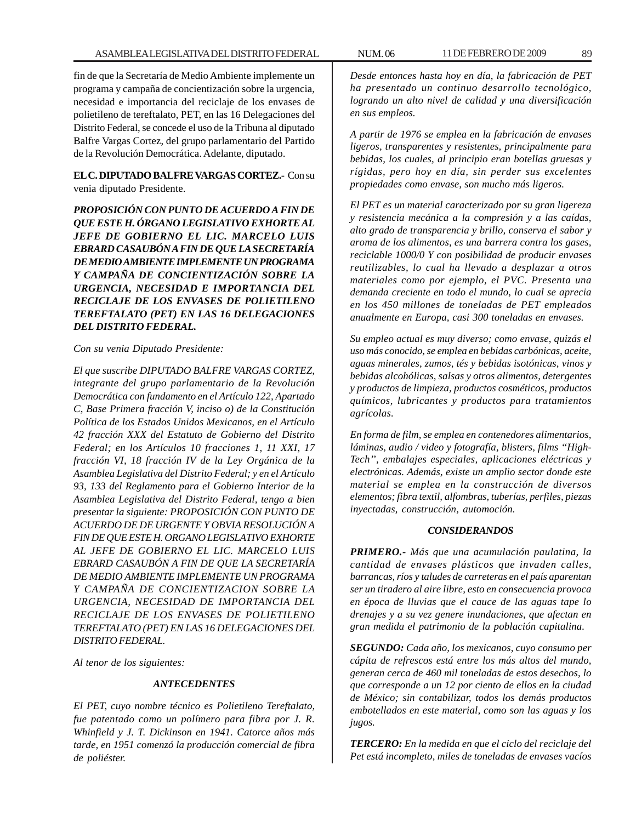fin de que la Secretaría de Medio Ambiente implemente un programa y campaña de concientización sobre la urgencia, necesidad e importancia del reciclaje de los envases de polietileno de tereftalato, PET, en las 16 Delegaciones del Distrito Federal, se concede el uso de la Tribuna al diputado Balfre Vargas Cortez, del grupo parlamentario del Partido de la Revolución Democrática. Adelante, diputado.

**EL C. DIPUTADO BALFRE VARGAS CORTEZ.-** Con su venia diputado Presidente.

*PROPOSICIÓN CON PUNTO DE ACUERDO A FIN DE QUE ESTE H. ÓRGANO LEGISLATIVO EXHORTE AL JEFE DE GOBIERNO EL LIC. MARCELO LUIS EBRARD CASAUBÓN A FIN DE QUE LA SECRETARÍA DE MEDIO AMBIENTE IMPLEMENTE UN PROGRAMA Y CAMPAÑA DE CONCIENTIZACIÓN SOBRE LA URGENCIA, NECESIDAD E IMPORTANCIA DEL RECICLAJE DE LOS ENVASES DE POLIETILENO TEREFTALATO (PET) EN LAS 16 DELEGACIONES DEL DISTRITO FEDERAL.*

### *Con su venia Diputado Presidente:*

*El que suscribe DIPUTADO BALFRE VARGAS CORTEZ, integrante del grupo parlamentario de la Revolución Democrática con fundamento en el Artículo 122, Apartado C, Base Primera fracción V, inciso o) de la Constitución Política de los Estados Unidos Mexicanos, en el Artículo 42 fracción XXX del Estatuto de Gobierno del Distrito Federal; en los Artículos 10 fracciones 1, 11 XXI, 17 fracción VI, 18 fracción IV de la Ley Orgánica de la Asamblea Legislativa del Distrito Federal; y en el Artículo 93, 133 del Reglamento para el Gobierno Interior de la Asamblea Legislativa del Distrito Federal, tengo a bien presentar la siguiente: PROPOSICIÓN CON PUNTO DE ACUERDO DE DE URGENTE Y OBVIA RESOLUCIÓN A FIN DE QUE ESTE H. ORGANO LEGISLATIVO EXHORTE AL JEFE DE GOBIERNO EL LIC. MARCELO LUIS EBRARD CASAUBÓN A FIN DE QUE LA SECRETARÍA DE MEDIO AMBIENTE IMPLEMENTE UN PROGRAMA Y CAMPAÑA DE CONCIENTIZACION SOBRE LA URGENCIA, NECESIDAD DE IMPORTANCIA DEL RECICLAJE DE LOS ENVASES DE POLIETILENO TEREFTALATO (PET) EN LAS 16 DELEGACIONES DEL DISTRITO FEDERAL.*

*Al tenor de los siguientes:*

### *ANTECEDENTES*

*El PET, cuyo nombre técnico es Polietileno Tereftalato, fue patentado como un polímero para fibra por J. R. Whinfield y J. T. Dickinson en 1941. Catorce años más tarde, en 1951 comenzó la producción comercial de fibra de poliéster.*

*Desde entonces hasta hoy en día, la fabricación de PET ha presentado un continuo desarrollo tecnológico, logrando un alto nivel de calidad y una diversificación en sus empleos.*

*A partir de 1976 se emplea en la fabricación de envases ligeros, transparentes y resistentes, principalmente para bebidas, los cuales, al principio eran botellas gruesas y rígidas, pero hoy en día, sin perder sus excelentes propiedades como envase, son mucho más ligeros.*

*El PET es un material caracterizado por su gran ligereza y resistencia mecánica a la compresión y a las caídas, alto grado de transparencia y brillo, conserva el sabor y aroma de los alimentos, es una barrera contra los gases, reciclable 1000/0 Y con posibilidad de producir envases reutilizables, lo cual ha llevado a desplazar a otros materiales como por ejemplo, el PVC. Presenta una demanda creciente en todo el mundo, lo cual se aprecia en los 450 millones de toneladas de PET empleados anualmente en Europa, casi 300 toneladas en envases.*

*Su empleo actual es muy diverso; como envase, quizás el uso más conocido, se emplea en bebidas carbónicas, aceite, aguas minerales, zumos, tés y bebidas isotónicas, vinos y bebidas alcohólicas, salsas y otros alimentos, detergentes y productos de limpieza, productos cosméticos, productos químicos, lubricantes y productos para tratamientos agrícolas.*

*En forma de film, se emplea en contenedores alimentarios, láminas, audio / video y fotografía, blisters, films ''High-Tech'', embalajes especiales, aplicaciones eléctricas y electrónicas. Además, existe un amplio sector donde este material se emplea en la construcción de diversos elementos; fibra textil, alfombras, tuberías, perfiles, piezas inyectadas, construcción, automoción.*

### *CONSIDERANDOS*

*PRIMERO.- Más que una acumulación paulatina, la cantidad de envases plásticos que invaden calles, barrancas, ríos y taludes de carreteras en el país aparentan ser un tiradero al aire libre, esto en consecuencia provoca en época de lluvias que el cauce de las aguas tape lo drenajes y a su vez genere inundaciones, que afectan en gran medida el patrimonio de la población capitalina.*

*SEGUNDO: Cada año, los mexicanos, cuyo consumo per cápita de refrescos está entre los más altos del mundo, generan cerca de 460 mil toneladas de estos desechos, lo que corresponde a un 12 por ciento de ellos en la ciudad de México; sin contabilizar, todos los demás productos embotellados en este material, como son las aguas y los jugos.*

*TERCERO: En la medida en que el ciclo del reciclaje del Pet está incompleto, miles de toneladas de envases vacíos*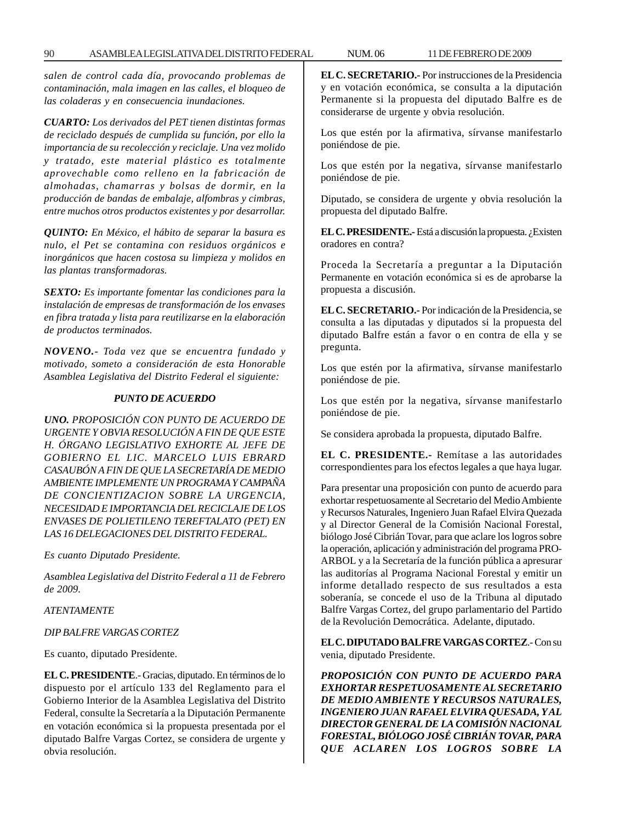*salen de control cada día, provocando problemas de contaminación, mala imagen en las calles, el bloqueo de las coladeras y en consecuencia inundaciones.*

*CUARTO: Los derivados del PET tienen distintas formas de reciclado después de cumplida su función, por ello la importancia de su recolección y reciclaje. Una vez molido y tratado, este material plástico es totalmente aprovechable como relleno en la fabricación de almohadas, chamarras y bolsas de dormir, en la producción de bandas de embalaje, alfombras y cimbras, entre muchos otros productos existentes y por desarrollar.*

*QUINTO: En México, el hábito de separar la basura es nulo, el Pet se contamina con residuos orgánicos e inorgánicos que hacen costosa su limpieza y molidos en las plantas transformadoras.*

*SEXTO: Es importante fomentar las condiciones para la instalación de empresas de transformación de los envases en fibra tratada y lista para reutilizarse en la elaboración de productos terminados.*

*NOVENO.- Toda vez que se encuentra fundado y motivado, someto a consideración de esta Honorable Asamblea Legislativa del Distrito Federal el siguiente:*

### *PUNTO DE ACUERDO*

*UNO. PROPOSICIÓN CON PUNTO DE ACUERDO DE URGENTE Y OBVIA RESOLUCIÓN A FIN DE QUE ESTE H. ÓRGANO LEGISLATIVO EXHORTE AL JEFE DE GOBIERNO EL LIC. MARCELO LUIS EBRARD CASAUBÓN A FIN DE QUE LA SECRETARÍA DE MEDIO AMBIENTE IMPLEMENTE UN PROGRAMA Y CAMPAÑA DE CONCIENTIZACION SOBRE LA URGENCIA, NECESIDAD E IMPORTANCIA DEL RECICLAJE DE LOS ENVASES DE POLIETILENO TEREFTALATO (PET) EN LAS 16 DELEGACIONES DEL DISTRITO FEDERAL.*

*Es cuanto Diputado Presidente.*

*Asamblea Legislativa del Distrito Federal a 11 de Febrero de 2009.*

### *ATENTAMENTE*

#### *DIP BALFRE VARGAS CORTEZ*

Es cuanto, diputado Presidente.

**EL C. PRESIDENTE**.- Gracias, diputado. En términos de lo dispuesto por el artículo 133 del Reglamento para el Gobierno Interior de la Asamblea Legislativa del Distrito Federal, consulte la Secretaría a la Diputación Permanente en votación económica si la propuesta presentada por el diputado Balfre Vargas Cortez, se considera de urgente y obvia resolución.

**EL C. SECRETARIO.-** Por instrucciones de la Presidencia y en votación económica, se consulta a la diputación Permanente si la propuesta del diputado Balfre es de considerarse de urgente y obvia resolución.

Los que estén por la afirmativa, sírvanse manifestarlo poniéndose de pie.

Los que estén por la negativa, sírvanse manifestarlo poniéndose de pie.

Diputado, se considera de urgente y obvia resolución la propuesta del diputado Balfre.

**EL C. PRESIDENTE.-** Está a discusión la propuesta. ¿Existen oradores en contra?

Proceda la Secretaría a preguntar a la Diputación Permanente en votación económica si es de aprobarse la propuesta a discusión.

**EL C. SECRETARIO.-** Por indicación de la Presidencia, se consulta a las diputadas y diputados si la propuesta del diputado Balfre están a favor o en contra de ella y se pregunta.

Los que estén por la afirmativa, sírvanse manifestarlo poniéndose de pie.

Los que estén por la negativa, sírvanse manifestarlo poniéndose de pie.

Se considera aprobada la propuesta, diputado Balfre.

**EL C. PRESIDENTE.-** Remítase a las autoridades correspondientes para los efectos legales a que haya lugar.

Para presentar una proposición con punto de acuerdo para exhortar respetuosamente al Secretario del Medio Ambiente y Recursos Naturales, Ingeniero Juan Rafael Elvira Quezada y al Director General de la Comisión Nacional Forestal, biólogo José Cibrián Tovar, para que aclare los logros sobre la operación, aplicación y administración del programa PRO-ARBOL y a la Secretaría de la función pública a apresurar las auditorías al Programa Nacional Forestal y emitir un informe detallado respecto de sus resultados a esta soberanía, se concede el uso de la Tribuna al diputado Balfre Vargas Cortez, del grupo parlamentario del Partido de la Revolución Democrática. Adelante, diputado.

**EL C. DIPUTADO BALFRE VARGAS CORTEZ**.- Con su venia, diputado Presidente.

*PROPOSICIÓN CON PUNTO DE ACUERDO PARA EXHORTAR RESPETUOSAMENTE AL SECRETARIO DE MEDIO AMBIENTE Y RECURSOS NATURALES, INGENIERO JUAN RAFAEL ELVIRA QUESADA, Y AL DIRECTOR GENERAL DE LA COMISIÓN NACIONAL FORESTAL, BIÓLOGO JOSÉ CIBRIÁN TOVAR, PARA QUE ACLAREN LOS LOGROS SOBRE LA*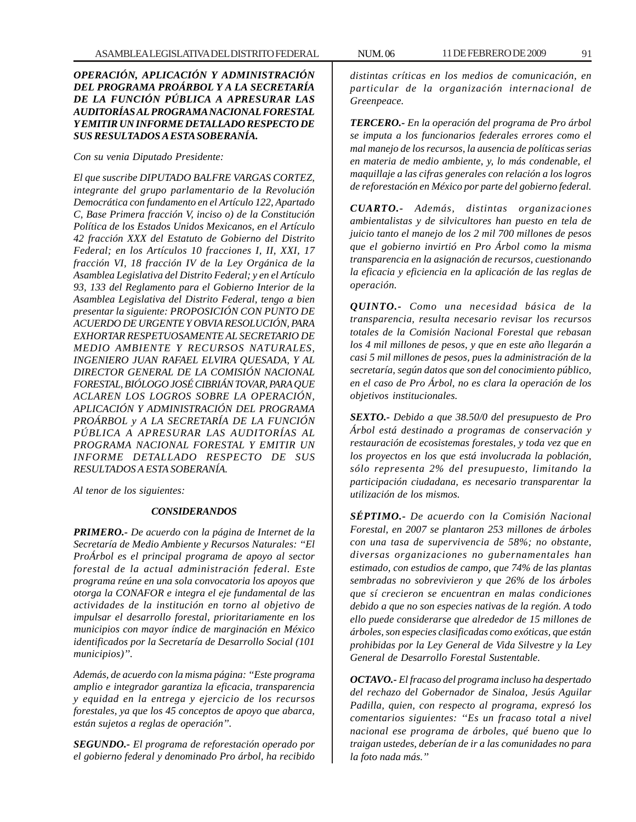# *OPERACIÓN, APLICACIÓN Y ADMINISTRACIÓN DEL PROGRAMA PROÁRBOL Y A LA SECRETARÍA DE LA FUNCIÓN PÚBLICA A APRESURAR LAS AUDITORÍAS AL PROGRAMA NACIONAL FORESTAL Y EMITIR UN INFORME DETALLADO RESPECTO DE SUS RESULTADOS A ESTA SOBERANÍA.*

*Con su venia Diputado Presidente:*

*El que suscribe DIPUTADO BALFRE VARGAS CORTEZ, integrante del grupo parlamentario de la Revolución Democrática con fundamento en el Artículo 122, Apartado C, Base Primera fracción V, inciso o) de la Constitución Política de los Estados Unidos Mexicanos, en el Artículo 42 fracción XXX del Estatuto de Gobierno del Distrito Federal; en los Artículos 10 fracciones I, II, XXI, 17 fracción VI, 18 fracción IV de la Ley Orgánica de la Asamblea Legislativa del Distrito Federal; y en el Artículo 93, 133 del Reglamento para el Gobierno Interior de la Asamblea Legislativa del Distrito Federal, tengo a bien presentar la siguiente: PROPOSICIÓN CON PUNTO DE ACUERDO DE URGENTE Y OBVIA RESOLUCIÓN, PARA EXHORTAR RESPETUOSAMENTE AL SECRETARIO DE MEDIO AMBIENTE Y RECURSOS NATURALES, INGENIERO JUAN RAFAEL ELVIRA QUESADA, Y AL DIRECTOR GENERAL DE LA COMISIÓN NACIONAL FORESTAL, BIÓLOGO JOSÉ CIBRIÁN TOVAR, PARA QUE ACLAREN LOS LOGROS SOBRE LA OPERACIÓN, APLICACIÓN Y ADMINISTRACIÓN DEL PROGRAMA PROÁRBOL y A LA SECRETARÍA DE LA FUNCIÓN PÚBLICA A APRESURAR LAS AUDITORÍAS AL PROGRAMA NACIONAL FORESTAL Y EMITIR UN INFORME DETALLADO RESPECTO DE SUS RESULTADOS A ESTA SOBERANÍA.*

*Al tenor de los siguientes:*

### *CONSIDERANDOS*

*PRIMERO.- De acuerdo con la página de Internet de la Secretaría de Medio Ambiente y Recursos Naturales: ''El ProÁrbol es el principal programa de apoyo al sector forestal de la actual administración federal. Este programa reúne en una sola convocatoria los apoyos que otorga la CONAFOR e integra el eje fundamental de las actividades de la institución en torno al objetivo de impulsar el desarrollo forestal, prioritariamente en los municipios con mayor índice de marginación en México identificados por la Secretaría de Desarrollo Social (101 municipios)''.*

*Además, de acuerdo con la misma página: ''Este programa amplio e integrador garantiza la eficacia, transparencia y equidad en la entrega y ejercicio de los recursos forestales, ya que los 45 conceptos de apoyo que abarca, están sujetos a reglas de operación''.*

*SEGUNDO.- El programa de reforestación operado por el gobierno federal y denominado Pro árbol, ha recibido* *distintas críticas en los medios de comunicación, en particular de la organización internacional de Greenpeace.*

*TERCERO.- En la operación del programa de Pro árbol se imputa a los funcionarios federales errores como el mal manejo de los recursos, la ausencia de políticas serias en materia de medio ambiente, y, lo más condenable, el maquillaje a las cifras generales con relación a los logros de reforestación en México por parte del gobierno federal.*

*CUARTO.- Además, distintas organizaciones ambientalistas y de silvicultores han puesto en tela de juicio tanto el manejo de los 2 mil 700 millones de pesos que el gobierno invirtió en Pro Árbol como la misma transparencia en la asignación de recursos, cuestionando la eficacia y eficiencia en la aplicación de las reglas de operación.*

*QUINTO.- Como una necesidad básica de la transparencia, resulta necesario revisar los recursos totales de la Comisión Nacional Forestal que rebasan los 4 mil millones de pesos, y que en este año llegarán a casi 5 mil millones de pesos, pues la administración de la secretaría, según datos que son del conocimiento público, en el caso de Pro Árbol, no es clara la operación de los objetivos institucionales.*

*SEXTO.- Debido a que 38.50/0 del presupuesto de Pro Árbol está destinado a programas de conservación y restauración de ecosistemas forestales, y toda vez que en los proyectos en los que está involucrada la población, sólo representa 2% del presupuesto, limitando la participación ciudadana, es necesario transparentar la utilización de los mismos.*

*SÉPTIMO.- De acuerdo con la Comisión Nacional Forestal, en 2007 se plantaron 253 millones de árboles con una tasa de supervivencia de 58%; no obstante, diversas organizaciones no gubernamentales han estimado, con estudios de campo, que 74% de las plantas sembradas no sobrevivieron y que 26% de los árboles que sí crecieron se encuentran en malas condiciones debido a que no son especies nativas de la región. A todo ello puede considerarse que alrededor de 15 millones de árboles, son especies clasificadas como exóticas, que están prohibidas por la Ley General de Vida Silvestre y la Ley General de Desarrollo Forestal Sustentable.*

*OCTAVO.- El fracaso del programa incluso ha despertado del rechazo del Gobernador de Sinaloa, Jesús Aguilar Padilla, quien, con respecto al programa, expresó los comentarios siguientes: ''Es un fracaso total a nivel nacional ese programa de árboles, qué bueno que lo traigan ustedes, deberían de ir a las comunidades no para la foto nada más.''*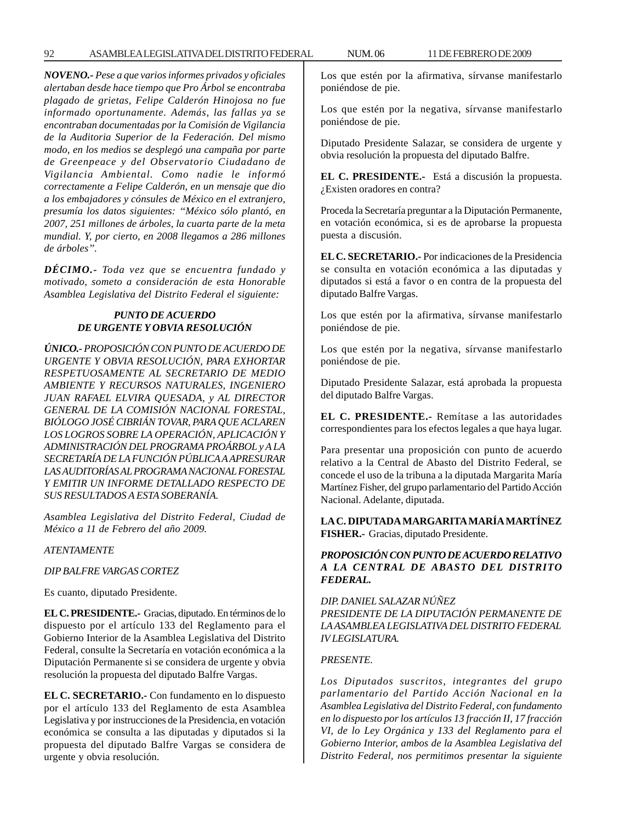92 ASAMBLEA LEGISLATIVA DEL DISTRITO FEDERAL NUM. 06 11 DE FEBRERO DE 2009

*NOVENO.- Pese a que varios informes privados y oficiales alertaban desde hace tiempo que Pro Árbol se encontraba plagado de grietas, Felipe Calderón Hinojosa no fue informado oportunamente. Además, las fallas ya se encontraban documentadas por la Comisión de Vigilancia de la Auditoria Superior de la Federación. Del mismo modo, en los medios se desplegó una campaña por parte de Greenpeace y del Observatorio Ciudadano de Vigilancia Ambiental. Como nadie le informó correctamente a Felipe Calderón, en un mensaje que dio a los embajadores y cónsules de México en el extranjero, presumía los datos siguientes: ''México sólo plantó, en 2007, 251 millones de árboles, la cuarta parte de la meta mundial. Y, por cierto, en 2008 llegamos a 286 millones de árboles''.*

*DÉCIMO.- Toda vez que se encuentra fundado y motivado, someto a consideración de esta Honorable Asamblea Legislativa del Distrito Federal el siguiente:*

### *PUNTO DE ACUERDO DE URGENTE Y OBVIA RESOLUCIÓN*

*ÚNICO.- PROPOSICIÓN CON PUNTO DE ACUERDO DE URGENTE Y OBVIA RESOLUCIÓN, PARA EXHORTAR RESPETUOSAMENTE AL SECRETARIO DE MEDIO AMBIENTE Y RECURSOS NATURALES, INGENIERO JUAN RAFAEL ELVIRA QUESADA, y AL DIRECTOR GENERAL DE LA COMISIÓN NACIONAL FORESTAL, BIÓLOGO JOSÉ CIBRIÁN TOVAR, PARA QUE ACLAREN LOS LOGROS SOBRE LA OPERACIÓN, APLICACIÓN Y ADMINISTRACIÓN DEL PROGRAMA PROÁRBOL y A LA SECRETARÍA DE LA FUNCIÓN PÚBLICA A APRESURAR LAS AUDITORÍAS AL PROGRAMA NACIONAL FORESTAL Y EMITIR UN INFORME DETALLADO RESPECTO DE SUS RESULTADOS A ESTA SOBERANÍA.*

*Asamblea Legislativa del Distrito Federal, Ciudad de México a 11 de Febrero del año 2009.*

#### *ATENTAMENTE*

*DIP BALFRE VARGAS CORTEZ*

Es cuanto, diputado Presidente.

**EL C. PRESIDENTE.-** Gracias, diputado. En términos de lo dispuesto por el artículo 133 del Reglamento para el Gobierno Interior de la Asamblea Legislativa del Distrito Federal, consulte la Secretaría en votación económica a la Diputación Permanente si se considera de urgente y obvia resolución la propuesta del diputado Balfre Vargas.

**EL C. SECRETARIO.-** Con fundamento en lo dispuesto por el artículo 133 del Reglamento de esta Asamblea Legislativa y por instrucciones de la Presidencia, en votación económica se consulta a las diputadas y diputados si la propuesta del diputado Balfre Vargas se considera de urgente y obvia resolución.

Los que estén por la afirmativa, sírvanse manifestarlo poniéndose de pie.

Los que estén por la negativa, sírvanse manifestarlo poniéndose de pie.

Diputado Presidente Salazar, se considera de urgente y obvia resolución la propuesta del diputado Balfre.

**EL C. PRESIDENTE.-** Está a discusión la propuesta. ¿Existen oradores en contra?

Proceda la Secretaría preguntar a la Diputación Permanente, en votación económica, si es de aprobarse la propuesta puesta a discusión.

**EL C. SECRETARIO.-** Por indicaciones de la Presidencia se consulta en votación económica a las diputadas y diputados si está a favor o en contra de la propuesta del diputado Balfre Vargas.

Los que estén por la afirmativa, sírvanse manifestarlo poniéndose de pie.

Los que estén por la negativa, sírvanse manifestarlo poniéndose de pie.

Diputado Presidente Salazar, está aprobada la propuesta del diputado Balfre Vargas.

**EL C. PRESIDENTE.-** Remítase a las autoridades correspondientes para los efectos legales a que haya lugar.

Para presentar una proposición con punto de acuerdo relativo a la Central de Abasto del Distrito Federal, se concede el uso de la tribuna a la diputada Margarita María Martínez Fisher, del grupo parlamentario del Partido Acción Nacional. Adelante, diputada.

**LA C. DIPUTADA MARGARITA MARÍA MARTÍNEZ FISHER.-** Gracias, diputado Presidente.

# *PROPOSICIÓN CON PUNTO DE ACUERDO RELATIVO A LA CENTRAL DE ABASTO DEL DISTRITO FEDERAL.*

*DIP. DANIEL SALAZAR NÚÑEZ*

*PRESIDENTE DE LA DIPUTACIÓN PERMANENTE DE LA ASAMBLEA LEGISLATIVA DEL DISTRITO FEDERAL IV LEGISLATURA.*

#### *PRESENTE.*

*Los Diputados suscritos, integrantes del grupo parlamentario del Partido Acción Nacional en la Asamblea Legislativa del Distrito Federal, con fundamento en lo dispuesto por los artículos 13 fracción II, 17 fracción VI, de lo Ley Orgánica y 133 del Reglamento para el Gobierno Interior, ambos de la Asamblea Legislativa del Distrito Federal, nos permitimos presentar la siguiente*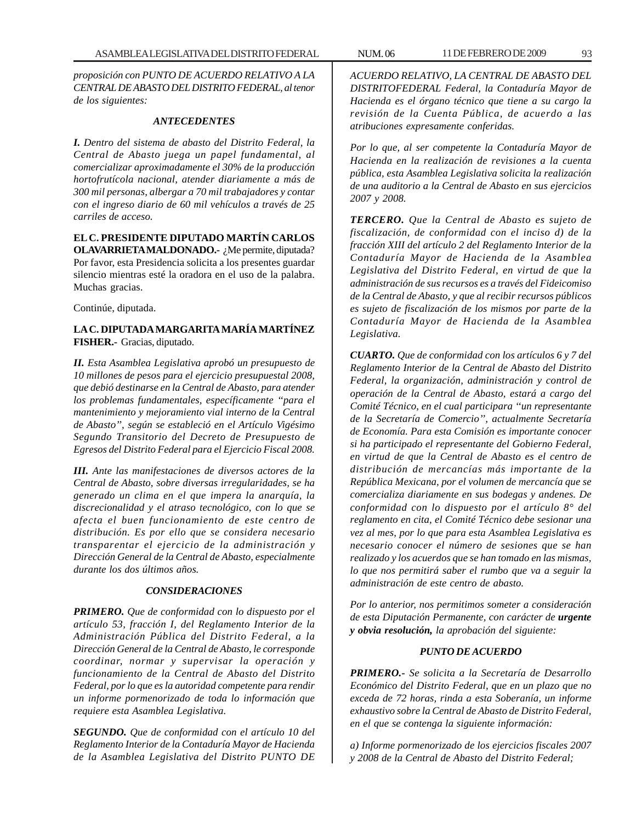*proposición con PUNTO DE ACUERDO RELATIVO A LA CENTRAL DE ABASTO DEL DISTRITO FEDERAL, al tenor de los siguientes:*

#### *ANTECEDENTES*

*I. Dentro del sistema de abasto del Distrito Federal, la Central de Abasto juega un papel fundamental, al comercializar aproximadamente el 30% de la producción hortofrutícola nacional, atender diariamente a más de 300 mil personas, albergar a 70 mil trabajadores y contar con el ingreso diario de 60 mil vehículos a través de 25 carriles de acceso.*

**EL C. PRESIDENTE DIPUTADO MARTÍN CARLOS OLAVARRIETA MALDONADO.-** ¿Me permite, diputada? Por favor, esta Presidencia solicita a los presentes guardar silencio mientras esté la oradora en el uso de la palabra. Muchas gracias.

Continúe, diputada.

# **LA C. DIPUTADA MARGARITA MARÍA MARTÍNEZ FISHER.-** Gracias, diputado.

*II. Esta Asamblea Legislativa aprobó un presupuesto de 10 millones de pesos para el ejercicio presupuestal 2008, que debió destinarse en la Central de Abasto, para atender los problemas fundamentales, específicamente ''para el mantenimiento y mejoramiento vial interno de la Central de Abasto'', según se estableció en el Artículo Vigésimo Segundo Transitorio del Decreto de Presupuesto de Egresos del Distrito Federal para el Ejercicio Fiscal 2008.*

*III. Ante las manifestaciones de diversos actores de la Central de Abasto, sobre diversas irregularidades, se ha generado un clima en el que impera la anarquía, la discrecionalidad y el atraso tecnológico, con lo que se afecta el buen funcionamiento de este centro de distribución. Es por ello que se considera necesario transparentar el ejercicio de la administración y Dirección General de la Central de Abasto, especialmente durante los dos últimos años.*

## *CONSIDERACIONES*

*PRIMERO. Que de conformidad con lo dispuesto por el artículo 53, fracción I, del Reglamento Interior de la Administración Pública del Distrito Federal, a la Dirección General de la Central de Abasto, le corresponde coordinar, normar y supervisar la operación y funcionamiento de la Central de Abasto del Distrito Federal, por lo que es la autoridad competente para rendir un informe pormenorizado de toda lo información que requiere esta Asamblea Legislativa.*

*SEGUNDO. Que de conformidad con el artículo 10 del Reglamento Interior de la Contaduría Mayor de Hacienda de la Asamblea Legislativa del Distrito PUNTO DE* *ACUERDO RELATIVO, LA CENTRAL DE ABASTO DEL DISTRITOFEDERAL Federal, la Contaduría Mayor de Hacienda es el órgano técnico que tiene a su cargo la revisión de la Cuenta Pública, de acuerdo a las atribuciones expresamente conferidas.*

*Por lo que, al ser competente la Contaduría Mayor de Hacienda en la realización de revisiones a la cuenta pública, esta Asamblea Legislativa solicita la realización de una auditorio a la Central de Abasto en sus ejercicios 2007 y 2008.*

*TERCERO. Que la Central de Abasto es sujeto de fiscalización, de conformidad con el inciso d) de la fracción XIII del artículo 2 del Reglamento Interior de la Contaduría Mayor de Hacienda de la Asamblea Legislativa del Distrito Federal, en virtud de que la administración de sus recursos es a través del Fideicomiso de la Central de Abasto, y que al recibir recursos públicos es sujeto de fiscalización de los mismos por parte de la Contaduría Mayor de Hacienda de la Asamblea Legislativa.*

*CUARTO. Que de conformidad con los artículos 6 y 7 del Reglamento Interior de la Central de Abasto del Distrito Federal, la organización, administración y control de operación de la Central de Abasto, estará a cargo del Comité Técnico, en el cual participara ''un representante de la Secretaría de Comercio'', actualmente Secretaría de Economía. Para esta Comisión es importante conocer si ha participado el representante del Gobierno Federal, en virtud de que la Central de Abasto es el centro de distribución de mercancías más importante de la República Mexicana, por el volumen de mercancía que se comercializa diariamente en sus bodegas y andenes. De conformidad con lo dispuesto por el artículo 8° del reglamento en cita, el Comité Técnico debe sesionar una vez al mes, por lo que para esta Asamblea Legislativa es necesario conocer el número de sesiones que se han realizado y los acuerdos que se han tomado en las mismas, lo que nos permitirá saber el rumbo que va a seguir la administración de este centro de abasto.*

*Por lo anterior, nos permitimos someter a consideración de esta Diputación Permanente, con carácter de urgente y obvia resolución, la aprobación del siguiente:*

### *PUNTO DE ACUERDO*

*PRIMERO.- Se solicita a la Secretaría de Desarrollo Económico del Distrito Federal, que en un plazo que no exceda de 72 horas, rinda a esta Soberanía, un informe exhaustivo sobre la Central de Abasto de Distrito Federal, en el que se contenga la siguiente información:*

*a) Informe pormenorizado de los ejercicios fiscales 2007 y 2008 de la Central de Abasto del Distrito Federal;*